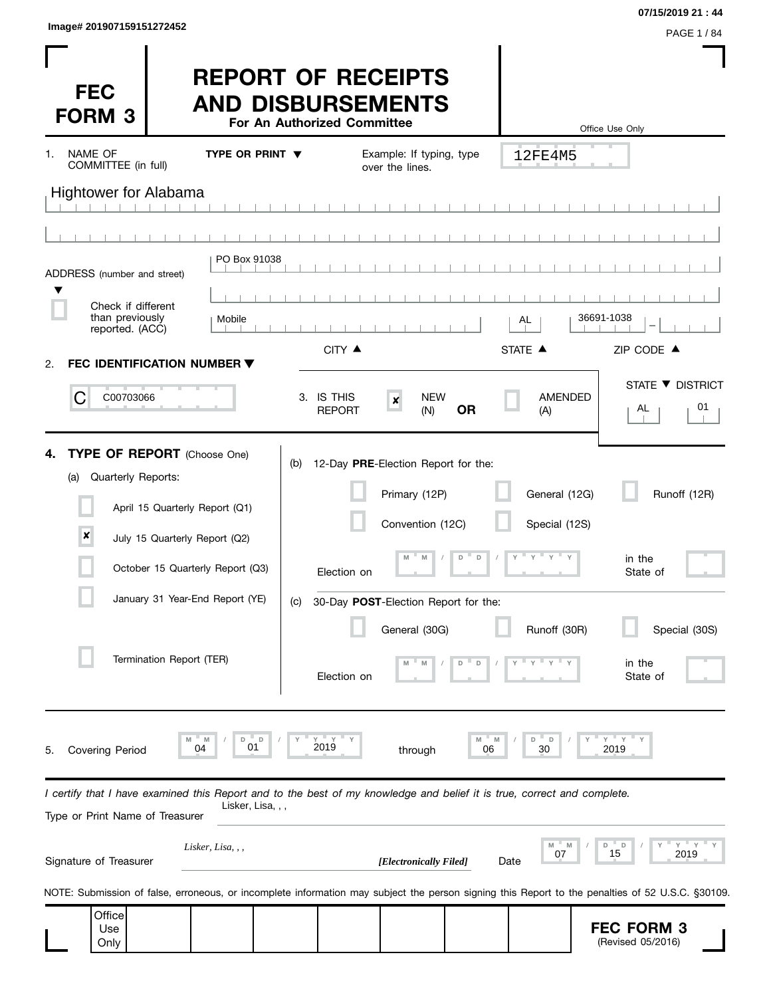| Image# 201907159151272452 |                  |
|---------------------------|------------------|
|                           | <b>PAGE 1/84</b> |

 $\overline{\phantom{0}}$ 

| <b>FEC</b><br><b>FORM 3</b>                                                                                                                                                                                                                                   | <b>REPORT OF RECEIPTS</b><br><b>AND DISBURSEMENTS</b><br>For An Authorized Committee |                                                                                                                                                                                                    |                                                                       | Office Use Only                                                           |
|---------------------------------------------------------------------------------------------------------------------------------------------------------------------------------------------------------------------------------------------------------------|--------------------------------------------------------------------------------------|----------------------------------------------------------------------------------------------------------------------------------------------------------------------------------------------------|-----------------------------------------------------------------------|---------------------------------------------------------------------------|
| NAME OF<br>1.<br>COMMITTEE (in full)                                                                                                                                                                                                                          | TYPE OR PRINT $\blacktriangledown$                                                   | Example: If typing, type<br>over the lines.                                                                                                                                                        | 12FE4M5                                                               |                                                                           |
| <b>Hightower for Alabama</b>                                                                                                                                                                                                                                  |                                                                                      |                                                                                                                                                                                                    |                                                                       |                                                                           |
|                                                                                                                                                                                                                                                               |                                                                                      |                                                                                                                                                                                                    |                                                                       |                                                                           |
| ADDRESS (number and street)                                                                                                                                                                                                                                   | PO Box 91038                                                                         |                                                                                                                                                                                                    |                                                                       |                                                                           |
|                                                                                                                                                                                                                                                               |                                                                                      |                                                                                                                                                                                                    |                                                                       |                                                                           |
| Check if different<br>than previously<br>reported. (ACC)                                                                                                                                                                                                      | Mobile                                                                               |                                                                                                                                                                                                    | AL                                                                    | 36691-1038                                                                |
| FEC IDENTIFICATION NUMBER ▼<br>2.                                                                                                                                                                                                                             |                                                                                      | CITY ▲                                                                                                                                                                                             | STATE A                                                               | ZIP CODE ▲                                                                |
| С<br>C00703066                                                                                                                                                                                                                                                | 3. IS THIS<br><b>REPORT</b>                                                          | <b>NEW</b><br>$\pmb{\times}$<br><b>OR</b><br>(N)                                                                                                                                                   | <b>AMENDED</b><br>(A)                                                 | STATE ▼ DISTRICT<br>01<br>AL                                              |
| <b>TYPE OF REPORT</b> (Choose One)<br>4.<br>Quarterly Reports:<br>(a)<br>April 15 Quarterly Report (Q1)<br>$\pmb{\times}$<br>July 15 Quarterly Report (Q2)<br>October 15 Quarterly Report (Q3)<br>January 31 Year-End Report (YE)<br>Termination Report (TER) | (b)<br>(C)                                                                           | 12-Day PRE-Election Report for the:<br>Primary (12P)<br>Convention (12C)<br>D<br>$\mathsf D$<br>M<br>Election on<br>30-Day POST-Election Report for the:<br>General (30G)<br>D<br>D<br>Election on | General (12G)<br>Special (12S)<br>$Y$ $Y$ $Y$ $Y$ $Y$<br>Runoff (30R) | Runoff (12R)<br>in the<br>State of<br>Special (30S)<br>in the<br>State of |
| M<br>04<br><b>Covering Period</b><br>5.                                                                                                                                                                                                                       | $Y$ $Y$<br>D<br>M<br>D<br>2019<br>01                                                 | M<br>through                                                                                                                                                                                       | D<br>D<br>M<br>30<br>06                                               | $Y$ $Y$<br>2019                                                           |
| I certify that I have examined this Report and to the best of my knowledge and belief it is true, correct and complete.<br>Type or Print Name of Treasurer                                                                                                    | Lisker, Lisa, , ,                                                                    |                                                                                                                                                                                                    |                                                                       |                                                                           |
| Signature of Treasurer                                                                                                                                                                                                                                        | Lisker, Lisa, , ,                                                                    | [Electronically Filed]                                                                                                                                                                             | $M = M$<br>07<br>Date                                                 | $Y =$<br>D<br>D<br>15<br>2019                                             |
| NOTE: Submission of false, erroneous, or incomplete information may subject the person signing this Report to the penalties of 52 U.S.C. §30109.                                                                                                              |                                                                                      |                                                                                                                                                                                                    |                                                                       |                                                                           |
| Office<br>Use<br>Only                                                                                                                                                                                                                                         |                                                                                      |                                                                                                                                                                                                    |                                                                       | <b>FEC FORM 3</b><br>(Revised 05/2016)                                    |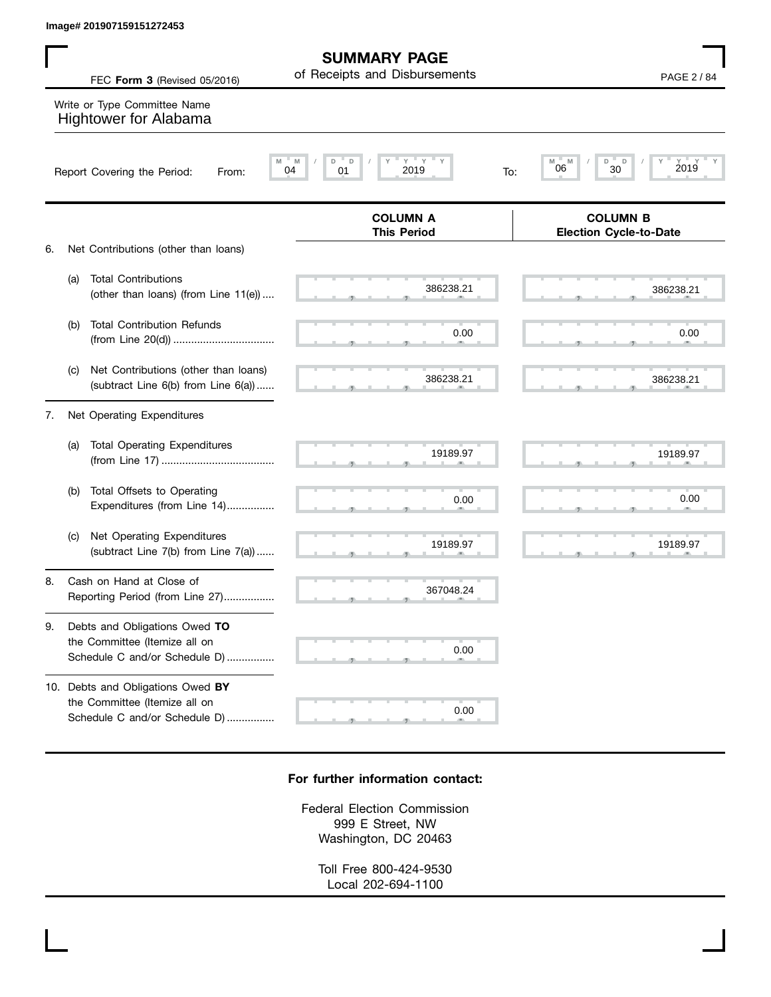|    |     | Image# 201907159151272453                                                        |                                                                                                                                       |                                                  |
|----|-----|----------------------------------------------------------------------------------|---------------------------------------------------------------------------------------------------------------------------------------|--------------------------------------------------|
|    |     | FEC Form 3 (Revised 05/2016)                                                     | <b>SUMMARY PAGE</b><br>of Receipts and Disbursements                                                                                  | PAGE 2 / 84                                      |
|    |     | Write or Type Committee Name<br>Hightower for Alabama                            |                                                                                                                                       |                                                  |
|    |     | M<br>Report Covering the Period:<br>From:                                        | $\mathsf{Y} \quad \mathsf{Y} \quad \mathsf{Y} \quad \mathsf{Y} \quad \mathsf{Y}$<br>$\mathsf{D}$<br>M<br>D<br>2019<br>04<br>01<br>To: | M<br>D<br>D<br>2019<br>M<br>30<br>06             |
| 6. |     | Net Contributions (other than loans)                                             | <b>COLUMN A</b><br><b>This Period</b>                                                                                                 | <b>COLUMN B</b><br><b>Election Cycle-to-Date</b> |
|    | (a) | <b>Total Contributions</b><br>(other than loans) (from Line 11(e))               | 386238.21                                                                                                                             | 386238.21                                        |
|    | (b) | <b>Total Contribution Refunds</b>                                                | 0.00                                                                                                                                  | 0.00                                             |
|    | (c) | Net Contributions (other than loans)<br>(subtract Line $6(b)$ from Line $6(a)$ ) | 386238.21                                                                                                                             | 386238.21                                        |

7. Net Operating Expenditures

| <b>Total Operating Expenditures</b><br>(a)                                    | 19189.97 | 19189.97 |
|-------------------------------------------------------------------------------|----------|----------|
| Total Offsets to Operating<br>(b)<br>Expenditures (from Line 14)              | 0.00     | 0.00     |
| Net Operating Expenditures<br>(C)<br>(subtract Line $7(b)$ from Line $7(a)$ ) | 19189.97 | 19189.97 |

8. Cash on Hand at Close of Reporting Period (from Line 27).................

9. Debts and Obligations Owed **TO** the Committee (Itemize all on Schedule C and/or Schedule D) ................

10. Debts and Obligations Owed **BY** the Committee (Itemize all on Schedule C and/or Schedule D) ................

## **For further information contact:**

, , . 367048.24

 $\sim$  0.0

0.00

0.00

 $\sim$  0.0

Federal Election Commission 999 E Street, NW Washington, DC 20463

> Toll Free 800-424-9530 Local 202-694-1100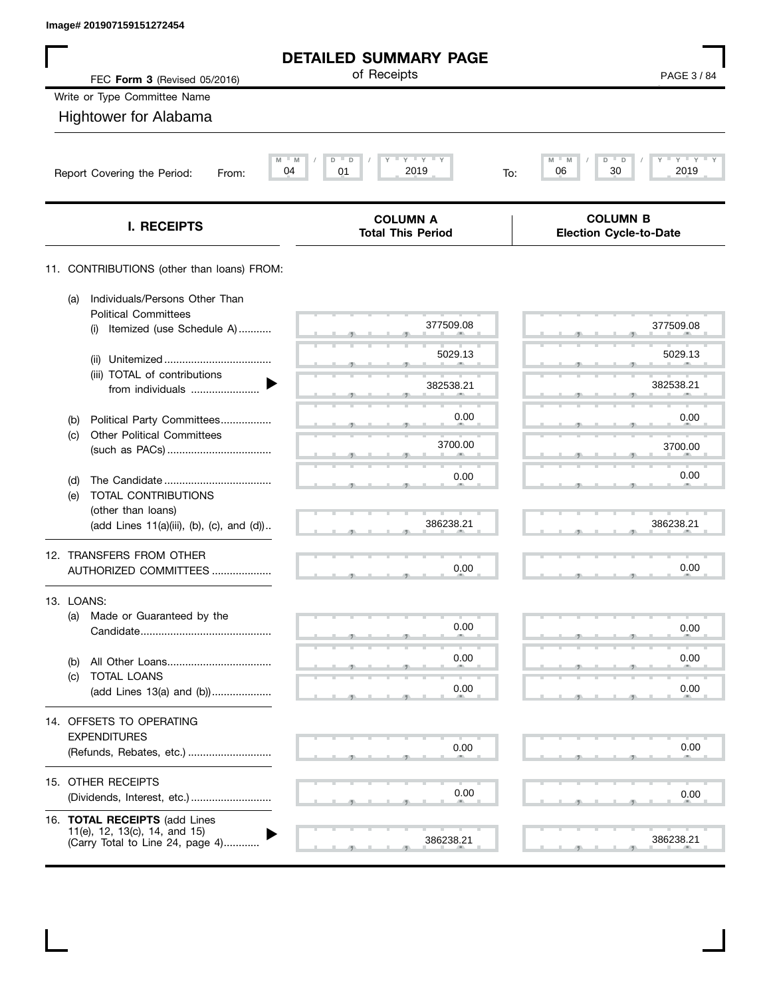| FEC Form 3 (Revised 05/2016)<br>Write or Type Committee Name<br><b>Hightower for Alabama</b><br>M<br>M<br>04<br>Report Covering the Period:<br>From:<br>I. RECEIPTS<br>11. CONTRIBUTIONS (other than loans) FROM: | <b>DETAILED SUMMARY PAGE</b><br>of Receipts<br>$\mathsf{I} \ \mathsf{Y} \ \mathsf{I} \ \mathsf{Y} \ \mathsf{I} \ \mathsf{Y}$<br>D<br>D<br>Υ<br>01<br>2019<br>To: | PAGE 3/84<br>$Y = Y$<br>M<br>M<br>D<br>D<br>30<br>2019<br>06 |  |  |
|-------------------------------------------------------------------------------------------------------------------------------------------------------------------------------------------------------------------|------------------------------------------------------------------------------------------------------------------------------------------------------------------|--------------------------------------------------------------|--|--|
|                                                                                                                                                                                                                   |                                                                                                                                                                  |                                                              |  |  |
|                                                                                                                                                                                                                   |                                                                                                                                                                  |                                                              |  |  |
|                                                                                                                                                                                                                   |                                                                                                                                                                  |                                                              |  |  |
|                                                                                                                                                                                                                   |                                                                                                                                                                  |                                                              |  |  |
|                                                                                                                                                                                                                   |                                                                                                                                                                  |                                                              |  |  |
|                                                                                                                                                                                                                   |                                                                                                                                                                  |                                                              |  |  |
|                                                                                                                                                                                                                   | <b>COLUMN A</b><br><b>Total This Period</b>                                                                                                                      | <b>COLUMN B</b><br><b>Election Cycle-to-Date</b>             |  |  |
|                                                                                                                                                                                                                   |                                                                                                                                                                  |                                                              |  |  |
| Individuals/Persons Other Than<br>(a)<br><b>Political Committees</b>                                                                                                                                              |                                                                                                                                                                  |                                                              |  |  |
| Itemized (use Schedule A)<br>(i)                                                                                                                                                                                  | 377509.08                                                                                                                                                        | 377509.08                                                    |  |  |
| (ii)                                                                                                                                                                                                              | 5029.13                                                                                                                                                          | 5029.13                                                      |  |  |
| (iii) TOTAL of contributions<br>from individuals                                                                                                                                                                  | 382538.21                                                                                                                                                        | 382538.21                                                    |  |  |
| Political Party Committees<br>(b)                                                                                                                                                                                 | 0.00                                                                                                                                                             | 0.00                                                         |  |  |
| <b>Other Political Committees</b><br>(c)                                                                                                                                                                          | 3700.00                                                                                                                                                          | 3700.00                                                      |  |  |
|                                                                                                                                                                                                                   | 0.00                                                                                                                                                             | 0.00                                                         |  |  |
| (d)<br>TOTAL CONTRIBUTIONS<br>(e)                                                                                                                                                                                 |                                                                                                                                                                  |                                                              |  |  |
| (other than loans)<br>(add Lines 11(a)(iii), (b), (c), and (d))                                                                                                                                                   | 386238.21                                                                                                                                                        | 386238.21                                                    |  |  |
| 12. TRANSFERS FROM OTHER                                                                                                                                                                                          |                                                                                                                                                                  |                                                              |  |  |
| AUTHORIZED COMMITTEES                                                                                                                                                                                             | 0.00                                                                                                                                                             | 0.00                                                         |  |  |
| 13. LOANS:                                                                                                                                                                                                        |                                                                                                                                                                  |                                                              |  |  |
| Made or Guaranteed by the<br>(a)                                                                                                                                                                                  | 0.00                                                                                                                                                             | 0.00                                                         |  |  |
| (b)                                                                                                                                                                                                               | 0.00                                                                                                                                                             | 0.00                                                         |  |  |
| TOTAL LOANS<br>(C)<br>(add Lines 13(a) and (b))                                                                                                                                                                   | 0.00                                                                                                                                                             | 0.00                                                         |  |  |
|                                                                                                                                                                                                                   |                                                                                                                                                                  |                                                              |  |  |
| 14. OFFSETS TO OPERATING<br><b>EXPENDITURES</b>                                                                                                                                                                   |                                                                                                                                                                  |                                                              |  |  |
| (Refunds, Rebates, etc.)                                                                                                                                                                                          | 0.00                                                                                                                                                             | 0.00                                                         |  |  |
| 15. OTHER RECEIPTS                                                                                                                                                                                                |                                                                                                                                                                  |                                                              |  |  |
|                                                                                                                                                                                                                   | 0.00                                                                                                                                                             | 0.00                                                         |  |  |
| 16. TOTAL RECEIPTS (add Lines<br>11(e), 12, 13(c), 14, and 15)<br>(Carry Total to Line 24, page 4)                                                                                                                |                                                                                                                                                                  |                                                              |  |  |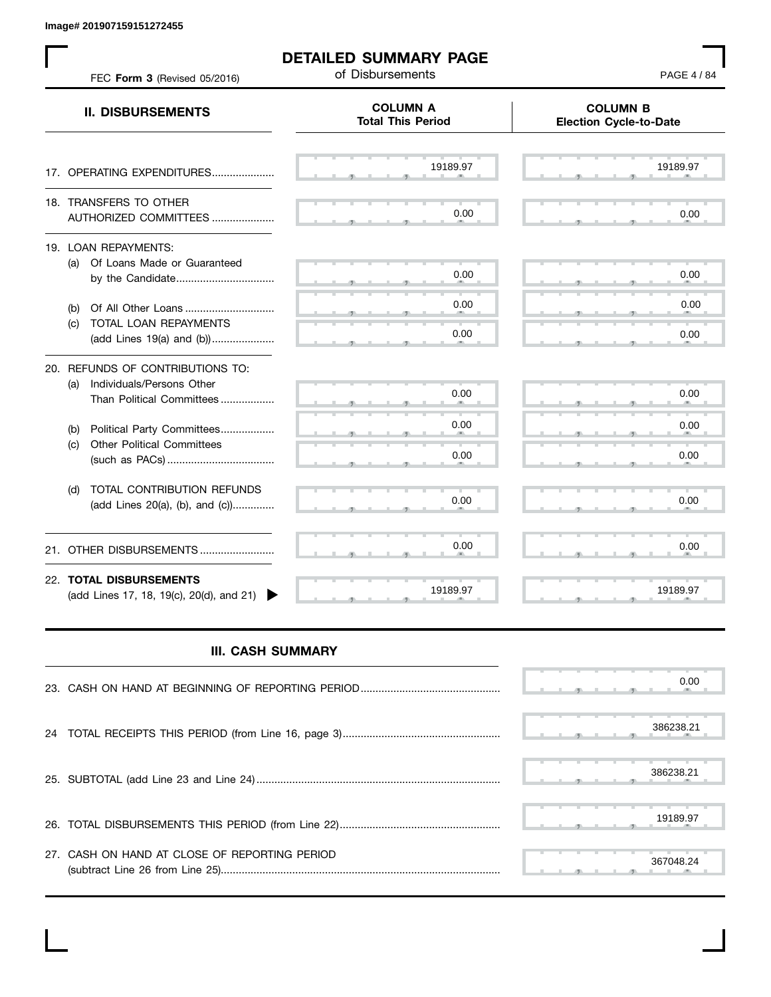**Image# 201907159151272455**

 $\mathbf{L}$ 

| FEC Form 3 (Revised 05/2016)                                                                      | of Disbursements<br><b>COLUMN A</b> | PAGE 4 / 84<br><b>COLUMN B</b> |  |  |
|---------------------------------------------------------------------------------------------------|-------------------------------------|--------------------------------|--|--|
| <b>II. DISBURSEMENTS</b>                                                                          | <b>Total This Period</b>            | <b>Election Cycle-to-Date</b>  |  |  |
| 17. OPERATING EXPENDITURES                                                                        | 19189.97                            | 19189.97                       |  |  |
| 18. TRANSFERS TO OTHER<br>AUTHORIZED COMMITTEES                                                   | 0.00                                | 0.00                           |  |  |
| 19. LOAN REPAYMENTS:<br>(a) Of Loans Made or Guaranteed                                           | 0.00                                | 0.00                           |  |  |
| Of All Other Loans<br>(b)<br>TOTAL LOAN REPAYMENTS<br>(c)<br>(add Lines 19(a) and (b))            | 0.00<br>0.00                        | 0.00<br>0.00                   |  |  |
| 20. REFUNDS OF CONTRIBUTIONS TO:<br>Individuals/Persons Other<br>(a)<br>Than Political Committees | 0.00                                | 0.00                           |  |  |
| Political Party Committees<br>(b)<br><b>Other Political Committees</b><br>(c)                     | 0.00<br>0.00                        | 0.00<br>0.00                   |  |  |
| TOTAL CONTRIBUTION REFUNDS<br>(d)<br>(add Lines 20(a), (b), and (c))                              | 0.00                                | 0.00                           |  |  |
| 21. OTHER DISBURSEMENTS                                                                           | 0.00                                | 0.00                           |  |  |
| 22. TOTAL DISBURSEMENTS<br>(add Lines 17, 18, 19(c), 20(d), and 21)                               | 19189.97                            | 19189.97                       |  |  |

## **III. CASH SUMMARY**

|                                               |  |  |  | 0.00      |
|-----------------------------------------------|--|--|--|-----------|
|                                               |  |  |  | 386238.21 |
|                                               |  |  |  | 386238.21 |
|                                               |  |  |  | 19189.97  |
| 27. CASH ON HAND AT CLOSE OF REPORTING PERIOD |  |  |  | 367048.24 |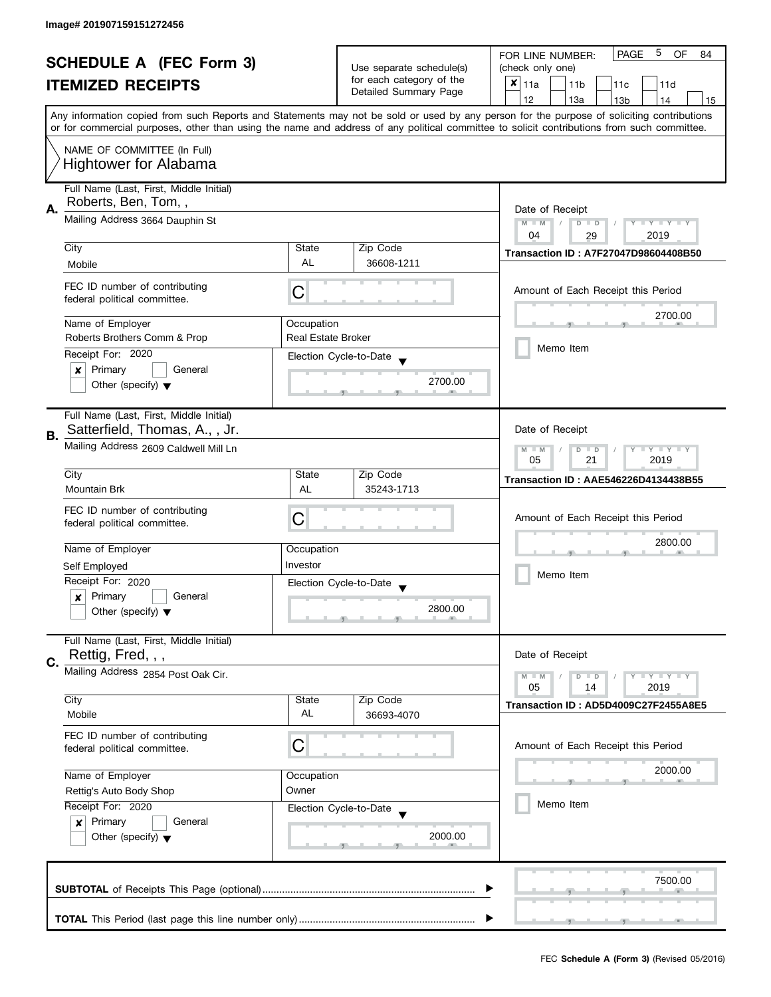| <b>SCHEDULE A (FEC Form 3)</b><br><b>ITEMIZED RECEIPTS</b> |                                         |                                                      | 5<br>PAGE<br><b>OF</b><br>FOR LINE NUMBER:<br>84 |                                                                                                                                            |  |  |  |  |
|------------------------------------------------------------|-----------------------------------------|------------------------------------------------------|--------------------------------------------------|--------------------------------------------------------------------------------------------------------------------------------------------|--|--|--|--|
|                                                            |                                         | Use separate schedule(s)<br>for each category of the | (check only one)                                 |                                                                                                                                            |  |  |  |  |
|                                                            |                                         |                                                      | Detailed Summary Page                            | $x _{11a}$<br>11 <sub>b</sub><br>11c<br>11d                                                                                                |  |  |  |  |
|                                                            |                                         |                                                      |                                                  | 12<br>13a<br>13 <sub>b</sub><br>15<br>14                                                                                                   |  |  |  |  |
|                                                            |                                         |                                                      |                                                  | Any information copied from such Reports and Statements may not be sold or used by any person for the purpose of soliciting contributions  |  |  |  |  |
|                                                            |                                         |                                                      |                                                  | or for commercial purposes, other than using the name and address of any political committee to solicit contributions from such committee. |  |  |  |  |
|                                                            | NAME OF COMMITTEE (In Full)             |                                                      |                                                  |                                                                                                                                            |  |  |  |  |
|                                                            | <b>Hightower for Alabama</b>            |                                                      |                                                  |                                                                                                                                            |  |  |  |  |
|                                                            |                                         |                                                      |                                                  |                                                                                                                                            |  |  |  |  |
|                                                            | Full Name (Last, First, Middle Initial) |                                                      |                                                  |                                                                                                                                            |  |  |  |  |
| Α.                                                         | Roberts, Ben, Tom,,                     | Date of Receipt                                      |                                                  |                                                                                                                                            |  |  |  |  |
|                                                            | Mailing Address 3664 Dauphin St         | $M - M$<br>$Y - Y - Y - Y - Y$<br>$D$ $D$            |                                                  |                                                                                                                                            |  |  |  |  |
|                                                            |                                         | 04<br>2019<br>29                                     |                                                  |                                                                                                                                            |  |  |  |  |
|                                                            | City                                    | State                                                | Zip Code                                         | <b>Transaction ID: A7F27047D98604408B50</b>                                                                                                |  |  |  |  |
|                                                            | Mobile                                  | <b>AL</b>                                            | 36608-1211                                       |                                                                                                                                            |  |  |  |  |
|                                                            | FEC ID number of contributing           |                                                      |                                                  |                                                                                                                                            |  |  |  |  |
|                                                            | federal political committee.            | C                                                    |                                                  | Amount of Each Receipt this Period                                                                                                         |  |  |  |  |
|                                                            |                                         |                                                      |                                                  | 2700.00                                                                                                                                    |  |  |  |  |
|                                                            | Name of Employer                        | Occupation                                           |                                                  |                                                                                                                                            |  |  |  |  |
|                                                            | Roberts Brothers Comm & Prop            | <b>Real Estate Broker</b>                            |                                                  |                                                                                                                                            |  |  |  |  |
|                                                            | Receipt For: 2020                       |                                                      | Election Cycle-to-Date                           | Memo Item                                                                                                                                  |  |  |  |  |
|                                                            | Primary<br>General<br>$\boldsymbol{x}$  |                                                      |                                                  |                                                                                                                                            |  |  |  |  |
|                                                            | Other (specify) $\blacktriangledown$    |                                                      | 2700.00                                          |                                                                                                                                            |  |  |  |  |
|                                                            |                                         |                                                      |                                                  |                                                                                                                                            |  |  |  |  |
|                                                            | Full Name (Last, First, Middle Initial) |                                                      |                                                  |                                                                                                                                            |  |  |  |  |
| В.                                                         | Satterfield, Thomas, A., , Jr.          |                                                      |                                                  | Date of Receipt                                                                                                                            |  |  |  |  |
|                                                            | Mailing Address 2609 Caldwell Mill Ln   |                                                      |                                                  | $Y = Y = Y$<br>$M - M$<br>D<br>$\Box$                                                                                                      |  |  |  |  |
|                                                            |                                         |                                                      |                                                  | 05<br>21<br>2019                                                                                                                           |  |  |  |  |
|                                                            | City                                    | State                                                | Zip Code                                         | <b>Transaction ID: AAE546226D4134438B55</b>                                                                                                |  |  |  |  |
|                                                            | <b>Mountain Brk</b>                     | AL                                                   | 35243-1713                                       |                                                                                                                                            |  |  |  |  |
|                                                            | FEC ID number of contributing           |                                                      |                                                  |                                                                                                                                            |  |  |  |  |
|                                                            | federal political committee.            | C                                                    |                                                  | Amount of Each Receipt this Period                                                                                                         |  |  |  |  |
|                                                            |                                         |                                                      |                                                  | 2800.00<br>Memo Item                                                                                                                       |  |  |  |  |
|                                                            | Name of Employer                        | Occupation                                           |                                                  |                                                                                                                                            |  |  |  |  |
|                                                            | Self Employed                           | Investor                                             |                                                  |                                                                                                                                            |  |  |  |  |
|                                                            | Receipt For: 2020                       |                                                      | Election Cycle-to-Date                           |                                                                                                                                            |  |  |  |  |
|                                                            | Primary<br>General<br>x                 |                                                      |                                                  |                                                                                                                                            |  |  |  |  |
|                                                            | Other (specify) $\blacktriangledown$    |                                                      | 2800.00                                          |                                                                                                                                            |  |  |  |  |
|                                                            |                                         |                                                      |                                                  |                                                                                                                                            |  |  |  |  |
|                                                            | Full Name (Last, First, Middle Initial) |                                                      |                                                  |                                                                                                                                            |  |  |  |  |
| C.                                                         | Rettig, Fred, , ,                       |                                                      |                                                  | Date of Receipt                                                                                                                            |  |  |  |  |
|                                                            | Mailing Address 2854 Post Oak Cir.      |                                                      |                                                  | $Y = Y = Y$<br>$M - M$<br>D<br>$\Box$                                                                                                      |  |  |  |  |
|                                                            |                                         |                                                      |                                                  | 05<br>2019<br>14                                                                                                                           |  |  |  |  |
|                                                            | City                                    | State                                                | Zip Code                                         | Transaction ID: AD5D4009C27F2455A8E5                                                                                                       |  |  |  |  |
|                                                            | Mobile                                  | AL                                                   | 36693-4070                                       |                                                                                                                                            |  |  |  |  |
|                                                            | FEC ID number of contributing           |                                                      |                                                  |                                                                                                                                            |  |  |  |  |
|                                                            | federal political committee.            | С                                                    |                                                  | Amount of Each Receipt this Period                                                                                                         |  |  |  |  |
|                                                            |                                         |                                                      |                                                  | 2000.00                                                                                                                                    |  |  |  |  |
|                                                            | Name of Employer<br>Occupation          |                                                      |                                                  |                                                                                                                                            |  |  |  |  |
|                                                            | Rettig's Auto Body Shop                 | Owner                                                |                                                  |                                                                                                                                            |  |  |  |  |
|                                                            | Receipt For: 2020                       |                                                      | Election Cycle-to-Date                           | Memo Item                                                                                                                                  |  |  |  |  |
|                                                            | Primary<br>General<br>×                 |                                                      |                                                  |                                                                                                                                            |  |  |  |  |
|                                                            | Other (specify) $\blacktriangledown$    |                                                      | 2000.00                                          |                                                                                                                                            |  |  |  |  |
|                                                            |                                         |                                                      |                                                  |                                                                                                                                            |  |  |  |  |
|                                                            |                                         |                                                      |                                                  |                                                                                                                                            |  |  |  |  |
|                                                            |                                         |                                                      |                                                  | 7500.00                                                                                                                                    |  |  |  |  |
|                                                            |                                         |                                                      |                                                  |                                                                                                                                            |  |  |  |  |
|                                                            |                                         |                                                      |                                                  |                                                                                                                                            |  |  |  |  |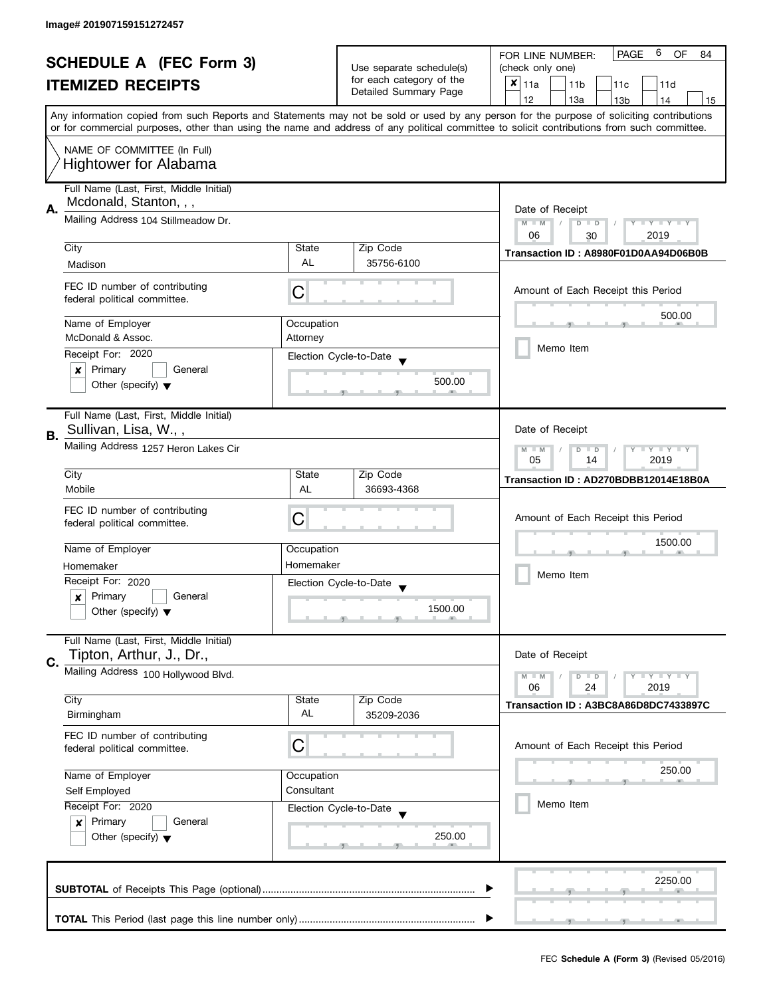| <b>SCHEDULE A (FEC Form 3)</b><br><b>ITEMIZED RECEIPTS</b> |                                                                                                     | Use separate schedule(s)<br>for each category of the                  | 6<br><b>PAGE</b><br><b>OF</b><br>FOR LINE NUMBER:<br>84<br>(check only one)<br>$x _{11a}$ |                                                                                                                                                                                                                                                                                                                  |  |  |  |
|------------------------------------------------------------|-----------------------------------------------------------------------------------------------------|-----------------------------------------------------------------------|-------------------------------------------------------------------------------------------|------------------------------------------------------------------------------------------------------------------------------------------------------------------------------------------------------------------------------------------------------------------------------------------------------------------|--|--|--|
|                                                            |                                                                                                     | Detailed Summary Page                                                 | 11 <sub>b</sub><br>11c<br>11d<br>12<br>13a<br>14                                          |                                                                                                                                                                                                                                                                                                                  |  |  |  |
|                                                            |                                                                                                     |                                                                       |                                                                                           | 13 <sub>b</sub><br>15<br>Any information copied from such Reports and Statements may not be sold or used by any person for the purpose of soliciting contributions<br>or for commercial purposes, other than using the name and address of any political committee to solicit contributions from such committee. |  |  |  |
|                                                            | NAME OF COMMITTEE (In Full)<br><b>Hightower for Alabama</b>                                         |                                                                       |                                                                                           |                                                                                                                                                                                                                                                                                                                  |  |  |  |
| Α.                                                         | Full Name (Last, First, Middle Initial)<br>Mcdonald, Stanton, , ,                                   | Date of Receipt                                                       |                                                                                           |                                                                                                                                                                                                                                                                                                                  |  |  |  |
|                                                            | Mailing Address 104 Stillmeadow Dr.                                                                 | $M - M$<br>$\sqrt{2}$<br>$D$ $D$<br>Y I Y I Y I Y<br>06<br>2019<br>30 |                                                                                           |                                                                                                                                                                                                                                                                                                                  |  |  |  |
|                                                            | City<br>Madison                                                                                     | State<br>AL                                                           | Zip Code<br>35756-6100                                                                    | Transaction ID: A8980F01D0AA94D06B0B                                                                                                                                                                                                                                                                             |  |  |  |
|                                                            | FEC ID number of contributing<br>federal political committee.                                       | С                                                                     |                                                                                           | Amount of Each Receipt this Period                                                                                                                                                                                                                                                                               |  |  |  |
|                                                            | Name of Employer<br>McDonald & Assoc.                                                               | Occupation<br>Attorney                                                |                                                                                           | 500.00                                                                                                                                                                                                                                                                                                           |  |  |  |
|                                                            | Receipt For: 2020                                                                                   |                                                                       | Election Cycle-to-Date                                                                    | Memo Item                                                                                                                                                                                                                                                                                                        |  |  |  |
|                                                            | $\pmb{\times}$<br>Primary<br>General<br>Other (specify) $\blacktriangledown$                        |                                                                       | 500.00                                                                                    |                                                                                                                                                                                                                                                                                                                  |  |  |  |
| <b>B.</b>                                                  | Full Name (Last, First, Middle Initial)<br>Sullivan, Lisa, W.,,                                     |                                                                       |                                                                                           | Date of Receipt                                                                                                                                                                                                                                                                                                  |  |  |  |
|                                                            | Mailing Address 1257 Heron Lakes Cir                                                                | $Y = Y + Y$<br>$\Box$<br>$-M$<br>D<br>2019<br>05<br>14                |                                                                                           |                                                                                                                                                                                                                                                                                                                  |  |  |  |
|                                                            | City<br>Mobile                                                                                      | State<br>AL                                                           | Zip Code<br>36693-4368                                                                    | Transaction ID: AD270BDBB12014E18B0A                                                                                                                                                                                                                                                                             |  |  |  |
|                                                            | FEC ID number of contributing<br>federal political committee.                                       | C                                                                     |                                                                                           | Amount of Each Receipt this Period                                                                                                                                                                                                                                                                               |  |  |  |
|                                                            | Name of Employer                                                                                    | Occupation                                                            |                                                                                           | 1500.00                                                                                                                                                                                                                                                                                                          |  |  |  |
|                                                            | Homemaker                                                                                           | Homemaker                                                             |                                                                                           | Memo Item                                                                                                                                                                                                                                                                                                        |  |  |  |
|                                                            | Receipt For: 2020                                                                                   |                                                                       | Election Cycle-to-Date                                                                    |                                                                                                                                                                                                                                                                                                                  |  |  |  |
|                                                            | Primary<br>General<br>$\boldsymbol{x}$<br>Other (specify) $\blacktriangledown$                      |                                                                       | 1500.00                                                                                   |                                                                                                                                                                                                                                                                                                                  |  |  |  |
| C.                                                         | Full Name (Last, First, Middle Initial)<br>Tipton, Arthur, J., Dr.,                                 |                                                                       |                                                                                           | Date of Receipt                                                                                                                                                                                                                                                                                                  |  |  |  |
|                                                            | Mailing Address 100 Hollywood Blvd.                                                                 |                                                                       |                                                                                           | $Y = Y = Y$<br>$M - M$<br>$D$ $D$<br>06<br>24<br>2019                                                                                                                                                                                                                                                            |  |  |  |
|                                                            | City<br>Birmingham                                                                                  | State<br>AL                                                           | Zip Code<br>35209-2036                                                                    | Transaction ID: A3BC8A86D8DC7433897C                                                                                                                                                                                                                                                                             |  |  |  |
|                                                            | FEC ID number of contributing<br>federal political committee.                                       | С                                                                     |                                                                                           | Amount of Each Receipt this Period                                                                                                                                                                                                                                                                               |  |  |  |
|                                                            | Name of Employer                                                                                    | Occupation                                                            |                                                                                           | 250.00                                                                                                                                                                                                                                                                                                           |  |  |  |
|                                                            | Self Employed                                                                                       | Consultant                                                            |                                                                                           |                                                                                                                                                                                                                                                                                                                  |  |  |  |
|                                                            | Receipt For: 2020<br>Primary<br>General<br>$\boldsymbol{x}$<br>Other (specify) $\blacktriangledown$ |                                                                       | Election Cycle-to-Date<br>250.00                                                          | Memo Item                                                                                                                                                                                                                                                                                                        |  |  |  |
|                                                            |                                                                                                     |                                                                       |                                                                                           | 2250.00                                                                                                                                                                                                                                                                                                          |  |  |  |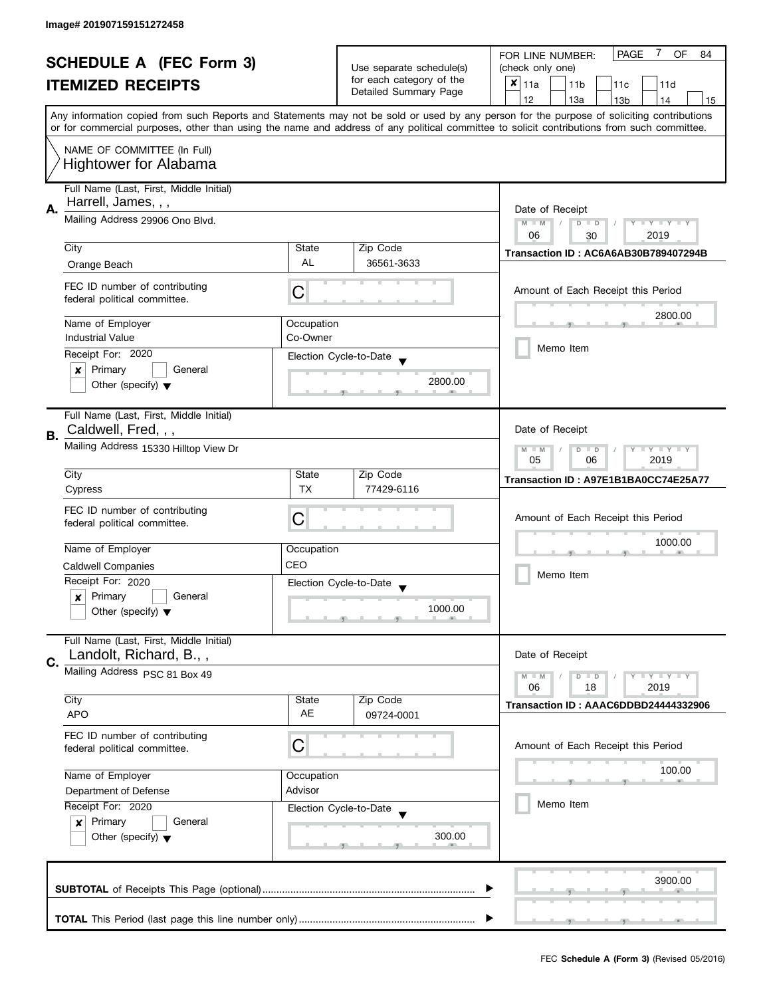| <b>SCHEDULE A (FEC Form 3)</b><br><b>ITEMIZED RECEIPTS</b> |                                         |                                                         | <b>PAGE</b><br>$\mathbf{7}$<br><b>OF</b><br>FOR LINE NUMBER:<br>84 |                                                                                                                                            |  |  |  |  |
|------------------------------------------------------------|-----------------------------------------|---------------------------------------------------------|--------------------------------------------------------------------|--------------------------------------------------------------------------------------------------------------------------------------------|--|--|--|--|
|                                                            |                                         | Use separate schedule(s)                                | (check only one)                                                   |                                                                                                                                            |  |  |  |  |
|                                                            |                                         | for each category of the<br>Detailed Summary Page       | $x _{11a}$<br>11 <sub>b</sub><br>11 <sub>c</sub><br>11d            |                                                                                                                                            |  |  |  |  |
|                                                            |                                         |                                                         |                                                                    | 12<br>13a<br>13 <sub>b</sub><br>14<br>15                                                                                                   |  |  |  |  |
|                                                            |                                         |                                                         |                                                                    | Any information copied from such Reports and Statements may not be sold or used by any person for the purpose of soliciting contributions  |  |  |  |  |
|                                                            |                                         |                                                         |                                                                    | or for commercial purposes, other than using the name and address of any political committee to solicit contributions from such committee. |  |  |  |  |
|                                                            | NAME OF COMMITTEE (In Full)             |                                                         |                                                                    |                                                                                                                                            |  |  |  |  |
|                                                            | <b>Hightower for Alabama</b>            |                                                         |                                                                    |                                                                                                                                            |  |  |  |  |
|                                                            |                                         |                                                         |                                                                    |                                                                                                                                            |  |  |  |  |
|                                                            | Full Name (Last, First, Middle Initial) |                                                         |                                                                    |                                                                                                                                            |  |  |  |  |
| Α.                                                         | Harrell, James, , ,                     | Date of Receipt                                         |                                                                    |                                                                                                                                            |  |  |  |  |
|                                                            | Mailing Address 29906 Ono Blvd.         | $M - M$<br>$D$ $D$<br>$Y - Y - Y - Y - Y$<br>$\sqrt{2}$ |                                                                    |                                                                                                                                            |  |  |  |  |
|                                                            |                                         |                                                         |                                                                    | 2019<br>06<br>30                                                                                                                           |  |  |  |  |
|                                                            | City                                    | State                                                   | Zip Code                                                           | Transaction ID: AC6A6AB30B789407294B                                                                                                       |  |  |  |  |
|                                                            | Orange Beach                            | <b>AL</b>                                               | 36561-3633                                                         |                                                                                                                                            |  |  |  |  |
|                                                            |                                         |                                                         |                                                                    |                                                                                                                                            |  |  |  |  |
|                                                            | FEC ID number of contributing           | С                                                       |                                                                    | Amount of Each Receipt this Period                                                                                                         |  |  |  |  |
|                                                            | federal political committee.            |                                                         |                                                                    |                                                                                                                                            |  |  |  |  |
|                                                            | Name of Employer                        | Occupation                                              |                                                                    | 2800.00                                                                                                                                    |  |  |  |  |
|                                                            | <b>Industrial Value</b>                 | Co-Owner                                                |                                                                    |                                                                                                                                            |  |  |  |  |
|                                                            | Receipt For: 2020                       |                                                         | Election Cycle-to-Date                                             | Memo Item                                                                                                                                  |  |  |  |  |
|                                                            | Primary<br>General<br>×                 |                                                         |                                                                    |                                                                                                                                            |  |  |  |  |
|                                                            | Other (specify) $\blacktriangledown$    |                                                         | 2800.00                                                            |                                                                                                                                            |  |  |  |  |
|                                                            |                                         |                                                         |                                                                    |                                                                                                                                            |  |  |  |  |
|                                                            | Full Name (Last, First, Middle Initial) |                                                         |                                                                    |                                                                                                                                            |  |  |  |  |
|                                                            | Caldwell, Fred, , ,                     |                                                         |                                                                    | Date of Receipt                                                                                                                            |  |  |  |  |
| В.                                                         |                                         |                                                         |                                                                    |                                                                                                                                            |  |  |  |  |
|                                                            | Mailing Address 15330 Hilltop View Dr   |                                                         |                                                                    | $Y \perp Y \perp Y$<br>$M - M$<br>D<br>$\Box$<br>05<br>06<br>2019                                                                          |  |  |  |  |
|                                                            | City                                    | State                                                   | Zip Code                                                           |                                                                                                                                            |  |  |  |  |
|                                                            | Cypress                                 | <b>TX</b>                                               | 77429-6116                                                         | Transaction ID: A97E1B1BA0CC74E25A77                                                                                                       |  |  |  |  |
|                                                            |                                         |                                                         |                                                                    |                                                                                                                                            |  |  |  |  |
|                                                            | FEC ID number of contributing           | C                                                       |                                                                    | Amount of Each Receipt this Period                                                                                                         |  |  |  |  |
|                                                            | federal political committee.            |                                                         |                                                                    |                                                                                                                                            |  |  |  |  |
|                                                            | Name of Employer                        | Occupation                                              |                                                                    | 1000.00                                                                                                                                    |  |  |  |  |
|                                                            | <b>Caldwell Companies</b>               | CEO                                                     |                                                                    |                                                                                                                                            |  |  |  |  |
|                                                            | Receipt For: 2020                       |                                                         | Election Cycle-to-Date                                             | Memo Item                                                                                                                                  |  |  |  |  |
|                                                            | Primary<br>General<br>x                 |                                                         |                                                                    |                                                                                                                                            |  |  |  |  |
|                                                            | Other (specify) $\blacktriangledown$    |                                                         | 1000.00                                                            |                                                                                                                                            |  |  |  |  |
|                                                            |                                         |                                                         |                                                                    |                                                                                                                                            |  |  |  |  |
|                                                            | Full Name (Last, First, Middle Initial) |                                                         |                                                                    |                                                                                                                                            |  |  |  |  |
|                                                            | Landolt, Richard, B.,,                  |                                                         |                                                                    | Date of Receipt                                                                                                                            |  |  |  |  |
| C.                                                         | Mailing Address PSC 81 Box 49           |                                                         |                                                                    | $Y = Y = Y$<br>$M - M$<br>D<br>$\blacksquare$                                                                                              |  |  |  |  |
|                                                            |                                         |                                                         |                                                                    | 06<br>2019<br>18                                                                                                                           |  |  |  |  |
|                                                            | City                                    | State                                                   | Zip Code                                                           | Transaction ID: AAAC6DDBD24444332906                                                                                                       |  |  |  |  |
|                                                            | <b>APO</b>                              | AE                                                      | 09724-0001                                                         |                                                                                                                                            |  |  |  |  |
|                                                            | FEC ID number of contributing           |                                                         |                                                                    |                                                                                                                                            |  |  |  |  |
|                                                            | federal political committee.            | C                                                       |                                                                    | Amount of Each Receipt this Period                                                                                                         |  |  |  |  |
|                                                            |                                         |                                                         |                                                                    |                                                                                                                                            |  |  |  |  |
|                                                            | Name of Employer                        | Occupation                                              |                                                                    | 100.00                                                                                                                                     |  |  |  |  |
|                                                            | Department of Defense                   | Advisor                                                 |                                                                    |                                                                                                                                            |  |  |  |  |
|                                                            | Receipt For: 2020                       |                                                         | Election Cycle-to-Date                                             | Memo Item                                                                                                                                  |  |  |  |  |
|                                                            | Primary<br>General<br>$\boldsymbol{x}$  |                                                         |                                                                    |                                                                                                                                            |  |  |  |  |
|                                                            | Other (specify) $\blacktriangledown$    |                                                         | 300.00                                                             |                                                                                                                                            |  |  |  |  |
|                                                            |                                         |                                                         |                                                                    |                                                                                                                                            |  |  |  |  |
|                                                            |                                         |                                                         |                                                                    |                                                                                                                                            |  |  |  |  |
|                                                            |                                         |                                                         |                                                                    | 3900.00                                                                                                                                    |  |  |  |  |
|                                                            |                                         |                                                         |                                                                    |                                                                                                                                            |  |  |  |  |
|                                                            |                                         |                                                         |                                                                    |                                                                                                                                            |  |  |  |  |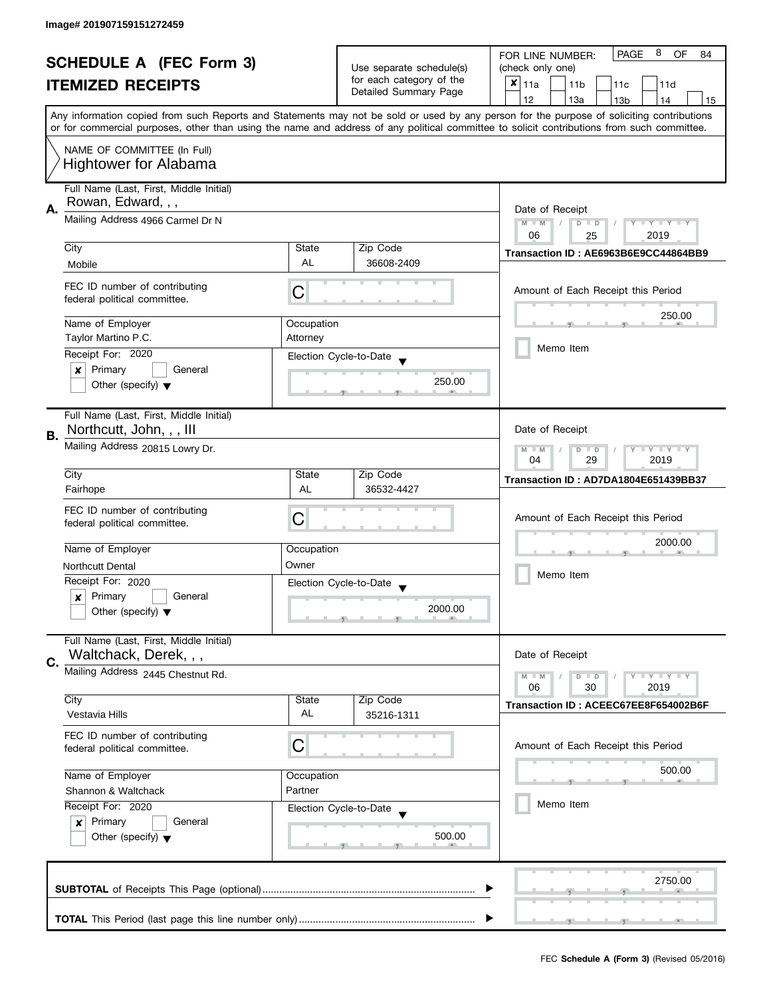| <b>SCHEDULE A (FEC Form 3)</b><br><b>ITEMIZED RECEIPTS</b> |                                                               | Use separate schedule(s) | 8<br>PAGE<br><b>OF</b><br>FOR LINE NUMBER:<br>84<br>(check only one) |                                                                                                                                                                                                                                                                                         |  |  |  |  |
|------------------------------------------------------------|---------------------------------------------------------------|--------------------------|----------------------------------------------------------------------|-----------------------------------------------------------------------------------------------------------------------------------------------------------------------------------------------------------------------------------------------------------------------------------------|--|--|--|--|
|                                                            |                                                               | for each category of the | $x _{11a}$<br>11 <sub>b</sub><br>11c<br>11d                          |                                                                                                                                                                                                                                                                                         |  |  |  |  |
|                                                            |                                                               |                          | Detailed Summary Page                                                | 12                                                                                                                                                                                                                                                                                      |  |  |  |  |
|                                                            |                                                               |                          |                                                                      | 13a<br>13 <sub>b</sub><br>15<br>14                                                                                                                                                                                                                                                      |  |  |  |  |
|                                                            |                                                               |                          |                                                                      | Any information copied from such Reports and Statements may not be sold or used by any person for the purpose of soliciting contributions<br>or for commercial purposes, other than using the name and address of any political committee to solicit contributions from such committee. |  |  |  |  |
|                                                            |                                                               |                          |                                                                      |                                                                                                                                                                                                                                                                                         |  |  |  |  |
|                                                            | NAME OF COMMITTEE (In Full)                                   |                          |                                                                      |                                                                                                                                                                                                                                                                                         |  |  |  |  |
|                                                            | <b>Hightower for Alabama</b>                                  |                          |                                                                      |                                                                                                                                                                                                                                                                                         |  |  |  |  |
|                                                            | Full Name (Last, First, Middle Initial)                       |                          |                                                                      |                                                                                                                                                                                                                                                                                         |  |  |  |  |
|                                                            | Rowan, Edward, , ,                                            |                          |                                                                      |                                                                                                                                                                                                                                                                                         |  |  |  |  |
| Α.                                                         | Mailing Address 4966 Carmel Dr N                              |                          |                                                                      | Date of Receipt<br>$M - M$<br>$Y - Y - Y - Y - Y$<br>$\sqrt{2}$<br>$D$ $D$                                                                                                                                                                                                              |  |  |  |  |
|                                                            |                                                               |                          |                                                                      | 06<br>2019<br>25                                                                                                                                                                                                                                                                        |  |  |  |  |
|                                                            | City                                                          | State                    | Zip Code                                                             | Transaction ID: AE6963B6E9CC44864BB9                                                                                                                                                                                                                                                    |  |  |  |  |
|                                                            | Mobile                                                        | <b>AL</b>                | 36608-2409                                                           |                                                                                                                                                                                                                                                                                         |  |  |  |  |
|                                                            |                                                               |                          |                                                                      |                                                                                                                                                                                                                                                                                         |  |  |  |  |
|                                                            | FEC ID number of contributing<br>federal political committee. | C                        |                                                                      | Amount of Each Receipt this Period                                                                                                                                                                                                                                                      |  |  |  |  |
|                                                            |                                                               |                          |                                                                      | 250.00                                                                                                                                                                                                                                                                                  |  |  |  |  |
|                                                            | Name of Employer                                              | Occupation               |                                                                      |                                                                                                                                                                                                                                                                                         |  |  |  |  |
|                                                            | Taylor Martino P.C.                                           | Attorney                 |                                                                      | Memo Item                                                                                                                                                                                                                                                                               |  |  |  |  |
|                                                            | Receipt For: 2020                                             |                          | Election Cycle-to-Date                                               |                                                                                                                                                                                                                                                                                         |  |  |  |  |
|                                                            | Primary<br>General<br>$\boldsymbol{x}$                        |                          |                                                                      |                                                                                                                                                                                                                                                                                         |  |  |  |  |
|                                                            | Other (specify) $\blacktriangledown$                          |                          | 250.00                                                               |                                                                                                                                                                                                                                                                                         |  |  |  |  |
|                                                            |                                                               |                          |                                                                      |                                                                                                                                                                                                                                                                                         |  |  |  |  |
|                                                            | Full Name (Last, First, Middle Initial)                       |                          |                                                                      |                                                                                                                                                                                                                                                                                         |  |  |  |  |
| В.                                                         | Northcutt, John, , , Ill                                      |                          |                                                                      | Date of Receipt                                                                                                                                                                                                                                                                         |  |  |  |  |
|                                                            | Mailing Address 20815 Lowry Dr.                               |                          |                                                                      | $Y = Y = Y$<br>$M - M$<br>D<br>$\Box$                                                                                                                                                                                                                                                   |  |  |  |  |
|                                                            | City                                                          | State                    | Zip Code                                                             | 29<br>2019<br>04                                                                                                                                                                                                                                                                        |  |  |  |  |
|                                                            | Fairhope                                                      | AL                       | 36532-4427                                                           | Transaction ID: AD7DA1804E651439BB37                                                                                                                                                                                                                                                    |  |  |  |  |
|                                                            |                                                               |                          |                                                                      |                                                                                                                                                                                                                                                                                         |  |  |  |  |
|                                                            | FEC ID number of contributing                                 | C                        |                                                                      | Amount of Each Receipt this Period                                                                                                                                                                                                                                                      |  |  |  |  |
|                                                            | federal political committee.                                  |                          |                                                                      |                                                                                                                                                                                                                                                                                         |  |  |  |  |
|                                                            | Name of Employer                                              | Occupation               |                                                                      | 2000.00<br>Memo Item                                                                                                                                                                                                                                                                    |  |  |  |  |
|                                                            | <b>Northcutt Dental</b>                                       | Owner                    |                                                                      |                                                                                                                                                                                                                                                                                         |  |  |  |  |
|                                                            | Receipt For: 2020                                             |                          | Election Cycle-to-Date                                               |                                                                                                                                                                                                                                                                                         |  |  |  |  |
|                                                            | Primary<br>General<br>x                                       |                          |                                                                      |                                                                                                                                                                                                                                                                                         |  |  |  |  |
|                                                            | Other (specify) $\blacktriangledown$                          |                          | 2000.00                                                              |                                                                                                                                                                                                                                                                                         |  |  |  |  |
|                                                            |                                                               |                          |                                                                      |                                                                                                                                                                                                                                                                                         |  |  |  |  |
|                                                            | Full Name (Last, First, Middle Initial)                       |                          |                                                                      |                                                                                                                                                                                                                                                                                         |  |  |  |  |
| C.                                                         | Waltchack, Derek, , ,                                         |                          |                                                                      | Date of Receipt                                                                                                                                                                                                                                                                         |  |  |  |  |
|                                                            | Mailing Address 2445 Chestnut Rd.                             |                          |                                                                      | $M - M$<br>$Y = Y = Y$<br>$\overline{D}$<br>$\Box$                                                                                                                                                                                                                                      |  |  |  |  |
|                                                            | City                                                          | State                    | Zip Code                                                             | 06<br>2019<br>30                                                                                                                                                                                                                                                                        |  |  |  |  |
|                                                            | Vestavia Hills                                                | AL                       | 35216-1311                                                           | Transaction ID: ACEEC67EE8F654002B6F                                                                                                                                                                                                                                                    |  |  |  |  |
|                                                            |                                                               |                          |                                                                      |                                                                                                                                                                                                                                                                                         |  |  |  |  |
|                                                            | FEC ID number of contributing<br>federal political committee. | C                        |                                                                      | Amount of Each Receipt this Period                                                                                                                                                                                                                                                      |  |  |  |  |
|                                                            |                                                               |                          |                                                                      |                                                                                                                                                                                                                                                                                         |  |  |  |  |
|                                                            | Name of Employer                                              | Occupation               |                                                                      | 500.00                                                                                                                                                                                                                                                                                  |  |  |  |  |
|                                                            | Shannon & Waltchack                                           | Partner                  |                                                                      |                                                                                                                                                                                                                                                                                         |  |  |  |  |
|                                                            | Receipt For: 2020                                             |                          | Election Cycle-to-Date                                               | Memo Item                                                                                                                                                                                                                                                                               |  |  |  |  |
|                                                            | Primary<br>General<br>$\boldsymbol{x}$                        |                          |                                                                      |                                                                                                                                                                                                                                                                                         |  |  |  |  |
|                                                            | Other (specify) $\blacktriangledown$                          |                          | 500.00                                                               |                                                                                                                                                                                                                                                                                         |  |  |  |  |
|                                                            |                                                               |                          |                                                                      |                                                                                                                                                                                                                                                                                         |  |  |  |  |
|                                                            |                                                               |                          |                                                                      |                                                                                                                                                                                                                                                                                         |  |  |  |  |
|                                                            |                                                               |                          |                                                                      | 2750.00                                                                                                                                                                                                                                                                                 |  |  |  |  |
|                                                            |                                                               |                          |                                                                      |                                                                                                                                                                                                                                                                                         |  |  |  |  |
|                                                            |                                                               |                          |                                                                      |                                                                                                                                                                                                                                                                                         |  |  |  |  |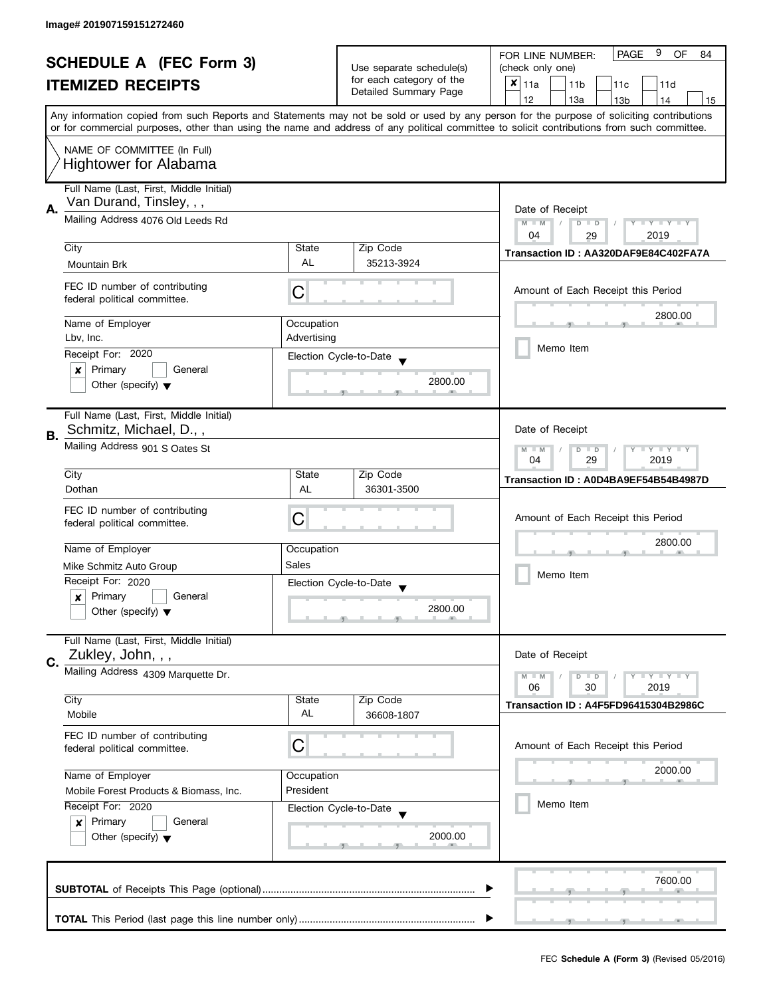| <b>SCHEDULE A (FEC Form 3)</b> |                                                                                                                                                                                      |                          | 9<br><b>PAGE</b><br>OF<br>FOR LINE NUMBER:<br>84  |                                                                                                                                                                                                                                                                                         |  |
|--------------------------------|--------------------------------------------------------------------------------------------------------------------------------------------------------------------------------------|--------------------------|---------------------------------------------------|-----------------------------------------------------------------------------------------------------------------------------------------------------------------------------------------------------------------------------------------------------------------------------------------|--|
|                                |                                                                                                                                                                                      | Use separate schedule(s) | (check only one)                                  |                                                                                                                                                                                                                                                                                         |  |
|                                | <b>ITEMIZED RECEIPTS</b>                                                                                                                                                             |                          | for each category of the<br>Detailed Summary Page | $x _{11a}$<br>11 <sub>b</sub><br>11d<br>11 <sub>c</sub>                                                                                                                                                                                                                                 |  |
|                                |                                                                                                                                                                                      |                          |                                                   | 12<br>13a<br>13 <sub>b</sub><br>14<br>15                                                                                                                                                                                                                                                |  |
|                                |                                                                                                                                                                                      |                          |                                                   | Any information copied from such Reports and Statements may not be sold or used by any person for the purpose of soliciting contributions<br>or for commercial purposes, other than using the name and address of any political committee to solicit contributions from such committee. |  |
|                                |                                                                                                                                                                                      |                          |                                                   |                                                                                                                                                                                                                                                                                         |  |
|                                | NAME OF COMMITTEE (In Full)<br><b>Hightower for Alabama</b>                                                                                                                          |                          |                                                   |                                                                                                                                                                                                                                                                                         |  |
|                                | Full Name (Last, First, Middle Initial)<br>Van Durand, Tinsley, , ,                                                                                                                  |                          |                                                   |                                                                                                                                                                                                                                                                                         |  |
| А.                             | Mailing Address 4076 Old Leeds Rd                                                                                                                                                    |                          |                                                   | Date of Receipt<br>$M - M$<br>$T - Y = Y + Y$<br>$D$ $D$<br>Y                                                                                                                                                                                                                           |  |
|                                | City                                                                                                                                                                                 | State                    | Zip Code                                          | 04<br>2019<br>29                                                                                                                                                                                                                                                                        |  |
|                                |                                                                                                                                                                                      | <b>AL</b>                | 35213-3924                                        | Transaction ID: AA320DAF9E84C402FA7A                                                                                                                                                                                                                                                    |  |
|                                | Mountain Brk                                                                                                                                                                         |                          |                                                   |                                                                                                                                                                                                                                                                                         |  |
|                                | FEC ID number of contributing<br>federal political committee.                                                                                                                        | C                        |                                                   | Amount of Each Receipt this Period                                                                                                                                                                                                                                                      |  |
|                                | Name of Employer                                                                                                                                                                     | Occupation               |                                                   | 2800.00                                                                                                                                                                                                                                                                                 |  |
|                                | Lbv, Inc.                                                                                                                                                                            | Advertising              |                                                   |                                                                                                                                                                                                                                                                                         |  |
|                                | Receipt For: 2020                                                                                                                                                                    |                          | Election Cycle-to-Date                            | Memo Item                                                                                                                                                                                                                                                                               |  |
|                                | Primary<br>General<br>×                                                                                                                                                              |                          |                                                   |                                                                                                                                                                                                                                                                                         |  |
|                                | Other (specify) $\blacktriangledown$                                                                                                                                                 |                          | 2800.00                                           |                                                                                                                                                                                                                                                                                         |  |
| В.                             | Full Name (Last, First, Middle Initial)<br>Schmitz, Michael, D.,,                                                                                                                    |                          |                                                   | Date of Receipt                                                                                                                                                                                                                                                                         |  |
|                                | Mailing Address 901 S Oates St                                                                                                                                                       |                          |                                                   | Y LY LY<br>$M - M$<br>$\overline{D}$<br>$\Box$<br>29<br>2019<br>04                                                                                                                                                                                                                      |  |
|                                | City                                                                                                                                                                                 | State                    | Zip Code                                          | Transaction ID: A0D4BA9EF54B54B4987D                                                                                                                                                                                                                                                    |  |
|                                | Dothan                                                                                                                                                                               | AL                       | 36301-3500                                        |                                                                                                                                                                                                                                                                                         |  |
|                                | FEC ID number of contributing                                                                                                                                                        |                          |                                                   |                                                                                                                                                                                                                                                                                         |  |
|                                | federal political committee.                                                                                                                                                         | C                        |                                                   | Amount of Each Receipt this Period                                                                                                                                                                                                                                                      |  |
|                                |                                                                                                                                                                                      |                          |                                                   | 2800.00                                                                                                                                                                                                                                                                                 |  |
|                                | Name of Employer                                                                                                                                                                     | Occupation               |                                                   |                                                                                                                                                                                                                                                                                         |  |
|                                | Mike Schmitz Auto Group                                                                                                                                                              | Sales                    |                                                   |                                                                                                                                                                                                                                                                                         |  |
|                                | Receipt For: 2020                                                                                                                                                                    |                          | Election Cycle-to-Date                            | Memo Item                                                                                                                                                                                                                                                                               |  |
|                                | Primary<br>General<br>x                                                                                                                                                              |                          |                                                   |                                                                                                                                                                                                                                                                                         |  |
|                                | Other (specify) $\blacktriangledown$                                                                                                                                                 |                          | 2800.00                                           |                                                                                                                                                                                                                                                                                         |  |
|                                | Full Name (Last, First, Middle Initial)                                                                                                                                              |                          |                                                   |                                                                                                                                                                                                                                                                                         |  |
| C.                             | Zukley, John, , ,                                                                                                                                                                    |                          |                                                   | Date of Receipt                                                                                                                                                                                                                                                                         |  |
|                                | Mailing Address 4309 Marquette Dr.                                                                                                                                                   |                          |                                                   | $M - M$<br>Y L Y L Y<br>$D$ $D$                                                                                                                                                                                                                                                         |  |
|                                |                                                                                                                                                                                      |                          |                                                   | 06<br>30<br>2019                                                                                                                                                                                                                                                                        |  |
|                                | City<br>Mobile                                                                                                                                                                       | State<br>AL              | Zip Code<br>36608-1807                            | Transaction ID: A4F5FD96415304B2986C                                                                                                                                                                                                                                                    |  |
|                                |                                                                                                                                                                                      |                          |                                                   |                                                                                                                                                                                                                                                                                         |  |
|                                | FEC ID number of contributing<br>federal political committee.                                                                                                                        | С                        |                                                   | Amount of Each Receipt this Period                                                                                                                                                                                                                                                      |  |
|                                | Name of Employer                                                                                                                                                                     | Occupation               |                                                   | 2000.00                                                                                                                                                                                                                                                                                 |  |
|                                | President<br>Mobile Forest Products & Biomass, Inc.<br>Receipt For: 2020<br>Election Cycle-to-Date<br>Primary<br>General<br>$\boldsymbol{x}$<br>Other (specify) $\blacktriangledown$ |                          |                                                   |                                                                                                                                                                                                                                                                                         |  |
|                                |                                                                                                                                                                                      |                          |                                                   | Memo Item                                                                                                                                                                                                                                                                               |  |
|                                |                                                                                                                                                                                      |                          |                                                   |                                                                                                                                                                                                                                                                                         |  |
|                                |                                                                                                                                                                                      |                          | 2000.00                                           |                                                                                                                                                                                                                                                                                         |  |
|                                |                                                                                                                                                                                      |                          |                                                   |                                                                                                                                                                                                                                                                                         |  |
|                                |                                                                                                                                                                                      |                          |                                                   |                                                                                                                                                                                                                                                                                         |  |
|                                |                                                                                                                                                                                      |                          |                                                   | 7600.00                                                                                                                                                                                                                                                                                 |  |
|                                |                                                                                                                                                                                      |                          |                                                   |                                                                                                                                                                                                                                                                                         |  |
|                                |                                                                                                                                                                                      |                          |                                                   |                                                                                                                                                                                                                                                                                         |  |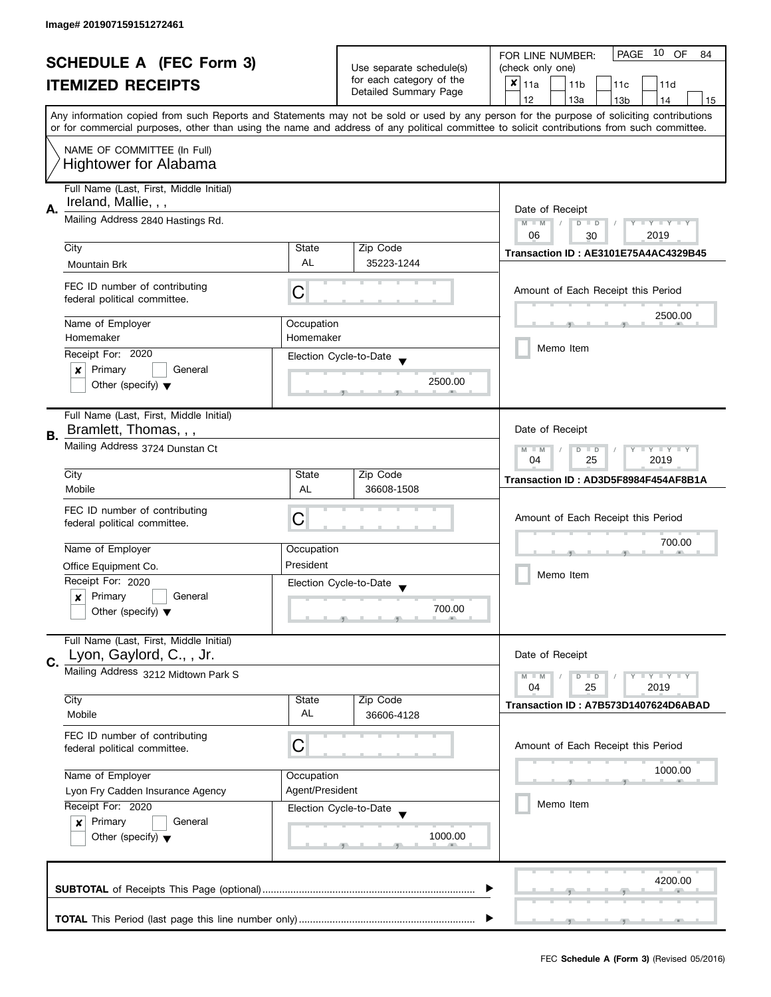| <b>SCHEDULE A (FEC Form 3)</b> |                                                                                                                                                                       |            | PAGE<br>10 OF<br>FOR LINE NUMBER:<br>84           |                                                                                                                                                                                                                                                                                         |  |
|--------------------------------|-----------------------------------------------------------------------------------------------------------------------------------------------------------------------|------------|---------------------------------------------------|-----------------------------------------------------------------------------------------------------------------------------------------------------------------------------------------------------------------------------------------------------------------------------------------|--|
|                                |                                                                                                                                                                       |            | Use separate schedule(s)                          | (check only one)                                                                                                                                                                                                                                                                        |  |
|                                | <b>ITEMIZED RECEIPTS</b>                                                                                                                                              |            | for each category of the<br>Detailed Summary Page | $x _{11a}$<br>11 <sub>b</sub><br>11c<br>11d                                                                                                                                                                                                                                             |  |
|                                |                                                                                                                                                                       |            |                                                   | 12<br>13a<br>14<br>13 <sub>b</sub><br>15                                                                                                                                                                                                                                                |  |
|                                |                                                                                                                                                                       |            |                                                   | Any information copied from such Reports and Statements may not be sold or used by any person for the purpose of soliciting contributions<br>or for commercial purposes, other than using the name and address of any political committee to solicit contributions from such committee. |  |
|                                |                                                                                                                                                                       |            |                                                   |                                                                                                                                                                                                                                                                                         |  |
| NAME OF COMMITTEE (In Full)    |                                                                                                                                                                       |            |                                                   |                                                                                                                                                                                                                                                                                         |  |
|                                | <b>Hightower for Alabama</b>                                                                                                                                          |            |                                                   |                                                                                                                                                                                                                                                                                         |  |
|                                | Full Name (Last, First, Middle Initial)                                                                                                                               |            |                                                   |                                                                                                                                                                                                                                                                                         |  |
|                                | Ireland, Mallie, , ,<br>Mailing Address 2840 Hastings Rd.                                                                                                             |            |                                                   |                                                                                                                                                                                                                                                                                         |  |
| Α.                             |                                                                                                                                                                       |            |                                                   | Date of Receipt                                                                                                                                                                                                                                                                         |  |
|                                |                                                                                                                                                                       |            |                                                   | $M - M$<br>Y TY TY TY<br>$D$ $D$<br>06<br>2019<br>30                                                                                                                                                                                                                                    |  |
|                                | City                                                                                                                                                                  | State      | Zip Code                                          |                                                                                                                                                                                                                                                                                         |  |
|                                | Mountain Brk                                                                                                                                                          | AL         | 35223-1244                                        | Transaction ID: AE3101E75A4AC4329B45                                                                                                                                                                                                                                                    |  |
|                                |                                                                                                                                                                       |            |                                                   |                                                                                                                                                                                                                                                                                         |  |
|                                | FEC ID number of contributing                                                                                                                                         | С          |                                                   | Amount of Each Receipt this Period                                                                                                                                                                                                                                                      |  |
|                                | federal political committee.                                                                                                                                          |            |                                                   |                                                                                                                                                                                                                                                                                         |  |
|                                | Name of Employer                                                                                                                                                      | Occupation |                                                   | 2500.00                                                                                                                                                                                                                                                                                 |  |
|                                | Homemaker                                                                                                                                                             | Homemaker  |                                                   |                                                                                                                                                                                                                                                                                         |  |
|                                | Receipt For: 2020                                                                                                                                                     |            | Election Cycle-to-Date                            | Memo Item                                                                                                                                                                                                                                                                               |  |
|                                | Primary<br>General<br>×                                                                                                                                               |            |                                                   |                                                                                                                                                                                                                                                                                         |  |
|                                | Other (specify) $\blacktriangledown$                                                                                                                                  |            | 2500.00                                           |                                                                                                                                                                                                                                                                                         |  |
|                                |                                                                                                                                                                       |            |                                                   |                                                                                                                                                                                                                                                                                         |  |
|                                | Full Name (Last, First, Middle Initial)                                                                                                                               |            |                                                   |                                                                                                                                                                                                                                                                                         |  |
| В.                             | Bramlett, Thomas, , ,                                                                                                                                                 |            |                                                   | Date of Receipt                                                                                                                                                                                                                                                                         |  |
|                                | Mailing Address 3724 Dunstan Ct                                                                                                                                       |            |                                                   | <b>LYLYLY</b><br>$M - M$<br>D<br>$\Box$                                                                                                                                                                                                                                                 |  |
|                                |                                                                                                                                                                       |            |                                                   | 25<br>2019<br>04                                                                                                                                                                                                                                                                        |  |
|                                | City                                                                                                                                                                  | State      | Zip Code                                          | Transaction ID: AD3D5F8984F454AF8B1A                                                                                                                                                                                                                                                    |  |
|                                | Mobile                                                                                                                                                                | AL         | 36608-1508                                        |                                                                                                                                                                                                                                                                                         |  |
|                                | FEC ID number of contributing                                                                                                                                         |            |                                                   |                                                                                                                                                                                                                                                                                         |  |
|                                | federal political committee.                                                                                                                                          | C          |                                                   | Amount of Each Receipt this Period                                                                                                                                                                                                                                                      |  |
|                                | Name of Employer                                                                                                                                                      | Occupation |                                                   | 700.00                                                                                                                                                                                                                                                                                  |  |
|                                |                                                                                                                                                                       | President  |                                                   |                                                                                                                                                                                                                                                                                         |  |
|                                | Office Equipment Co.<br>Receipt For: 2020                                                                                                                             |            |                                                   | Memo Item                                                                                                                                                                                                                                                                               |  |
|                                | Primary<br>General                                                                                                                                                    |            | Election Cycle-to-Date                            |                                                                                                                                                                                                                                                                                         |  |
|                                | $\boldsymbol{x}$<br>Other (specify) $\blacktriangledown$                                                                                                              |            | 700.00                                            |                                                                                                                                                                                                                                                                                         |  |
|                                |                                                                                                                                                                       |            |                                                   |                                                                                                                                                                                                                                                                                         |  |
|                                | Full Name (Last, First, Middle Initial)                                                                                                                               |            |                                                   |                                                                                                                                                                                                                                                                                         |  |
|                                | Lyon, Gaylord, C., , Jr.                                                                                                                                              |            |                                                   | Date of Receipt                                                                                                                                                                                                                                                                         |  |
| C.                             | Mailing Address 3212 Midtown Park S                                                                                                                                   |            |                                                   | $Y = Y = Y$<br>$M - M$<br>$D$ $D$                                                                                                                                                                                                                                                       |  |
|                                |                                                                                                                                                                       |            |                                                   | 04<br>25<br>2019                                                                                                                                                                                                                                                                        |  |
|                                | City                                                                                                                                                                  | State      | Zip Code                                          | Transaction ID: A7B573D1407624D6ABAD                                                                                                                                                                                                                                                    |  |
|                                | Mobile                                                                                                                                                                | AL         | 36606-4128                                        |                                                                                                                                                                                                                                                                                         |  |
|                                | FEC ID number of contributing                                                                                                                                         |            |                                                   |                                                                                                                                                                                                                                                                                         |  |
|                                | federal political committee.                                                                                                                                          | С          |                                                   | Amount of Each Receipt this Period                                                                                                                                                                                                                                                      |  |
|                                |                                                                                                                                                                       |            |                                                   | 1000.00                                                                                                                                                                                                                                                                                 |  |
|                                | Name of Employer                                                                                                                                                      | Occupation |                                                   |                                                                                                                                                                                                                                                                                         |  |
|                                | Agent/President<br>Lyon Fry Cadden Insurance Agency<br>Receipt For: 2020<br>Election Cycle-to-Date<br>Primary<br>General<br>x<br>Other (specify) $\blacktriangledown$ |            |                                                   |                                                                                                                                                                                                                                                                                         |  |
|                                |                                                                                                                                                                       |            |                                                   | Memo Item                                                                                                                                                                                                                                                                               |  |
|                                |                                                                                                                                                                       |            |                                                   |                                                                                                                                                                                                                                                                                         |  |
|                                |                                                                                                                                                                       |            | 1000.00                                           |                                                                                                                                                                                                                                                                                         |  |
|                                |                                                                                                                                                                       |            |                                                   |                                                                                                                                                                                                                                                                                         |  |
|                                |                                                                                                                                                                       |            |                                                   | 4200.00                                                                                                                                                                                                                                                                                 |  |
|                                |                                                                                                                                                                       |            |                                                   |                                                                                                                                                                                                                                                                                         |  |
|                                |                                                                                                                                                                       |            |                                                   |                                                                                                                                                                                                                                                                                         |  |
|                                |                                                                                                                                                                       |            |                                                   |                                                                                                                                                                                                                                                                                         |  |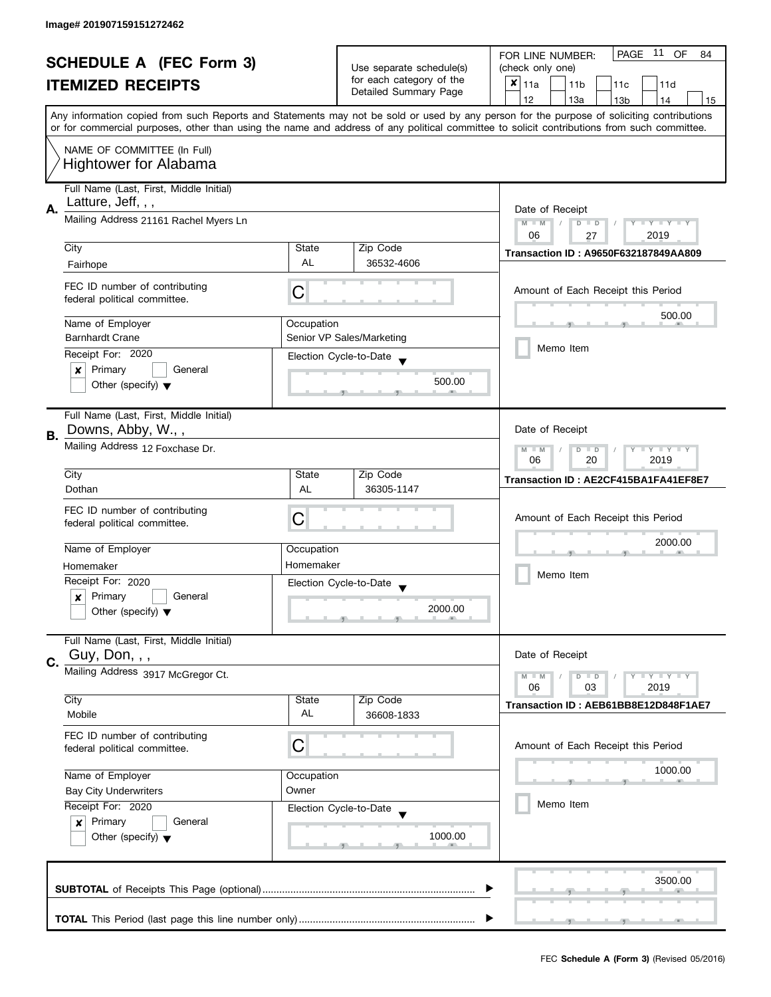|                                                            |                                                                                                                                                                                           |                  |                           | PAGE 11<br><b>OF</b><br>84                                                                                                                 |
|------------------------------------------------------------|-------------------------------------------------------------------------------------------------------------------------------------------------------------------------------------------|------------------|---------------------------|--------------------------------------------------------------------------------------------------------------------------------------------|
| <b>SCHEDULE A (FEC Form 3)</b><br><b>ITEMIZED RECEIPTS</b> |                                                                                                                                                                                           |                  | Use separate schedule(s)  | FOR LINE NUMBER:<br>(check only one)                                                                                                       |
|                                                            |                                                                                                                                                                                           |                  | for each category of the  | $x _{11a}$<br>11 <sub>b</sub><br>11c<br>11d                                                                                                |
|                                                            |                                                                                                                                                                                           |                  | Detailed Summary Page     | 12<br>13a<br>13 <sub>b</sub><br>15<br>14                                                                                                   |
|                                                            |                                                                                                                                                                                           |                  |                           | Any information copied from such Reports and Statements may not be sold or used by any person for the purpose of soliciting contributions  |
|                                                            |                                                                                                                                                                                           |                  |                           | or for commercial purposes, other than using the name and address of any political committee to solicit contributions from such committee. |
|                                                            | NAME OF COMMITTEE (In Full)                                                                                                                                                               |                  |                           |                                                                                                                                            |
|                                                            | <b>Hightower for Alabama</b>                                                                                                                                                              |                  |                           |                                                                                                                                            |
|                                                            |                                                                                                                                                                                           |                  |                           |                                                                                                                                            |
|                                                            | Full Name (Last, First, Middle Initial)<br>Latture, Jeff, , ,                                                                                                                             |                  |                           |                                                                                                                                            |
| А.                                                         | Mailing Address 21161 Rachel Myers Ln                                                                                                                                                     |                  |                           | Date of Receipt                                                                                                                            |
|                                                            |                                                                                                                                                                                           |                  |                           | $M - M$<br>$Y - Y - Y - Y - Y$<br>$\sqrt{2}$<br>$D$ $D$<br>06<br>2019<br>27                                                                |
|                                                            | City                                                                                                                                                                                      | State            | Zip Code                  | <b>Transaction ID: A9650F632187849AA809</b>                                                                                                |
|                                                            | Fairhope                                                                                                                                                                                  | <b>AL</b>        | 36532-4606                |                                                                                                                                            |
|                                                            | FEC ID number of contributing                                                                                                                                                             |                  |                           |                                                                                                                                            |
|                                                            | federal political committee.                                                                                                                                                              | C                |                           | Amount of Each Receipt this Period                                                                                                         |
|                                                            |                                                                                                                                                                                           |                  |                           | 500.00                                                                                                                                     |
|                                                            | Name of Employer<br><b>Barnhardt Crane</b>                                                                                                                                                | Occupation       | Senior VP Sales/Marketing |                                                                                                                                            |
|                                                            | Receipt For: 2020                                                                                                                                                                         |                  |                           | Memo Item                                                                                                                                  |
|                                                            | Primary<br>General<br>$\boldsymbol{x}$                                                                                                                                                    |                  | Election Cycle-to-Date    |                                                                                                                                            |
|                                                            | Other (specify) $\blacktriangledown$                                                                                                                                                      |                  | 500.00                    |                                                                                                                                            |
|                                                            |                                                                                                                                                                                           |                  |                           |                                                                                                                                            |
|                                                            | Full Name (Last, First, Middle Initial)                                                                                                                                                   |                  |                           |                                                                                                                                            |
| В.                                                         | Downs, Abby, W.,,                                                                                                                                                                         |                  |                           | Date of Receipt                                                                                                                            |
|                                                            | Mailing Address 12 Foxchase Dr.                                                                                                                                                           |                  |                           | $Y - Y - Y$<br>$M - M$<br>D<br>$\Box$                                                                                                      |
|                                                            |                                                                                                                                                                                           | 2019<br>06<br>20 |                           |                                                                                                                                            |
|                                                            | City                                                                                                                                                                                      | State            | Zip Code                  | Transaction ID: AE2CF415BA1FA41EF8E7                                                                                                       |
|                                                            | Dothan                                                                                                                                                                                    | AL               | 36305-1147                |                                                                                                                                            |
|                                                            | FEC ID number of contributing                                                                                                                                                             | C                |                           | Amount of Each Receipt this Period                                                                                                         |
|                                                            | federal political committee.                                                                                                                                                              |                  |                           |                                                                                                                                            |
|                                                            | Name of Employer                                                                                                                                                                          | Occupation       |                           | 2000.00                                                                                                                                    |
|                                                            | Homemaker                                                                                                                                                                                 | Homemaker        |                           |                                                                                                                                            |
|                                                            | Receipt For: 2020                                                                                                                                                                         |                  | Election Cycle-to-Date    | Memo Item                                                                                                                                  |
|                                                            | Primary<br>General<br>x                                                                                                                                                                   |                  |                           |                                                                                                                                            |
|                                                            | Other (specify) $\blacktriangledown$                                                                                                                                                      |                  | 2000.00                   |                                                                                                                                            |
|                                                            | Full Name (Last, First, Middle Initial)                                                                                                                                                   |                  |                           |                                                                                                                                            |
|                                                            | Guy, Don, , ,                                                                                                                                                                             |                  |                           | Date of Receipt                                                                                                                            |
| C.                                                         | Mailing Address 3917 McGregor Ct.                                                                                                                                                         |                  |                           |                                                                                                                                            |
|                                                            |                                                                                                                                                                                           |                  |                           | $M - M$<br>$Y - Y - Y$<br>$\overline{D}$<br>$\Box$<br>06<br>2019<br>03                                                                     |
|                                                            | City                                                                                                                                                                                      | State            | Zip Code                  | Transaction ID: AEB61BB8E12D848F1AE7                                                                                                       |
|                                                            | Mobile                                                                                                                                                                                    | AL               | 36608-1833                |                                                                                                                                            |
|                                                            | FEC ID number of contributing                                                                                                                                                             |                  |                           |                                                                                                                                            |
|                                                            | federal political committee.                                                                                                                                                              | C                |                           | Amount of Each Receipt this Period                                                                                                         |
|                                                            | Name of Employer<br>Occupation<br>Owner<br><b>Bay City Underwriters</b><br>Receipt For: 2020<br>Election Cycle-to-Date<br>Primary<br>General<br>×<br>Other (specify) $\blacktriangledown$ |                  |                           | 1000.00                                                                                                                                    |
|                                                            |                                                                                                                                                                                           |                  |                           |                                                                                                                                            |
|                                                            |                                                                                                                                                                                           |                  |                           | Memo Item                                                                                                                                  |
|                                                            |                                                                                                                                                                                           |                  |                           |                                                                                                                                            |
|                                                            |                                                                                                                                                                                           |                  | 1000.00                   |                                                                                                                                            |
|                                                            |                                                                                                                                                                                           |                  |                           |                                                                                                                                            |
|                                                            |                                                                                                                                                                                           |                  |                           |                                                                                                                                            |
|                                                            |                                                                                                                                                                                           |                  |                           | 3500.00                                                                                                                                    |
|                                                            |                                                                                                                                                                                           |                  |                           |                                                                                                                                            |
|                                                            |                                                                                                                                                                                           |                  |                           |                                                                                                                                            |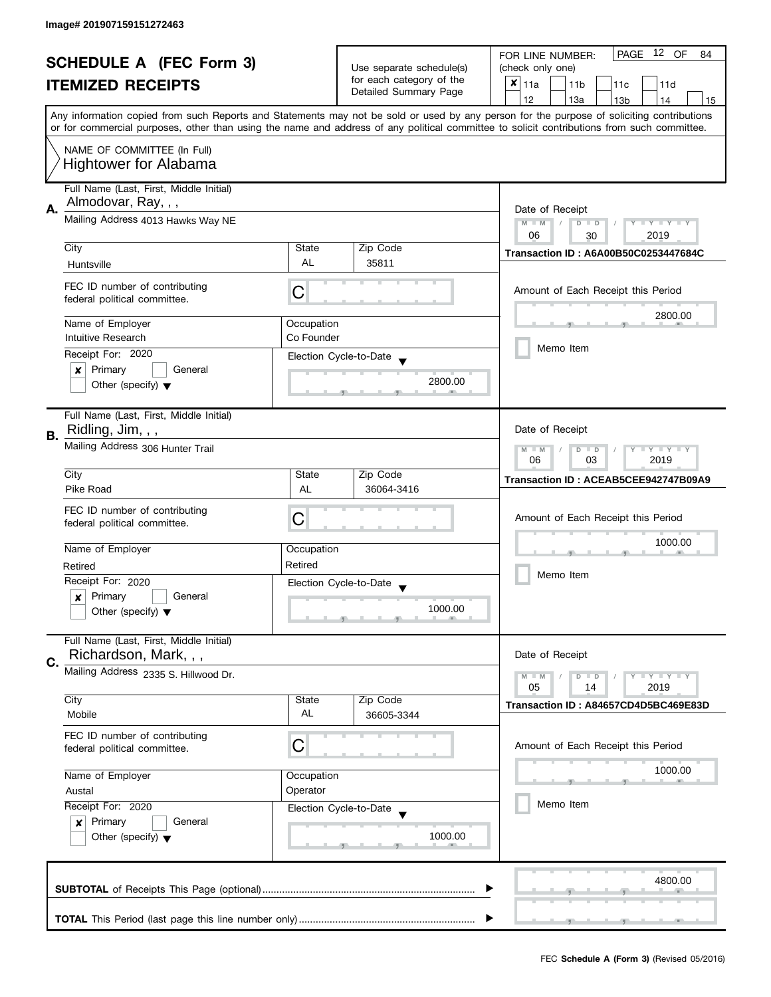|                                |                                                                                                                                                                                   |            |                                                                               | PAGE 12 OF<br>FOR LINE NUMBER:<br>84                                                                                                       |
|--------------------------------|-----------------------------------------------------------------------------------------------------------------------------------------------------------------------------------|------------|-------------------------------------------------------------------------------|--------------------------------------------------------------------------------------------------------------------------------------------|
| <b>SCHEDULE A (FEC Form 3)</b> |                                                                                                                                                                                   |            | Use separate schedule(s)<br>for each category of the<br>Detailed Summary Page | (check only one)                                                                                                                           |
|                                | <b>ITEMIZED RECEIPTS</b>                                                                                                                                                          |            |                                                                               | $x _{11a}$<br>11 <sub>b</sub><br>11c<br>11d                                                                                                |
|                                |                                                                                                                                                                                   |            |                                                                               | 12<br>13a<br>13 <sub>b</sub><br>15<br>14                                                                                                   |
|                                |                                                                                                                                                                                   |            |                                                                               | Any information copied from such Reports and Statements may not be sold or used by any person for the purpose of soliciting contributions  |
|                                |                                                                                                                                                                                   |            |                                                                               | or for commercial purposes, other than using the name and address of any political committee to solicit contributions from such committee. |
|                                | NAME OF COMMITTEE (In Full)                                                                                                                                                       |            |                                                                               |                                                                                                                                            |
|                                | <b>Hightower for Alabama</b>                                                                                                                                                      |            |                                                                               |                                                                                                                                            |
|                                |                                                                                                                                                                                   |            |                                                                               |                                                                                                                                            |
|                                | Full Name (Last, First, Middle Initial)                                                                                                                                           |            |                                                                               |                                                                                                                                            |
| Α.                             | Almodovar, Ray, , ,                                                                                                                                                               |            |                                                                               | Date of Receipt                                                                                                                            |
|                                | Mailing Address 4013 Hawks Way NE                                                                                                                                                 |            |                                                                               | $M - M$<br>$Y - Y - Y - Y - Y$<br>$\sqrt{2}$<br>$D$ $D$                                                                                    |
|                                |                                                                                                                                                                                   |            |                                                                               | 06<br>2019<br>30                                                                                                                           |
|                                | City                                                                                                                                                                              | State      | Zip Code                                                                      | <b>Transaction ID: A6A00B50C0253447684C</b>                                                                                                |
|                                | Huntsville                                                                                                                                                                        | <b>AL</b>  | 35811                                                                         |                                                                                                                                            |
|                                | FEC ID number of contributing                                                                                                                                                     |            |                                                                               |                                                                                                                                            |
|                                | federal political committee.                                                                                                                                                      | C          |                                                                               | Amount of Each Receipt this Period                                                                                                         |
|                                |                                                                                                                                                                                   |            |                                                                               | 2800.00                                                                                                                                    |
|                                | Name of Employer                                                                                                                                                                  | Occupation |                                                                               |                                                                                                                                            |
|                                | Intuitive Research                                                                                                                                                                | Co Founder |                                                                               | Memo Item                                                                                                                                  |
|                                | Receipt For: 2020                                                                                                                                                                 |            | Election Cycle-to-Date                                                        |                                                                                                                                            |
|                                | Primary<br>General<br>x                                                                                                                                                           |            | 2800.00                                                                       |                                                                                                                                            |
|                                | Other (specify) $\blacktriangledown$                                                                                                                                              |            |                                                                               |                                                                                                                                            |
|                                |                                                                                                                                                                                   |            |                                                                               |                                                                                                                                            |
|                                | Full Name (Last, First, Middle Initial)                                                                                                                                           |            |                                                                               |                                                                                                                                            |
| В.                             | Ridling, Jim, , ,                                                                                                                                                                 |            |                                                                               | Date of Receipt                                                                                                                            |
|                                | Mailing Address 306 Hunter Trail                                                                                                                                                  |            |                                                                               | $Y \perp Y \perp Y$<br>$M - M$<br>D<br>$\Box$<br>2019<br>06<br>03                                                                          |
|                                | City                                                                                                                                                                              | State      | Zip Code                                                                      |                                                                                                                                            |
|                                | Pike Road                                                                                                                                                                         | AL         | 36064-3416                                                                    | Transaction ID: ACEAB5CEE942747B09A9                                                                                                       |
|                                |                                                                                                                                                                                   |            |                                                                               |                                                                                                                                            |
|                                | FEC ID number of contributing                                                                                                                                                     | C          |                                                                               | Amount of Each Receipt this Period                                                                                                         |
|                                | federal political committee.                                                                                                                                                      |            |                                                                               |                                                                                                                                            |
|                                | Name of Employer                                                                                                                                                                  | Occupation |                                                                               | 1000.00                                                                                                                                    |
|                                | Retired                                                                                                                                                                           | Retired    |                                                                               |                                                                                                                                            |
|                                | Receipt For: 2020                                                                                                                                                                 |            | Election Cycle-to-Date                                                        | Memo Item                                                                                                                                  |
|                                | Primary<br>General<br>x                                                                                                                                                           |            |                                                                               |                                                                                                                                            |
|                                | Other (specify) $\blacktriangledown$                                                                                                                                              |            | 1000.00                                                                       |                                                                                                                                            |
|                                |                                                                                                                                                                                   |            |                                                                               |                                                                                                                                            |
|                                | Full Name (Last, First, Middle Initial)                                                                                                                                           |            |                                                                               |                                                                                                                                            |
| C.                             | Richardson, Mark, , ,                                                                                                                                                             |            |                                                                               | Date of Receipt                                                                                                                            |
|                                | Mailing Address 2335 S. Hillwood Dr.                                                                                                                                              |            |                                                                               | $Y = Y = Y$<br>$M - M$<br>D<br>$\Box$                                                                                                      |
|                                |                                                                                                                                                                                   |            |                                                                               | 05<br>2019<br>14                                                                                                                           |
|                                | City                                                                                                                                                                              | State      | Zip Code                                                                      | Transaction ID: A84657CD4D5BC469E83D                                                                                                       |
|                                | Mobile                                                                                                                                                                            | AL         | 36605-3344                                                                    |                                                                                                                                            |
|                                | FEC ID number of contributing                                                                                                                                                     |            |                                                                               |                                                                                                                                            |
|                                | federal political committee.                                                                                                                                                      | С          |                                                                               | Amount of Each Receipt this Period                                                                                                         |
|                                |                                                                                                                                                                                   |            |                                                                               | 1000.00                                                                                                                                    |
|                                | Name of Employer<br>Occupation<br>Operator<br>Austal<br>Receipt For: 2020<br>Election Cycle-to-Date<br>Primary<br>General<br>$\mathbf{x}$<br>Other (specify) $\blacktriangledown$ |            |                                                                               |                                                                                                                                            |
|                                |                                                                                                                                                                                   |            |                                                                               | Memo Item                                                                                                                                  |
|                                |                                                                                                                                                                                   |            |                                                                               |                                                                                                                                            |
|                                |                                                                                                                                                                                   |            |                                                                               |                                                                                                                                            |
|                                |                                                                                                                                                                                   |            | 1000.00                                                                       |                                                                                                                                            |
|                                |                                                                                                                                                                                   |            |                                                                               |                                                                                                                                            |
|                                |                                                                                                                                                                                   |            |                                                                               | 4800.00                                                                                                                                    |
|                                |                                                                                                                                                                                   |            |                                                                               |                                                                                                                                            |
|                                |                                                                                                                                                                                   |            |                                                                               |                                                                                                                                            |
|                                |                                                                                                                                                                                   |            |                                                                               |                                                                                                                                            |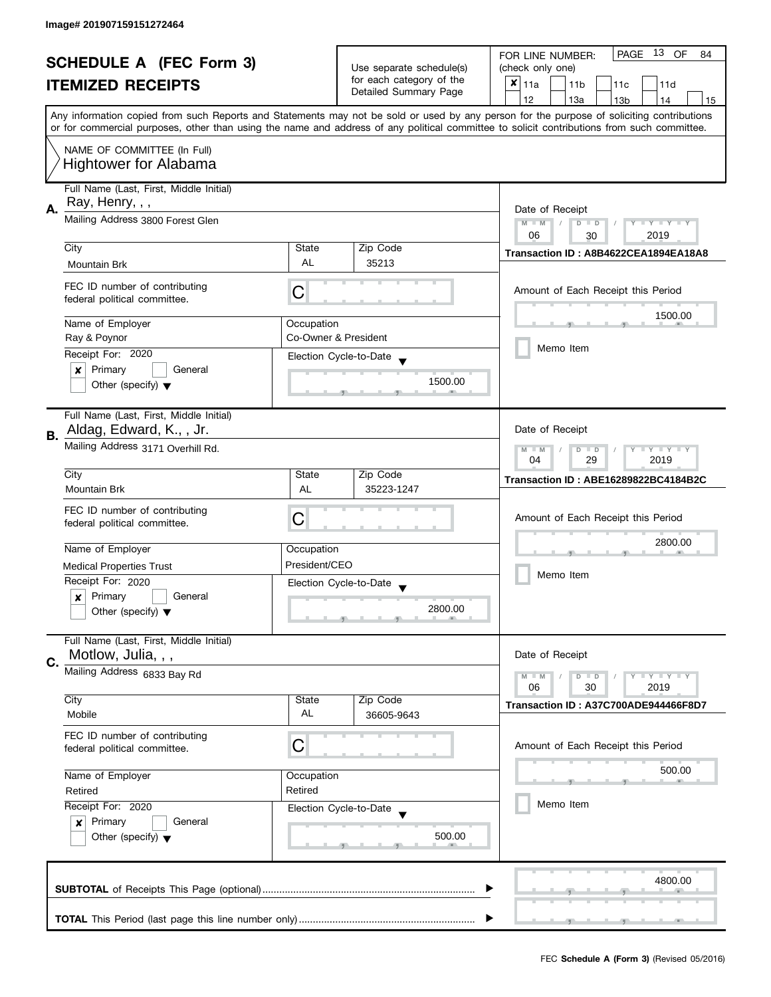| <b>SCHEDULE A (FEC Form 3)</b><br><b>ITEMIZED RECEIPTS</b> |                                                                           |                          |                          | PAGE 13 OF<br>FOR LINE NUMBER:<br>84                                                                                                       |
|------------------------------------------------------------|---------------------------------------------------------------------------|--------------------------|--------------------------|--------------------------------------------------------------------------------------------------------------------------------------------|
|                                                            |                                                                           | Use separate schedule(s) | (check only one)         |                                                                                                                                            |
|                                                            |                                                                           |                          | for each category of the | $x _{11a}$<br>11 <sub>b</sub><br>11c<br>11d                                                                                                |
|                                                            |                                                                           |                          | Detailed Summary Page    | 12<br>13a<br>13 <sub>b</sub><br>15<br>14                                                                                                   |
|                                                            |                                                                           |                          |                          | Any information copied from such Reports and Statements may not be sold or used by any person for the purpose of soliciting contributions  |
|                                                            |                                                                           |                          |                          | or for commercial purposes, other than using the name and address of any political committee to solicit contributions from such committee. |
|                                                            | NAME OF COMMITTEE (In Full)                                               |                          |                          |                                                                                                                                            |
|                                                            | <b>Hightower for Alabama</b>                                              |                          |                          |                                                                                                                                            |
|                                                            |                                                                           |                          |                          |                                                                                                                                            |
|                                                            | Full Name (Last, First, Middle Initial)                                   |                          |                          |                                                                                                                                            |
| А.                                                         | Ray, Henry, , ,                                                           |                          |                          | Date of Receipt                                                                                                                            |
|                                                            | Mailing Address 3800 Forest Glen                                          |                          |                          | $M - M$<br>$Y - Y - Y - Y - Y$<br>$\sqrt{2}$<br>$D$ $D$                                                                                    |
|                                                            |                                                                           |                          |                          | 06<br>2019<br>30                                                                                                                           |
|                                                            | City                                                                      | State                    | Zip Code                 | Transaction ID: A8B4622CEA1894EA18A8                                                                                                       |
|                                                            | Mountain Brk                                                              | <b>AL</b>                | 35213                    |                                                                                                                                            |
|                                                            |                                                                           |                          |                          |                                                                                                                                            |
|                                                            | FEC ID number of contributing<br>federal political committee.             | С                        |                          | Amount of Each Receipt this Period                                                                                                         |
|                                                            |                                                                           |                          |                          | 1500.00                                                                                                                                    |
|                                                            | Name of Employer                                                          | Occupation               |                          |                                                                                                                                            |
|                                                            | Ray & Poynor                                                              |                          | Co-Owner & President     |                                                                                                                                            |
|                                                            | Receipt For: 2020                                                         |                          | Election Cycle-to-Date   | Memo Item                                                                                                                                  |
|                                                            | Primary<br>General<br>X                                                   |                          |                          |                                                                                                                                            |
|                                                            | Other (specify) $\blacktriangledown$                                      |                          | 1500.00                  |                                                                                                                                            |
|                                                            |                                                                           |                          |                          |                                                                                                                                            |
|                                                            | Full Name (Last, First, Middle Initial)                                   |                          |                          |                                                                                                                                            |
| В.                                                         | Aldag, Edward, K., , Jr.                                                  |                          |                          | Date of Receipt                                                                                                                            |
|                                                            | Mailing Address 3171 Overhill Rd.                                         |                          |                          | $Y - Y - Y$<br>$M - M$<br>D<br>$\Box$                                                                                                      |
|                                                            |                                                                           |                          |                          | 29<br>2019<br>04                                                                                                                           |
|                                                            | City                                                                      | State                    | Zip Code                 | Transaction ID: ABE16289822BC4184B2C                                                                                                       |
|                                                            | <b>Mountain Brk</b>                                                       | AL                       | 35223-1247               |                                                                                                                                            |
|                                                            | FEC ID number of contributing                                             |                          |                          |                                                                                                                                            |
|                                                            | federal political committee.                                              | С                        |                          | Amount of Each Receipt this Period                                                                                                         |
|                                                            |                                                                           |                          |                          | 2800.00                                                                                                                                    |
|                                                            | Name of Employer                                                          | Occupation               |                          |                                                                                                                                            |
|                                                            | <b>Medical Properties Trust</b>                                           | President/CEO            |                          |                                                                                                                                            |
|                                                            | Receipt For: 2020                                                         |                          | Election Cycle-to-Date   | Memo Item                                                                                                                                  |
|                                                            | Primary<br>General<br>x                                                   |                          |                          |                                                                                                                                            |
|                                                            | Other (specify) $\blacktriangledown$                                      |                          | 2800.00                  |                                                                                                                                            |
|                                                            |                                                                           |                          |                          |                                                                                                                                            |
|                                                            | Full Name (Last, First, Middle Initial)                                   |                          |                          |                                                                                                                                            |
| C.                                                         | Motlow, Julia, , ,                                                        |                          |                          | Date of Receipt                                                                                                                            |
|                                                            | Mailing Address 6833 Bay Rd                                               |                          |                          | $M - M$<br>$Y - Y - Y$<br>$\overline{D}$<br>$\Box$                                                                                         |
|                                                            |                                                                           |                          |                          | 06<br>2019<br>30                                                                                                                           |
|                                                            | City                                                                      | State                    | Zip Code                 | Transaction ID: A37C700ADE944466F8D7                                                                                                       |
|                                                            | Mobile                                                                    | AL                       | 36605-9643               |                                                                                                                                            |
|                                                            | FEC ID number of contributing                                             |                          |                          |                                                                                                                                            |
|                                                            | federal political committee.                                              | C                        |                          | Amount of Each Receipt this Period                                                                                                         |
|                                                            |                                                                           |                          |                          | 500.00                                                                                                                                     |
|                                                            | Name of Employer<br>Occupation<br>Retired<br>Retired<br>Receipt For: 2020 |                          |                          |                                                                                                                                            |
|                                                            |                                                                           |                          |                          |                                                                                                                                            |
|                                                            |                                                                           |                          | Election Cycle-to-Date   | Memo Item                                                                                                                                  |
| Primary<br>General<br>$\boldsymbol{x}$                     |                                                                           |                          |                          |                                                                                                                                            |
|                                                            | Other (specify) $\blacktriangledown$                                      |                          | 500.00                   |                                                                                                                                            |
|                                                            |                                                                           |                          |                          |                                                                                                                                            |
|                                                            |                                                                           |                          |                          |                                                                                                                                            |
|                                                            |                                                                           |                          |                          | 4800.00                                                                                                                                    |
|                                                            |                                                                           |                          |                          |                                                                                                                                            |
|                                                            |                                                                           |                          |                          |                                                                                                                                            |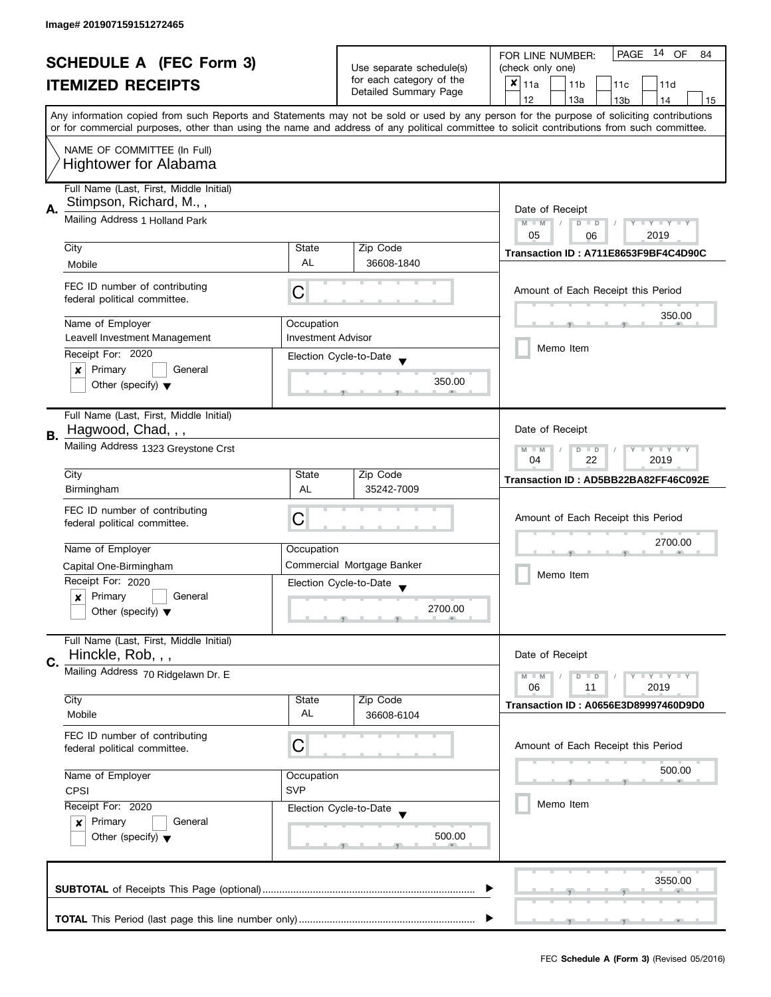|                                |                                                                                                                                           |                           |                                                   | 14 OF<br>PAGE<br>FOR LINE NUMBER:<br>84                                                                                                    |
|--------------------------------|-------------------------------------------------------------------------------------------------------------------------------------------|---------------------------|---------------------------------------------------|--------------------------------------------------------------------------------------------------------------------------------------------|
| <b>SCHEDULE A (FEC Form 3)</b> |                                                                                                                                           | Use separate schedule(s)  | (check only one)                                  |                                                                                                                                            |
|                                | <b>ITEMIZED RECEIPTS</b>                                                                                                                  |                           | for each category of the<br>Detailed Summary Page | $x _{11a}$<br>11 <sub>b</sub><br>11c<br>11d                                                                                                |
|                                |                                                                                                                                           |                           |                                                   | 12<br>13a<br>13 <sub>b</sub><br>15<br>14                                                                                                   |
|                                |                                                                                                                                           |                           |                                                   | Any information copied from such Reports and Statements may not be sold or used by any person for the purpose of soliciting contributions  |
|                                |                                                                                                                                           |                           |                                                   | or for commercial purposes, other than using the name and address of any political committee to solicit contributions from such committee. |
|                                | NAME OF COMMITTEE (In Full)                                                                                                               |                           |                                                   |                                                                                                                                            |
|                                | <b>Hightower for Alabama</b>                                                                                                              |                           |                                                   |                                                                                                                                            |
|                                |                                                                                                                                           |                           |                                                   |                                                                                                                                            |
|                                | Full Name (Last, First, Middle Initial)                                                                                                   |                           |                                                   |                                                                                                                                            |
| Α.                             | Stimpson, Richard, M.,,                                                                                                                   | Date of Receipt           |                                                   |                                                                                                                                            |
|                                | Mailing Address 1 Holland Park                                                                                                            |                           |                                                   | $M - M$<br>$Y - Y - Y - Y - Y$<br>$D$ $D$                                                                                                  |
|                                |                                                                                                                                           |                           |                                                   | 05<br>2019<br>06                                                                                                                           |
|                                | City                                                                                                                                      | State                     | Zip Code                                          | Transaction ID: A711E8653F9BF4C4D90C                                                                                                       |
|                                | Mobile                                                                                                                                    | <b>AL</b>                 | 36608-1840                                        |                                                                                                                                            |
|                                | FEC ID number of contributing                                                                                                             |                           |                                                   |                                                                                                                                            |
|                                | federal political committee.                                                                                                              | C                         |                                                   | Amount of Each Receipt this Period                                                                                                         |
|                                |                                                                                                                                           |                           |                                                   | 350.00                                                                                                                                     |
|                                | Name of Employer                                                                                                                          | Occupation                |                                                   |                                                                                                                                            |
|                                | Leavell Investment Management                                                                                                             | <b>Investment Advisor</b> |                                                   | Memo Item                                                                                                                                  |
|                                | Receipt For: 2020                                                                                                                         |                           | Election Cycle-to-Date                            |                                                                                                                                            |
|                                | Primary<br>General<br>$\boldsymbol{x}$                                                                                                    |                           |                                                   |                                                                                                                                            |
|                                | Other (specify) $\blacktriangledown$                                                                                                      |                           | 350.00                                            |                                                                                                                                            |
|                                |                                                                                                                                           |                           |                                                   |                                                                                                                                            |
|                                | Full Name (Last, First, Middle Initial)                                                                                                   |                           |                                                   |                                                                                                                                            |
| В.                             | Hagwood, Chad, , ,                                                                                                                        |                           |                                                   | Date of Receipt                                                                                                                            |
|                                | Mailing Address 1323 Greystone Crst                                                                                                       |                           |                                                   | $Y = Y = Y$<br>$M - M$<br>D<br>$\Box$                                                                                                      |
|                                |                                                                                                                                           | 22<br>2019<br>04          |                                                   |                                                                                                                                            |
|                                | City                                                                                                                                      | State                     | Zip Code                                          | Transaction ID: AD5BB22BA82FF46C092E                                                                                                       |
|                                | Birmingham                                                                                                                                | AL                        | 35242-7009                                        |                                                                                                                                            |
|                                | FEC ID number of contributing                                                                                                             |                           |                                                   |                                                                                                                                            |
|                                | federal political committee.                                                                                                              | C                         |                                                   | Amount of Each Receipt this Period                                                                                                         |
|                                |                                                                                                                                           |                           |                                                   | 2700.00                                                                                                                                    |
|                                | Name of Employer                                                                                                                          | Occupation                |                                                   |                                                                                                                                            |
|                                | Capital One-Birmingham                                                                                                                    |                           | Commercial Mortgage Banker                        | Memo Item                                                                                                                                  |
|                                | Receipt For: 2020                                                                                                                         |                           | Election Cycle-to-Date                            |                                                                                                                                            |
|                                | Primary<br>General<br>x                                                                                                                   |                           | 2700.00                                           |                                                                                                                                            |
|                                | Other (specify) $\blacktriangledown$                                                                                                      |                           |                                                   |                                                                                                                                            |
|                                | Full Name (Last, First, Middle Initial)                                                                                                   |                           |                                                   |                                                                                                                                            |
|                                | Hinckle, Rob, , ,                                                                                                                         |                           |                                                   | Date of Receipt                                                                                                                            |
| C.                             |                                                                                                                                           |                           |                                                   |                                                                                                                                            |
|                                | Mailing Address 70 Ridgelawn Dr. E                                                                                                        |                           |                                                   | $M - M$<br>$Y - Y - Y$<br>D<br>$\Box$<br>06<br>2019<br>11                                                                                  |
|                                | City                                                                                                                                      | State                     | Zip Code                                          |                                                                                                                                            |
|                                | Mobile                                                                                                                                    | AL                        | 36608-6104                                        | Transaction ID: A0656E3D89997460D9D0                                                                                                       |
|                                |                                                                                                                                           |                           |                                                   |                                                                                                                                            |
|                                | FEC ID number of contributing<br>federal political committee.                                                                             | С                         |                                                   | Amount of Each Receipt this Period                                                                                                         |
|                                |                                                                                                                                           |                           |                                                   |                                                                                                                                            |
|                                | Name of Employer<br>Occupation<br><b>SVP</b><br>CPSI<br>Receipt For: 2020<br>Election Cycle-to-Date<br>Primary<br>General<br>$\mathbf{x}$ |                           |                                                   | 500.00                                                                                                                                     |
|                                |                                                                                                                                           |                           |                                                   |                                                                                                                                            |
|                                |                                                                                                                                           |                           |                                                   | Memo Item                                                                                                                                  |
|                                |                                                                                                                                           |                           |                                                   |                                                                                                                                            |
|                                | Other (specify) $\blacktriangledown$                                                                                                      |                           | 500.00                                            |                                                                                                                                            |
|                                |                                                                                                                                           |                           |                                                   |                                                                                                                                            |
|                                |                                                                                                                                           |                           |                                                   |                                                                                                                                            |
|                                |                                                                                                                                           |                           |                                                   | 3550.00                                                                                                                                    |
|                                |                                                                                                                                           |                           |                                                   |                                                                                                                                            |
|                                |                                                                                                                                           |                           |                                                   |                                                                                                                                            |
|                                |                                                                                                                                           |                           |                                                   |                                                                                                                                            |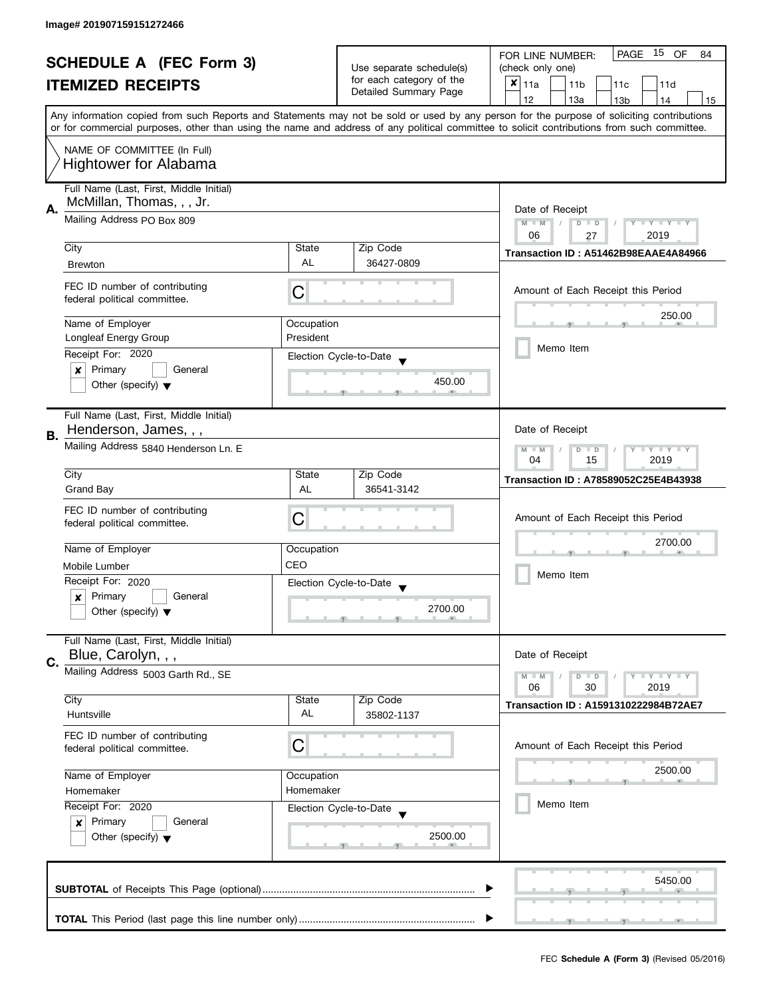| <b>SCHEDULE A (FEC Form 3)</b><br><b>ITEMIZED RECEIPTS</b> |                                                                                                               | Use separate schedule(s)                                  | 15<br><b>PAGE</b><br>OF<br>FOR LINE NUMBER:<br>84       |                                                                                                                                            |  |
|------------------------------------------------------------|---------------------------------------------------------------------------------------------------------------|-----------------------------------------------------------|---------------------------------------------------------|--------------------------------------------------------------------------------------------------------------------------------------------|--|
|                                                            |                                                                                                               |                                                           | (check only one)                                        |                                                                                                                                            |  |
|                                                            |                                                                                                               | for each category of the                                  | $x _{11a}$<br>11 <sub>b</sub><br>11 <sub>c</sub><br>11d |                                                                                                                                            |  |
|                                                            |                                                                                                               |                                                           | Detailed Summary Page                                   | 12<br>13a<br>13 <sub>b</sub><br>14<br>15                                                                                                   |  |
|                                                            |                                                                                                               |                                                           |                                                         | Any information copied from such Reports and Statements may not be sold or used by any person for the purpose of soliciting contributions  |  |
|                                                            |                                                                                                               |                                                           |                                                         | or for commercial purposes, other than using the name and address of any political committee to solicit contributions from such committee. |  |
|                                                            | NAME OF COMMITTEE (In Full)                                                                                   |                                                           |                                                         |                                                                                                                                            |  |
|                                                            | <b>Hightower for Alabama</b>                                                                                  |                                                           |                                                         |                                                                                                                                            |  |
|                                                            |                                                                                                               |                                                           |                                                         |                                                                                                                                            |  |
|                                                            | Full Name (Last, First, Middle Initial)                                                                       |                                                           |                                                         |                                                                                                                                            |  |
| А.                                                         | McMillan, Thomas, , , Jr.                                                                                     |                                                           |                                                         | Date of Receipt                                                                                                                            |  |
|                                                            | Mailing Address PO Box 809                                                                                    |                                                           |                                                         | $M - M$<br>Y I Y I Y I Y<br>$D$ $D$                                                                                                        |  |
|                                                            |                                                                                                               |                                                           |                                                         | 06<br>2019<br>27                                                                                                                           |  |
|                                                            | City                                                                                                          | State                                                     | Zip Code                                                | Transaction ID: A51462B98EAAE4A84966                                                                                                       |  |
|                                                            | <b>Brewton</b>                                                                                                | <b>AL</b>                                                 | 36427-0809                                              |                                                                                                                                            |  |
|                                                            | FEC ID number of contributing                                                                                 |                                                           |                                                         |                                                                                                                                            |  |
|                                                            | federal political committee.                                                                                  | C                                                         |                                                         | Amount of Each Receipt this Period                                                                                                         |  |
|                                                            |                                                                                                               |                                                           |                                                         |                                                                                                                                            |  |
|                                                            | Name of Employer                                                                                              | Occupation                                                |                                                         | 250.00                                                                                                                                     |  |
|                                                            | <b>Longleaf Energy Group</b>                                                                                  | President                                                 |                                                         |                                                                                                                                            |  |
|                                                            | Receipt For: 2020                                                                                             |                                                           | Election Cycle-to-Date                                  | Memo Item                                                                                                                                  |  |
|                                                            | Primary<br>General<br>×                                                                                       |                                                           |                                                         |                                                                                                                                            |  |
|                                                            | Other (specify) $\blacktriangledown$                                                                          |                                                           | 450.00                                                  |                                                                                                                                            |  |
|                                                            |                                                                                                               |                                                           |                                                         |                                                                                                                                            |  |
|                                                            | Full Name (Last, First, Middle Initial)                                                                       |                                                           |                                                         |                                                                                                                                            |  |
|                                                            | Henderson, James, , ,                                                                                         |                                                           |                                                         | Date of Receipt                                                                                                                            |  |
| В.                                                         | Mailing Address 5840 Henderson Ln. E                                                                          |                                                           |                                                         |                                                                                                                                            |  |
|                                                            |                                                                                                               | $Y = Y = Y$<br>$M - M$<br>D<br>$\Box$<br>15<br>2019<br>04 |                                                         |                                                                                                                                            |  |
|                                                            | City                                                                                                          | State                                                     | Zip Code                                                |                                                                                                                                            |  |
|                                                            | <b>Grand Bay</b>                                                                                              | AL                                                        | 36541-3142                                              | Transaction ID: A78589052C25E4B43938                                                                                                       |  |
|                                                            |                                                                                                               |                                                           |                                                         |                                                                                                                                            |  |
|                                                            | FEC ID number of contributing                                                                                 | C                                                         |                                                         | Amount of Each Receipt this Period                                                                                                         |  |
|                                                            | federal political committee.                                                                                  |                                                           |                                                         |                                                                                                                                            |  |
|                                                            | Name of Employer                                                                                              | Occupation                                                |                                                         | 2700.00                                                                                                                                    |  |
|                                                            |                                                                                                               | CEO                                                       |                                                         |                                                                                                                                            |  |
|                                                            | Mobile Lumber                                                                                                 |                                                           |                                                         | Memo Item                                                                                                                                  |  |
|                                                            | Receipt For: 2020                                                                                             |                                                           | Election Cycle-to-Date                                  |                                                                                                                                            |  |
|                                                            | Primary<br>General<br>x                                                                                       |                                                           | 2700.00                                                 |                                                                                                                                            |  |
|                                                            | Other (specify) $\blacktriangledown$                                                                          |                                                           |                                                         |                                                                                                                                            |  |
|                                                            | Full Name (Last, First, Middle Initial)                                                                       |                                                           |                                                         |                                                                                                                                            |  |
|                                                            | Blue, Carolyn, , ,                                                                                            |                                                           |                                                         | Date of Receipt                                                                                                                            |  |
| C.                                                         | Mailing Address 5003 Garth Rd., SE                                                                            |                                                           |                                                         |                                                                                                                                            |  |
|                                                            |                                                                                                               |                                                           |                                                         | $Y = Y = Y$<br>$M - M$<br>$D$ $D$<br>06<br>30<br>2019                                                                                      |  |
|                                                            | City                                                                                                          | State                                                     | Zip Code                                                |                                                                                                                                            |  |
|                                                            | Huntsville                                                                                                    | AL                                                        | 35802-1137                                              | Transaction ID: A1591310222984B72AE7                                                                                                       |  |
|                                                            | FEC ID number of contributing                                                                                 |                                                           |                                                         |                                                                                                                                            |  |
|                                                            | federal political committee.                                                                                  | С                                                         |                                                         | Amount of Each Receipt this Period                                                                                                         |  |
|                                                            |                                                                                                               |                                                           |                                                         |                                                                                                                                            |  |
|                                                            | Name of Employer                                                                                              | Occupation                                                |                                                         | 2500.00                                                                                                                                    |  |
|                                                            | Homemaker<br>Homemaker<br>Receipt For: 2020<br>Election Cycle-to-Date<br>Primary<br>$\pmb{\times}$<br>General |                                                           |                                                         |                                                                                                                                            |  |
|                                                            |                                                                                                               |                                                           |                                                         | Memo Item                                                                                                                                  |  |
|                                                            |                                                                                                               |                                                           |                                                         |                                                                                                                                            |  |
|                                                            |                                                                                                               |                                                           | 2500.00                                                 |                                                                                                                                            |  |
|                                                            | Other (specify) $\blacktriangledown$                                                                          |                                                           |                                                         |                                                                                                                                            |  |
|                                                            |                                                                                                               |                                                           |                                                         |                                                                                                                                            |  |
|                                                            |                                                                                                               |                                                           |                                                         | 5450.00                                                                                                                                    |  |
|                                                            |                                                                                                               |                                                           |                                                         |                                                                                                                                            |  |
|                                                            |                                                                                                               |                                                           |                                                         |                                                                                                                                            |  |
|                                                            |                                                                                                               |                                                           |                                                         |                                                                                                                                            |  |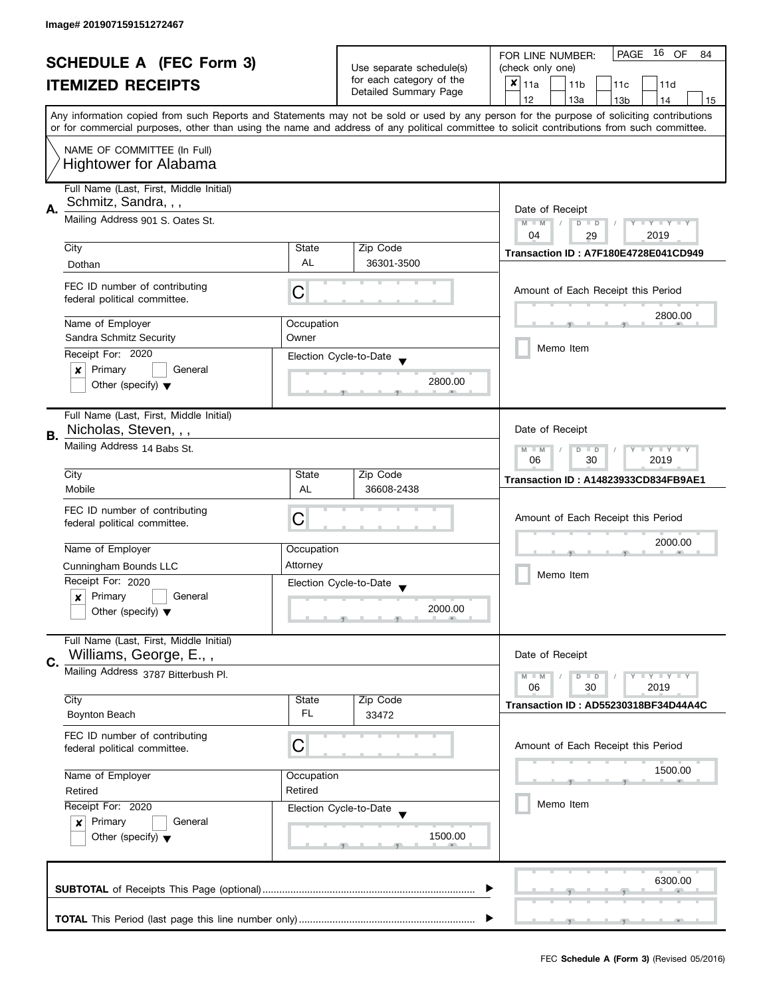| <b>SCHEDULE A (FEC Form 3)</b> |                                                                                                                                           |            | PAGE<br>16 OF<br>FOR LINE NUMBER:<br>84 |                                                                                                                                            |  |
|--------------------------------|-------------------------------------------------------------------------------------------------------------------------------------------|------------|-----------------------------------------|--------------------------------------------------------------------------------------------------------------------------------------------|--|
|                                | <b>ITEMIZED RECEIPTS</b>                                                                                                                  |            | Use separate schedule(s)                | (check only one)                                                                                                                           |  |
|                                |                                                                                                                                           |            | for each category of the                | $x _{11a}$<br>11 <sub>b</sub><br>11c<br>11d                                                                                                |  |
|                                |                                                                                                                                           |            | Detailed Summary Page                   | 12<br>13a<br>14<br>13 <sub>b</sub><br>15                                                                                                   |  |
|                                |                                                                                                                                           |            |                                         | Any information copied from such Reports and Statements may not be sold or used by any person for the purpose of soliciting contributions  |  |
|                                |                                                                                                                                           |            |                                         | or for commercial purposes, other than using the name and address of any political committee to solicit contributions from such committee. |  |
|                                |                                                                                                                                           |            |                                         |                                                                                                                                            |  |
| NAME OF COMMITTEE (In Full)    |                                                                                                                                           |            |                                         |                                                                                                                                            |  |
|                                | <b>Hightower for Alabama</b>                                                                                                              |            |                                         |                                                                                                                                            |  |
|                                | Full Name (Last, First, Middle Initial)                                                                                                   |            |                                         |                                                                                                                                            |  |
|                                | Schmitz, Sandra, , ,                                                                                                                      |            |                                         |                                                                                                                                            |  |
| А.                             |                                                                                                                                           |            |                                         | Date of Receipt                                                                                                                            |  |
|                                | Mailing Address 901 S. Oates St.                                                                                                          |            |                                         | $M - M$<br>Y TY TY TY<br>$D$ $D$                                                                                                           |  |
|                                |                                                                                                                                           |            |                                         | 04<br>2019<br>29                                                                                                                           |  |
|                                | City                                                                                                                                      | State      | Zip Code                                | Transaction ID: A7F180E4728E041CD949                                                                                                       |  |
|                                | Dothan                                                                                                                                    | AL         | 36301-3500                              |                                                                                                                                            |  |
|                                | FEC ID number of contributing                                                                                                             |            |                                         |                                                                                                                                            |  |
|                                | federal political committee.                                                                                                              | С          |                                         | Amount of Each Receipt this Period                                                                                                         |  |
|                                |                                                                                                                                           |            |                                         | 2800.00                                                                                                                                    |  |
|                                | Name of Employer                                                                                                                          | Occupation |                                         |                                                                                                                                            |  |
|                                | Sandra Schmitz Security                                                                                                                   | Owner      |                                         |                                                                                                                                            |  |
|                                | Receipt For: 2020                                                                                                                         |            | Election Cycle-to-Date                  | Memo Item                                                                                                                                  |  |
|                                | Primary<br>General<br>×                                                                                                                   |            |                                         |                                                                                                                                            |  |
|                                | Other (specify) $\blacktriangledown$                                                                                                      |            | 2800.00                                 |                                                                                                                                            |  |
|                                |                                                                                                                                           |            |                                         |                                                                                                                                            |  |
|                                | Full Name (Last, First, Middle Initial)                                                                                                   |            |                                         |                                                                                                                                            |  |
|                                | Nicholas, Steven, , ,                                                                                                                     |            |                                         | Date of Receipt                                                                                                                            |  |
| В.                             |                                                                                                                                           |            |                                         |                                                                                                                                            |  |
|                                | Mailing Address 14 Babs St.                                                                                                               |            |                                         | <b>LYLYLY</b><br>$M - M$<br>D<br>$\Box$                                                                                                    |  |
|                                |                                                                                                                                           |            |                                         | 2019<br>06<br>30                                                                                                                           |  |
|                                | City                                                                                                                                      | State      | Zip Code                                | Transaction ID: A14823933CD834FB9AE1                                                                                                       |  |
|                                | Mobile                                                                                                                                    | AL         | 36608-2438                              |                                                                                                                                            |  |
|                                | FEC ID number of contributing                                                                                                             |            |                                         |                                                                                                                                            |  |
|                                | federal political committee.                                                                                                              | C          |                                         | Amount of Each Receipt this Period                                                                                                         |  |
|                                |                                                                                                                                           |            |                                         | 2000.00                                                                                                                                    |  |
|                                | Name of Employer                                                                                                                          | Occupation |                                         |                                                                                                                                            |  |
|                                | Cunningham Bounds LLC                                                                                                                     | Attorney   |                                         |                                                                                                                                            |  |
|                                | Receipt For: 2020                                                                                                                         |            | Election Cycle-to-Date                  | Memo Item                                                                                                                                  |  |
|                                | Primary<br>General<br>$\boldsymbol{x}$                                                                                                    |            |                                         |                                                                                                                                            |  |
|                                | Other (specify) $\blacktriangledown$                                                                                                      |            | 2000.00                                 |                                                                                                                                            |  |
|                                |                                                                                                                                           |            |                                         |                                                                                                                                            |  |
|                                | Full Name (Last, First, Middle Initial)                                                                                                   |            |                                         |                                                                                                                                            |  |
|                                | Williams, George, E.,,                                                                                                                    |            |                                         | Date of Receipt                                                                                                                            |  |
| C.                             |                                                                                                                                           |            |                                         |                                                                                                                                            |  |
|                                | Mailing Address 3787 Bitterbush Pl.                                                                                                       |            |                                         | $Y = Y = Y$<br>$M - M$<br>$D$ $D$                                                                                                          |  |
|                                | City                                                                                                                                      | State      | Zip Code                                | 06<br>30<br>2019                                                                                                                           |  |
|                                | Boynton Beach                                                                                                                             | FL         | 33472                                   | Transaction ID: AD55230318BF34D44A4C                                                                                                       |  |
|                                |                                                                                                                                           |            |                                         |                                                                                                                                            |  |
|                                | FEC ID number of contributing                                                                                                             |            |                                         |                                                                                                                                            |  |
|                                | federal political committee.                                                                                                              | С          |                                         | Amount of Each Receipt this Period                                                                                                         |  |
|                                |                                                                                                                                           |            |                                         | 1500.00                                                                                                                                    |  |
|                                | Name of Employer<br>Occupation<br>Retired<br>Retired<br>Receipt For: 2020<br>Election Cycle-to-Date<br>Primary<br>General<br>$\mathbf{x}$ |            |                                         |                                                                                                                                            |  |
|                                |                                                                                                                                           |            |                                         |                                                                                                                                            |  |
|                                |                                                                                                                                           |            |                                         | Memo Item                                                                                                                                  |  |
|                                |                                                                                                                                           |            |                                         |                                                                                                                                            |  |
|                                | Other (specify) $\blacktriangledown$                                                                                                      |            | 1500.00                                 |                                                                                                                                            |  |
|                                |                                                                                                                                           |            |                                         |                                                                                                                                            |  |
|                                |                                                                                                                                           |            |                                         |                                                                                                                                            |  |
|                                |                                                                                                                                           |            |                                         | 6300.00                                                                                                                                    |  |
|                                |                                                                                                                                           |            |                                         |                                                                                                                                            |  |
|                                |                                                                                                                                           |            |                                         |                                                                                                                                            |  |
|                                |                                                                                                                                           |            |                                         |                                                                                                                                            |  |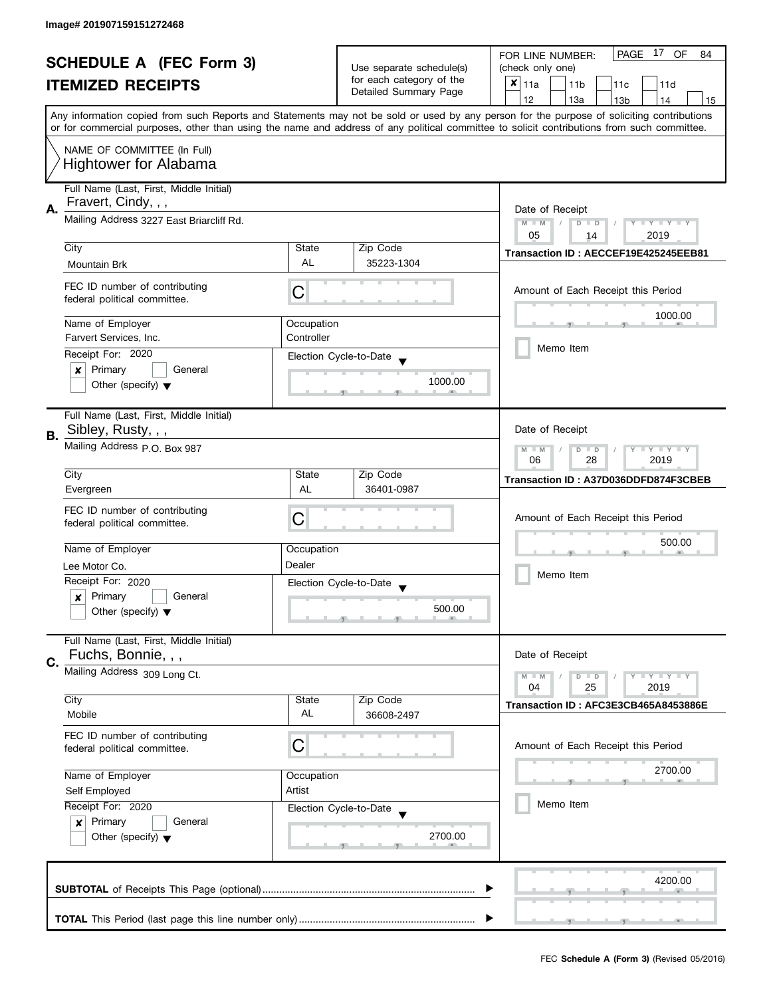|                                                            |                                                                                                                                                                             |                                                                               |                                                         | PAGE 17 OF<br>FOR LINE NUMBER:<br>84                                                                                                       |  |
|------------------------------------------------------------|-----------------------------------------------------------------------------------------------------------------------------------------------------------------------------|-------------------------------------------------------------------------------|---------------------------------------------------------|--------------------------------------------------------------------------------------------------------------------------------------------|--|
| <b>SCHEDULE A (FEC Form 3)</b><br><b>ITEMIZED RECEIPTS</b> |                                                                                                                                                                             | Use separate schedule(s)<br>for each category of the<br>Detailed Summary Page | (check only one)                                        |                                                                                                                                            |  |
|                                                            |                                                                                                                                                                             |                                                                               | $x _{11a}$<br>11 <sub>b</sub><br>11 <sub>c</sub><br>11d |                                                                                                                                            |  |
|                                                            |                                                                                                                                                                             |                                                                               |                                                         | 12<br>13a<br>13 <sub>b</sub><br>14<br>15                                                                                                   |  |
|                                                            |                                                                                                                                                                             |                                                                               |                                                         | Any information copied from such Reports and Statements may not be sold or used by any person for the purpose of soliciting contributions  |  |
|                                                            |                                                                                                                                                                             |                                                                               |                                                         | or for commercial purposes, other than using the name and address of any political committee to solicit contributions from such committee. |  |
|                                                            | NAME OF COMMITTEE (In Full)                                                                                                                                                 |                                                                               |                                                         |                                                                                                                                            |  |
|                                                            | <b>Hightower for Alabama</b>                                                                                                                                                |                                                                               |                                                         |                                                                                                                                            |  |
|                                                            |                                                                                                                                                                             |                                                                               |                                                         |                                                                                                                                            |  |
|                                                            | Full Name (Last, First, Middle Initial)                                                                                                                                     |                                                                               |                                                         |                                                                                                                                            |  |
| А.                                                         | Fravert, Cindy, , ,                                                                                                                                                         |                                                                               | Date of Receipt                                         |                                                                                                                                            |  |
|                                                            | Mailing Address 3227 East Briarcliff Rd.                                                                                                                                    |                                                                               |                                                         | $Y - Y - Y - Y - Y$<br>$M - M$<br>$\sqrt{2}$<br>$D$ $D$                                                                                    |  |
|                                                            |                                                                                                                                                                             |                                                                               |                                                         | 05<br>2019<br>14                                                                                                                           |  |
|                                                            | City                                                                                                                                                                        | State<br><b>AL</b>                                                            | Zip Code                                                | Transaction ID: AECCEF19E425245EEB81                                                                                                       |  |
|                                                            | Mountain Brk                                                                                                                                                                |                                                                               | 35223-1304                                              |                                                                                                                                            |  |
|                                                            | FEC ID number of contributing                                                                                                                                               | С                                                                             |                                                         | Amount of Each Receipt this Period                                                                                                         |  |
|                                                            | federal political committee.                                                                                                                                                |                                                                               |                                                         |                                                                                                                                            |  |
|                                                            | Name of Employer                                                                                                                                                            | Occupation                                                                    |                                                         | 1000.00                                                                                                                                    |  |
|                                                            | Farvert Services, Inc.                                                                                                                                                      | Controller                                                                    |                                                         |                                                                                                                                            |  |
|                                                            | Receipt For: 2020                                                                                                                                                           |                                                                               |                                                         | Memo Item                                                                                                                                  |  |
|                                                            | Primary<br>General<br>x                                                                                                                                                     |                                                                               | Election Cycle-to-Date                                  |                                                                                                                                            |  |
|                                                            | Other (specify) $\blacktriangledown$                                                                                                                                        |                                                                               | 1000.00                                                 |                                                                                                                                            |  |
|                                                            |                                                                                                                                                                             |                                                                               |                                                         |                                                                                                                                            |  |
|                                                            | Full Name (Last, First, Middle Initial)                                                                                                                                     |                                                                               |                                                         |                                                                                                                                            |  |
|                                                            | Sibley, Rusty, , ,                                                                                                                                                          |                                                                               |                                                         | Date of Receipt                                                                                                                            |  |
| В.                                                         | Mailing Address p.O. Box 987                                                                                                                                                |                                                                               |                                                         | $Y - Y - Y$<br>$M - M$<br>D                                                                                                                |  |
|                                                            |                                                                                                                                                                             | $\Box$<br>06<br>2019<br>28                                                    |                                                         |                                                                                                                                            |  |
|                                                            | City                                                                                                                                                                        | State                                                                         | Zip Code                                                | Transaction ID: A37D036DDFD874F3CBEB                                                                                                       |  |
|                                                            | Evergreen                                                                                                                                                                   | AL                                                                            | 36401-0987                                              |                                                                                                                                            |  |
|                                                            | FEC ID number of contributing                                                                                                                                               |                                                                               |                                                         |                                                                                                                                            |  |
|                                                            | federal political committee.                                                                                                                                                | С                                                                             |                                                         | Amount of Each Receipt this Period                                                                                                         |  |
|                                                            |                                                                                                                                                                             |                                                                               |                                                         | 500.00                                                                                                                                     |  |
|                                                            | Name of Employer                                                                                                                                                            | Occupation                                                                    |                                                         |                                                                                                                                            |  |
|                                                            | Lee Motor Co.                                                                                                                                                               | Dealer                                                                        |                                                         | Memo Item                                                                                                                                  |  |
|                                                            | Receipt For: 2020                                                                                                                                                           |                                                                               | Election Cycle-to-Date                                  |                                                                                                                                            |  |
|                                                            | Primary<br>General<br>x                                                                                                                                                     |                                                                               | 500.00                                                  |                                                                                                                                            |  |
|                                                            | Other (specify) $\blacktriangledown$                                                                                                                                        |                                                                               |                                                         |                                                                                                                                            |  |
|                                                            | Full Name (Last, First, Middle Initial)                                                                                                                                     |                                                                               |                                                         |                                                                                                                                            |  |
|                                                            | Fuchs, Bonnie, , ,                                                                                                                                                          |                                                                               |                                                         | Date of Receipt                                                                                                                            |  |
| C.                                                         | Mailing Address 309 Long Ct.                                                                                                                                                |                                                                               |                                                         | $Y = Y = Y$<br>$M - M$<br>$\overline{D}$<br>$\Box$                                                                                         |  |
|                                                            |                                                                                                                                                                             |                                                                               |                                                         | 04<br>2019<br>25                                                                                                                           |  |
|                                                            | City                                                                                                                                                                        | State                                                                         | Zip Code                                                | Transaction ID: AFC3E3CB465A8453886E                                                                                                       |  |
|                                                            | Mobile                                                                                                                                                                      | AL                                                                            | 36608-2497                                              |                                                                                                                                            |  |
|                                                            | FEC ID number of contributing                                                                                                                                               |                                                                               |                                                         |                                                                                                                                            |  |
|                                                            | federal political committee.                                                                                                                                                | C                                                                             |                                                         | Amount of Each Receipt this Period                                                                                                         |  |
|                                                            | Name of Employer<br>Occupation<br>Artist<br>Self Employed<br>Receipt For: 2020<br>Election Cycle-to-Date<br>Primary<br>General<br>x<br>Other (specify) $\blacktriangledown$ |                                                                               |                                                         | 2700.00                                                                                                                                    |  |
|                                                            |                                                                                                                                                                             |                                                                               |                                                         |                                                                                                                                            |  |
|                                                            |                                                                                                                                                                             |                                                                               |                                                         | Memo Item                                                                                                                                  |  |
|                                                            |                                                                                                                                                                             |                                                                               |                                                         |                                                                                                                                            |  |
|                                                            |                                                                                                                                                                             |                                                                               | 2700.00                                                 |                                                                                                                                            |  |
|                                                            |                                                                                                                                                                             |                                                                               |                                                         |                                                                                                                                            |  |
|                                                            |                                                                                                                                                                             |                                                                               |                                                         |                                                                                                                                            |  |
|                                                            |                                                                                                                                                                             |                                                                               |                                                         | 4200.00                                                                                                                                    |  |
|                                                            |                                                                                                                                                                             |                                                                               |                                                         |                                                                                                                                            |  |
|                                                            |                                                                                                                                                                             |                                                                               |                                                         |                                                                                                                                            |  |
|                                                            |                                                                                                                                                                             |                                                                               |                                                         |                                                                                                                                            |  |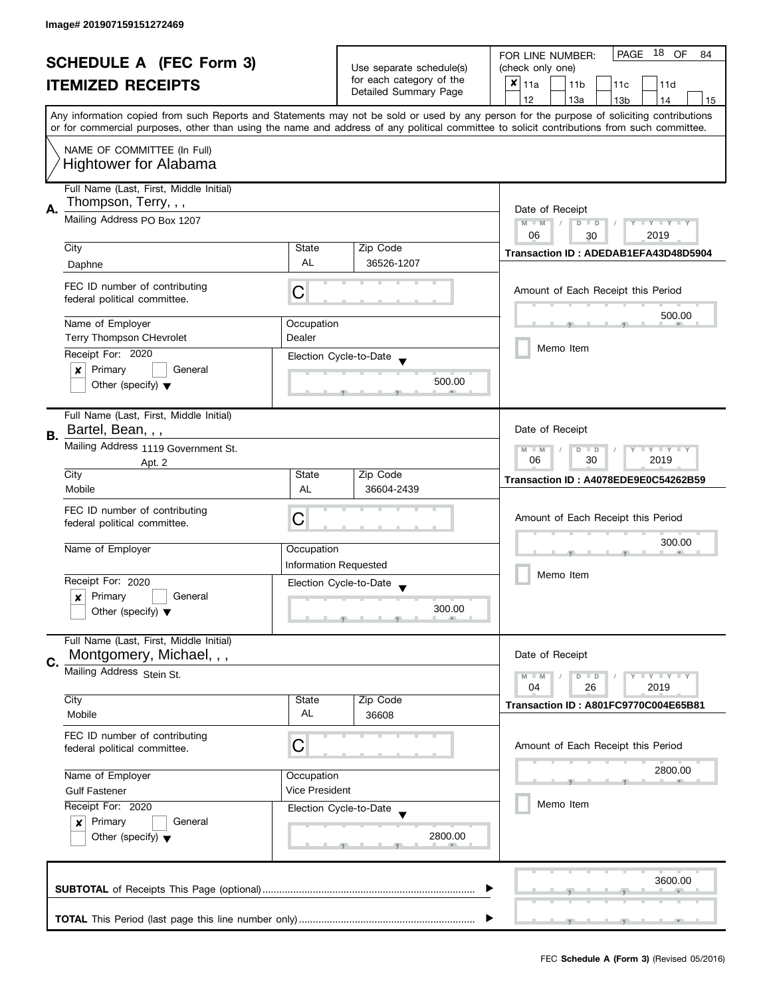| <b>SCHEDULE A (FEC Form 3)</b><br><b>ITEMIZED RECEIPTS</b> |                                                                                                                                                                                                                  | Use separate schedule(s)     | 18 OF<br>PAGE<br>FOR LINE NUMBER:<br>84<br>(check only one) |                                                                                                                                            |  |
|------------------------------------------------------------|------------------------------------------------------------------------------------------------------------------------------------------------------------------------------------------------------------------|------------------------------|-------------------------------------------------------------|--------------------------------------------------------------------------------------------------------------------------------------------|--|
|                                                            |                                                                                                                                                                                                                  |                              | for each category of the                                    | $x _{11a}$<br>11 <sub>b</sub><br>11c<br>11d                                                                                                |  |
|                                                            |                                                                                                                                                                                                                  |                              | Detailed Summary Page                                       | 12<br>13a<br>13 <sub>b</sub><br>14<br>15                                                                                                   |  |
|                                                            |                                                                                                                                                                                                                  |                              |                                                             | Any information copied from such Reports and Statements may not be sold or used by any person for the purpose of soliciting contributions  |  |
|                                                            |                                                                                                                                                                                                                  |                              |                                                             | or for commercial purposes, other than using the name and address of any political committee to solicit contributions from such committee. |  |
|                                                            |                                                                                                                                                                                                                  |                              |                                                             |                                                                                                                                            |  |
|                                                            | NAME OF COMMITTEE (In Full)                                                                                                                                                                                      |                              |                                                             |                                                                                                                                            |  |
|                                                            | <b>Hightower for Alabama</b>                                                                                                                                                                                     |                              |                                                             |                                                                                                                                            |  |
|                                                            | Full Name (Last, First, Middle Initial)                                                                                                                                                                          |                              |                                                             |                                                                                                                                            |  |
| Α.                                                         | Thompson, Terry, , ,                                                                                                                                                                                             | Date of Receipt              |                                                             |                                                                                                                                            |  |
|                                                            | Mailing Address PO Box 1207                                                                                                                                                                                      |                              |                                                             | $M - M$<br>$Y - Y - Y - Y - Y$<br>$\sqrt{2}$<br>$D$ $D$                                                                                    |  |
|                                                            |                                                                                                                                                                                                                  |                              |                                                             | 06<br>2019<br>30                                                                                                                           |  |
|                                                            | City                                                                                                                                                                                                             | State                        | Zip Code                                                    | Transaction ID: ADEDAB1EFA43D48D5904                                                                                                       |  |
|                                                            | Daphne                                                                                                                                                                                                           | <b>AL</b>                    | 36526-1207                                                  |                                                                                                                                            |  |
|                                                            | FEC ID number of contributing                                                                                                                                                                                    |                              |                                                             |                                                                                                                                            |  |
|                                                            | federal political committee.                                                                                                                                                                                     | С                            |                                                             | Amount of Each Receipt this Period                                                                                                         |  |
|                                                            |                                                                                                                                                                                                                  |                              |                                                             | 500.00                                                                                                                                     |  |
|                                                            | Name of Employer                                                                                                                                                                                                 | Occupation<br>Dealer         |                                                             |                                                                                                                                            |  |
|                                                            | <b>Terry Thompson CHevrolet</b>                                                                                                                                                                                  |                              |                                                             | Memo Item                                                                                                                                  |  |
|                                                            | Receipt For: 2020                                                                                                                                                                                                |                              | Election Cycle-to-Date                                      |                                                                                                                                            |  |
|                                                            | Primary<br>General<br>$\boldsymbol{x}$<br>Other (specify) $\blacktriangledown$                                                                                                                                   |                              | 500.00                                                      |                                                                                                                                            |  |
|                                                            |                                                                                                                                                                                                                  |                              |                                                             |                                                                                                                                            |  |
|                                                            | Full Name (Last, First, Middle Initial)                                                                                                                                                                          |                              |                                                             |                                                                                                                                            |  |
|                                                            | Bartel, Bean, , ,                                                                                                                                                                                                |                              |                                                             | Date of Receipt                                                                                                                            |  |
| В.                                                         | Mailing Address 1119 Government St.                                                                                                                                                                              |                              |                                                             | $Y - Y - Y$<br>$M - M$<br>D<br>$\Box$                                                                                                      |  |
|                                                            | Apt. 2                                                                                                                                                                                                           | 2019<br>06<br>30             |                                                             |                                                                                                                                            |  |
|                                                            | City                                                                                                                                                                                                             | State                        | Zip Code                                                    | Transaction ID: A4078EDE9E0C54262B59                                                                                                       |  |
|                                                            | Mobile                                                                                                                                                                                                           | AL                           | 36604-2439                                                  |                                                                                                                                            |  |
|                                                            | FEC ID number of contributing                                                                                                                                                                                    |                              |                                                             |                                                                                                                                            |  |
|                                                            | federal political committee.                                                                                                                                                                                     | C                            |                                                             | Amount of Each Receipt this Period                                                                                                         |  |
|                                                            |                                                                                                                                                                                                                  |                              |                                                             | 300.00                                                                                                                                     |  |
|                                                            | Name of Employer                                                                                                                                                                                                 | Occupation                   |                                                             |                                                                                                                                            |  |
|                                                            |                                                                                                                                                                                                                  | <b>Information Requested</b> |                                                             | Memo Item                                                                                                                                  |  |
|                                                            | Receipt For: 2020<br>General                                                                                                                                                                                     |                              | Election Cycle-to-Date<br>$\overline{\phantom{a}}$          |                                                                                                                                            |  |
|                                                            | Primary<br>x<br>Other (specify) $\blacktriangledown$                                                                                                                                                             |                              | 300.00                                                      |                                                                                                                                            |  |
|                                                            |                                                                                                                                                                                                                  |                              |                                                             |                                                                                                                                            |  |
|                                                            | Full Name (Last, First, Middle Initial)                                                                                                                                                                          |                              |                                                             |                                                                                                                                            |  |
| C.                                                         | Montgomery, Michael, , ,                                                                                                                                                                                         |                              |                                                             | Date of Receipt                                                                                                                            |  |
|                                                            | Mailing Address Stein St.                                                                                                                                                                                        |                              |                                                             | $Y = Y = Y$<br>$M - M$<br>$\overline{D}$<br>$\Box$                                                                                         |  |
|                                                            |                                                                                                                                                                                                                  |                              |                                                             | 2019<br>04<br>26                                                                                                                           |  |
|                                                            | City                                                                                                                                                                                                             | State                        | Zip Code                                                    | <b>Transaction ID: A801FC9770C004E65B81</b>                                                                                                |  |
|                                                            | Mobile                                                                                                                                                                                                           | AL                           | 36608                                                       |                                                                                                                                            |  |
|                                                            | FEC ID number of contributing                                                                                                                                                                                    |                              |                                                             |                                                                                                                                            |  |
|                                                            | federal political committee.                                                                                                                                                                                     | C                            |                                                             | Amount of Each Receipt this Period                                                                                                         |  |
|                                                            | Name of Employer<br>Occupation<br><b>Vice President</b><br><b>Gulf Fastener</b><br>Receipt For: 2020<br>Election Cycle-to-Date<br>Primary<br>General<br>$\boldsymbol{x}$<br>Other (specify) $\blacktriangledown$ |                              |                                                             | 2800.00                                                                                                                                    |  |
|                                                            |                                                                                                                                                                                                                  |                              |                                                             |                                                                                                                                            |  |
|                                                            |                                                                                                                                                                                                                  |                              |                                                             | Memo Item                                                                                                                                  |  |
|                                                            |                                                                                                                                                                                                                  |                              |                                                             |                                                                                                                                            |  |
|                                                            |                                                                                                                                                                                                                  |                              | 2800.00                                                     |                                                                                                                                            |  |
|                                                            |                                                                                                                                                                                                                  |                              |                                                             |                                                                                                                                            |  |
|                                                            |                                                                                                                                                                                                                  |                              |                                                             |                                                                                                                                            |  |
|                                                            |                                                                                                                                                                                                                  |                              |                                                             | 3600.00                                                                                                                                    |  |
|                                                            |                                                                                                                                                                                                                  |                              |                                                             |                                                                                                                                            |  |
|                                                            |                                                                                                                                                                                                                  |                              |                                                             |                                                                                                                                            |  |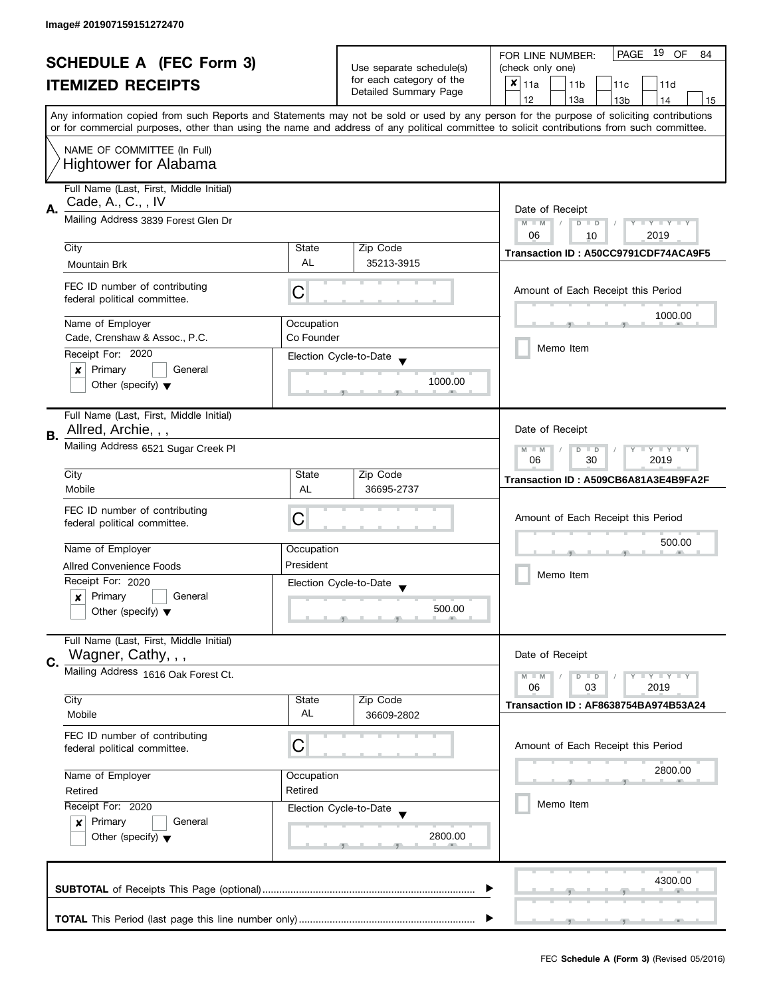| <b>SCHEDULE A (FEC Form 3)</b><br><b>ITEMIZED RECEIPTS</b> |                                                                                                                                                                                       |                                                           | PAGE 19 OF<br>FOR LINE NUMBER:<br>84                                          |                                                                                                                                                                                                                                                                                         |  |
|------------------------------------------------------------|---------------------------------------------------------------------------------------------------------------------------------------------------------------------------------------|-----------------------------------------------------------|-------------------------------------------------------------------------------|-----------------------------------------------------------------------------------------------------------------------------------------------------------------------------------------------------------------------------------------------------------------------------------------|--|
|                                                            |                                                                                                                                                                                       |                                                           | Use separate schedule(s)<br>for each category of the<br>Detailed Summary Page | (check only one)                                                                                                                                                                                                                                                                        |  |
|                                                            |                                                                                                                                                                                       |                                                           |                                                                               | $x _{11a}$<br>11 <sub>b</sub><br>11c<br>11d                                                                                                                                                                                                                                             |  |
|                                                            |                                                                                                                                                                                       |                                                           |                                                                               | 12<br>13a<br>13 <sub>b</sub><br>15<br>14                                                                                                                                                                                                                                                |  |
|                                                            |                                                                                                                                                                                       |                                                           |                                                                               | Any information copied from such Reports and Statements may not be sold or used by any person for the purpose of soliciting contributions<br>or for commercial purposes, other than using the name and address of any political committee to solicit contributions from such committee. |  |
|                                                            |                                                                                                                                                                                       |                                                           |                                                                               |                                                                                                                                                                                                                                                                                         |  |
|                                                            | NAME OF COMMITTEE (In Full)<br><b>Hightower for Alabama</b>                                                                                                                           |                                                           |                                                                               |                                                                                                                                                                                                                                                                                         |  |
|                                                            | Full Name (Last, First, Middle Initial)                                                                                                                                               |                                                           |                                                                               |                                                                                                                                                                                                                                                                                         |  |
| А.                                                         | Cade, A., C., , IV                                                                                                                                                                    |                                                           |                                                                               | Date of Receipt                                                                                                                                                                                                                                                                         |  |
|                                                            | Mailing Address 3839 Forest Glen Dr                                                                                                                                                   |                                                           |                                                                               | $M - M$<br>$Y - Y - Y - Y - Y$<br>$D$ $D$                                                                                                                                                                                                                                               |  |
|                                                            | City                                                                                                                                                                                  | State                                                     | Zip Code                                                                      | 06<br>2019<br>10                                                                                                                                                                                                                                                                        |  |
|                                                            |                                                                                                                                                                                       | <b>AL</b>                                                 | 35213-3915                                                                    | Transaction ID: A50CC9791CDF74ACA9F5                                                                                                                                                                                                                                                    |  |
|                                                            | Mountain Brk                                                                                                                                                                          |                                                           |                                                                               |                                                                                                                                                                                                                                                                                         |  |
|                                                            | FEC ID number of contributing<br>federal political committee.                                                                                                                         | С                                                         |                                                                               | Amount of Each Receipt this Period                                                                                                                                                                                                                                                      |  |
|                                                            | Name of Employer                                                                                                                                                                      | Occupation                                                |                                                                               | 1000.00                                                                                                                                                                                                                                                                                 |  |
|                                                            | Cade, Crenshaw & Assoc., P.C.                                                                                                                                                         | Co Founder                                                |                                                                               |                                                                                                                                                                                                                                                                                         |  |
|                                                            | Receipt For: 2020                                                                                                                                                                     |                                                           | Election Cycle-to-Date                                                        | Memo Item                                                                                                                                                                                                                                                                               |  |
|                                                            | Primary<br>General<br>x                                                                                                                                                               |                                                           |                                                                               |                                                                                                                                                                                                                                                                                         |  |
|                                                            | Other (specify) $\blacktriangledown$                                                                                                                                                  |                                                           | 1000.00                                                                       |                                                                                                                                                                                                                                                                                         |  |
|                                                            | Full Name (Last, First, Middle Initial)                                                                                                                                               |                                                           |                                                                               |                                                                                                                                                                                                                                                                                         |  |
| В.                                                         | Allred, Archie, , ,                                                                                                                                                                   |                                                           |                                                                               | Date of Receipt                                                                                                                                                                                                                                                                         |  |
|                                                            | Mailing Address 6521 Sugar Creek Pl                                                                                                                                                   | $Y - Y - Y$<br>$M - M$<br>D<br>$\Box$<br>30<br>2019<br>06 |                                                                               |                                                                                                                                                                                                                                                                                         |  |
|                                                            | City                                                                                                                                                                                  | State                                                     | Zip Code                                                                      | Transaction ID: A509CB6A81A3E4B9FA2F                                                                                                                                                                                                                                                    |  |
|                                                            | Mobile                                                                                                                                                                                | AL                                                        | 36695-2737                                                                    |                                                                                                                                                                                                                                                                                         |  |
|                                                            | FEC ID number of contributing                                                                                                                                                         |                                                           |                                                                               |                                                                                                                                                                                                                                                                                         |  |
|                                                            | federal political committee.                                                                                                                                                          | С                                                         |                                                                               | Amount of Each Receipt this Period                                                                                                                                                                                                                                                      |  |
|                                                            |                                                                                                                                                                                       |                                                           |                                                                               | 500.00                                                                                                                                                                                                                                                                                  |  |
|                                                            | Name of Employer                                                                                                                                                                      | Occupation<br>President                                   |                                                                               |                                                                                                                                                                                                                                                                                         |  |
|                                                            | <b>Allred Convenience Foods</b><br>Receipt For: 2020                                                                                                                                  |                                                           |                                                                               | Memo Item                                                                                                                                                                                                                                                                               |  |
|                                                            | Primary<br>General                                                                                                                                                                    |                                                           | Election Cycle-to-Date                                                        |                                                                                                                                                                                                                                                                                         |  |
|                                                            | x<br>Other (specify) $\blacktriangledown$                                                                                                                                             |                                                           | 500.00                                                                        |                                                                                                                                                                                                                                                                                         |  |
|                                                            |                                                                                                                                                                                       |                                                           |                                                                               |                                                                                                                                                                                                                                                                                         |  |
|                                                            | Full Name (Last, First, Middle Initial)                                                                                                                                               |                                                           |                                                                               | Date of Receipt                                                                                                                                                                                                                                                                         |  |
| C.                                                         | Wagner, Cathy, , ,                                                                                                                                                                    |                                                           |                                                                               |                                                                                                                                                                                                                                                                                         |  |
|                                                            | Mailing Address 1616 Oak Forest Ct.                                                                                                                                                   |                                                           |                                                                               | $M - M$<br>$Y = Y = Y$<br>$\overline{D}$<br>$\Box$<br>06<br>2019<br>03                                                                                                                                                                                                                  |  |
|                                                            | City                                                                                                                                                                                  | State                                                     | Zip Code                                                                      |                                                                                                                                                                                                                                                                                         |  |
|                                                            | Mobile                                                                                                                                                                                | AL                                                        | 36609-2802                                                                    | Transaction ID: AF8638754BA974B53A24                                                                                                                                                                                                                                                    |  |
|                                                            | FEC ID number of contributing                                                                                                                                                         |                                                           |                                                                               |                                                                                                                                                                                                                                                                                         |  |
|                                                            | federal political committee.                                                                                                                                                          | C                                                         |                                                                               | Amount of Each Receipt this Period                                                                                                                                                                                                                                                      |  |
|                                                            |                                                                                                                                                                                       |                                                           |                                                                               | 2800.00                                                                                                                                                                                                                                                                                 |  |
|                                                            | Name of Employer<br>Occupation<br>Retired<br>Retired<br>Receipt For: 2020<br>Election Cycle-to-Date<br>Primary<br>General<br>$\boldsymbol{x}$<br>Other (specify) $\blacktriangledown$ |                                                           |                                                                               |                                                                                                                                                                                                                                                                                         |  |
|                                                            |                                                                                                                                                                                       |                                                           |                                                                               | Memo Item                                                                                                                                                                                                                                                                               |  |
|                                                            |                                                                                                                                                                                       |                                                           |                                                                               |                                                                                                                                                                                                                                                                                         |  |
|                                                            |                                                                                                                                                                                       |                                                           | 2800.00                                                                       |                                                                                                                                                                                                                                                                                         |  |
|                                                            |                                                                                                                                                                                       |                                                           |                                                                               |                                                                                                                                                                                                                                                                                         |  |
|                                                            |                                                                                                                                                                                       |                                                           |                                                                               |                                                                                                                                                                                                                                                                                         |  |
|                                                            |                                                                                                                                                                                       |                                                           |                                                                               | 4300.00                                                                                                                                                                                                                                                                                 |  |
|                                                            |                                                                                                                                                                                       |                                                           |                                                                               |                                                                                                                                                                                                                                                                                         |  |
|                                                            |                                                                                                                                                                                       |                                                           |                                                                               |                                                                                                                                                                                                                                                                                         |  |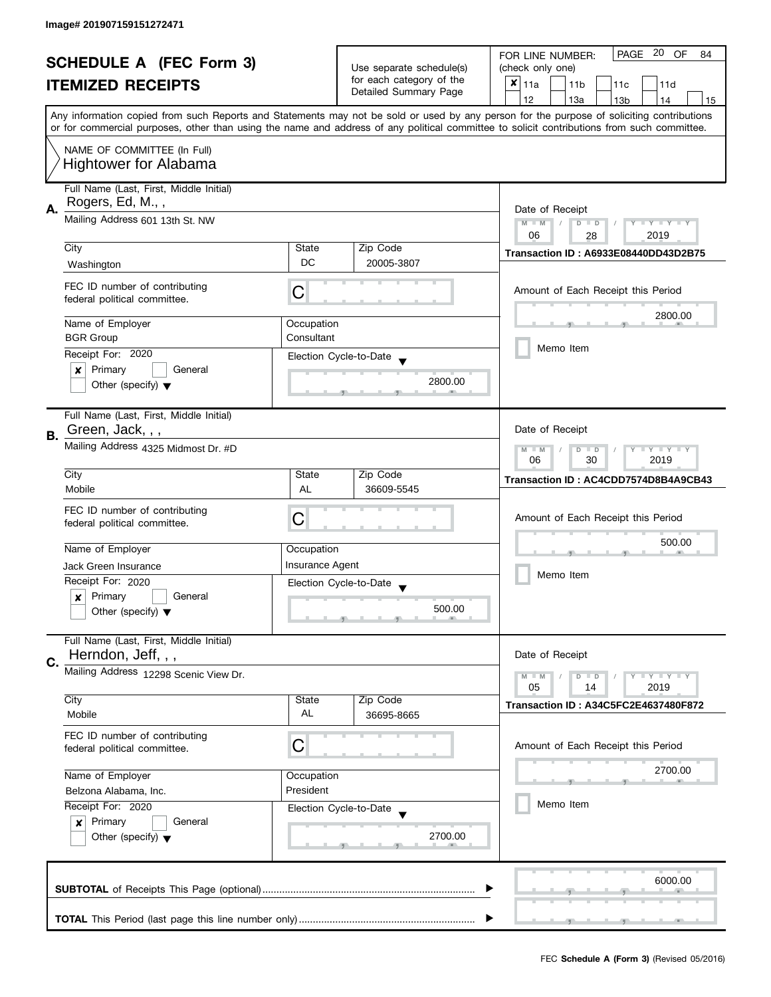| <b>SCHEDULE A (FEC Form 3)</b> |                                                                                |                        | PAGE 20<br>OF<br>FOR LINE NUMBER:<br>84        |                                                                                                                                            |  |
|--------------------------------|--------------------------------------------------------------------------------|------------------------|------------------------------------------------|--------------------------------------------------------------------------------------------------------------------------------------------|--|
|                                |                                                                                |                        | Use separate schedule(s)                       | (check only one)                                                                                                                           |  |
|                                | <b>ITEMIZED RECEIPTS</b>                                                       |                        | for each category of the                       | $x _{11a}$<br>11 <sub>b</sub><br>11c<br>11d                                                                                                |  |
|                                |                                                                                |                        | Detailed Summary Page                          | 12<br>13a<br>13 <sub>b</sub><br>14<br>15                                                                                                   |  |
|                                |                                                                                |                        |                                                | Any information copied from such Reports and Statements may not be sold or used by any person for the purpose of soliciting contributions  |  |
|                                |                                                                                |                        |                                                | or for commercial purposes, other than using the name and address of any political committee to solicit contributions from such committee. |  |
|                                | NAME OF COMMITTEE (In Full)                                                    |                        |                                                |                                                                                                                                            |  |
|                                | <b>Hightower for Alabama</b>                                                   |                        |                                                |                                                                                                                                            |  |
|                                |                                                                                |                        |                                                |                                                                                                                                            |  |
|                                | Full Name (Last, First, Middle Initial)                                        |                        |                                                |                                                                                                                                            |  |
| А.                             | Rogers, Ed, M.,,                                                               | Date of Receipt        |                                                |                                                                                                                                            |  |
|                                | Mailing Address 601 13th St. NW                                                |                        |                                                | Y TY TY TY<br>$M - M$<br>$D$ $D$                                                                                                           |  |
|                                |                                                                                |                        |                                                | 06<br>2019<br>28                                                                                                                           |  |
|                                | City                                                                           | State                  | Zip Code                                       | <b>Transaction ID: A6933E08440DD43D2B75</b>                                                                                                |  |
|                                | Washington                                                                     | DC                     | 20005-3807                                     |                                                                                                                                            |  |
|                                |                                                                                |                        |                                                |                                                                                                                                            |  |
|                                | FEC ID number of contributing                                                  | С                      |                                                | Amount of Each Receipt this Period                                                                                                         |  |
|                                | federal political committee.                                                   |                        |                                                |                                                                                                                                            |  |
|                                | Name of Employer                                                               | Occupation             |                                                | 2800.00                                                                                                                                    |  |
|                                | <b>BGR Group</b>                                                               | Consultant             |                                                |                                                                                                                                            |  |
|                                | Receipt For: 2020                                                              |                        |                                                | Memo Item                                                                                                                                  |  |
|                                | General                                                                        |                        | Election Cycle-to-Date                         |                                                                                                                                            |  |
|                                | Primary<br>×                                                                   |                        | 2800.00                                        |                                                                                                                                            |  |
|                                | Other (specify) $\blacktriangledown$                                           |                        |                                                |                                                                                                                                            |  |
|                                |                                                                                |                        |                                                |                                                                                                                                            |  |
|                                | Full Name (Last, First, Middle Initial)<br>Green, Jack, , ,                    |                        |                                                |                                                                                                                                            |  |
| В.                             |                                                                                |                        |                                                | Date of Receipt                                                                                                                            |  |
|                                | Mailing Address 4325 Midmost Dr. #D                                            |                        |                                                | $Y - Y - Y - Y - Y$<br>$M - M$<br>$D$ $D$                                                                                                  |  |
|                                |                                                                                |                        |                                                | 06<br>30<br>2019                                                                                                                           |  |
|                                | City                                                                           | State                  | Zip Code                                       | Transaction ID: AC4CDD7574D8B4A9CB43                                                                                                       |  |
|                                | Mobile                                                                         | AL                     | 36609-5545                                     |                                                                                                                                            |  |
|                                | FEC ID number of contributing                                                  |                        |                                                |                                                                                                                                            |  |
|                                | federal political committee.                                                   | С                      |                                                | Amount of Each Receipt this Period                                                                                                         |  |
|                                |                                                                                |                        |                                                | 500.00                                                                                                                                     |  |
|                                | Name of Employer                                                               | Occupation             |                                                |                                                                                                                                            |  |
|                                | Jack Green Insurance                                                           | <b>Insurance Agent</b> |                                                | Memo Item                                                                                                                                  |  |
|                                | Receipt For: 2020                                                              |                        | Election Cycle-to-Date<br>$\blacktriangledown$ |                                                                                                                                            |  |
|                                | Primary<br>General<br>x                                                        |                        |                                                |                                                                                                                                            |  |
|                                | Other (specify) $\blacktriangledown$                                           |                        | 500.00                                         |                                                                                                                                            |  |
|                                |                                                                                |                        |                                                |                                                                                                                                            |  |
|                                | Full Name (Last, First, Middle Initial)                                        |                        |                                                |                                                                                                                                            |  |
| C.                             | Herndon, Jeff, , ,                                                             |                        |                                                | Date of Receipt                                                                                                                            |  |
|                                | Mailing Address 12298 Scenic View Dr.                                          |                        |                                                | <b>LYLYLY</b><br>$M - M$<br>$D$ $D$                                                                                                        |  |
|                                |                                                                                |                        |                                                | 05<br>2019<br>14                                                                                                                           |  |
|                                | City                                                                           | State                  | Zip Code                                       | <b>Transaction ID: A34C5FC2E4637480F872</b>                                                                                                |  |
|                                | Mobile                                                                         | AL                     | 36695-8665                                     |                                                                                                                                            |  |
|                                | FEC ID number of contributing                                                  |                        |                                                |                                                                                                                                            |  |
|                                | federal political committee.                                                   | C                      |                                                | Amount of Each Receipt this Period                                                                                                         |  |
|                                |                                                                                |                        |                                                |                                                                                                                                            |  |
|                                | Name of Employer                                                               | Occupation             |                                                | 2700.00                                                                                                                                    |  |
|                                | President<br>Belzona Alabama, Inc.                                             |                        |                                                |                                                                                                                                            |  |
|                                | Receipt For: 2020                                                              |                        | Election Cycle-to-Date                         | Memo Item                                                                                                                                  |  |
|                                | Primary<br>General<br>$\boldsymbol{x}$<br>Other (specify) $\blacktriangledown$ |                        |                                                |                                                                                                                                            |  |
|                                |                                                                                |                        | 2700.00                                        |                                                                                                                                            |  |
|                                |                                                                                |                        |                                                |                                                                                                                                            |  |
|                                |                                                                                |                        |                                                |                                                                                                                                            |  |
|                                |                                                                                |                        |                                                | 6000.00                                                                                                                                    |  |
|                                |                                                                                |                        |                                                |                                                                                                                                            |  |
|                                |                                                                                |                        |                                                |                                                                                                                                            |  |
|                                |                                                                                |                        |                                                |                                                                                                                                            |  |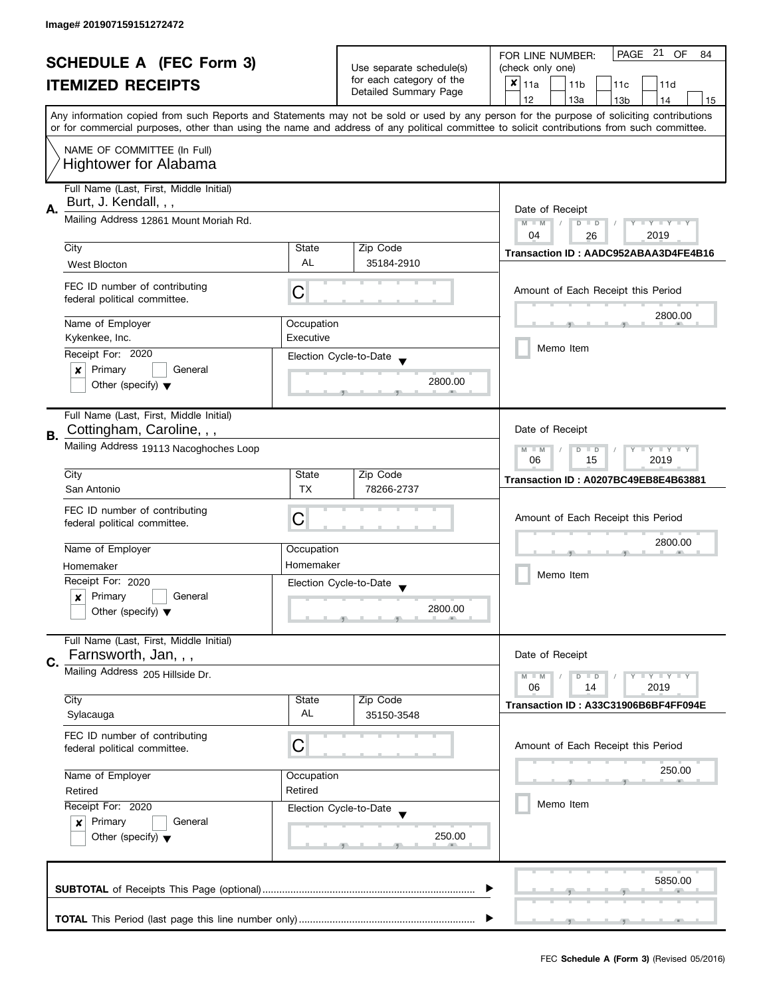| <b>SCHEDULE A (FEC Form 3)</b><br><b>ITEMIZED RECEIPTS</b> |                                                                                                      |            | PAGE 21<br><b>OF</b><br>FOR LINE NUMBER:<br>84 |                                                                                                                                            |  |  |  |
|------------------------------------------------------------|------------------------------------------------------------------------------------------------------|------------|------------------------------------------------|--------------------------------------------------------------------------------------------------------------------------------------------|--|--|--|
|                                                            |                                                                                                      |            | Use separate schedule(s)                       | (check only one)                                                                                                                           |  |  |  |
|                                                            |                                                                                                      |            | for each category of the                       | $x _{11a}$<br>11 <sub>b</sub><br>11 <sub>c</sub><br>11d                                                                                    |  |  |  |
|                                                            |                                                                                                      |            | Detailed Summary Page                          | 12<br>13a<br>13 <sub>b</sub><br>14<br>15                                                                                                   |  |  |  |
|                                                            |                                                                                                      |            |                                                | Any information copied from such Reports and Statements may not be sold or used by any person for the purpose of soliciting contributions  |  |  |  |
|                                                            |                                                                                                      |            |                                                | or for commercial purposes, other than using the name and address of any political committee to solicit contributions from such committee. |  |  |  |
|                                                            |                                                                                                      |            |                                                |                                                                                                                                            |  |  |  |
|                                                            | NAME OF COMMITTEE (In Full)                                                                          |            |                                                |                                                                                                                                            |  |  |  |
|                                                            | <b>Hightower for Alabama</b>                                                                         |            |                                                |                                                                                                                                            |  |  |  |
|                                                            | Full Name (Last, First, Middle Initial)                                                              |            |                                                |                                                                                                                                            |  |  |  |
|                                                            | Burt, J. Kendall, , ,                                                                                |            |                                                |                                                                                                                                            |  |  |  |
| А.                                                         |                                                                                                      |            |                                                | Date of Receipt                                                                                                                            |  |  |  |
|                                                            | Mailing Address 12861 Mount Moriah Rd.                                                               |            |                                                | $M - M$<br>$D$ $D$<br>$Y - Y - Y - Y - Y$<br>$\sqrt{2}$                                                                                    |  |  |  |
|                                                            |                                                                                                      |            |                                                | 04<br>2019<br>26                                                                                                                           |  |  |  |
|                                                            | City                                                                                                 | State      | Zip Code                                       | Transaction ID: AADC952ABAA3D4FE4B16                                                                                                       |  |  |  |
|                                                            | <b>West Blocton</b>                                                                                  | <b>AL</b>  | 35184-2910                                     |                                                                                                                                            |  |  |  |
|                                                            |                                                                                                      |            |                                                |                                                                                                                                            |  |  |  |
|                                                            | FEC ID number of contributing<br>federal political committee.                                        | C          |                                                | Amount of Each Receipt this Period                                                                                                         |  |  |  |
|                                                            |                                                                                                      |            |                                                |                                                                                                                                            |  |  |  |
|                                                            | Name of Employer                                                                                     | Occupation |                                                | 2800.00                                                                                                                                    |  |  |  |
|                                                            | Kykenkee, Inc.                                                                                       | Executive  |                                                |                                                                                                                                            |  |  |  |
|                                                            | Receipt For: 2020                                                                                    |            |                                                | Memo Item                                                                                                                                  |  |  |  |
|                                                            | General                                                                                              |            | Election Cycle-to-Date                         |                                                                                                                                            |  |  |  |
|                                                            | Primary<br>X                                                                                         |            | 2800.00                                        |                                                                                                                                            |  |  |  |
|                                                            | Other (specify) $\blacktriangledown$                                                                 |            |                                                |                                                                                                                                            |  |  |  |
|                                                            |                                                                                                      |            |                                                |                                                                                                                                            |  |  |  |
|                                                            | Full Name (Last, First, Middle Initial)                                                              |            |                                                |                                                                                                                                            |  |  |  |
| В.                                                         | Cottingham, Caroline, , ,                                                                            |            |                                                | Date of Receipt                                                                                                                            |  |  |  |
|                                                            | Mailing Address 19113 Nacoghoches Loop                                                               |            |                                                | $Y = Y = Y$<br>$-M$<br>D<br>$\Box$                                                                                                         |  |  |  |
|                                                            |                                                                                                      |            |                                                | 06<br>15<br>2019                                                                                                                           |  |  |  |
|                                                            | City                                                                                                 | State      | Zip Code                                       | Transaction ID: A0207BC49EB8E4B63881                                                                                                       |  |  |  |
|                                                            | San Antonio                                                                                          | <b>TX</b>  | 78266-2737                                     |                                                                                                                                            |  |  |  |
|                                                            |                                                                                                      |            |                                                |                                                                                                                                            |  |  |  |
|                                                            | FEC ID number of contributing<br>federal political committee.                                        | C          |                                                | Amount of Each Receipt this Period                                                                                                         |  |  |  |
|                                                            |                                                                                                      |            |                                                |                                                                                                                                            |  |  |  |
|                                                            | Name of Employer                                                                                     | Occupation |                                                | 2800.00                                                                                                                                    |  |  |  |
|                                                            | Homemaker                                                                                            | Homemaker  |                                                |                                                                                                                                            |  |  |  |
|                                                            |                                                                                                      |            |                                                | Memo Item                                                                                                                                  |  |  |  |
|                                                            | Receipt For: 2020                                                                                    |            | Election Cycle-to-Date                         |                                                                                                                                            |  |  |  |
|                                                            | Primary<br>General<br>x                                                                              |            |                                                |                                                                                                                                            |  |  |  |
|                                                            | Other (specify) $\blacktriangledown$                                                                 |            | 2800.00                                        |                                                                                                                                            |  |  |  |
|                                                            |                                                                                                      |            |                                                |                                                                                                                                            |  |  |  |
|                                                            | Full Name (Last, First, Middle Initial)                                                              |            |                                                |                                                                                                                                            |  |  |  |
| C.                                                         | Farnsworth, Jan, , ,                                                                                 |            |                                                | Date of Receipt                                                                                                                            |  |  |  |
|                                                            | Mailing Address 205 Hillside Dr.                                                                     |            |                                                | $Y = Y + Y$<br>$M - M$<br>$\blacksquare$                                                                                                   |  |  |  |
|                                                            |                                                                                                      |            |                                                | 06<br>2019<br>14                                                                                                                           |  |  |  |
|                                                            | City                                                                                                 | State      | Zip Code                                       | Transaction ID: A33C31906B6BF4FF094E                                                                                                       |  |  |  |
|                                                            | Sylacauga                                                                                            | AL         | 35150-3548                                     |                                                                                                                                            |  |  |  |
|                                                            | FEC ID number of contributing                                                                        |            |                                                |                                                                                                                                            |  |  |  |
|                                                            | federal political committee.                                                                         | C          |                                                | Amount of Each Receipt this Period                                                                                                         |  |  |  |
|                                                            |                                                                                                      |            |                                                |                                                                                                                                            |  |  |  |
|                                                            | Name of Employer<br>Occupation                                                                       |            |                                                | 250.00                                                                                                                                     |  |  |  |
|                                                            | Retired                                                                                              | Retired    |                                                |                                                                                                                                            |  |  |  |
|                                                            | Receipt For: 2020                                                                                    |            |                                                | Memo Item                                                                                                                                  |  |  |  |
|                                                            | Election Cycle-to-Date<br>Primary<br>General<br>$\mathsf{x}$<br>Other (specify) $\blacktriangledown$ |            |                                                |                                                                                                                                            |  |  |  |
|                                                            |                                                                                                      |            |                                                |                                                                                                                                            |  |  |  |
|                                                            |                                                                                                      |            | 250.00                                         |                                                                                                                                            |  |  |  |
|                                                            |                                                                                                      |            |                                                |                                                                                                                                            |  |  |  |
|                                                            |                                                                                                      |            |                                                |                                                                                                                                            |  |  |  |
|                                                            |                                                                                                      |            |                                                | 5850.00                                                                                                                                    |  |  |  |
|                                                            |                                                                                                      |            |                                                |                                                                                                                                            |  |  |  |
|                                                            |                                                                                                      |            |                                                |                                                                                                                                            |  |  |  |
|                                                            |                                                                                                      |            |                                                |                                                                                                                                            |  |  |  |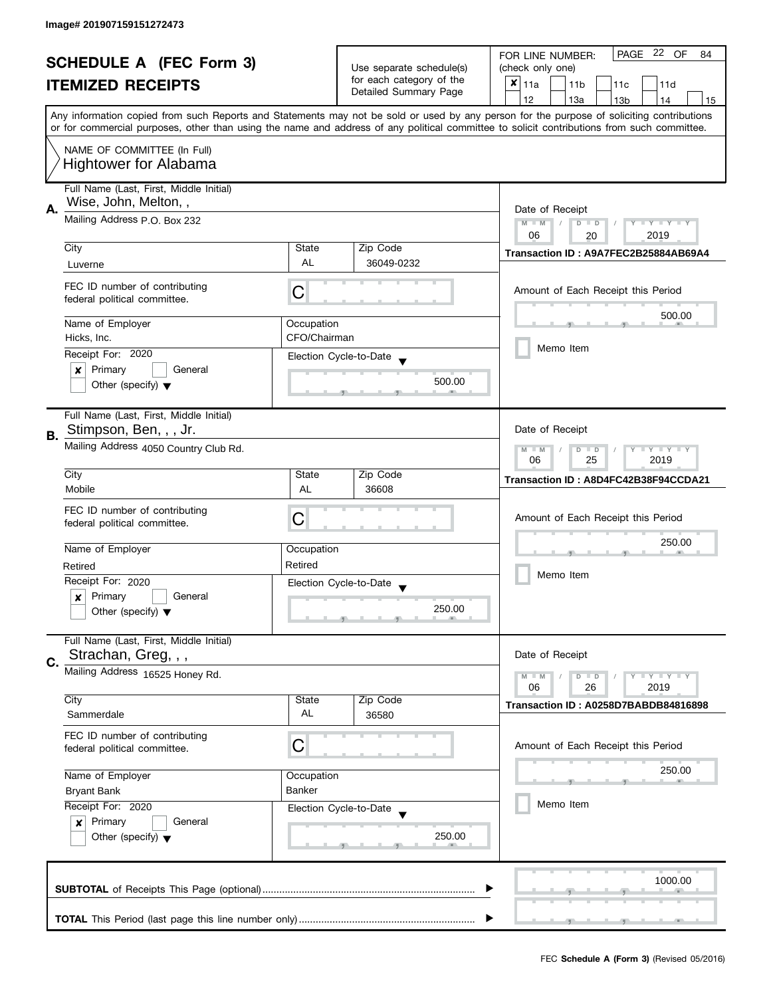|                                |                                                                                |                          |                          | PAGE 22 OF<br>FOR LINE NUMBER:<br>84                                                                                                                                                                                                                                                    |  |
|--------------------------------|--------------------------------------------------------------------------------|--------------------------|--------------------------|-----------------------------------------------------------------------------------------------------------------------------------------------------------------------------------------------------------------------------------------------------------------------------------------|--|
| <b>SCHEDULE A (FEC Form 3)</b> |                                                                                | Use separate schedule(s) | (check only one)         |                                                                                                                                                                                                                                                                                         |  |
|                                | <b>ITEMIZED RECEIPTS</b>                                                       |                          | for each category of the | $x _{11a}$<br>11 <sub>b</sub><br>11c<br>11d                                                                                                                                                                                                                                             |  |
|                                |                                                                                |                          | Detailed Summary Page    | 12<br>13a<br>14<br>13 <sub>b</sub><br>15                                                                                                                                                                                                                                                |  |
|                                |                                                                                |                          |                          | Any information copied from such Reports and Statements may not be sold or used by any person for the purpose of soliciting contributions<br>or for commercial purposes, other than using the name and address of any political committee to solicit contributions from such committee. |  |
|                                | NAME OF COMMITTEE (In Full)                                                    |                          |                          |                                                                                                                                                                                                                                                                                         |  |
|                                | <b>Hightower for Alabama</b>                                                   |                          |                          |                                                                                                                                                                                                                                                                                         |  |
|                                | Full Name (Last, First, Middle Initial)<br>Wise, John, Melton, ,               |                          |                          | Date of Receipt                                                                                                                                                                                                                                                                         |  |
|                                | А.<br>Mailing Address P.O. Box 232                                             |                          |                          | $M - M$<br>$D$ $D$<br>$Y - Y - Y - Y - Y$<br>06<br>2019<br>20                                                                                                                                                                                                                           |  |
|                                | City                                                                           | State                    | Zip Code                 | Transaction ID: A9A7FEC2B25884AB69A4                                                                                                                                                                                                                                                    |  |
|                                | Luverne                                                                        | AL                       | 36049-0232               |                                                                                                                                                                                                                                                                                         |  |
|                                | FEC ID number of contributing<br>federal political committee.                  | С                        |                          | Amount of Each Receipt this Period                                                                                                                                                                                                                                                      |  |
|                                | Name of Employer                                                               | Occupation               |                          | 500.00                                                                                                                                                                                                                                                                                  |  |
|                                | Hicks, Inc.                                                                    | CFO/Chairman             |                          |                                                                                                                                                                                                                                                                                         |  |
|                                | Receipt For: 2020                                                              |                          | Election Cycle-to-Date   | Memo Item                                                                                                                                                                                                                                                                               |  |
|                                | $\pmb{\times}$<br>Primary<br>General                                           |                          |                          |                                                                                                                                                                                                                                                                                         |  |
|                                | Other (specify) $\blacktriangledown$                                           |                          | 500.00                   |                                                                                                                                                                                                                                                                                         |  |
|                                | Full Name (Last, First, Middle Initial)                                        |                          |                          |                                                                                                                                                                                                                                                                                         |  |
| В.                             | Stimpson, Ben, , , Jr.                                                         |                          |                          | Date of Receipt                                                                                                                                                                                                                                                                         |  |
|                                | Mailing Address 4050 Country Club Rd.                                          |                          |                          | <b>LYLYLY</b><br>$M - M$<br>$D$ $D$<br>25<br>06<br>2019                                                                                                                                                                                                                                 |  |
|                                | City                                                                           | State                    | Zip Code                 | Transaction ID: A8D4FC42B38F94CCDA21                                                                                                                                                                                                                                                    |  |
|                                | Mobile                                                                         | AL                       | 36608                    |                                                                                                                                                                                                                                                                                         |  |
|                                | FEC ID number of contributing                                                  | C                        |                          | Amount of Each Receipt this Period                                                                                                                                                                                                                                                      |  |
|                                | federal political committee.                                                   |                          |                          |                                                                                                                                                                                                                                                                                         |  |
|                                | Name of Employer                                                               | Occupation               |                          | 250.00                                                                                                                                                                                                                                                                                  |  |
|                                | Retired                                                                        | Retired                  |                          |                                                                                                                                                                                                                                                                                         |  |
|                                | Receipt For: 2020                                                              |                          | Election Cycle-to-Date   | Memo Item                                                                                                                                                                                                                                                                               |  |
|                                | Primary<br>General<br>$\boldsymbol{x}$                                         |                          |                          |                                                                                                                                                                                                                                                                                         |  |
|                                | Other (specify) $\blacktriangledown$                                           |                          | 250.00                   |                                                                                                                                                                                                                                                                                         |  |
| C.                             | Full Name (Last, First, Middle Initial)<br>Strachan, Greg, , ,                 |                          |                          | Date of Receipt                                                                                                                                                                                                                                                                         |  |
|                                | Mailing Address 16525 Honey Rd.                                                |                          |                          | <b>LYLYLY</b><br>$M - M$<br>$D$ $D$<br>06<br>26<br>2019                                                                                                                                                                                                                                 |  |
|                                | City                                                                           | State                    | Zip Code                 | Transaction ID: A0258D7BABDB84816898                                                                                                                                                                                                                                                    |  |
|                                | Sammerdale                                                                     | AL                       | 36580                    |                                                                                                                                                                                                                                                                                         |  |
|                                | FEC ID number of contributing<br>federal political committee.                  | C                        |                          | Amount of Each Receipt this Period                                                                                                                                                                                                                                                      |  |
|                                | Name of Employer<br>Occupation<br>Banker<br><b>Bryant Bank</b>                 |                          |                          | 250.00                                                                                                                                                                                                                                                                                  |  |
|                                |                                                                                |                          |                          |                                                                                                                                                                                                                                                                                         |  |
|                                | Receipt For: 2020                                                              |                          | Election Cycle-to-Date   | Memo Item                                                                                                                                                                                                                                                                               |  |
|                                | Primary<br>General<br>$\boldsymbol{x}$<br>Other (specify) $\blacktriangledown$ |                          |                          |                                                                                                                                                                                                                                                                                         |  |
|                                |                                                                                |                          | 250.00                   |                                                                                                                                                                                                                                                                                         |  |
|                                |                                                                                |                          |                          | 1000.00                                                                                                                                                                                                                                                                                 |  |
|                                |                                                                                |                          |                          |                                                                                                                                                                                                                                                                                         |  |
|                                |                                                                                |                          |                          |                                                                                                                                                                                                                                                                                         |  |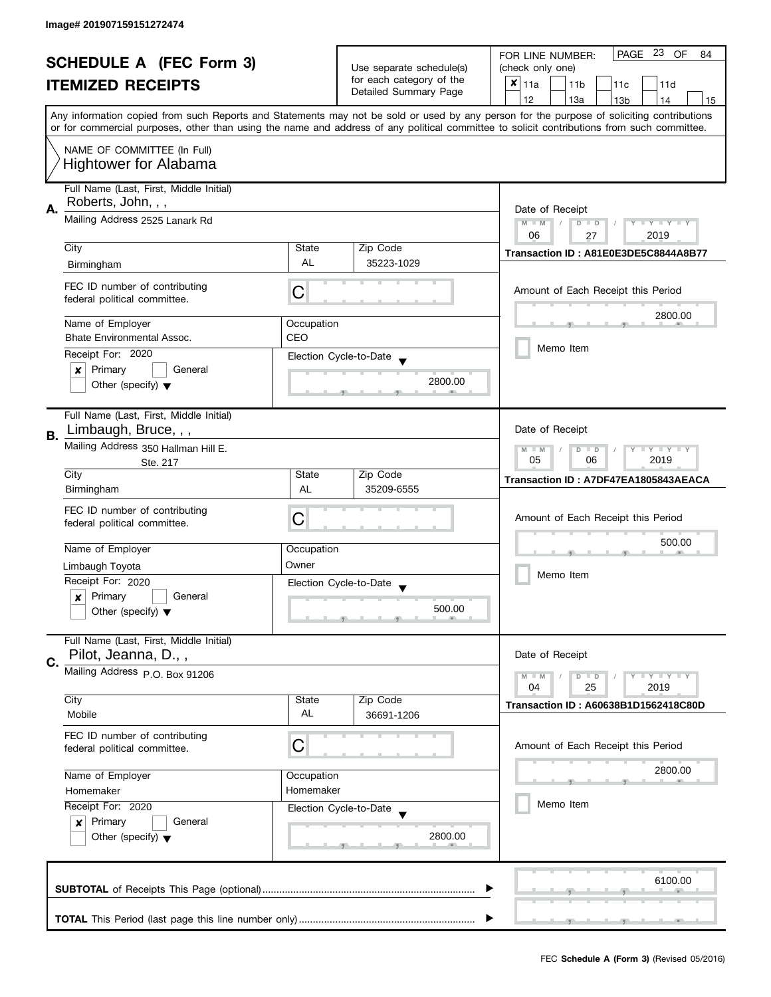| <b>SCHEDULE A (FEC Form 3)</b><br><b>ITEMIZED RECEIPTS</b> |                                                                       | Use separate schedule(s) | PAGE 23 OF<br>FOR LINE NUMBER:<br>84<br>(check only one) |                                                                                                                                            |
|------------------------------------------------------------|-----------------------------------------------------------------------|--------------------------|----------------------------------------------------------|--------------------------------------------------------------------------------------------------------------------------------------------|
|                                                            |                                                                       | for each category of the |                                                          |                                                                                                                                            |
|                                                            |                                                                       |                          | Detailed Summary Page                                    | $x _{11a}$<br>11 <sub>b</sub><br>11 <sub>c</sub><br>11d                                                                                    |
|                                                            |                                                                       |                          |                                                          | 12<br>13a<br>13 <sub>b</sub><br>14<br>15                                                                                                   |
|                                                            |                                                                       |                          |                                                          | Any information copied from such Reports and Statements may not be sold or used by any person for the purpose of soliciting contributions  |
|                                                            |                                                                       |                          |                                                          | or for commercial purposes, other than using the name and address of any political committee to solicit contributions from such committee. |
|                                                            |                                                                       |                          |                                                          |                                                                                                                                            |
|                                                            | NAME OF COMMITTEE (In Full)                                           |                          |                                                          |                                                                                                                                            |
|                                                            | <b>Hightower for Alabama</b>                                          |                          |                                                          |                                                                                                                                            |
|                                                            |                                                                       |                          |                                                          |                                                                                                                                            |
|                                                            | Full Name (Last, First, Middle Initial)                               |                          |                                                          |                                                                                                                                            |
| А.                                                         | Roberts, John, , ,                                                    | Date of Receipt          |                                                          |                                                                                                                                            |
|                                                            | Mailing Address 2525 Lanark Rd                                        |                          |                                                          | $M - M$<br>$\sqrt{ }$<br>$D$ $D$<br>$Y - Y - Y - Y - Y$                                                                                    |
|                                                            |                                                                       |                          |                                                          | 06<br>2019<br>27                                                                                                                           |
|                                                            | City                                                                  | State                    | Zip Code                                                 |                                                                                                                                            |
|                                                            |                                                                       | <b>AL</b>                |                                                          | Transaction ID: A81E0E3DE5C8844A8B77                                                                                                       |
|                                                            | Birmingham                                                            |                          | 35223-1029                                               |                                                                                                                                            |
|                                                            | FEC ID number of contributing                                         |                          |                                                          |                                                                                                                                            |
|                                                            | federal political committee.                                          | C                        |                                                          | Amount of Each Receipt this Period                                                                                                         |
|                                                            |                                                                       |                          |                                                          |                                                                                                                                            |
|                                                            | Name of Employer                                                      | Occupation               |                                                          | 2800.00                                                                                                                                    |
|                                                            | Bhate Environmental Assoc.                                            | CEO                      |                                                          |                                                                                                                                            |
|                                                            |                                                                       |                          |                                                          | Memo Item                                                                                                                                  |
|                                                            | Receipt For: 2020                                                     |                          | Election Cycle-to-Date                                   |                                                                                                                                            |
|                                                            | General<br>Primary<br>×                                               |                          |                                                          |                                                                                                                                            |
|                                                            | Other (specify) $\blacktriangledown$                                  |                          | 2800.00                                                  |                                                                                                                                            |
|                                                            |                                                                       |                          |                                                          |                                                                                                                                            |
|                                                            | Full Name (Last, First, Middle Initial)                               |                          |                                                          |                                                                                                                                            |
|                                                            | Limbaugh, Bruce, , ,                                                  |                          |                                                          | Date of Receipt                                                                                                                            |
| В.                                                         | Mailing Address 350 Hallman Hill E.                                   |                          |                                                          |                                                                                                                                            |
|                                                            |                                                                       |                          |                                                          | $Y = Y = Y$<br>$-M$<br>D<br>$\Box$<br>2019<br>05<br>06                                                                                     |
|                                                            | Ste. 217<br>City                                                      | State                    | Zip Code                                                 |                                                                                                                                            |
|                                                            |                                                                       |                          |                                                          | Transaction ID: A7DF47EA1805843AEACA                                                                                                       |
|                                                            | Birmingham                                                            | <b>AL</b>                | 35209-6555                                               |                                                                                                                                            |
|                                                            | FEC ID number of contributing                                         |                          |                                                          |                                                                                                                                            |
|                                                            | federal political committee.                                          | C                        |                                                          | Amount of Each Receipt this Period                                                                                                         |
|                                                            |                                                                       |                          |                                                          | 500.00                                                                                                                                     |
|                                                            | Name of Employer                                                      | Occupation               |                                                          |                                                                                                                                            |
|                                                            | Limbaugh Toyota                                                       | Owner                    |                                                          |                                                                                                                                            |
|                                                            | Receipt For: 2020                                                     |                          | Election Cycle-to-Date                                   | Memo Item                                                                                                                                  |
|                                                            | Primary<br>General<br>x                                               |                          |                                                          |                                                                                                                                            |
|                                                            | Other (specify) $\blacktriangledown$                                  |                          | 500.00                                                   |                                                                                                                                            |
|                                                            |                                                                       |                          |                                                          |                                                                                                                                            |
|                                                            | Full Name (Last, First, Middle Initial)                               |                          |                                                          |                                                                                                                                            |
|                                                            | Pilot, Jeanna, D.,,                                                   |                          |                                                          | Date of Receipt                                                                                                                            |
| C.                                                         |                                                                       |                          |                                                          |                                                                                                                                            |
|                                                            | Mailing Address P.O. Box 91206                                        |                          |                                                          | $Y = Y + Y$<br>$M - M$<br>$\blacksquare$                                                                                                   |
|                                                            |                                                                       |                          |                                                          | 2019<br>04<br>25                                                                                                                           |
|                                                            | City                                                                  | State                    | Zip Code                                                 | Transaction ID: A60638B1D1562418C80D                                                                                                       |
|                                                            | Mobile                                                                | AL                       | 36691-1206                                               |                                                                                                                                            |
|                                                            | FEC ID number of contributing                                         |                          |                                                          |                                                                                                                                            |
|                                                            | federal political committee.                                          | C                        |                                                          | Amount of Each Receipt this Period                                                                                                         |
|                                                            |                                                                       |                          |                                                          |                                                                                                                                            |
|                                                            | Name of Employer                                                      | Occupation               |                                                          | 2800.00                                                                                                                                    |
|                                                            | Homemaker<br>Homemaker<br>Receipt For: 2020<br>Election Cycle-to-Date |                          |                                                          |                                                                                                                                            |
|                                                            |                                                                       |                          |                                                          | Memo Item                                                                                                                                  |
|                                                            |                                                                       |                          |                                                          |                                                                                                                                            |
|                                                            | Primary<br>General<br>$\boldsymbol{x}$                                |                          |                                                          |                                                                                                                                            |
|                                                            | Other (specify) $\blacktriangledown$                                  |                          | 2800.00                                                  |                                                                                                                                            |
|                                                            |                                                                       |                          |                                                          |                                                                                                                                            |
|                                                            |                                                                       |                          |                                                          |                                                                                                                                            |
|                                                            |                                                                       |                          |                                                          | 6100.00                                                                                                                                    |
|                                                            |                                                                       |                          |                                                          |                                                                                                                                            |
|                                                            |                                                                       |                          |                                                          |                                                                                                                                            |
|                                                            |                                                                       |                          |                                                          |                                                                                                                                            |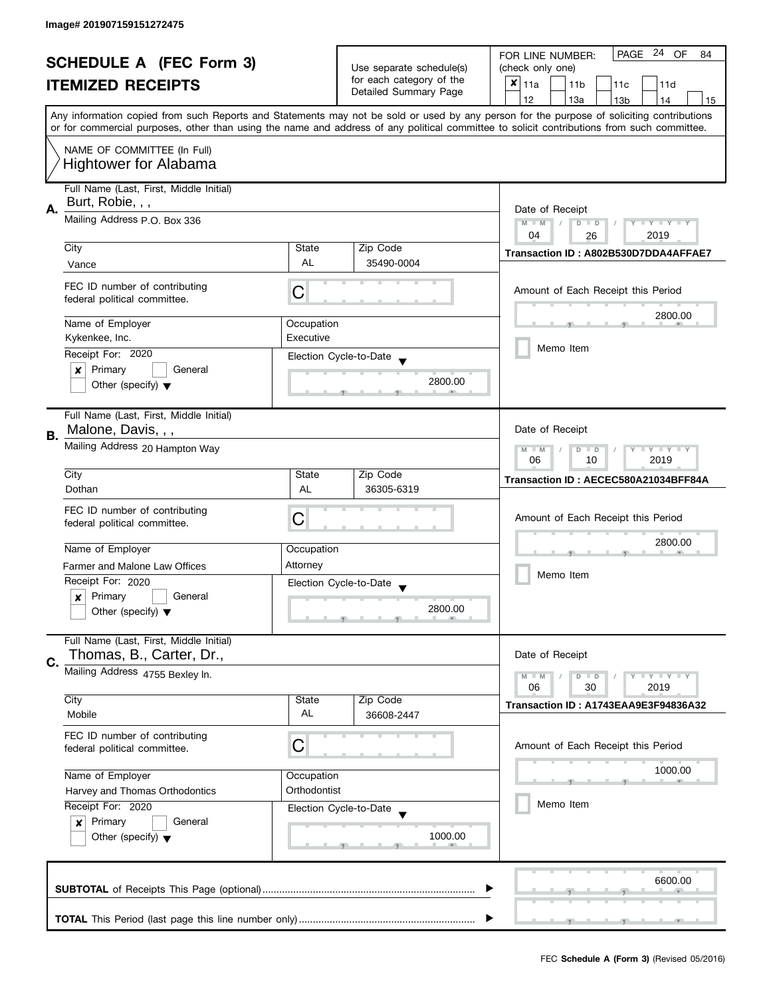| <b>SCHEDULE A (FEC Form 3)</b><br><b>ITEMIZED RECEIPTS</b> |                                                | Use separate schedule(s) | PAGE 24 OF<br>FOR LINE NUMBER:<br>84 |                                                                                                                                            |  |
|------------------------------------------------------------|------------------------------------------------|--------------------------|--------------------------------------|--------------------------------------------------------------------------------------------------------------------------------------------|--|
|                                                            |                                                |                          | (check only one)                     |                                                                                                                                            |  |
|                                                            |                                                |                          | for each category of the             | $x _{11a}$<br>11 <sub>b</sub><br>11 <sub>c</sub><br>11d                                                                                    |  |
|                                                            |                                                |                          | Detailed Summary Page                | 12<br>13a<br>13 <sub>b</sub><br>14<br>15                                                                                                   |  |
|                                                            |                                                |                          |                                      | Any information copied from such Reports and Statements may not be sold or used by any person for the purpose of soliciting contributions  |  |
|                                                            |                                                |                          |                                      | or for commercial purposes, other than using the name and address of any political committee to solicit contributions from such committee. |  |
|                                                            |                                                |                          |                                      |                                                                                                                                            |  |
|                                                            | NAME OF COMMITTEE (In Full)                    |                          |                                      |                                                                                                                                            |  |
|                                                            | <b>Hightower for Alabama</b>                   |                          |                                      |                                                                                                                                            |  |
|                                                            | Full Name (Last, First, Middle Initial)        |                          |                                      |                                                                                                                                            |  |
|                                                            | Burt, Robie, , ,                               |                          |                                      |                                                                                                                                            |  |
| Α.                                                         | Mailing Address P.O. Box 336                   |                          |                                      | Date of Receipt                                                                                                                            |  |
|                                                            |                                                |                          |                                      | $M - M$<br>$\sqrt{ }$<br>$D$ $D$<br>$Y - Y - Y - Y - Y$<br>04<br>2019<br>26                                                                |  |
|                                                            | City                                           | State                    | Zip Code                             |                                                                                                                                            |  |
|                                                            | Vance                                          | <b>AL</b>                | 35490-0004                           | Transaction ID: A802B530D7DDA4AFFAE7                                                                                                       |  |
|                                                            |                                                |                          |                                      |                                                                                                                                            |  |
|                                                            | FEC ID number of contributing                  | С                        |                                      | Amount of Each Receipt this Period                                                                                                         |  |
|                                                            | federal political committee.                   |                          |                                      |                                                                                                                                            |  |
|                                                            |                                                |                          |                                      | 2800.00                                                                                                                                    |  |
|                                                            | Name of Employer<br>Kykenkee, Inc.             | Occupation               |                                      |                                                                                                                                            |  |
|                                                            |                                                | Executive                |                                      | Memo Item                                                                                                                                  |  |
|                                                            | Receipt For: 2020                              |                          | Election Cycle-to-Date               |                                                                                                                                            |  |
|                                                            | Primary<br>General<br>x                        |                          |                                      |                                                                                                                                            |  |
|                                                            | Other (specify) $\blacktriangledown$           |                          | 2800.00                              |                                                                                                                                            |  |
|                                                            |                                                |                          |                                      |                                                                                                                                            |  |
|                                                            | Full Name (Last, First, Middle Initial)        |                          |                                      |                                                                                                                                            |  |
| В.                                                         | Malone, Davis, , ,                             |                          |                                      | Date of Receipt                                                                                                                            |  |
|                                                            | Mailing Address 20 Hampton Way                 |                          |                                      | $\bot$ $\gamma$ $\bot$ $\gamma$ $\bot$ $\gamma$<br>$M - M$<br>D<br>$\Box$                                                                  |  |
|                                                            |                                                |                          |                                      | 2019<br>06<br>10                                                                                                                           |  |
|                                                            | City                                           | State                    | Zip Code                             | Transaction ID: AECEC580A21034BFF84A                                                                                                       |  |
|                                                            | Dothan                                         | <b>AL</b>                | 36305-6319                           |                                                                                                                                            |  |
|                                                            | FEC ID number of contributing                  |                          |                                      |                                                                                                                                            |  |
|                                                            | federal political committee.                   | С                        |                                      | Amount of Each Receipt this Period                                                                                                         |  |
|                                                            |                                                |                          |                                      | 2800.00                                                                                                                                    |  |
|                                                            | Name of Employer                               | Occupation               |                                      |                                                                                                                                            |  |
|                                                            | Farmer and Malone Law Offices                  | Attorney                 |                                      | Memo Item                                                                                                                                  |  |
|                                                            | Receipt For: 2020                              |                          | Election Cycle-to-Date               |                                                                                                                                            |  |
|                                                            | Primary<br>General<br>x                        |                          |                                      |                                                                                                                                            |  |
|                                                            | Other (specify) $\blacktriangledown$           |                          | 2800.00                              |                                                                                                                                            |  |
|                                                            |                                                |                          |                                      |                                                                                                                                            |  |
|                                                            | Full Name (Last, First, Middle Initial)        |                          |                                      |                                                                                                                                            |  |
| C.                                                         | Thomas, B., Carter, Dr.,                       |                          |                                      | Date of Receipt                                                                                                                            |  |
|                                                            | Mailing Address 4755 Bexley In.                |                          |                                      | $Y = Y = Y$<br>$M - M$<br>D<br>$\Box$                                                                                                      |  |
|                                                            |                                                |                          |                                      | 06<br>30<br>2019                                                                                                                           |  |
|                                                            | City                                           | State                    | Zip Code                             | Transaction ID: A1743EAA9E3F94836A32                                                                                                       |  |
|                                                            | Mobile                                         | AL                       | 36608-2447                           |                                                                                                                                            |  |
|                                                            | FEC ID number of contributing                  |                          |                                      |                                                                                                                                            |  |
|                                                            | federal political committee.                   | C                        |                                      | Amount of Each Receipt this Period                                                                                                         |  |
|                                                            |                                                |                          |                                      | 1000.00                                                                                                                                    |  |
|                                                            | Name of Employer                               | Occupation               |                                      |                                                                                                                                            |  |
|                                                            | Orthodontist<br>Harvey and Thomas Orthodontics |                          |                                      |                                                                                                                                            |  |
|                                                            | Receipt For: 2020                              |                          | Election Cycle-to-Date               | Memo Item                                                                                                                                  |  |
|                                                            | Primary<br>General<br>$\pmb{\times}$           |                          |                                      |                                                                                                                                            |  |
|                                                            | Other (specify) $\blacktriangledown$           |                          | 1000.00                              |                                                                                                                                            |  |
|                                                            |                                                |                          |                                      |                                                                                                                                            |  |
|                                                            |                                                |                          |                                      |                                                                                                                                            |  |
|                                                            |                                                |                          |                                      | 6600.00                                                                                                                                    |  |
|                                                            |                                                |                          |                                      |                                                                                                                                            |  |
|                                                            |                                                |                          |                                      |                                                                                                                                            |  |
|                                                            |                                                |                          |                                      |                                                                                                                                            |  |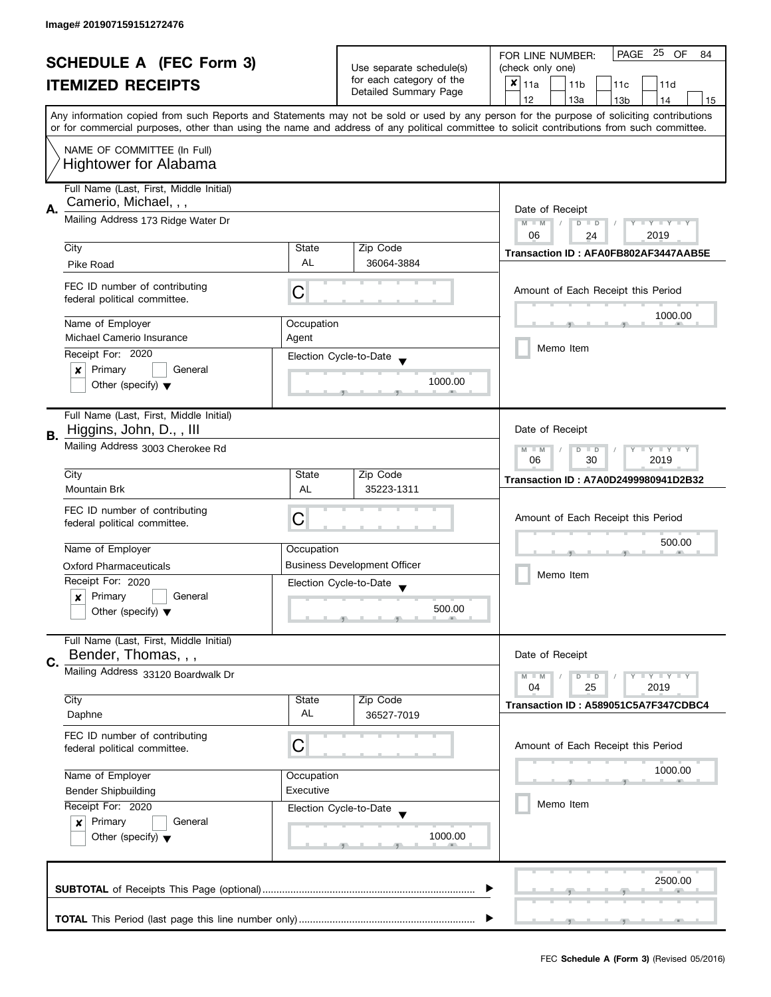| <b>SCHEDULE A (FEC Form 3)</b> |                                                               | Use separate schedule(s) | PAGE 25<br>OF<br>FOR LINE NUMBER:<br>84           |                                                                                                                                            |  |
|--------------------------------|---------------------------------------------------------------|--------------------------|---------------------------------------------------|--------------------------------------------------------------------------------------------------------------------------------------------|--|
|                                |                                                               |                          | (check only one)                                  |                                                                                                                                            |  |
|                                | <b>ITEMIZED RECEIPTS</b>                                      |                          | for each category of the<br>Detailed Summary Page | $x _{11a}$<br>11 <sub>b</sub><br>11c<br>11d                                                                                                |  |
|                                |                                                               |                          |                                                   | 12<br>13a<br>14<br>13 <sub>b</sub><br>15                                                                                                   |  |
|                                |                                                               |                          |                                                   | Any information copied from such Reports and Statements may not be sold or used by any person for the purpose of soliciting contributions  |  |
|                                |                                                               |                          |                                                   | or for commercial purposes, other than using the name and address of any political committee to solicit contributions from such committee. |  |
|                                | NAME OF COMMITTEE (In Full)                                   |                          |                                                   |                                                                                                                                            |  |
|                                | <b>Hightower for Alabama</b>                                  |                          |                                                   |                                                                                                                                            |  |
|                                |                                                               |                          |                                                   |                                                                                                                                            |  |
|                                | Full Name (Last, First, Middle Initial)                       |                          |                                                   |                                                                                                                                            |  |
| Α.                             | Camerio, Michael, , ,                                         |                          |                                                   | Date of Receipt                                                                                                                            |  |
|                                | Mailing Address 173 Ridge Water Dr                            |                          |                                                   | $M - M$<br>Y TY TY TY<br>$D$ $D$                                                                                                           |  |
|                                |                                                               |                          |                                                   | 06<br>2019<br>24                                                                                                                           |  |
|                                | City                                                          | State                    | Zip Code                                          | Transaction ID: AFA0FB802AF3447AAB5E                                                                                                       |  |
|                                | Pike Road                                                     | AL                       | 36064-3884                                        |                                                                                                                                            |  |
|                                | FEC ID number of contributing                                 |                          |                                                   |                                                                                                                                            |  |
|                                | federal political committee.                                  | С                        |                                                   | Amount of Each Receipt this Period                                                                                                         |  |
|                                |                                                               |                          |                                                   | 1000.00                                                                                                                                    |  |
|                                | Name of Employer                                              | Occupation               |                                                   |                                                                                                                                            |  |
|                                | Michael Camerio Insurance                                     | Agent                    |                                                   |                                                                                                                                            |  |
|                                | Receipt For: 2020                                             |                          | Election Cycle-to-Date                            | Memo Item                                                                                                                                  |  |
|                                | Primary<br>General<br>x                                       |                          |                                                   |                                                                                                                                            |  |
|                                | Other (specify) $\blacktriangledown$                          |                          | 1000.00                                           |                                                                                                                                            |  |
|                                |                                                               |                          |                                                   |                                                                                                                                            |  |
|                                | Full Name (Last, First, Middle Initial)                       |                          |                                                   |                                                                                                                                            |  |
|                                | Higgins, John, D., , III                                      |                          |                                                   | Date of Receipt                                                                                                                            |  |
| В.                             | Mailing Address 3003 Cherokee Rd                              |                          |                                                   | Y LY LY<br>$M - M$                                                                                                                         |  |
|                                |                                                               |                          |                                                   | D<br>$\Box$<br>06<br>30<br>2019                                                                                                            |  |
|                                | City                                                          | State                    | Zip Code                                          |                                                                                                                                            |  |
|                                | <b>Mountain Brk</b>                                           | AL                       | 35223-1311                                        | Transaction ID: A7A0D2499980941D2B32                                                                                                       |  |
|                                |                                                               |                          |                                                   |                                                                                                                                            |  |
|                                | FEC ID number of contributing<br>federal political committee. | C                        |                                                   | Amount of Each Receipt this Period                                                                                                         |  |
|                                |                                                               |                          |                                                   |                                                                                                                                            |  |
|                                | Name of Employer                                              | Occupation               |                                                   | 500.00                                                                                                                                     |  |
|                                | <b>Oxford Pharmaceuticals</b>                                 |                          | <b>Business Development Officer</b>               |                                                                                                                                            |  |
|                                | Receipt For: 2020                                             |                          | Election Cycle-to-Date                            | Memo Item                                                                                                                                  |  |
|                                | Primary<br>General<br>$\boldsymbol{x}$                        |                          |                                                   |                                                                                                                                            |  |
|                                | Other (specify) $\blacktriangledown$                          |                          | 500.00                                            |                                                                                                                                            |  |
|                                |                                                               |                          |                                                   |                                                                                                                                            |  |
|                                | Full Name (Last, First, Middle Initial)                       |                          |                                                   |                                                                                                                                            |  |
|                                | Bender, Thomas, , ,                                           |                          |                                                   | Date of Receipt                                                                                                                            |  |
| C.                             | Mailing Address 33120 Boardwalk Dr                            |                          |                                                   | $Y = Y = Y$                                                                                                                                |  |
|                                |                                                               |                          |                                                   | $M - M$<br>$D$ $D$<br>04<br>25<br>2019                                                                                                     |  |
|                                | City                                                          | State                    | Zip Code                                          | Transaction ID: A589051C5A7F347CDBC4                                                                                                       |  |
|                                | Daphne                                                        | AL                       | 36527-7019                                        |                                                                                                                                            |  |
|                                | FEC ID number of contributing                                 |                          |                                                   |                                                                                                                                            |  |
|                                | federal political committee.                                  | C                        |                                                   | Amount of Each Receipt this Period                                                                                                         |  |
|                                |                                                               |                          |                                                   |                                                                                                                                            |  |
|                                | Name of Employer                                              | Occupation               |                                                   | 1000.00                                                                                                                                    |  |
|                                | <b>Bender Shipbuilding</b>                                    | Executive                |                                                   |                                                                                                                                            |  |
|                                | Receipt For: 2020                                             |                          | Election Cycle-to-Date                            | Memo Item                                                                                                                                  |  |
|                                | Primary<br>General<br>$\boldsymbol{x}$                        |                          |                                                   |                                                                                                                                            |  |
|                                | Other (specify) $\blacktriangledown$                          |                          | 1000.00                                           |                                                                                                                                            |  |
|                                |                                                               |                          |                                                   |                                                                                                                                            |  |
|                                |                                                               |                          |                                                   |                                                                                                                                            |  |
|                                |                                                               |                          |                                                   | 2500.00                                                                                                                                    |  |
|                                |                                                               |                          |                                                   |                                                                                                                                            |  |
|                                |                                                               |                          |                                                   |                                                                                                                                            |  |
|                                |                                                               |                          |                                                   |                                                                                                                                            |  |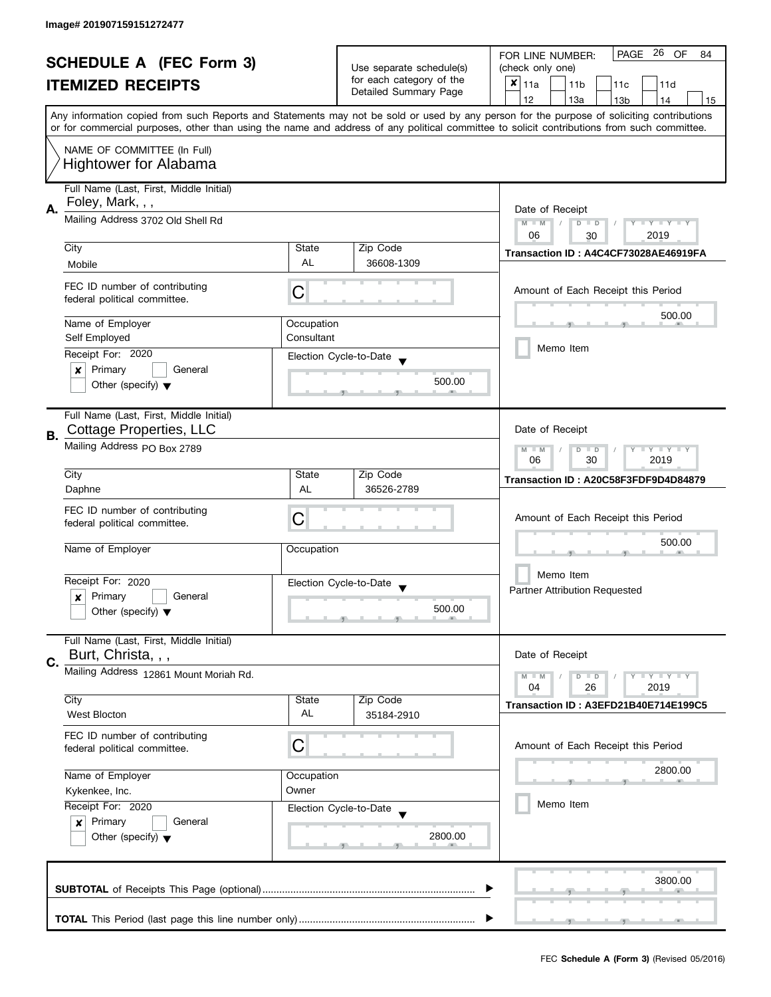| <b>SCHEDULE A (FEC Form 3)</b> |                                                       |            | PAGE<br>-26<br>OF<br>FOR LINE NUMBER:<br>84       |                                                                                                                                            |  |
|--------------------------------|-------------------------------------------------------|------------|---------------------------------------------------|--------------------------------------------------------------------------------------------------------------------------------------------|--|
|                                |                                                       |            | Use separate schedule(s)                          | (check only one)                                                                                                                           |  |
|                                | <b>ITEMIZED RECEIPTS</b>                              |            | for each category of the<br>Detailed Summary Page | $x _{11a}$<br>11 <sub>b</sub><br>11c<br>11d                                                                                                |  |
|                                |                                                       |            |                                                   | 12<br>13a<br>14<br>13 <sub>b</sub><br>15                                                                                                   |  |
|                                |                                                       |            |                                                   | Any information copied from such Reports and Statements may not be sold or used by any person for the purpose of soliciting contributions  |  |
|                                |                                                       |            |                                                   | or for commercial purposes, other than using the name and address of any political committee to solicit contributions from such committee. |  |
|                                | NAME OF COMMITTEE (In Full)                           |            |                                                   |                                                                                                                                            |  |
|                                |                                                       |            |                                                   |                                                                                                                                            |  |
|                                | <b>Hightower for Alabama</b>                          |            |                                                   |                                                                                                                                            |  |
|                                | Full Name (Last, First, Middle Initial)               |            |                                                   |                                                                                                                                            |  |
|                                | Foley, Mark, , ,<br>Mailing Address 3702 Old Shell Rd |            |                                                   |                                                                                                                                            |  |
| Α.                             |                                                       |            |                                                   | Date of Receipt                                                                                                                            |  |
|                                |                                                       |            |                                                   | $M - M$<br><b>LYLYLY</b><br>$D$ $D$<br>06<br>2019                                                                                          |  |
|                                | City                                                  | State      | Zip Code                                          | 30                                                                                                                                         |  |
|                                | Mobile                                                | AL         | 36608-1309                                        | Transaction ID: A4C4CF73028AE46919FA                                                                                                       |  |
|                                |                                                       |            |                                                   |                                                                                                                                            |  |
|                                | FEC ID number of contributing                         | С          |                                                   | Amount of Each Receipt this Period                                                                                                         |  |
|                                | federal political committee.                          |            |                                                   |                                                                                                                                            |  |
|                                |                                                       |            |                                                   | 500.00                                                                                                                                     |  |
|                                | Name of Employer                                      | Occupation |                                                   |                                                                                                                                            |  |
|                                | Self Employed                                         | Consultant |                                                   | Memo Item                                                                                                                                  |  |
|                                | Receipt For: 2020                                     |            | Election Cycle-to-Date                            |                                                                                                                                            |  |
|                                | Primary<br>General<br>×                               |            |                                                   |                                                                                                                                            |  |
|                                | Other (specify) $\blacktriangledown$                  |            | 500.00                                            |                                                                                                                                            |  |
|                                |                                                       |            |                                                   |                                                                                                                                            |  |
|                                | Full Name (Last, First, Middle Initial)               |            |                                                   |                                                                                                                                            |  |
| В.                             | Cottage Properties, LLC                               |            |                                                   | Date of Receipt                                                                                                                            |  |
|                                | Mailing Address PO Box 2789                           |            |                                                   | Y LY LY<br>$M - M$<br>D<br>$\Box$                                                                                                          |  |
|                                |                                                       |            |                                                   | 30<br>2019<br>06                                                                                                                           |  |
|                                | City                                                  | State      | Zip Code                                          | Transaction ID: A20C58F3FDF9D4D84879                                                                                                       |  |
|                                | Daphne                                                | AL         | 36526-2789                                        |                                                                                                                                            |  |
|                                | FEC ID number of contributing                         |            |                                                   |                                                                                                                                            |  |
|                                | federal political committee.                          | C          |                                                   | Amount of Each Receipt this Period                                                                                                         |  |
|                                |                                                       |            |                                                   | 500.00                                                                                                                                     |  |
|                                | Name of Employer                                      | Occupation |                                                   |                                                                                                                                            |  |
|                                |                                                       |            |                                                   |                                                                                                                                            |  |
|                                | Receipt For: 2020                                     |            | Election Cycle-to-Date                            | Memo Item                                                                                                                                  |  |
|                                | Primary<br>General<br>$\boldsymbol{x}$                |            |                                                   | <b>Partner Attribution Requested</b>                                                                                                       |  |
|                                | Other (specify) $\blacktriangledown$                  |            | 500.00                                            |                                                                                                                                            |  |
|                                |                                                       |            |                                                   |                                                                                                                                            |  |
|                                | Full Name (Last, First, Middle Initial)               |            |                                                   |                                                                                                                                            |  |
| C.                             | Burt, Christa, , ,                                    |            |                                                   | Date of Receipt                                                                                                                            |  |
|                                | Mailing Address 12861 Mount Moriah Rd.                |            |                                                   | $Y = Y + Y$<br>$M - M$<br>$D$ $D$                                                                                                          |  |
|                                |                                                       |            |                                                   | 04<br>26<br>2019                                                                                                                           |  |
|                                | City                                                  | State      | Zip Code                                          | Transaction ID: A3EFD21B40E714E199C5                                                                                                       |  |
|                                | <b>West Blocton</b>                                   | AL         | 35184-2910                                        |                                                                                                                                            |  |
|                                | FEC ID number of contributing                         |            |                                                   |                                                                                                                                            |  |
|                                | federal political committee.                          | С          |                                                   | Amount of Each Receipt this Period                                                                                                         |  |
|                                |                                                       |            |                                                   |                                                                                                                                            |  |
|                                | Name of Employer                                      | Occupation |                                                   | 2800.00                                                                                                                                    |  |
|                                | Kykenkee, Inc.                                        | Owner      |                                                   |                                                                                                                                            |  |
|                                | Receipt For: 2020                                     |            | Election Cycle-to-Date                            | Memo Item                                                                                                                                  |  |
|                                | Primary<br>General<br>$\boldsymbol{x}$                |            |                                                   |                                                                                                                                            |  |
|                                | Other (specify) $\blacktriangledown$                  |            | 2800.00                                           |                                                                                                                                            |  |
|                                |                                                       |            |                                                   |                                                                                                                                            |  |
|                                |                                                       |            |                                                   |                                                                                                                                            |  |
|                                |                                                       |            |                                                   | 3800.00                                                                                                                                    |  |
|                                |                                                       |            |                                                   |                                                                                                                                            |  |
|                                |                                                       |            |                                                   |                                                                                                                                            |  |
|                                |                                                       |            |                                                   |                                                                                                                                            |  |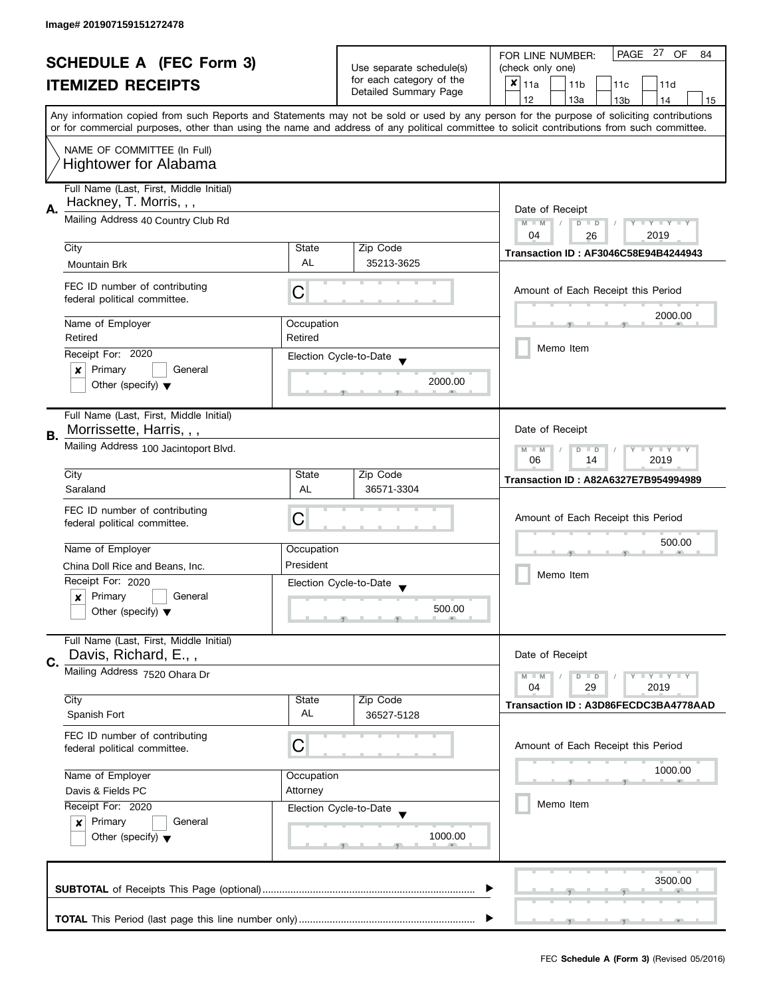| <b>SCHEDULE A (FEC Form 3)</b> |                                                               |                          | PAGE 27<br>OF<br>FOR LINE NUMBER:<br>84           |                                                                                                                                            |  |
|--------------------------------|---------------------------------------------------------------|--------------------------|---------------------------------------------------|--------------------------------------------------------------------------------------------------------------------------------------------|--|
|                                |                                                               | Use separate schedule(s) | (check only one)                                  |                                                                                                                                            |  |
|                                | <b>ITEMIZED RECEIPTS</b>                                      |                          | for each category of the<br>Detailed Summary Page | $x _{11a}$<br>11 <sub>b</sub><br>11c<br>11d                                                                                                |  |
|                                |                                                               |                          |                                                   | 12<br>13a<br>14<br>13 <sub>b</sub><br>15                                                                                                   |  |
|                                |                                                               |                          |                                                   | Any information copied from such Reports and Statements may not be sold or used by any person for the purpose of soliciting contributions  |  |
|                                |                                                               |                          |                                                   | or for commercial purposes, other than using the name and address of any political committee to solicit contributions from such committee. |  |
|                                | NAME OF COMMITTEE (In Full)                                   |                          |                                                   |                                                                                                                                            |  |
|                                | <b>Hightower for Alabama</b>                                  |                          |                                                   |                                                                                                                                            |  |
|                                |                                                               |                          |                                                   |                                                                                                                                            |  |
|                                | Full Name (Last, First, Middle Initial)                       |                          |                                                   |                                                                                                                                            |  |
| А.                             | Hackney, T. Morris, , ,                                       |                          |                                                   | Date of Receipt                                                                                                                            |  |
|                                | Mailing Address 40 Country Club Rd                            |                          |                                                   | $M - M$<br>Y TY TY TY<br>$D$ $D$                                                                                                           |  |
|                                |                                                               |                          |                                                   | 04<br>2019<br>26                                                                                                                           |  |
|                                | City                                                          | State                    | Zip Code                                          | Transaction ID: AF3046C58E94B4244943                                                                                                       |  |
|                                | Mountain Brk                                                  | AL                       | 35213-3625                                        |                                                                                                                                            |  |
|                                |                                                               |                          |                                                   |                                                                                                                                            |  |
|                                | FEC ID number of contributing<br>federal political committee. | С                        |                                                   | Amount of Each Receipt this Period                                                                                                         |  |
|                                |                                                               |                          |                                                   |                                                                                                                                            |  |
|                                | Name of Employer                                              | Occupation               |                                                   | 2000.00                                                                                                                                    |  |
|                                | Retired                                                       | Retired                  |                                                   |                                                                                                                                            |  |
|                                | Receipt For: 2020                                             |                          | Election Cycle-to-Date                            | Memo Item                                                                                                                                  |  |
|                                | $\boldsymbol{x}$<br>Primary<br>General                        |                          |                                                   |                                                                                                                                            |  |
|                                | Other (specify) $\blacktriangledown$                          |                          | 2000.00                                           |                                                                                                                                            |  |
|                                |                                                               |                          |                                                   |                                                                                                                                            |  |
|                                | Full Name (Last, First, Middle Initial)                       |                          |                                                   |                                                                                                                                            |  |
|                                | Morrissette, Harris, , ,                                      |                          |                                                   | Date of Receipt                                                                                                                            |  |
| В.                             |                                                               |                          |                                                   |                                                                                                                                            |  |
|                                | Mailing Address 100 Jacintoport Blvd.                         |                          |                                                   | Y LY LY<br>$M - M$<br>D<br>$\Box$                                                                                                          |  |
|                                |                                                               |                          |                                                   | 2019<br>06<br>14                                                                                                                           |  |
|                                | City                                                          | State                    | Zip Code                                          | Transaction ID: A82A6327E7B954994989                                                                                                       |  |
|                                | Saraland                                                      | AL                       | 36571-3304                                        |                                                                                                                                            |  |
|                                | FEC ID number of contributing                                 |                          |                                                   |                                                                                                                                            |  |
|                                | federal political committee.                                  | C                        |                                                   | Amount of Each Receipt this Period                                                                                                         |  |
|                                |                                                               |                          |                                                   | 500.00                                                                                                                                     |  |
|                                | Name of Employer                                              | Occupation               |                                                   |                                                                                                                                            |  |
|                                | China Doll Rice and Beans, Inc.                               | President                |                                                   | Memo Item                                                                                                                                  |  |
|                                | Receipt For: 2020                                             |                          | Election Cycle-to-Date                            |                                                                                                                                            |  |
|                                | Primary<br>General<br>$\boldsymbol{x}$                        |                          |                                                   |                                                                                                                                            |  |
|                                | Other (specify) $\blacktriangledown$                          |                          | 500.00                                            |                                                                                                                                            |  |
|                                |                                                               |                          |                                                   |                                                                                                                                            |  |
|                                | Full Name (Last, First, Middle Initial)                       |                          |                                                   |                                                                                                                                            |  |
| C.                             | Davis, Richard, E.,,                                          |                          |                                                   | Date of Receipt                                                                                                                            |  |
|                                | Mailing Address 7520 Ohara Dr                                 |                          |                                                   | $Y = Y = Y$<br>$M - M$<br>$D$ $D$                                                                                                          |  |
|                                |                                                               |                          |                                                   | 04<br>29<br>2019                                                                                                                           |  |
|                                | City                                                          | State                    | Zip Code                                          | Transaction ID: A3D86FECDC3BA4778AAD                                                                                                       |  |
|                                | Spanish Fort                                                  | AL                       | 36527-5128                                        |                                                                                                                                            |  |
|                                | FEC ID number of contributing                                 |                          |                                                   |                                                                                                                                            |  |
|                                | federal political committee.                                  | C                        |                                                   | Amount of Each Receipt this Period                                                                                                         |  |
|                                |                                                               |                          |                                                   |                                                                                                                                            |  |
|                                | Name of Employer                                              | Occupation               |                                                   | 1000.00                                                                                                                                    |  |
|                                | Davis & Fields PC                                             | Attorney                 |                                                   |                                                                                                                                            |  |
|                                | Receipt For: 2020                                             |                          | Election Cycle-to-Date                            | Memo Item                                                                                                                                  |  |
|                                | Primary<br>General<br>$\boldsymbol{x}$                        |                          |                                                   |                                                                                                                                            |  |
|                                | Other (specify) $\blacktriangledown$                          |                          | 1000.00                                           |                                                                                                                                            |  |
|                                |                                                               |                          |                                                   |                                                                                                                                            |  |
|                                |                                                               |                          |                                                   |                                                                                                                                            |  |
|                                |                                                               |                          |                                                   | 3500.00                                                                                                                                    |  |
|                                |                                                               |                          |                                                   |                                                                                                                                            |  |
|                                |                                                               |                          |                                                   |                                                                                                                                            |  |
|                                |                                                               |                          |                                                   |                                                                                                                                            |  |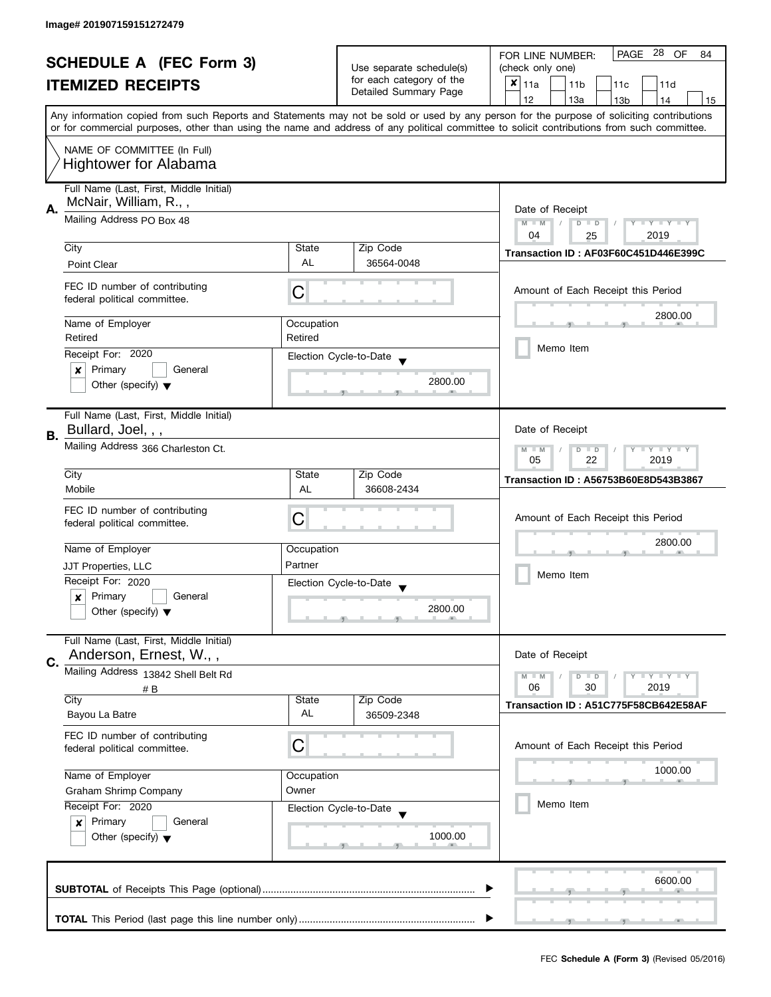|                              |                                                                                   |                                                                            | PAGE 28 OF<br>FOR LINE NUMBER:<br>84              |                                                                                                                                                                                                                                                                                         |
|------------------------------|-----------------------------------------------------------------------------------|----------------------------------------------------------------------------|---------------------------------------------------|-----------------------------------------------------------------------------------------------------------------------------------------------------------------------------------------------------------------------------------------------------------------------------------------|
|                              | <b>SCHEDULE A (FEC Form 3)</b>                                                    |                                                                            | Use separate schedule(s)                          | (check only one)                                                                                                                                                                                                                                                                        |
|                              | <b>ITEMIZED RECEIPTS</b>                                                          |                                                                            | for each category of the<br>Detailed Summary Page | $x _{11a}$<br>11 <sub>b</sub><br>11c<br>11d                                                                                                                                                                                                                                             |
|                              |                                                                                   |                                                                            |                                                   | 12<br>13a<br>13 <sub>b</sub><br>14<br>15                                                                                                                                                                                                                                                |
|                              |                                                                                   |                                                                            |                                                   | Any information copied from such Reports and Statements may not be sold or used by any person for the purpose of soliciting contributions<br>or for commercial purposes, other than using the name and address of any political committee to solicit contributions from such committee. |
|                              | NAME OF COMMITTEE (In Full)                                                       |                                                                            |                                                   |                                                                                                                                                                                                                                                                                         |
| <b>Hightower for Alabama</b> |                                                                                   |                                                                            |                                                   |                                                                                                                                                                                                                                                                                         |
|                              | Full Name (Last, First, Middle Initial)<br>McNair, William, R.,,                  |                                                                            |                                                   |                                                                                                                                                                                                                                                                                         |
| А.                           | Mailing Address PO Box 48                                                         | Date of Receipt<br>$M - M$<br>Y I Y I Y I Y<br>$D$ $D$<br>2019<br>04<br>25 |                                                   |                                                                                                                                                                                                                                                                                         |
|                              | City                                                                              | State                                                                      | Zip Code                                          |                                                                                                                                                                                                                                                                                         |
|                              | Point Clear                                                                       | AL                                                                         | 36564-0048                                        | Transaction ID: AF03F60C451D446E399C                                                                                                                                                                                                                                                    |
|                              | FEC ID number of contributing<br>federal political committee.                     | С                                                                          |                                                   | Amount of Each Receipt this Period                                                                                                                                                                                                                                                      |
|                              |                                                                                   |                                                                            |                                                   | 2800.00                                                                                                                                                                                                                                                                                 |
|                              | Name of Employer                                                                  | Occupation                                                                 |                                                   |                                                                                                                                                                                                                                                                                         |
|                              | Retired                                                                           | Retired                                                                    |                                                   | Memo Item                                                                                                                                                                                                                                                                               |
|                              | Receipt For: 2020                                                                 |                                                                            | Election Cycle-to-Date                            |                                                                                                                                                                                                                                                                                         |
|                              | Primary<br>General<br>×                                                           |                                                                            | 2800.00                                           |                                                                                                                                                                                                                                                                                         |
|                              | Other (specify) $\blacktriangledown$                                              |                                                                            |                                                   |                                                                                                                                                                                                                                                                                         |
|                              | Full Name (Last, First, Middle Initial)                                           |                                                                            |                                                   |                                                                                                                                                                                                                                                                                         |
| В.                           | Bullard, Joel, , ,                                                                |                                                                            |                                                   | Date of Receipt                                                                                                                                                                                                                                                                         |
|                              | Mailing Address 366 Charleston Ct.                                                |                                                                            |                                                   | <b>LYLYLY</b><br>$M - M$<br>$D$ $D$<br>22<br>05<br>2019                                                                                                                                                                                                                                 |
|                              | City                                                                              | State                                                                      | Zip Code                                          | Transaction ID: A56753B60E8D543B3867                                                                                                                                                                                                                                                    |
|                              | Mobile                                                                            | AL                                                                         | 36608-2434                                        |                                                                                                                                                                                                                                                                                         |
|                              | FEC ID number of contributing                                                     | С                                                                          |                                                   | Amount of Each Receipt this Period                                                                                                                                                                                                                                                      |
|                              | federal political committee.                                                      |                                                                            |                                                   |                                                                                                                                                                                                                                                                                         |
|                              | Name of Employer                                                                  | Occupation                                                                 |                                                   | 2800.00                                                                                                                                                                                                                                                                                 |
|                              | JJT Properties, LLC                                                               | Partner                                                                    |                                                   |                                                                                                                                                                                                                                                                                         |
|                              | Receipt For: 2020                                                                 |                                                                            | Election Cycle-to-Date                            | Memo Item                                                                                                                                                                                                                                                                               |
|                              | Primary<br>General<br>x                                                           |                                                                            | $\overline{\phantom{a}}$                          |                                                                                                                                                                                                                                                                                         |
|                              | Other (specify) $\blacktriangledown$                                              |                                                                            | 2800.00                                           |                                                                                                                                                                                                                                                                                         |
|                              | Full Name (Last, First, Middle Initial)<br>Anderson, Ernest, W.,,                 |                                                                            |                                                   | Date of Receipt                                                                                                                                                                                                                                                                         |
| C.                           | Mailing Address 13842 Shell Belt Rd                                               |                                                                            |                                                   |                                                                                                                                                                                                                                                                                         |
|                              | # B                                                                               |                                                                            |                                                   | <b>LY LY LY</b><br>$M - M$<br>$D$ $D$<br>06<br>30<br>2019                                                                                                                                                                                                                               |
|                              | City                                                                              | State                                                                      | Zip Code                                          | Transaction ID: A51C775F58CB642E58AF                                                                                                                                                                                                                                                    |
|                              | Bayou La Batre                                                                    | AL                                                                         | 36509-2348                                        |                                                                                                                                                                                                                                                                                         |
|                              | FEC ID number of contributing<br>federal political committee.                     | С                                                                          |                                                   | Amount of Each Receipt this Period                                                                                                                                                                                                                                                      |
|                              | Name of Employer                                                                  | Occupation                                                                 |                                                   | 1000.00                                                                                                                                                                                                                                                                                 |
|                              | <b>Graham Shrimp Company</b>                                                      | Owner                                                                      |                                                   |                                                                                                                                                                                                                                                                                         |
|                              | Receipt For: 2020<br>Election Cycle-to-Date<br>Primary<br>General<br>$\mathbf{x}$ |                                                                            |                                                   | Memo Item                                                                                                                                                                                                                                                                               |
|                              |                                                                                   |                                                                            |                                                   |                                                                                                                                                                                                                                                                                         |
|                              | Other (specify) $\blacktriangledown$                                              |                                                                            | 1000.00                                           |                                                                                                                                                                                                                                                                                         |
|                              |                                                                                   |                                                                            |                                                   |                                                                                                                                                                                                                                                                                         |
|                              |                                                                                   |                                                                            |                                                   | 6600.00                                                                                                                                                                                                                                                                                 |
|                              |                                                                                   |                                                                            |                                                   |                                                                                                                                                                                                                                                                                         |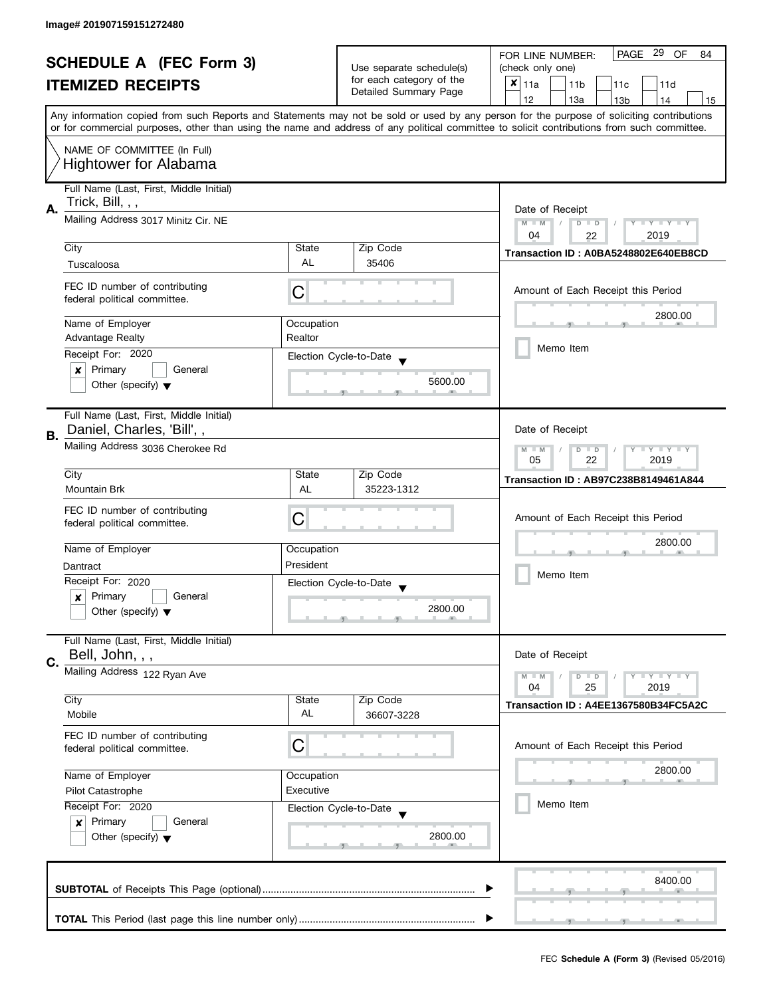| <b>SCHEDULE A (FEC Form 3)</b> |                                                                                |                                                                                                                                            | PAGE 29 OF<br>FOR LINE NUMBER:<br>84                 |                                                                                                                                           |  |  |  |
|--------------------------------|--------------------------------------------------------------------------------|--------------------------------------------------------------------------------------------------------------------------------------------|------------------------------------------------------|-------------------------------------------------------------------------------------------------------------------------------------------|--|--|--|
|                                | <b>ITEMIZED RECEIPTS</b>                                                       |                                                                                                                                            | Use separate schedule(s)<br>for each category of the | (check only one)                                                                                                                          |  |  |  |
|                                |                                                                                |                                                                                                                                            |                                                      | $x _{11a}$<br>11 <sub>b</sub><br>11 <sub>c</sub><br>11d                                                                                   |  |  |  |
|                                |                                                                                |                                                                                                                                            | Detailed Summary Page                                | 12<br>13a<br>13 <sub>b</sub><br>14<br>15                                                                                                  |  |  |  |
|                                |                                                                                |                                                                                                                                            |                                                      | Any information copied from such Reports and Statements may not be sold or used by any person for the purpose of soliciting contributions |  |  |  |
|                                |                                                                                | or for commercial purposes, other than using the name and address of any political committee to solicit contributions from such committee. |                                                      |                                                                                                                                           |  |  |  |
|                                | NAME OF COMMITTEE (In Full)                                                    |                                                                                                                                            |                                                      |                                                                                                                                           |  |  |  |
|                                | <b>Hightower for Alabama</b>                                                   |                                                                                                                                            |                                                      |                                                                                                                                           |  |  |  |
|                                |                                                                                |                                                                                                                                            |                                                      |                                                                                                                                           |  |  |  |
|                                | Full Name (Last, First, Middle Initial)                                        |                                                                                                                                            |                                                      |                                                                                                                                           |  |  |  |
| А.                             | Trick, Bill, , ,                                                               |                                                                                                                                            |                                                      | Date of Receipt                                                                                                                           |  |  |  |
|                                | Mailing Address 3017 Minitz Cir. NE                                            |                                                                                                                                            |                                                      | $M - M$<br>$D$ $D$<br>$Y - Y - Y - Y - Y$<br>$\sqrt{2}$                                                                                   |  |  |  |
|                                |                                                                                |                                                                                                                                            |                                                      | 04<br>2019<br>22                                                                                                                          |  |  |  |
|                                | City                                                                           | State                                                                                                                                      | Zip Code                                             |                                                                                                                                           |  |  |  |
|                                | Tuscaloosa                                                                     | <b>AL</b>                                                                                                                                  | 35406                                                | Transaction ID: A0BA5248802E640EB8CD                                                                                                      |  |  |  |
|                                |                                                                                |                                                                                                                                            |                                                      |                                                                                                                                           |  |  |  |
|                                | FEC ID number of contributing                                                  | С                                                                                                                                          |                                                      | Amount of Each Receipt this Period                                                                                                        |  |  |  |
|                                | federal political committee.                                                   |                                                                                                                                            |                                                      |                                                                                                                                           |  |  |  |
|                                | Name of Employer                                                               | Occupation                                                                                                                                 |                                                      | 2800.00                                                                                                                                   |  |  |  |
|                                | <b>Advantage Realty</b>                                                        | Realtor                                                                                                                                    |                                                      |                                                                                                                                           |  |  |  |
|                                |                                                                                |                                                                                                                                            |                                                      | Memo Item                                                                                                                                 |  |  |  |
|                                | Receipt For: 2020                                                              |                                                                                                                                            | Election Cycle-to-Date                               |                                                                                                                                           |  |  |  |
|                                | Primary<br>General<br>×                                                        |                                                                                                                                            | 5600.00                                              |                                                                                                                                           |  |  |  |
|                                | Other (specify) $\blacktriangledown$                                           |                                                                                                                                            |                                                      |                                                                                                                                           |  |  |  |
|                                |                                                                                |                                                                                                                                            |                                                      |                                                                                                                                           |  |  |  |
|                                | Full Name (Last, First, Middle Initial)                                        |                                                                                                                                            |                                                      |                                                                                                                                           |  |  |  |
| В.                             | Daniel, Charles, 'Bill', ,                                                     |                                                                                                                                            |                                                      | Date of Receipt                                                                                                                           |  |  |  |
|                                | Mailing Address 3036 Cherokee Rd                                               |                                                                                                                                            |                                                      | $Y = Y = Y$<br>$M - M$<br>D<br>$\Box$                                                                                                     |  |  |  |
|                                |                                                                                |                                                                                                                                            |                                                      | 2019<br>05<br>22                                                                                                                          |  |  |  |
|                                | City                                                                           | State                                                                                                                                      | Zip Code                                             | <b>Transaction ID: AB97C238B8149461A844</b>                                                                                               |  |  |  |
|                                | <b>Mountain Brk</b>                                                            | <b>AL</b>                                                                                                                                  | 35223-1312                                           |                                                                                                                                           |  |  |  |
|                                | FEC ID number of contributing                                                  |                                                                                                                                            |                                                      |                                                                                                                                           |  |  |  |
|                                | federal political committee.                                                   | C                                                                                                                                          |                                                      | Amount of Each Receipt this Period                                                                                                        |  |  |  |
|                                |                                                                                |                                                                                                                                            |                                                      | 2800.00                                                                                                                                   |  |  |  |
|                                | Name of Employer                                                               | Occupation                                                                                                                                 |                                                      |                                                                                                                                           |  |  |  |
|                                | Dantract                                                                       | President                                                                                                                                  |                                                      |                                                                                                                                           |  |  |  |
|                                | Receipt For: 2020                                                              |                                                                                                                                            | Election Cycle-to-Date                               | Memo Item                                                                                                                                 |  |  |  |
|                                | Primary<br>General<br>x                                                        |                                                                                                                                            |                                                      |                                                                                                                                           |  |  |  |
|                                | Other (specify) $\blacktriangledown$                                           |                                                                                                                                            | 2800.00                                              |                                                                                                                                           |  |  |  |
|                                |                                                                                |                                                                                                                                            |                                                      |                                                                                                                                           |  |  |  |
|                                | Full Name (Last, First, Middle Initial)                                        |                                                                                                                                            |                                                      |                                                                                                                                           |  |  |  |
| C.                             | Bell, John, , ,                                                                |                                                                                                                                            |                                                      | Date of Receipt                                                                                                                           |  |  |  |
|                                | Mailing Address 122 Ryan Ave                                                   |                                                                                                                                            |                                                      | $Y = Y + Y$<br>$M - M$<br>D<br>$\blacksquare$                                                                                             |  |  |  |
|                                |                                                                                |                                                                                                                                            |                                                      | 04<br>25<br>2019                                                                                                                          |  |  |  |
|                                | City                                                                           | State                                                                                                                                      | Zip Code                                             | Transaction ID: A4EE1367580B34FC5A2C                                                                                                      |  |  |  |
|                                | Mobile                                                                         | AL                                                                                                                                         | 36607-3228                                           |                                                                                                                                           |  |  |  |
|                                | FEC ID number of contributing                                                  |                                                                                                                                            |                                                      |                                                                                                                                           |  |  |  |
|                                | federal political committee.                                                   | C                                                                                                                                          |                                                      | Amount of Each Receipt this Period                                                                                                        |  |  |  |
|                                |                                                                                |                                                                                                                                            |                                                      |                                                                                                                                           |  |  |  |
|                                | Name of Employer<br>Occupation                                                 |                                                                                                                                            |                                                      | 2800.00                                                                                                                                   |  |  |  |
|                                | Pilot Catastrophe                                                              | Executive                                                                                                                                  |                                                      |                                                                                                                                           |  |  |  |
|                                | Receipt For: 2020                                                              |                                                                                                                                            | Election Cycle-to-Date                               | Memo Item                                                                                                                                 |  |  |  |
|                                | Primary<br>General<br>$\boldsymbol{x}$<br>Other (specify) $\blacktriangledown$ |                                                                                                                                            |                                                      |                                                                                                                                           |  |  |  |
|                                |                                                                                |                                                                                                                                            | 2800.00                                              |                                                                                                                                           |  |  |  |
|                                |                                                                                |                                                                                                                                            |                                                      |                                                                                                                                           |  |  |  |
|                                |                                                                                |                                                                                                                                            |                                                      |                                                                                                                                           |  |  |  |
|                                |                                                                                |                                                                                                                                            |                                                      | 8400.00                                                                                                                                   |  |  |  |
|                                |                                                                                |                                                                                                                                            |                                                      |                                                                                                                                           |  |  |  |
|                                |                                                                                |                                                                                                                                            |                                                      |                                                                                                                                           |  |  |  |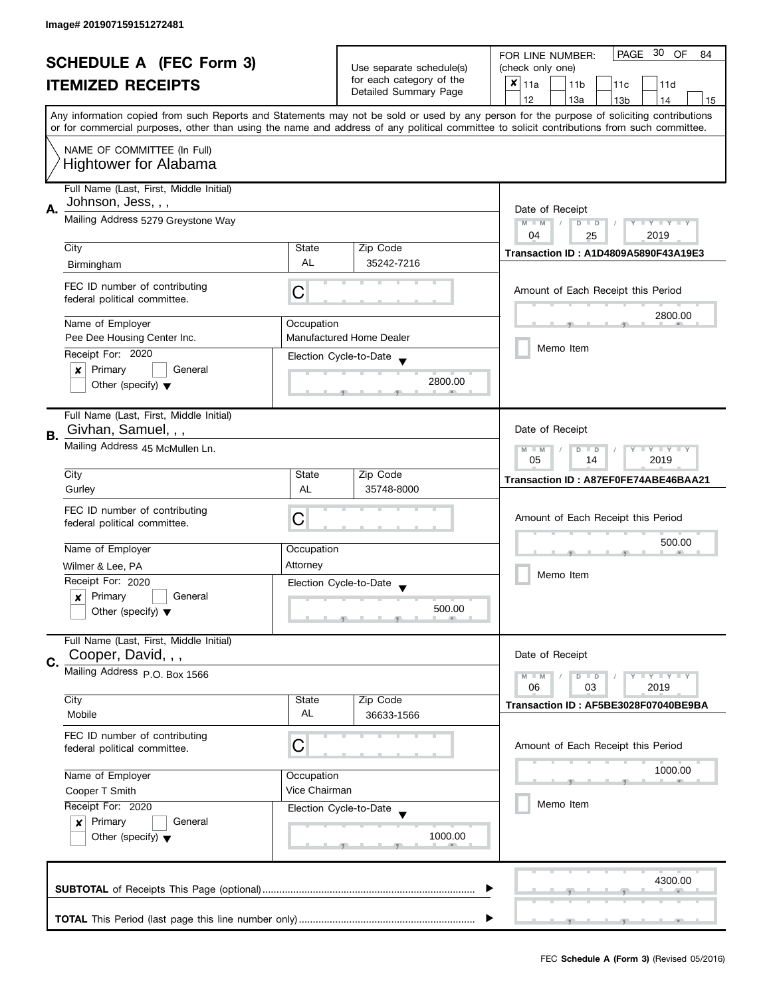|    |                                                                                                                |               | PAGE 30<br>OF<br>FOR LINE NUMBER:<br>84            |                                                                                                                                                                                                                                                                                         |
|----|----------------------------------------------------------------------------------------------------------------|---------------|----------------------------------------------------|-----------------------------------------------------------------------------------------------------------------------------------------------------------------------------------------------------------------------------------------------------------------------------------------|
|    | <b>SCHEDULE A (FEC Form 3)</b>                                                                                 |               | Use separate schedule(s)                           | (check only one)                                                                                                                                                                                                                                                                        |
|    | <b>ITEMIZED RECEIPTS</b>                                                                                       |               | for each category of the                           | $x _{11a}$<br>11 <sub>b</sub><br>11c<br>11d                                                                                                                                                                                                                                             |
|    |                                                                                                                |               | Detailed Summary Page                              | 12<br>13a<br>13 <sub>b</sub><br>14<br>15                                                                                                                                                                                                                                                |
|    |                                                                                                                |               |                                                    | Any information copied from such Reports and Statements may not be sold or used by any person for the purpose of soliciting contributions<br>or for commercial purposes, other than using the name and address of any political committee to solicit contributions from such committee. |
|    | NAME OF COMMITTEE (In Full)                                                                                    |               |                                                    |                                                                                                                                                                                                                                                                                         |
|    | <b>Hightower for Alabama</b>                                                                                   |               |                                                    |                                                                                                                                                                                                                                                                                         |
|    | Full Name (Last, First, Middle Initial)                                                                        |               |                                                    |                                                                                                                                                                                                                                                                                         |
| А. | Johnson, Jess, , ,                                                                                             |               |                                                    | Date of Receipt                                                                                                                                                                                                                                                                         |
|    | Mailing Address 5279 Greystone Way                                                                             |               |                                                    | Y TY TY TY<br>$M - M$<br>$D$ $D$<br>2019<br>04                                                                                                                                                                                                                                          |
|    | City                                                                                                           | State         | Zip Code                                           | 25                                                                                                                                                                                                                                                                                      |
|    | Birmingham                                                                                                     | AL            | 35242-7216                                         | <b>Transaction ID: A1D4809A5890F43A19E3</b>                                                                                                                                                                                                                                             |
|    |                                                                                                                |               |                                                    |                                                                                                                                                                                                                                                                                         |
|    | FEC ID number of contributing<br>federal political committee.                                                  | С             |                                                    | Amount of Each Receipt this Period                                                                                                                                                                                                                                                      |
|    | Name of Employer                                                                                               | Occupation    |                                                    | 2800.00                                                                                                                                                                                                                                                                                 |
|    | Pee Dee Housing Center Inc.                                                                                    |               | <b>Manufactured Home Dealer</b>                    |                                                                                                                                                                                                                                                                                         |
|    | Receipt For: 2020                                                                                              |               | Election Cycle-to-Date                             | Memo Item                                                                                                                                                                                                                                                                               |
|    | Primary<br>General<br>×                                                                                        |               |                                                    |                                                                                                                                                                                                                                                                                         |
|    | Other (specify) $\blacktriangledown$                                                                           |               | 2800.00                                            |                                                                                                                                                                                                                                                                                         |
|    | Full Name (Last, First, Middle Initial)                                                                        |               |                                                    |                                                                                                                                                                                                                                                                                         |
| В. | Givhan, Samuel, , ,                                                                                            |               |                                                    | Date of Receipt                                                                                                                                                                                                                                                                         |
|    | Mailing Address 45 McMullen Ln.                                                                                |               |                                                    | $Y - Y - Y - Y - Y$<br>$M - M$<br>$\Box$<br>D                                                                                                                                                                                                                                           |
|    |                                                                                                                | State         |                                                    | 05<br>14<br>2019                                                                                                                                                                                                                                                                        |
|    | City<br>Gurley                                                                                                 | AL            | Zip Code<br>35748-8000                             | Transaction ID: A87EF0FE74ABE46BAA21                                                                                                                                                                                                                                                    |
|    | FEC ID number of contributing                                                                                  |               |                                                    |                                                                                                                                                                                                                                                                                         |
|    | federal political committee.                                                                                   | С             |                                                    | Amount of Each Receipt this Period                                                                                                                                                                                                                                                      |
|    |                                                                                                                |               |                                                    | 500.00                                                                                                                                                                                                                                                                                  |
|    | Name of Employer                                                                                               | Occupation    |                                                    |                                                                                                                                                                                                                                                                                         |
|    | Wilmer & Lee, PA                                                                                               | Attorney      |                                                    | Memo Item                                                                                                                                                                                                                                                                               |
|    | Receipt For: 2020                                                                                              |               | Election Cycle-to-Date<br>$\overline{\phantom{a}}$ |                                                                                                                                                                                                                                                                                         |
|    | Primary<br>General<br>×                                                                                        |               |                                                    |                                                                                                                                                                                                                                                                                         |
|    | Other (specify) $\blacktriangledown$                                                                           |               | 500.00                                             |                                                                                                                                                                                                                                                                                         |
|    | Full Name (Last, First, Middle Initial)                                                                        |               |                                                    |                                                                                                                                                                                                                                                                                         |
| C. | Cooper, David, , ,                                                                                             |               |                                                    | Date of Receipt                                                                                                                                                                                                                                                                         |
|    | Mailing Address P.O. Box 1566                                                                                  |               |                                                    | <b>LEY LEY LEY</b><br>$M - M$<br>$D$ $D$<br>06<br>03<br>2019                                                                                                                                                                                                                            |
|    | City                                                                                                           | State         | Zip Code                                           | Transaction ID: AF5BE3028F07040BE9BA                                                                                                                                                                                                                                                    |
|    | Mobile                                                                                                         | AL            | 36633-1566                                         |                                                                                                                                                                                                                                                                                         |
|    | FEC ID number of contributing                                                                                  |               |                                                    |                                                                                                                                                                                                                                                                                         |
|    | federal political committee.                                                                                   | С             |                                                    | Amount of Each Receipt this Period                                                                                                                                                                                                                                                      |
|    | Name of Employer                                                                                               | Occupation    |                                                    | 1000.00                                                                                                                                                                                                                                                                                 |
|    | Cooper T Smith                                                                                                 | Vice Chairman |                                                    |                                                                                                                                                                                                                                                                                         |
|    | Receipt For: 2020<br>Election Cycle-to-Date<br>Primary<br>General<br>x<br>Other (specify) $\blacktriangledown$ |               |                                                    | Memo Item                                                                                                                                                                                                                                                                               |
|    |                                                                                                                |               |                                                    |                                                                                                                                                                                                                                                                                         |
|    |                                                                                                                |               | 1000.00                                            |                                                                                                                                                                                                                                                                                         |
|    |                                                                                                                |               |                                                    |                                                                                                                                                                                                                                                                                         |
|    |                                                                                                                |               |                                                    |                                                                                                                                                                                                                                                                                         |
|    |                                                                                                                |               |                                                    | 4300.00                                                                                                                                                                                                                                                                                 |
|    |                                                                                                                |               |                                                    |                                                                                                                                                                                                                                                                                         |
|    |                                                                                                                |               |                                                    |                                                                                                                                                                                                                                                                                         |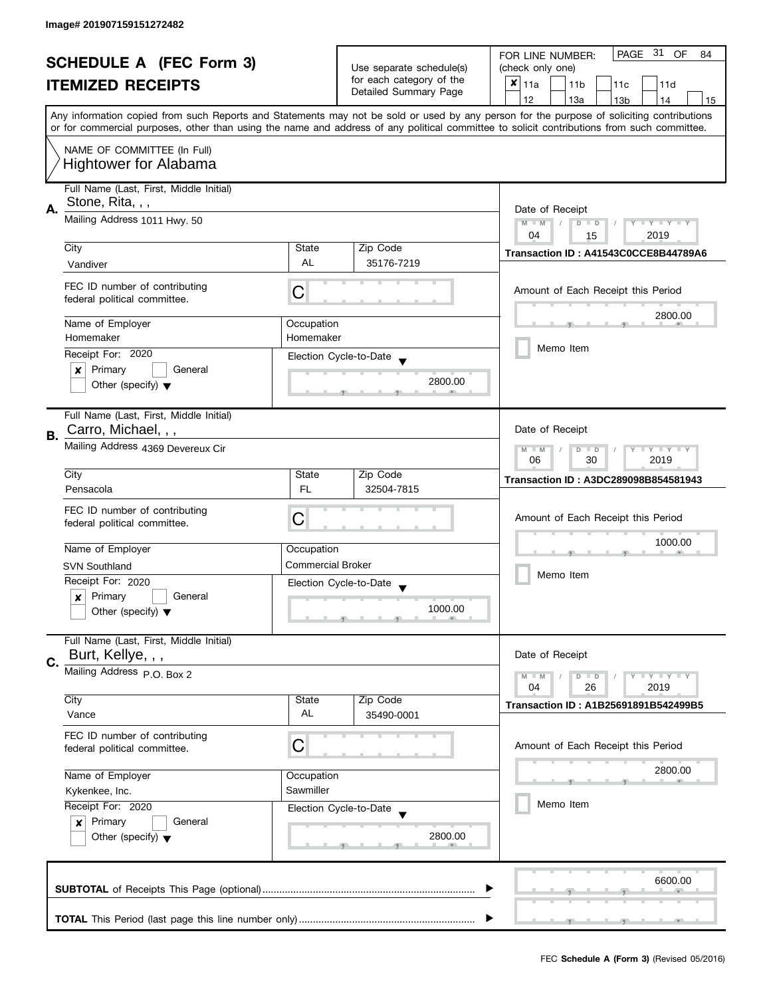| <b>SCHEDULE A (FEC Form 3)</b> |                                         |                          | PAGE 31 OF<br>FOR LINE NUMBER:<br>84 |                                                                                                                                            |  |
|--------------------------------|-----------------------------------------|--------------------------|--------------------------------------|--------------------------------------------------------------------------------------------------------------------------------------------|--|
|                                |                                         |                          | Use separate schedule(s)             | (check only one)                                                                                                                           |  |
|                                | <b>ITEMIZED RECEIPTS</b>                |                          | for each category of the             | $x _{11a}$<br>11 <sub>b</sub><br>11c<br>11d                                                                                                |  |
|                                |                                         |                          | Detailed Summary Page                | 12<br>13a<br>13 <sub>b</sub><br>14<br>15                                                                                                   |  |
|                                |                                         |                          |                                      | Any information copied from such Reports and Statements may not be sold or used by any person for the purpose of soliciting contributions  |  |
|                                |                                         |                          |                                      | or for commercial purposes, other than using the name and address of any political committee to solicit contributions from such committee. |  |
|                                | NAME OF COMMITTEE (In Full)             |                          |                                      |                                                                                                                                            |  |
|                                | <b>Hightower for Alabama</b>            |                          |                                      |                                                                                                                                            |  |
|                                |                                         |                          |                                      |                                                                                                                                            |  |
|                                | Full Name (Last, First, Middle Initial) |                          |                                      |                                                                                                                                            |  |
| Α.                             | Stone, Rita, , ,                        | Date of Receipt          |                                      |                                                                                                                                            |  |
|                                | Mailing Address 1011 Hwy. 50            |                          |                                      | $M - M$<br>$Y - Y - Y - Y - Y$<br>$D$ $D$                                                                                                  |  |
|                                |                                         |                          |                                      | 04<br>2019<br>15                                                                                                                           |  |
|                                | City                                    | State<br><b>AL</b>       | Zip Code                             | Transaction ID: A41543C0CCE8B44789A6                                                                                                       |  |
|                                | Vandiver                                |                          | 35176-7219                           |                                                                                                                                            |  |
|                                | FEC ID number of contributing           |                          |                                      | Amount of Each Receipt this Period                                                                                                         |  |
|                                | federal political committee.            | C                        |                                      |                                                                                                                                            |  |
|                                |                                         |                          |                                      | 2800.00                                                                                                                                    |  |
|                                | Name of Employer<br>Homemaker           | Occupation<br>Homemaker  |                                      |                                                                                                                                            |  |
|                                |                                         |                          |                                      | Memo Item                                                                                                                                  |  |
|                                | Receipt For: 2020                       |                          | Election Cycle-to-Date               |                                                                                                                                            |  |
|                                | Primary<br>General<br>×                 |                          | 2800.00                              |                                                                                                                                            |  |
|                                | Other (specify) $\blacktriangledown$    |                          |                                      |                                                                                                                                            |  |
|                                |                                         |                          |                                      |                                                                                                                                            |  |
|                                | Full Name (Last, First, Middle Initial) |                          |                                      | Date of Receipt                                                                                                                            |  |
| В.                             | Carro, Michael, , ,                     |                          |                                      |                                                                                                                                            |  |
|                                | Mailing Address 4369 Devereux Cir       |                          |                                      | Y LY LY<br>$M - M$<br>$\overline{D}$<br>$\Box$<br>30<br>2019<br>06                                                                         |  |
|                                | City                                    |                          |                                      |                                                                                                                                            |  |
|                                |                                         | State<br>FL.             | Zip Code<br>32504-7815               | Transaction ID: A3DC289098B854581943                                                                                                       |  |
|                                | Pensacola                               |                          |                                      |                                                                                                                                            |  |
|                                | FEC ID number of contributing           | C                        |                                      | Amount of Each Receipt this Period                                                                                                         |  |
|                                | federal political committee.            |                          |                                      |                                                                                                                                            |  |
|                                | Name of Employer                        | Occupation               |                                      | 1000.00                                                                                                                                    |  |
|                                | <b>SVN Southland</b>                    | <b>Commercial Broker</b> |                                      |                                                                                                                                            |  |
|                                | Receipt For: 2020                       |                          |                                      | Memo Item                                                                                                                                  |  |
|                                | Primary<br>General                      |                          | Election Cycle-to-Date               |                                                                                                                                            |  |
|                                | x                                       |                          | 1000.00                              |                                                                                                                                            |  |
|                                | Other (specify) $\blacktriangledown$    |                          |                                      |                                                                                                                                            |  |
|                                | Full Name (Last, First, Middle Initial) |                          |                                      |                                                                                                                                            |  |
|                                | Burt, Kellye, , ,                       |                          |                                      | Date of Receipt                                                                                                                            |  |
| C.                             | Mailing Address P.O. Box 2              |                          |                                      | Y L Y L Y<br>$M - M$<br>$D$ $D$                                                                                                            |  |
|                                |                                         |                          |                                      | 26<br>2019<br>04                                                                                                                           |  |
|                                | City                                    | State                    | Zip Code                             | Transaction ID: A1B25691891B542499B5                                                                                                       |  |
|                                | Vance                                   | AL                       | 35490-0001                           |                                                                                                                                            |  |
|                                | FEC ID number of contributing           |                          |                                      |                                                                                                                                            |  |
|                                | federal political committee.            | С                        |                                      | Amount of Each Receipt this Period                                                                                                         |  |
|                                |                                         |                          |                                      |                                                                                                                                            |  |
|                                | Name of Employer<br>Occupation          |                          |                                      | 2800.00                                                                                                                                    |  |
|                                | Kykenkee, Inc.                          | Sawmiller                |                                      |                                                                                                                                            |  |
|                                | Receipt For: 2020                       |                          | Election Cycle-to-Date               | Memo Item                                                                                                                                  |  |
|                                | Primary<br>General<br>$\boldsymbol{x}$  |                          |                                      |                                                                                                                                            |  |
|                                | Other (specify) $\blacktriangledown$    |                          | 2800.00                              |                                                                                                                                            |  |
|                                |                                         |                          |                                      |                                                                                                                                            |  |
|                                |                                         |                          |                                      |                                                                                                                                            |  |
|                                |                                         |                          |                                      | 6600.00                                                                                                                                    |  |
|                                |                                         |                          |                                      |                                                                                                                                            |  |
|                                |                                         |                          |                                      |                                                                                                                                            |  |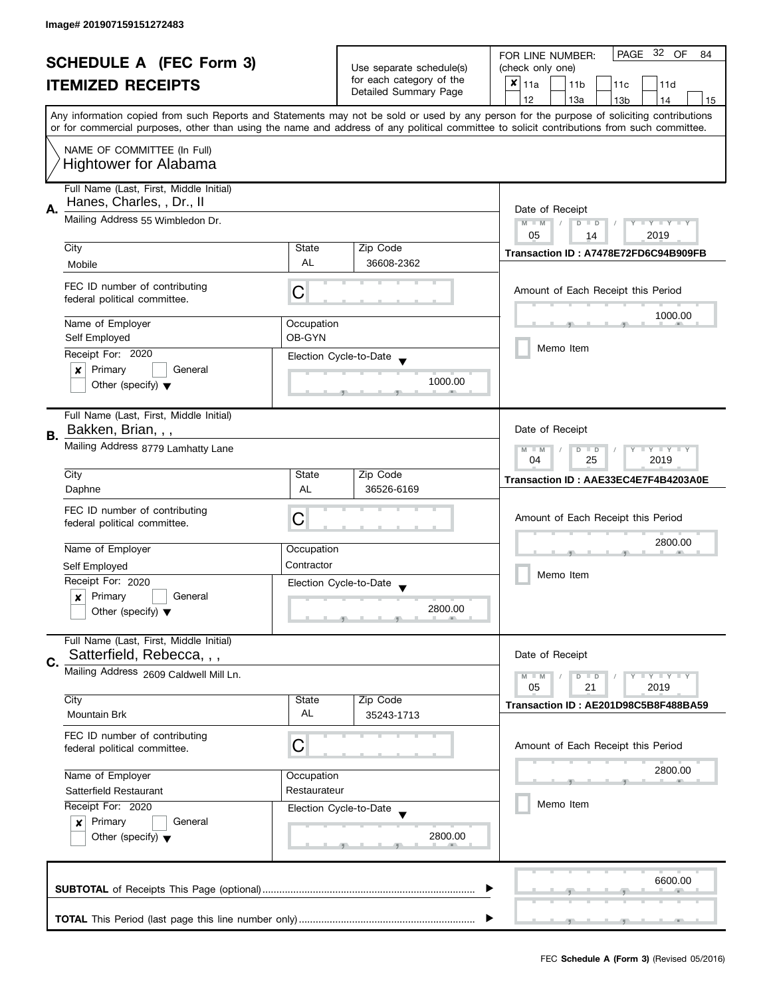| <b>SCHEDULE A (FEC Form 3)</b> |                                                               |                                                                                                                                            | PAGE 32 OF<br>FOR LINE NUMBER:<br>84 |                                                                                                                                           |  |
|--------------------------------|---------------------------------------------------------------|--------------------------------------------------------------------------------------------------------------------------------------------|--------------------------------------|-------------------------------------------------------------------------------------------------------------------------------------------|--|
|                                |                                                               |                                                                                                                                            | Use separate schedule(s)             | (check only one)                                                                                                                          |  |
|                                | <b>ITEMIZED RECEIPTS</b>                                      |                                                                                                                                            | for each category of the             | $x _{11a}$<br>11 <sub>b</sub><br>11c<br>11d                                                                                               |  |
|                                |                                                               |                                                                                                                                            | Detailed Summary Page                | 12<br>13a<br>14<br>13 <sub>b</sub><br>15                                                                                                  |  |
|                                |                                                               |                                                                                                                                            |                                      | Any information copied from such Reports and Statements may not be sold or used by any person for the purpose of soliciting contributions |  |
|                                |                                                               | or for commercial purposes, other than using the name and address of any political committee to solicit contributions from such committee. |                                      |                                                                                                                                           |  |
|                                | NAME OF COMMITTEE (In Full)                                   |                                                                                                                                            |                                      |                                                                                                                                           |  |
|                                |                                                               |                                                                                                                                            |                                      |                                                                                                                                           |  |
|                                | <b>Hightower for Alabama</b>                                  |                                                                                                                                            |                                      |                                                                                                                                           |  |
|                                | Full Name (Last, First, Middle Initial)                       |                                                                                                                                            |                                      |                                                                                                                                           |  |
|                                | Hanes, Charles, , Dr., II                                     |                                                                                                                                            |                                      |                                                                                                                                           |  |
| А.                             | Mailing Address 55 Wimbledon Dr.                              |                                                                                                                                            |                                      | Date of Receipt                                                                                                                           |  |
|                                |                                                               |                                                                                                                                            |                                      | $M - M$<br>$Y - Y - Y - Y - Y$<br>$D$ $D$                                                                                                 |  |
|                                | City                                                          | State                                                                                                                                      | Zip Code                             | 05<br>2019<br>14                                                                                                                          |  |
|                                |                                                               | AL                                                                                                                                         |                                      | Transaction ID: A7478E72FD6C94B909FB                                                                                                      |  |
|                                | Mobile                                                        |                                                                                                                                            | 36608-2362                           |                                                                                                                                           |  |
|                                | FEC ID number of contributing                                 |                                                                                                                                            |                                      |                                                                                                                                           |  |
|                                | federal political committee.                                  | С                                                                                                                                          |                                      | Amount of Each Receipt this Period                                                                                                        |  |
|                                |                                                               |                                                                                                                                            |                                      | 1000.00                                                                                                                                   |  |
|                                | Name of Employer                                              | Occupation                                                                                                                                 |                                      |                                                                                                                                           |  |
|                                | Self Employed                                                 | OB-GYN                                                                                                                                     |                                      | Memo Item                                                                                                                                 |  |
|                                | Receipt For: 2020                                             |                                                                                                                                            | Election Cycle-to-Date               |                                                                                                                                           |  |
|                                | Primary<br>General<br>×                                       |                                                                                                                                            |                                      |                                                                                                                                           |  |
|                                | Other (specify) $\blacktriangledown$                          |                                                                                                                                            | 1000.00                              |                                                                                                                                           |  |
|                                |                                                               |                                                                                                                                            |                                      |                                                                                                                                           |  |
|                                | Full Name (Last, First, Middle Initial)                       |                                                                                                                                            |                                      |                                                                                                                                           |  |
|                                | Bakken, Brian, , ,                                            |                                                                                                                                            |                                      | Date of Receipt                                                                                                                           |  |
| В.                             |                                                               |                                                                                                                                            |                                      |                                                                                                                                           |  |
|                                | Mailing Address 8779 Lamhatty Lane                            |                                                                                                                                            |                                      | <b>LYLYLY</b><br>$M - M$<br>D<br>$\Box$<br>04<br>25<br>2019                                                                               |  |
|                                | City                                                          | State                                                                                                                                      | Zip Code                             |                                                                                                                                           |  |
|                                |                                                               | AL                                                                                                                                         | 36526-6169                           | Transaction ID: AAE33EC4E7F4B4203A0E                                                                                                      |  |
|                                | Daphne                                                        |                                                                                                                                            |                                      |                                                                                                                                           |  |
|                                | FEC ID number of contributing                                 |                                                                                                                                            |                                      | Amount of Each Receipt this Period                                                                                                        |  |
|                                | federal political committee.                                  | С                                                                                                                                          |                                      |                                                                                                                                           |  |
|                                |                                                               |                                                                                                                                            |                                      | 2800.00                                                                                                                                   |  |
|                                | Name of Employer                                              | Occupation                                                                                                                                 |                                      |                                                                                                                                           |  |
|                                | Self Employed                                                 | Contractor                                                                                                                                 |                                      | Memo Item                                                                                                                                 |  |
|                                | Receipt For: 2020                                             |                                                                                                                                            | Election Cycle-to-Date               |                                                                                                                                           |  |
|                                | Primary<br>General<br>$\boldsymbol{x}$                        |                                                                                                                                            |                                      |                                                                                                                                           |  |
|                                | Other (specify) $\blacktriangledown$                          |                                                                                                                                            | 2800.00                              |                                                                                                                                           |  |
|                                |                                                               |                                                                                                                                            |                                      |                                                                                                                                           |  |
|                                | Full Name (Last, First, Middle Initial)                       |                                                                                                                                            |                                      |                                                                                                                                           |  |
| C.                             | Satterfield, Rebecca, , ,                                     |                                                                                                                                            |                                      | Date of Receipt                                                                                                                           |  |
|                                | Mailing Address 2609 Caldwell Mill Ln.                        |                                                                                                                                            |                                      | $Y = Y = Y$<br>$M - M$<br>$D$ $D$                                                                                                         |  |
|                                |                                                               |                                                                                                                                            |                                      | 05<br>21<br>2019                                                                                                                          |  |
|                                | City                                                          | State                                                                                                                                      | Zip Code                             | Transaction ID: AE201D98C5B8F488BA59                                                                                                      |  |
|                                | <b>Mountain Brk</b>                                           | AL                                                                                                                                         | 35243-1713                           |                                                                                                                                           |  |
|                                |                                                               |                                                                                                                                            |                                      |                                                                                                                                           |  |
|                                | FEC ID number of contributing<br>federal political committee. | C                                                                                                                                          |                                      | Amount of Each Receipt this Period                                                                                                        |  |
|                                |                                                               |                                                                                                                                            |                                      |                                                                                                                                           |  |
|                                | Name of Employer                                              | Occupation                                                                                                                                 |                                      | 2800.00                                                                                                                                   |  |
|                                | Restaurateur<br>Satterfield Restaurant<br>Receipt For: 2020   |                                                                                                                                            |                                      |                                                                                                                                           |  |
|                                |                                                               |                                                                                                                                            |                                      | Memo Item                                                                                                                                 |  |
|                                |                                                               |                                                                                                                                            | Election Cycle-to-Date               |                                                                                                                                           |  |
|                                | Primary<br>General<br>$\mathbf{x}$                            |                                                                                                                                            |                                      |                                                                                                                                           |  |
|                                | Other (specify) $\blacktriangledown$                          |                                                                                                                                            | 2800.00                              |                                                                                                                                           |  |
|                                |                                                               |                                                                                                                                            |                                      |                                                                                                                                           |  |
|                                |                                                               |                                                                                                                                            |                                      |                                                                                                                                           |  |
|                                |                                                               |                                                                                                                                            |                                      | 6600.00                                                                                                                                   |  |
|                                |                                                               |                                                                                                                                            |                                      |                                                                                                                                           |  |
|                                |                                                               |                                                                                                                                            |                                      |                                                                                                                                           |  |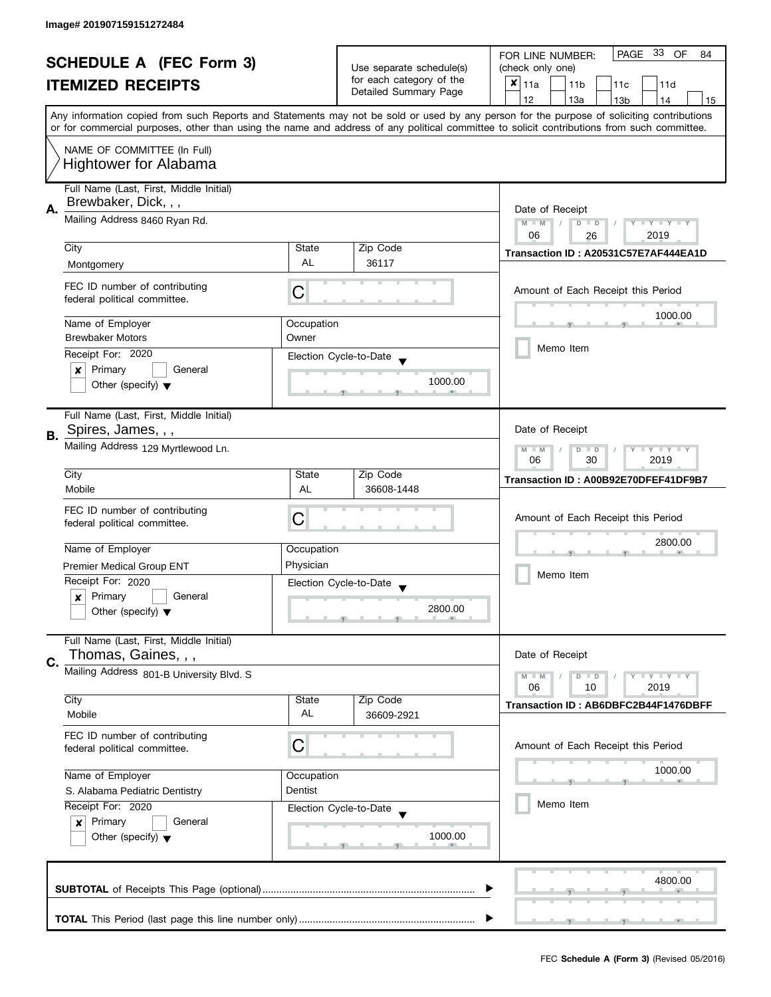| <b>SCHEDULE A (FEC Form 3)</b><br><b>ITEMIZED RECEIPTS</b> |                                                               |                                                   | PAGE 33 OF<br>FOR LINE NUMBER:<br>84                    |                                                                                                                                                                                                                                                                                         |  |  |
|------------------------------------------------------------|---------------------------------------------------------------|---------------------------------------------------|---------------------------------------------------------|-----------------------------------------------------------------------------------------------------------------------------------------------------------------------------------------------------------------------------------------------------------------------------------------|--|--|
|                                                            |                                                               | Use separate schedule(s)                          | (check only one)                                        |                                                                                                                                                                                                                                                                                         |  |  |
|                                                            |                                                               | for each category of the<br>Detailed Summary Page | $x _{11a}$<br>11 <sub>b</sub><br>11 <sub>c</sub><br>11d |                                                                                                                                                                                                                                                                                         |  |  |
|                                                            |                                                               |                                                   |                                                         | 12<br>13a<br>13 <sub>b</sub><br>14<br>15                                                                                                                                                                                                                                                |  |  |
|                                                            |                                                               |                                                   |                                                         | Any information copied from such Reports and Statements may not be sold or used by any person for the purpose of soliciting contributions<br>or for commercial purposes, other than using the name and address of any political committee to solicit contributions from such committee. |  |  |
|                                                            |                                                               |                                                   |                                                         |                                                                                                                                                                                                                                                                                         |  |  |
|                                                            | NAME OF COMMITTEE (In Full)<br><b>Hightower for Alabama</b>   |                                                   |                                                         |                                                                                                                                                                                                                                                                                         |  |  |
|                                                            | Full Name (Last, First, Middle Initial)                       |                                                   |                                                         |                                                                                                                                                                                                                                                                                         |  |  |
|                                                            | Brewbaker, Dick, , ,                                          |                                                   |                                                         |                                                                                                                                                                                                                                                                                         |  |  |
| А.                                                         |                                                               |                                                   |                                                         | Date of Receipt                                                                                                                                                                                                                                                                         |  |  |
|                                                            | Mailing Address 8460 Ryan Rd.                                 |                                                   |                                                         | $M - M$<br>$D$ $D$<br>$Y - Y - Y - Y - Y$<br>$\sqrt{2}$                                                                                                                                                                                                                                 |  |  |
|                                                            | City<br>Zip Code<br>State                                     |                                                   |                                                         | 2019<br>06<br>26                                                                                                                                                                                                                                                                        |  |  |
|                                                            |                                                               | <b>AL</b>                                         |                                                         | Transaction ID: A20531C57E7AF444EA1D                                                                                                                                                                                                                                                    |  |  |
|                                                            | Montgomery                                                    |                                                   | 36117                                                   |                                                                                                                                                                                                                                                                                         |  |  |
|                                                            | FEC ID number of contributing<br>federal political committee. | С                                                 |                                                         | Amount of Each Receipt this Period                                                                                                                                                                                                                                                      |  |  |
|                                                            |                                                               | Occupation                                        |                                                         | 1000.00                                                                                                                                                                                                                                                                                 |  |  |
|                                                            | Name of Employer<br><b>Brewbaker Motors</b>                   | Owner                                             |                                                         |                                                                                                                                                                                                                                                                                         |  |  |
|                                                            |                                                               |                                                   |                                                         | Memo Item                                                                                                                                                                                                                                                                               |  |  |
|                                                            | Receipt For: 2020                                             |                                                   | Election Cycle-to-Date                                  |                                                                                                                                                                                                                                                                                         |  |  |
|                                                            | General<br>Primary<br>×                                       |                                                   | 1000.00                                                 |                                                                                                                                                                                                                                                                                         |  |  |
|                                                            | Other (specify) $\blacktriangledown$                          |                                                   |                                                         |                                                                                                                                                                                                                                                                                         |  |  |
|                                                            | Full Name (Last, First, Middle Initial)                       |                                                   |                                                         |                                                                                                                                                                                                                                                                                         |  |  |
| В.                                                         | Spires, James, , ,                                            |                                                   |                                                         | Date of Receipt                                                                                                                                                                                                                                                                         |  |  |
|                                                            | Mailing Address 129 Myrtlewood Ln.                            |                                                   |                                                         | $Y \perp Y \perp Y$<br>$M - M$<br>D<br>$\Box$                                                                                                                                                                                                                                           |  |  |
|                                                            |                                                               |                                                   |                                                         | 06<br>30<br>2019                                                                                                                                                                                                                                                                        |  |  |
|                                                            | City                                                          | State                                             | Zip Code                                                | Transaction ID: A00B92E70DFEF41DF9B7                                                                                                                                                                                                                                                    |  |  |
|                                                            | Mobile                                                        | <b>AL</b>                                         | 36608-1448                                              |                                                                                                                                                                                                                                                                                         |  |  |
|                                                            | FEC ID number of contributing                                 |                                                   |                                                         |                                                                                                                                                                                                                                                                                         |  |  |
|                                                            | federal political committee.                                  | C                                                 |                                                         | Amount of Each Receipt this Period                                                                                                                                                                                                                                                      |  |  |
|                                                            |                                                               |                                                   |                                                         |                                                                                                                                                                                                                                                                                         |  |  |
|                                                            | Name of Employer                                              | Occupation                                        |                                                         | 2800.00                                                                                                                                                                                                                                                                                 |  |  |
|                                                            | <b>Premier Medical Group ENT</b>                              | Physician                                         |                                                         | Memo Item                                                                                                                                                                                                                                                                               |  |  |
|                                                            | Receipt For: 2020                                             |                                                   | Election Cycle-to-Date                                  |                                                                                                                                                                                                                                                                                         |  |  |
|                                                            | Primary<br>General<br>x                                       |                                                   |                                                         |                                                                                                                                                                                                                                                                                         |  |  |
|                                                            | Other (specify) $\blacktriangledown$                          |                                                   | 2800.00                                                 |                                                                                                                                                                                                                                                                                         |  |  |
|                                                            |                                                               |                                                   |                                                         |                                                                                                                                                                                                                                                                                         |  |  |
|                                                            | Full Name (Last, First, Middle Initial)                       |                                                   |                                                         |                                                                                                                                                                                                                                                                                         |  |  |
|                                                            | Thomas, Gaines, , ,                                           |                                                   |                                                         |                                                                                                                                                                                                                                                                                         |  |  |
| C.                                                         | Mailing Address 801-B University Blvd. S                      |                                                   |                                                         | Date of Receipt                                                                                                                                                                                                                                                                         |  |  |
|                                                            |                                                               |                                                   |                                                         | $Y = Y = Y$<br>$M - M$<br>D<br>$\Box$<br>06<br>2019<br>10                                                                                                                                                                                                                               |  |  |
|                                                            | City                                                          | State                                             | Zip Code                                                | Transaction ID: AB6DBFC2B44F1476DBFF                                                                                                                                                                                                                                                    |  |  |
|                                                            | Mobile                                                        | AL                                                | 36609-2921                                              |                                                                                                                                                                                                                                                                                         |  |  |
|                                                            | FEC ID number of contributing                                 |                                                   |                                                         |                                                                                                                                                                                                                                                                                         |  |  |
|                                                            | C<br>federal political committee.                             |                                                   |                                                         | Amount of Each Receipt this Period                                                                                                                                                                                                                                                      |  |  |
|                                                            |                                                               |                                                   |                                                         |                                                                                                                                                                                                                                                                                         |  |  |
|                                                            | Name of Employer<br>Occupation                                |                                                   |                                                         | 1000.00                                                                                                                                                                                                                                                                                 |  |  |
|                                                            | S. Alabama Pediatric Dentistry                                | Dentist                                           |                                                         |                                                                                                                                                                                                                                                                                         |  |  |
|                                                            | Receipt For: 2020                                             |                                                   | Election Cycle-to-Date                                  | Memo Item                                                                                                                                                                                                                                                                               |  |  |
|                                                            | Primary<br>General<br>$\boldsymbol{x}$                        |                                                   |                                                         |                                                                                                                                                                                                                                                                                         |  |  |
|                                                            | Other (specify) $\blacktriangledown$                          |                                                   | 1000.00                                                 |                                                                                                                                                                                                                                                                                         |  |  |
|                                                            |                                                               |                                                   |                                                         |                                                                                                                                                                                                                                                                                         |  |  |
|                                                            |                                                               |                                                   |                                                         |                                                                                                                                                                                                                                                                                         |  |  |
| 4800.00                                                    |                                                               |                                                   |                                                         |                                                                                                                                                                                                                                                                                         |  |  |
|                                                            |                                                               |                                                   |                                                         |                                                                                                                                                                                                                                                                                         |  |  |
|                                                            |                                                               |                                                   |                                                         |                                                                                                                                                                                                                                                                                         |  |  |
|                                                            |                                                               |                                                   |                                                         |                                                                                                                                                                                                                                                                                         |  |  |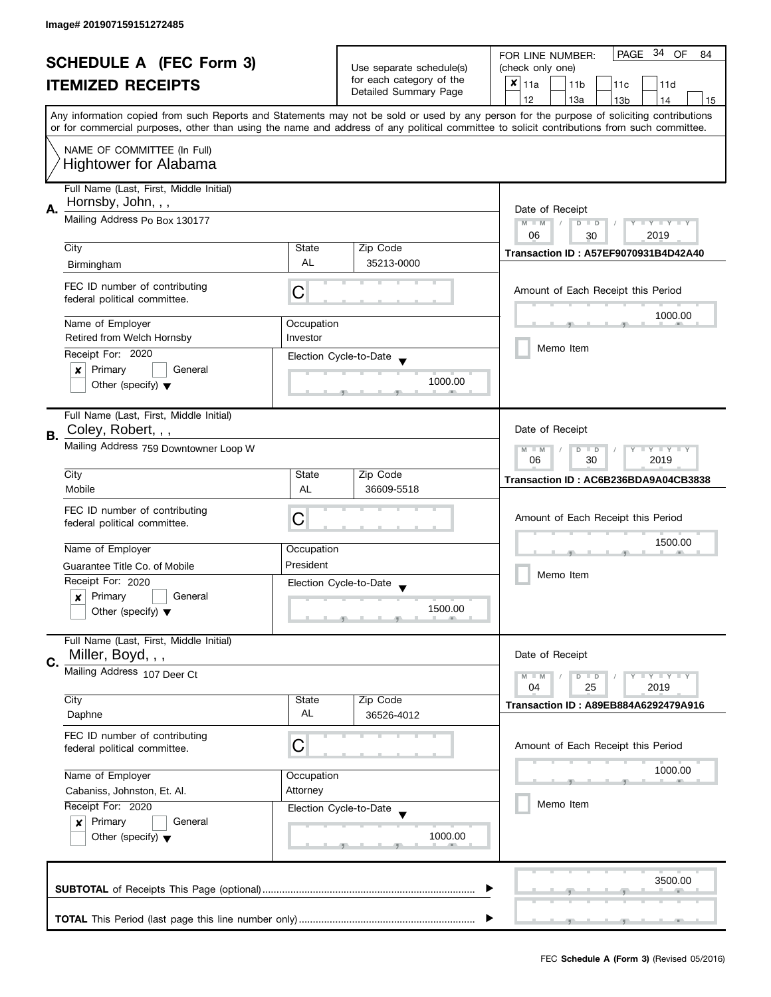| <b>SCHEDULE A (FEC Form 3)</b> |                                         | Use separate schedule(s) | PAGE 34 OF<br>FOR LINE NUMBER:<br>84 |                                                                                                                                            |  |  |  |
|--------------------------------|-----------------------------------------|--------------------------|--------------------------------------|--------------------------------------------------------------------------------------------------------------------------------------------|--|--|--|
|                                |                                         |                          | (check only one)                     |                                                                                                                                            |  |  |  |
|                                | <b>ITEMIZED RECEIPTS</b>                |                          | for each category of the             | $x _{11a}$<br>11 <sub>b</sub><br>11 <sub>c</sub><br>11d                                                                                    |  |  |  |
|                                |                                         |                          | Detailed Summary Page                | 12<br>13a<br>13 <sub>b</sub><br>14<br>15                                                                                                   |  |  |  |
|                                |                                         |                          |                                      | Any information copied from such Reports and Statements may not be sold or used by any person for the purpose of soliciting contributions  |  |  |  |
|                                |                                         |                          |                                      | or for commercial purposes, other than using the name and address of any political committee to solicit contributions from such committee. |  |  |  |
|                                |                                         |                          |                                      |                                                                                                                                            |  |  |  |
|                                | NAME OF COMMITTEE (In Full)             |                          |                                      |                                                                                                                                            |  |  |  |
|                                | <b>Hightower for Alabama</b>            |                          |                                      |                                                                                                                                            |  |  |  |
|                                |                                         |                          |                                      |                                                                                                                                            |  |  |  |
|                                | Full Name (Last, First, Middle Initial) |                          |                                      |                                                                                                                                            |  |  |  |
| А.                             | Hornsby, John, , ,                      |                          |                                      | Date of Receipt                                                                                                                            |  |  |  |
|                                | Mailing Address Po Box 130177           |                          |                                      | $M - M$<br>$\sqrt{ }$<br>$D$ $D$<br>$Y - Y - Y - Y - Y$                                                                                    |  |  |  |
|                                |                                         |                          |                                      | 06<br>2019<br>30                                                                                                                           |  |  |  |
|                                | City                                    | State                    | Zip Code                             | <b>Transaction ID: A57EF9070931B4D42A40</b>                                                                                                |  |  |  |
|                                | Birmingham                              | <b>AL</b>                | 35213-0000                           |                                                                                                                                            |  |  |  |
|                                |                                         |                          |                                      |                                                                                                                                            |  |  |  |
|                                | FEC ID number of contributing           | C                        |                                      | Amount of Each Receipt this Period                                                                                                         |  |  |  |
|                                | federal political committee.            |                          |                                      |                                                                                                                                            |  |  |  |
|                                |                                         |                          |                                      | 1000.00                                                                                                                                    |  |  |  |
|                                | Name of Employer                        | Occupation               |                                      |                                                                                                                                            |  |  |  |
|                                | Retired from Welch Hornsby              | Investor                 |                                      | Memo Item                                                                                                                                  |  |  |  |
|                                | Receipt For: 2020                       |                          | Election Cycle-to-Date               |                                                                                                                                            |  |  |  |
|                                | Primary<br>General<br>×                 |                          |                                      |                                                                                                                                            |  |  |  |
|                                | Other (specify) $\blacktriangledown$    |                          | 1000.00                              |                                                                                                                                            |  |  |  |
|                                |                                         |                          |                                      |                                                                                                                                            |  |  |  |
|                                | Full Name (Last, First, Middle Initial) |                          |                                      |                                                                                                                                            |  |  |  |
|                                | Coley, Robert, , ,                      |                          |                                      | Date of Receipt                                                                                                                            |  |  |  |
| В.                             |                                         |                          |                                      |                                                                                                                                            |  |  |  |
|                                | Mailing Address 759 Downtowner Loop W   |                          |                                      | $Y = Y = Y$<br>$-M$<br>D<br>$\Box$<br>06<br>30<br>2019                                                                                     |  |  |  |
|                                | City                                    | State                    | Zip Code                             |                                                                                                                                            |  |  |  |
|                                |                                         |                          |                                      | Transaction ID: AC6B236BDA9A04CB3838                                                                                                       |  |  |  |
|                                | Mobile                                  | <b>AL</b>                | 36609-5518                           |                                                                                                                                            |  |  |  |
|                                | FEC ID number of contributing           |                          |                                      |                                                                                                                                            |  |  |  |
|                                | C<br>federal political committee.       |                          | Amount of Each Receipt this Period   |                                                                                                                                            |  |  |  |
|                                |                                         |                          |                                      | 1500.00                                                                                                                                    |  |  |  |
|                                | Name of Employer                        | Occupation               |                                      |                                                                                                                                            |  |  |  |
|                                | Guarantee Title Co. of Mobile           | President                |                                      |                                                                                                                                            |  |  |  |
|                                | Receipt For: 2020                       |                          | Election Cycle-to-Date               | Memo Item                                                                                                                                  |  |  |  |
|                                | Primary<br>General<br>x                 |                          |                                      |                                                                                                                                            |  |  |  |
|                                | Other (specify) $\blacktriangledown$    |                          | 1500.00                              |                                                                                                                                            |  |  |  |
|                                |                                         |                          |                                      |                                                                                                                                            |  |  |  |
|                                | Full Name (Last, First, Middle Initial) |                          |                                      |                                                                                                                                            |  |  |  |
|                                | Miller, Boyd, , ,                       |                          |                                      | Date of Receipt                                                                                                                            |  |  |  |
| C.                             |                                         |                          |                                      |                                                                                                                                            |  |  |  |
|                                | Mailing Address 107 Deer Ct             |                          |                                      | $Y = Y + Y$<br>$M - M$<br>$D$ $D$                                                                                                          |  |  |  |
|                                |                                         |                          |                                      | 2019<br>04<br>25                                                                                                                           |  |  |  |
|                                | City                                    | State                    | Zip Code                             | Transaction ID: A89EB884A6292479A916                                                                                                       |  |  |  |
|                                | Daphne                                  | AL                       | 36526-4012                           |                                                                                                                                            |  |  |  |
|                                | FEC ID number of contributing           |                          |                                      |                                                                                                                                            |  |  |  |
|                                | C<br>federal political committee.       |                          |                                      | Amount of Each Receipt this Period                                                                                                         |  |  |  |
|                                |                                         |                          |                                      |                                                                                                                                            |  |  |  |
|                                | Name of Employer<br>Occupation          |                          |                                      | 1000.00                                                                                                                                    |  |  |  |
|                                | Cabaniss, Johnston, Et. Al.<br>Attorney |                          |                                      |                                                                                                                                            |  |  |  |
|                                | Receipt For: 2020                       | Election Cycle-to-Date   |                                      | Memo Item                                                                                                                                  |  |  |  |
|                                | Primary<br>General<br>$\boldsymbol{x}$  |                          |                                      |                                                                                                                                            |  |  |  |
|                                | Other (specify) $\blacktriangledown$    |                          | 1000.00                              |                                                                                                                                            |  |  |  |
|                                |                                         |                          |                                      |                                                                                                                                            |  |  |  |
|                                |                                         |                          |                                      |                                                                                                                                            |  |  |  |
|                                |                                         |                          |                                      |                                                                                                                                            |  |  |  |
|                                | 3500.00                                 |                          |                                      |                                                                                                                                            |  |  |  |
|                                |                                         |                          |                                      |                                                                                                                                            |  |  |  |
|                                |                                         |                          |                                      |                                                                                                                                            |  |  |  |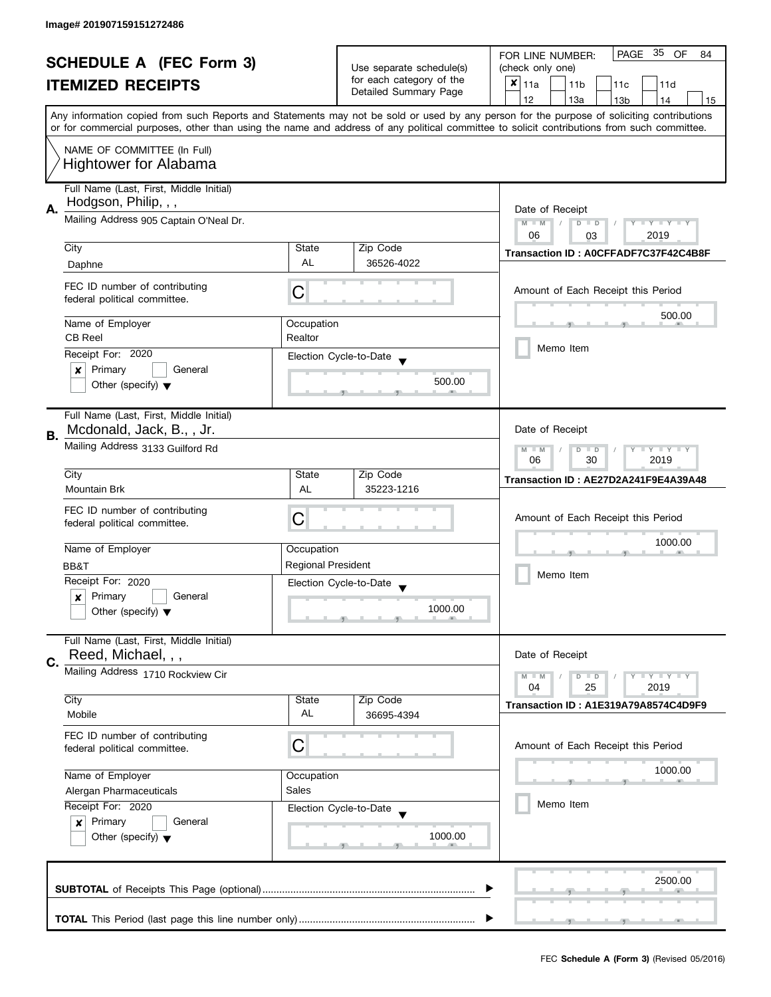| <b>SCHEDULE A (FEC Form 3)</b> |                                                                    | Use separate schedule(s)  | PAGE 35<br>OF<br>FOR LINE NUMBER:<br>84           |                                                                                                                                            |  |  |
|--------------------------------|--------------------------------------------------------------------|---------------------------|---------------------------------------------------|--------------------------------------------------------------------------------------------------------------------------------------------|--|--|
|                                |                                                                    |                           | (check only one)                                  |                                                                                                                                            |  |  |
|                                | <b>ITEMIZED RECEIPTS</b>                                           |                           | for each category of the<br>Detailed Summary Page | $x _{11a}$<br>11 <sub>b</sub><br>11 <sub>c</sub><br>11d                                                                                    |  |  |
|                                |                                                                    |                           |                                                   | 12<br>13a<br>13 <sub>b</sub><br>14<br>15                                                                                                   |  |  |
|                                |                                                                    |                           |                                                   | Any information copied from such Reports and Statements may not be sold or used by any person for the purpose of soliciting contributions  |  |  |
|                                |                                                                    |                           |                                                   | or for commercial purposes, other than using the name and address of any political committee to solicit contributions from such committee. |  |  |
|                                | NAME OF COMMITTEE (In Full)                                        |                           |                                                   |                                                                                                                                            |  |  |
|                                | <b>Hightower for Alabama</b>                                       |                           |                                                   |                                                                                                                                            |  |  |
|                                |                                                                    |                           |                                                   |                                                                                                                                            |  |  |
|                                | Full Name (Last, First, Middle Initial)                            |                           |                                                   |                                                                                                                                            |  |  |
| Α.                             | Hodgson, Philip, , ,                                               |                           |                                                   | Date of Receipt                                                                                                                            |  |  |
|                                | Mailing Address 905 Captain O'Neal Dr.                             |                           |                                                   | $M - M$<br>D<br>Y I Y I Y I Y<br>$\Box$                                                                                                    |  |  |
|                                |                                                                    |                           |                                                   | 06<br>2019<br>03                                                                                                                           |  |  |
|                                | City                                                               | State                     | Zip Code                                          | Transaction ID: A0CFFADF7C37F42C4B8F                                                                                                       |  |  |
|                                | Daphne                                                             | <b>AL</b>                 | 36526-4022                                        |                                                                                                                                            |  |  |
|                                | FEC ID number of contributing                                      |                           |                                                   |                                                                                                                                            |  |  |
|                                | federal political committee.                                       | C                         |                                                   | Amount of Each Receipt this Period                                                                                                         |  |  |
|                                |                                                                    |                           |                                                   | 500.00                                                                                                                                     |  |  |
|                                | Name of Employer                                                   | Occupation                |                                                   |                                                                                                                                            |  |  |
|                                | <b>CB Reel</b>                                                     | Realtor                   |                                                   | Memo Item                                                                                                                                  |  |  |
|                                | Receipt For: 2020                                                  |                           | Election Cycle-to-Date                            |                                                                                                                                            |  |  |
|                                | Primary<br>General<br>×                                            |                           | 500.00                                            |                                                                                                                                            |  |  |
|                                | Other (specify) $\blacktriangledown$                               |                           |                                                   |                                                                                                                                            |  |  |
|                                |                                                                    |                           |                                                   |                                                                                                                                            |  |  |
|                                | Full Name (Last, First, Middle Initial)                            |                           |                                                   |                                                                                                                                            |  |  |
| В.                             | Mcdonald, Jack, B., , Jr.                                          |                           |                                                   | Date of Receipt                                                                                                                            |  |  |
|                                | Mailing Address 3133 Guilford Rd                                   |                           |                                                   | $Y - Y - Y$<br>$M - M$<br>D<br>$\Box$                                                                                                      |  |  |
|                                |                                                                    |                           |                                                   | 30<br>2019<br>06                                                                                                                           |  |  |
|                                | City                                                               | State                     | Zip Code                                          | Transaction ID: AE27D2A241F9E4A39A48                                                                                                       |  |  |
|                                | <b>Mountain Brk</b>                                                | AL                        | 35223-1216                                        |                                                                                                                                            |  |  |
|                                | FEC ID number of contributing                                      |                           | Amount of Each Receipt this Period                |                                                                                                                                            |  |  |
|                                | С<br>federal political committee.                                  |                           |                                                   |                                                                                                                                            |  |  |
|                                | Name of Employer                                                   |                           |                                                   | 1000.00                                                                                                                                    |  |  |
|                                |                                                                    | Occupation                |                                                   |                                                                                                                                            |  |  |
|                                | BB&T                                                               | <b>Regional President</b> |                                                   | Memo Item                                                                                                                                  |  |  |
|                                | Receipt For: 2020                                                  |                           | Election Cycle-to-Date                            |                                                                                                                                            |  |  |
|                                | Primary<br>General<br>x                                            |                           | 1000.00                                           |                                                                                                                                            |  |  |
|                                | Other (specify) $\blacktriangledown$                               |                           |                                                   |                                                                                                                                            |  |  |
|                                | Full Name (Last, First, Middle Initial)                            |                           |                                                   |                                                                                                                                            |  |  |
|                                | Reed, Michael, , ,                                                 |                           |                                                   | Date of Receipt                                                                                                                            |  |  |
| C.                             |                                                                    |                           |                                                   |                                                                                                                                            |  |  |
|                                | Mailing Address 1710 Rockview Cir                                  |                           |                                                   | $Y = Y = Y$<br>$M - M$<br>$D$ $D$<br>04<br>2019<br>25                                                                                      |  |  |
|                                | City                                                               | State                     | Zip Code                                          |                                                                                                                                            |  |  |
|                                | Mobile                                                             | AL                        | 36695-4394                                        | Transaction ID: A1E319A79A8574C4D9F9                                                                                                       |  |  |
|                                |                                                                    |                           |                                                   |                                                                                                                                            |  |  |
|                                | FEC ID number of contributing<br>C<br>federal political committee. |                           |                                                   | Amount of Each Receipt this Period                                                                                                         |  |  |
|                                |                                                                    |                           |                                                   |                                                                                                                                            |  |  |
|                                | Name of Employer<br>Occupation                                     |                           |                                                   | 1000.00                                                                                                                                    |  |  |
|                                | Alergan Pharmaceuticals                                            | Sales                     |                                                   |                                                                                                                                            |  |  |
|                                | Receipt For: 2020                                                  | Election Cycle-to-Date    |                                                   | Memo Item                                                                                                                                  |  |  |
|                                | Primary<br>General<br>x                                            |                           |                                                   |                                                                                                                                            |  |  |
|                                | Other (specify) $\blacktriangledown$                               |                           | 1000.00                                           |                                                                                                                                            |  |  |
|                                |                                                                    |                           |                                                   |                                                                                                                                            |  |  |
|                                |                                                                    |                           |                                                   |                                                                                                                                            |  |  |
| 2500.00                        |                                                                    |                           |                                                   |                                                                                                                                            |  |  |
|                                |                                                                    |                           |                                                   |                                                                                                                                            |  |  |
|                                |                                                                    |                           |                                                   |                                                                                                                                            |  |  |
|                                |                                                                    |                           |                                                   |                                                                                                                                            |  |  |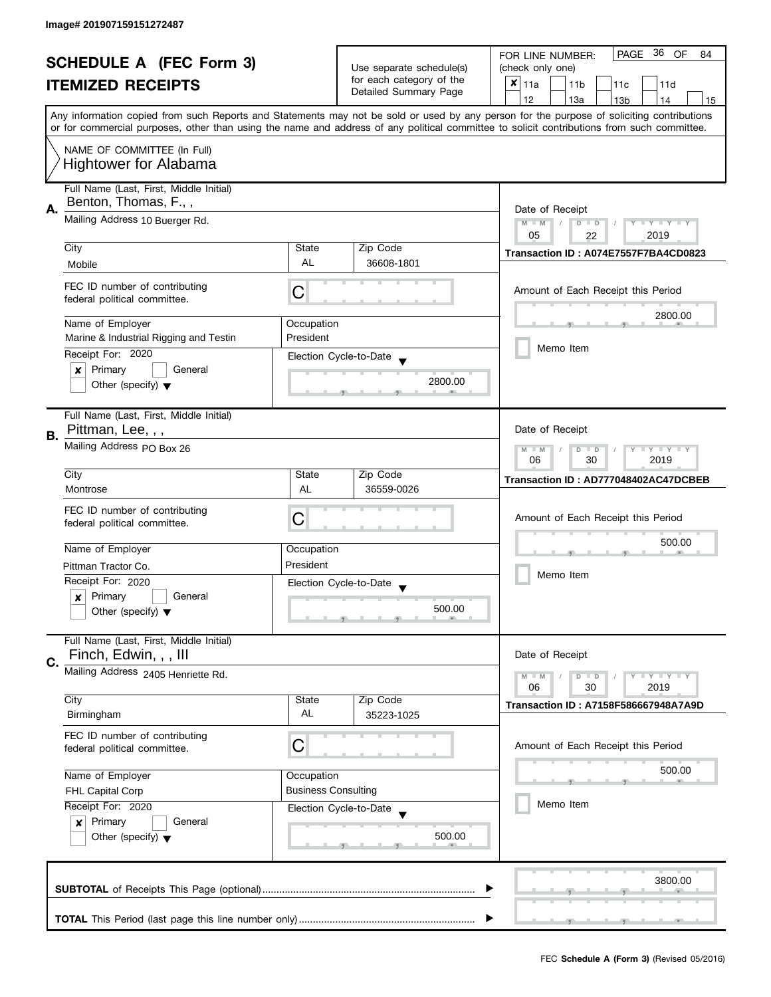| <b>SCHEDULE A (FEC Form 3)</b><br><b>ITEMIZED RECEIPTS</b> |                                                               | Use separate schedule(s)<br>for each category of the<br>Detailed Summary Page | PAGE 36 OF<br>FOR LINE NUMBER:<br>84              |                                                                                                                                                                                                                                                                                         |  |  |
|------------------------------------------------------------|---------------------------------------------------------------|-------------------------------------------------------------------------------|---------------------------------------------------|-----------------------------------------------------------------------------------------------------------------------------------------------------------------------------------------------------------------------------------------------------------------------------------------|--|--|
|                                                            |                                                               |                                                                               | (check only one)                                  |                                                                                                                                                                                                                                                                                         |  |  |
|                                                            |                                                               |                                                                               | ×<br>11a<br>11 <sub>b</sub><br>11c<br>11d         |                                                                                                                                                                                                                                                                                         |  |  |
|                                                            |                                                               |                                                                               |                                                   | 12<br>13a<br>14<br>15<br>13 <sub>b</sub>                                                                                                                                                                                                                                                |  |  |
|                                                            |                                                               |                                                                               |                                                   | Any information copied from such Reports and Statements may not be sold or used by any person for the purpose of soliciting contributions<br>or for commercial purposes, other than using the name and address of any political committee to solicit contributions from such committee. |  |  |
|                                                            | NAME OF COMMITTEE (In Full)                                   |                                                                               |                                                   |                                                                                                                                                                                                                                                                                         |  |  |
|                                                            | <b>Hightower for Alabama</b>                                  |                                                                               |                                                   |                                                                                                                                                                                                                                                                                         |  |  |
|                                                            | Full Name (Last, First, Middle Initial)                       |                                                                               |                                                   |                                                                                                                                                                                                                                                                                         |  |  |
| А.                                                         | Benton, Thomas, F.,,                                          |                                                                               |                                                   | Date of Receipt                                                                                                                                                                                                                                                                         |  |  |
|                                                            | Mailing Address 10 Buerger Rd.                                |                                                                               |                                                   | $M - M$<br>$D$ $D$<br>$Y - Y - Y - Y - Y$                                                                                                                                                                                                                                               |  |  |
|                                                            | City                                                          | State                                                                         | Zip Code                                          | 05<br>2019<br>22                                                                                                                                                                                                                                                                        |  |  |
|                                                            | Mobile                                                        | AL                                                                            | 36608-1801                                        | Transaction ID: A074E7557F7BA4CD0823                                                                                                                                                                                                                                                    |  |  |
|                                                            |                                                               |                                                                               |                                                   |                                                                                                                                                                                                                                                                                         |  |  |
|                                                            | FEC ID number of contributing<br>federal political committee. | С                                                                             |                                                   | Amount of Each Receipt this Period                                                                                                                                                                                                                                                      |  |  |
|                                                            | Name of Employer                                              |                                                                               |                                                   | 2800.00                                                                                                                                                                                                                                                                                 |  |  |
|                                                            | Marine & Industrial Rigging and Testin                        | Occupation<br>President                                                       |                                                   |                                                                                                                                                                                                                                                                                         |  |  |
|                                                            | Receipt For: 2020                                             |                                                                               |                                                   | Memo Item                                                                                                                                                                                                                                                                               |  |  |
|                                                            | Primary<br>General<br>×                                       |                                                                               | Election Cycle-to-Date                            |                                                                                                                                                                                                                                                                                         |  |  |
|                                                            | Other (specify) $\blacktriangledown$                          |                                                                               | 2800.00                                           |                                                                                                                                                                                                                                                                                         |  |  |
|                                                            |                                                               |                                                                               |                                                   |                                                                                                                                                                                                                                                                                         |  |  |
|                                                            | Full Name (Last, First, Middle Initial)                       |                                                                               |                                                   |                                                                                                                                                                                                                                                                                         |  |  |
|                                                            | Pittman, Lee, , ,                                             |                                                                               |                                                   | Date of Receipt                                                                                                                                                                                                                                                                         |  |  |
| В.                                                         | Mailing Address PO Box 26                                     |                                                                               |                                                   | $T - Y = T - Y$<br>$M - M$<br>D<br>$\Box$                                                                                                                                                                                                                                               |  |  |
|                                                            |                                                               |                                                                               |                                                   | 06<br>30<br>2019                                                                                                                                                                                                                                                                        |  |  |
|                                                            | City                                                          | State                                                                         | Zip Code                                          | Transaction ID: AD777048402AC47DCBEB                                                                                                                                                                                                                                                    |  |  |
|                                                            | Montrose                                                      | AL                                                                            | 36559-0026                                        |                                                                                                                                                                                                                                                                                         |  |  |
|                                                            | FEC ID number of contributing                                 |                                                                               |                                                   |                                                                                                                                                                                                                                                                                         |  |  |
|                                                            | federal political committee.                                  | С                                                                             |                                                   | Amount of Each Receipt this Period                                                                                                                                                                                                                                                      |  |  |
|                                                            |                                                               |                                                                               |                                                   | 500.00                                                                                                                                                                                                                                                                                  |  |  |
|                                                            | Name of Employer<br>Occupation                                |                                                                               |                                                   |                                                                                                                                                                                                                                                                                         |  |  |
|                                                            | Pittman Tractor Co.                                           | President                                                                     |                                                   | Memo Item                                                                                                                                                                                                                                                                               |  |  |
|                                                            | Receipt For: 2020                                             |                                                                               | Election Cycle-to-Date<br>$\overline{\mathbf{v}}$ |                                                                                                                                                                                                                                                                                         |  |  |
|                                                            | Primary<br>General<br>$\boldsymbol{x}$                        |                                                                               | 500.00                                            |                                                                                                                                                                                                                                                                                         |  |  |
|                                                            | Other (specify) $\blacktriangledown$                          |                                                                               |                                                   |                                                                                                                                                                                                                                                                                         |  |  |
|                                                            | Full Name (Last, First, Middle Initial)                       |                                                                               |                                                   | Date of Receipt                                                                                                                                                                                                                                                                         |  |  |
| C.                                                         | Finch, Edwin, , , III                                         |                                                                               |                                                   |                                                                                                                                                                                                                                                                                         |  |  |
|                                                            | Mailing Address 2405 Henriette Rd.                            |                                                                               |                                                   | $Y = Y = Y$<br>$M - M$<br>$D$ $D$<br>06<br>30                                                                                                                                                                                                                                           |  |  |
|                                                            | City                                                          | State                                                                         | Zip Code                                          | 2019                                                                                                                                                                                                                                                                                    |  |  |
|                                                            | Birmingham                                                    | AL                                                                            | 35223-1025                                        | <b>Transaction ID: A7158F586667948A7A9D</b>                                                                                                                                                                                                                                             |  |  |
|                                                            | FEC ID number of contributing                                 |                                                                               |                                                   |                                                                                                                                                                                                                                                                                         |  |  |
|                                                            | C<br>federal political committee.                             |                                                                               |                                                   | Amount of Each Receipt this Period                                                                                                                                                                                                                                                      |  |  |
|                                                            |                                                               |                                                                               |                                                   | 500.00                                                                                                                                                                                                                                                                                  |  |  |
|                                                            | Name of Employer<br>Occupation                                |                                                                               |                                                   |                                                                                                                                                                                                                                                                                         |  |  |
|                                                            | <b>Business Consulting</b><br>FHL Capital Corp                |                                                                               |                                                   |                                                                                                                                                                                                                                                                                         |  |  |
|                                                            | Receipt For: 2020                                             |                                                                               | Election Cycle-to-Date                            | Memo Item<br>500.00                                                                                                                                                                                                                                                                     |  |  |
| Primary<br>General<br>$\boldsymbol{x}$                     |                                                               |                                                                               |                                                   |                                                                                                                                                                                                                                                                                         |  |  |
|                                                            | Other (specify) $\blacktriangledown$                          |                                                                               |                                                   |                                                                                                                                                                                                                                                                                         |  |  |
|                                                            |                                                               |                                                                               |                                                   |                                                                                                                                                                                                                                                                                         |  |  |
| 3800.00                                                    |                                                               |                                                                               |                                                   |                                                                                                                                                                                                                                                                                         |  |  |
|                                                            |                                                               |                                                                               |                                                   |                                                                                                                                                                                                                                                                                         |  |  |
|                                                            |                                                               |                                                                               |                                                   |                                                                                                                                                                                                                                                                                         |  |  |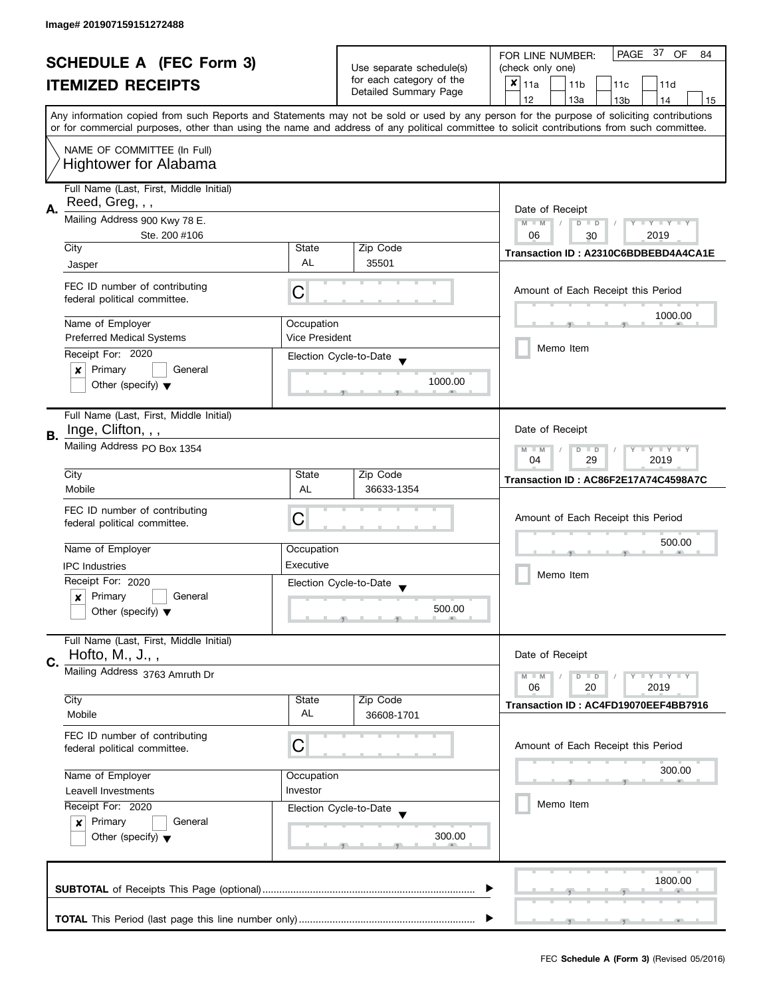| <b>SCHEDULE A (FEC Form 3)</b> |                                                               | Use separate schedule(s)<br>for each category of the                  | PAGE 37 OF<br>FOR LINE NUMBER:<br>84<br>(check only one)<br>$x _{11a}$                                                                                                                                                                                                                  |                                                                                                       |  |  |  |  |
|--------------------------------|---------------------------------------------------------------|-----------------------------------------------------------------------|-----------------------------------------------------------------------------------------------------------------------------------------------------------------------------------------------------------------------------------------------------------------------------------------|-------------------------------------------------------------------------------------------------------|--|--|--|--|
|                                | <b>ITEMIZED RECEIPTS</b>                                      |                                                                       | Detailed Summary Page                                                                                                                                                                                                                                                                   | 11 <sub>b</sub><br>11c<br>11d                                                                         |  |  |  |  |
|                                |                                                               |                                                                       |                                                                                                                                                                                                                                                                                         | 12<br>13a<br>13 <sub>b</sub><br>14<br>15                                                              |  |  |  |  |
|                                |                                                               |                                                                       | Any information copied from such Reports and Statements may not be sold or used by any person for the purpose of soliciting contributions<br>or for commercial purposes, other than using the name and address of any political committee to solicit contributions from such committee. |                                                                                                       |  |  |  |  |
|                                | NAME OF COMMITTEE (In Full)<br><b>Hightower for Alabama</b>   |                                                                       |                                                                                                                                                                                                                                                                                         |                                                                                                       |  |  |  |  |
| А.                             | Full Name (Last, First, Middle Initial)<br>Reed, Greg, , ,    |                                                                       |                                                                                                                                                                                                                                                                                         | Date of Receipt                                                                                       |  |  |  |  |
|                                | Mailing Address 900 Kwy 78 E.<br>Ste. 200 #106                | $M - M$<br>$\sqrt{ }$<br>$D$ $D$<br>Y I Y I Y I Y<br>06<br>2019<br>30 |                                                                                                                                                                                                                                                                                         |                                                                                                       |  |  |  |  |
|                                | City                                                          | State                                                                 | Zip Code                                                                                                                                                                                                                                                                                | Transaction ID: A2310C6BDBEBD4A4CA1E                                                                  |  |  |  |  |
|                                | Jasper                                                        | AL                                                                    | 35501                                                                                                                                                                                                                                                                                   |                                                                                                       |  |  |  |  |
|                                | FEC ID number of contributing<br>federal political committee. | C                                                                     |                                                                                                                                                                                                                                                                                         | Amount of Each Receipt this Period                                                                    |  |  |  |  |
|                                | Name of Employer                                              | Occupation                                                            |                                                                                                                                                                                                                                                                                         | 1000.00                                                                                               |  |  |  |  |
|                                | <b>Preferred Medical Systems</b>                              | <b>Vice President</b>                                                 |                                                                                                                                                                                                                                                                                         |                                                                                                       |  |  |  |  |
|                                | Receipt For: 2020                                             |                                                                       | Election Cycle-to-Date                                                                                                                                                                                                                                                                  | Memo Item                                                                                             |  |  |  |  |
|                                | Primary<br>General<br>X                                       |                                                                       |                                                                                                                                                                                                                                                                                         |                                                                                                       |  |  |  |  |
|                                | Other (specify) $\blacktriangledown$                          |                                                                       | 1000.00                                                                                                                                                                                                                                                                                 |                                                                                                       |  |  |  |  |
| В.                             | Full Name (Last, First, Middle Initial)<br>Inge, Clifton, , , |                                                                       |                                                                                                                                                                                                                                                                                         | Date of Receipt                                                                                       |  |  |  |  |
|                                | Mailing Address PO Box 1354                                   |                                                                       |                                                                                                                                                                                                                                                                                         | $\bot$ $\gamma$ $\bot$ $\gamma$ $\bot$ $\gamma$<br>$M - M$<br>D<br>$\blacksquare$<br>29<br>04<br>2019 |  |  |  |  |
|                                | City                                                          | State                                                                 | Zip Code                                                                                                                                                                                                                                                                                | Transaction ID: AC86F2E17A74C4598A7C                                                                  |  |  |  |  |
|                                | Mobile                                                        | <b>AL</b>                                                             | 36633-1354                                                                                                                                                                                                                                                                              |                                                                                                       |  |  |  |  |
|                                | FEC ID number of contributing<br>federal political committee. | C                                                                     |                                                                                                                                                                                                                                                                                         | Amount of Each Receipt this Period                                                                    |  |  |  |  |
|                                | Name of Employer                                              | Occupation                                                            |                                                                                                                                                                                                                                                                                         | 500.00                                                                                                |  |  |  |  |
|                                | <b>IPC</b> Industries                                         | Executive                                                             |                                                                                                                                                                                                                                                                                         |                                                                                                       |  |  |  |  |
|                                | Receipt For: 2020                                             |                                                                       | Election Cycle-to-Date                                                                                                                                                                                                                                                                  | Memo Item                                                                                             |  |  |  |  |
|                                | Primary<br>General<br>×                                       |                                                                       |                                                                                                                                                                                                                                                                                         |                                                                                                       |  |  |  |  |
|                                | Other (specify) $\blacktriangledown$                          |                                                                       | 500.00                                                                                                                                                                                                                                                                                  |                                                                                                       |  |  |  |  |
| C.                             | Full Name (Last, First, Middle Initial)<br>Hofto, M., J.,,    |                                                                       |                                                                                                                                                                                                                                                                                         | Date of Receipt                                                                                       |  |  |  |  |
|                                | Mailing Address 3763 Amruth Dr                                |                                                                       |                                                                                                                                                                                                                                                                                         | $\bot$ $\gamma$ $\bot$ $\gamma$ $\bot$ $\gamma$<br>$M - M$<br>$D$ $D$<br>06<br>20<br>2019             |  |  |  |  |
|                                | City                                                          | State                                                                 | Zip Code                                                                                                                                                                                                                                                                                | Transaction ID: AC4FD19070EEF4BB7916                                                                  |  |  |  |  |
|                                | Mobile                                                        | AL                                                                    | 36608-1701                                                                                                                                                                                                                                                                              |                                                                                                       |  |  |  |  |
|                                | FEC ID number of contributing<br>federal political committee. | C                                                                     |                                                                                                                                                                                                                                                                                         | Amount of Each Receipt this Period                                                                    |  |  |  |  |
|                                | Name of Employer                                              | Occupation                                                            |                                                                                                                                                                                                                                                                                         | 300.00                                                                                                |  |  |  |  |
|                                | Investor<br>Leavell Investments                               |                                                                       |                                                                                                                                                                                                                                                                                         |                                                                                                       |  |  |  |  |
|                                | Receipt For: 2020                                             |                                                                       | Election Cycle-to-Date                                                                                                                                                                                                                                                                  | Memo Item                                                                                             |  |  |  |  |
|                                | Primary<br>General<br>$\boldsymbol{x}$                        |                                                                       |                                                                                                                                                                                                                                                                                         |                                                                                                       |  |  |  |  |
|                                | Other (specify) $\blacktriangledown$                          |                                                                       | 300.00                                                                                                                                                                                                                                                                                  |                                                                                                       |  |  |  |  |
|                                |                                                               |                                                                       |                                                                                                                                                                                                                                                                                         | 1800.00                                                                                               |  |  |  |  |
|                                |                                                               |                                                                       |                                                                                                                                                                                                                                                                                         |                                                                                                       |  |  |  |  |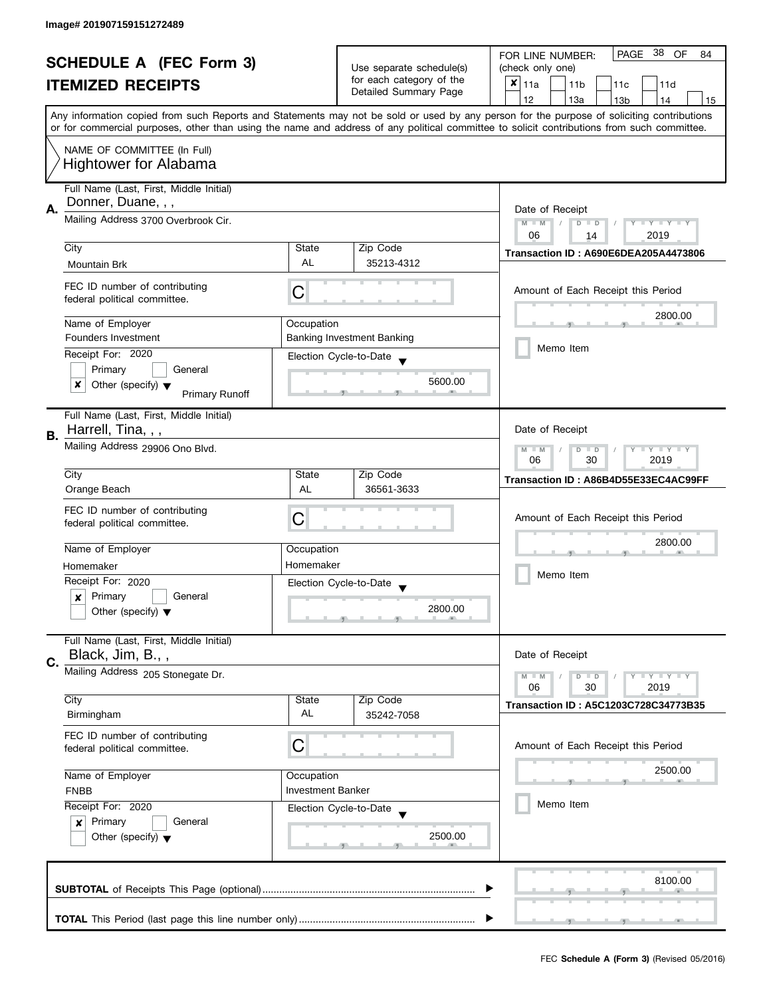| <b>SCHEDULE A (FEC Form 3)</b> |                                                                    |                          | -38<br>PAGE<br>OF<br>FOR LINE NUMBER:<br>84                                                                                                |                                                                                                                                           |  |
|--------------------------------|--------------------------------------------------------------------|--------------------------|--------------------------------------------------------------------------------------------------------------------------------------------|-------------------------------------------------------------------------------------------------------------------------------------------|--|
|                                |                                                                    |                          | Use separate schedule(s)                                                                                                                   | (check only one)                                                                                                                          |  |
|                                | <b>ITEMIZED RECEIPTS</b>                                           |                          | for each category of the                                                                                                                   | $x _{11a}$<br>11 <sub>b</sub><br>11c<br>11d                                                                                               |  |
|                                |                                                                    |                          | Detailed Summary Page                                                                                                                      | 12<br>13a<br>14<br>13 <sub>b</sub><br>15                                                                                                  |  |
|                                |                                                                    |                          |                                                                                                                                            | Any information copied from such Reports and Statements may not be sold or used by any person for the purpose of soliciting contributions |  |
|                                |                                                                    |                          | or for commercial purposes, other than using the name and address of any political committee to solicit contributions from such committee. |                                                                                                                                           |  |
|                                | NAME OF COMMITTEE (In Full)                                        |                          |                                                                                                                                            |                                                                                                                                           |  |
|                                | <b>Hightower for Alabama</b>                                       |                          |                                                                                                                                            |                                                                                                                                           |  |
|                                |                                                                    |                          |                                                                                                                                            |                                                                                                                                           |  |
|                                | Full Name (Last, First, Middle Initial)                            |                          |                                                                                                                                            |                                                                                                                                           |  |
|                                | Donner, Duane, , ,                                                 |                          |                                                                                                                                            |                                                                                                                                           |  |
| А.                             | Mailing Address 3700 Overbrook Cir.                                |                          |                                                                                                                                            | Date of Receipt                                                                                                                           |  |
|                                |                                                                    |                          |                                                                                                                                            | Y FYLY FY<br>$M - M$<br>$D$ $D$<br>06<br>2019<br>14                                                                                       |  |
|                                | City                                                               | State                    | Zip Code                                                                                                                                   |                                                                                                                                           |  |
|                                | Mountain Brk                                                       | <b>AL</b>                | 35213-4312                                                                                                                                 | Transaction ID: A690E6DEA205A4473806                                                                                                      |  |
|                                |                                                                    |                          |                                                                                                                                            |                                                                                                                                           |  |
|                                | FEC ID number of contributing                                      | C                        |                                                                                                                                            | Amount of Each Receipt this Period                                                                                                        |  |
|                                | federal political committee.                                       |                          |                                                                                                                                            |                                                                                                                                           |  |
|                                |                                                                    |                          |                                                                                                                                            | 2800.00                                                                                                                                   |  |
|                                | Name of Employer                                                   | Occupation               |                                                                                                                                            |                                                                                                                                           |  |
|                                | Founders Investment                                                |                          | <b>Banking Investment Banking</b>                                                                                                          | Memo Item                                                                                                                                 |  |
|                                | Receipt For: 2020                                                  |                          | Election Cycle-to-Date                                                                                                                     |                                                                                                                                           |  |
|                                | Primary<br>General                                                 |                          |                                                                                                                                            |                                                                                                                                           |  |
|                                | x<br>Other (specify) $\blacktriangledown$<br><b>Primary Runoff</b> |                          | 5600.00                                                                                                                                    |                                                                                                                                           |  |
|                                |                                                                    |                          |                                                                                                                                            |                                                                                                                                           |  |
|                                | Full Name (Last, First, Middle Initial)                            |                          |                                                                                                                                            |                                                                                                                                           |  |
| В.                             | Harrell, Tina, , ,                                                 |                          |                                                                                                                                            | Date of Receipt                                                                                                                           |  |
|                                | Mailing Address 29906 Ono Blvd.                                    |                          |                                                                                                                                            | <b>LYLYLY</b><br>$M - M$<br>D<br>$\Box$                                                                                                   |  |
|                                |                                                                    |                          |                                                                                                                                            | 30<br>06<br>2019                                                                                                                          |  |
|                                | City                                                               | State                    | Zip Code                                                                                                                                   | Transaction ID: A86B4D55E33EC4AC99FF                                                                                                      |  |
|                                | Orange Beach                                                       | AL                       | 36561-3633                                                                                                                                 |                                                                                                                                           |  |
|                                | FEC ID number of contributing                                      |                          |                                                                                                                                            |                                                                                                                                           |  |
|                                | federal political committee.                                       | C                        |                                                                                                                                            | Amount of Each Receipt this Period                                                                                                        |  |
|                                |                                                                    |                          |                                                                                                                                            |                                                                                                                                           |  |
|                                | Name of Employer                                                   | Occupation               |                                                                                                                                            | 2800.00                                                                                                                                   |  |
|                                | Homemaker                                                          | Homemaker                |                                                                                                                                            |                                                                                                                                           |  |
|                                | Receipt For: 2020                                                  |                          | Election Cycle-to-Date                                                                                                                     | Memo Item                                                                                                                                 |  |
|                                | Primary<br>General<br>$\boldsymbol{x}$                             |                          |                                                                                                                                            |                                                                                                                                           |  |
|                                | Other (specify) $\blacktriangledown$                               |                          | 2800.00                                                                                                                                    |                                                                                                                                           |  |
|                                |                                                                    |                          |                                                                                                                                            |                                                                                                                                           |  |
|                                | Full Name (Last, First, Middle Initial)                            |                          |                                                                                                                                            |                                                                                                                                           |  |
|                                | Black, Jim, B.,,                                                   |                          |                                                                                                                                            | Date of Receipt                                                                                                                           |  |
| C.                             | Mailing Address 205 Stonegate Dr.                                  |                          |                                                                                                                                            |                                                                                                                                           |  |
|                                |                                                                    |                          |                                                                                                                                            | $Y = Y + Y$<br>$M - M$<br>$D$ $D$<br>06<br>30<br>2019                                                                                     |  |
|                                | City                                                               | State                    | Zip Code                                                                                                                                   | Transaction ID: A5C1203C728C34773B35                                                                                                      |  |
|                                | Birmingham                                                         | AL                       | 35242-7058                                                                                                                                 |                                                                                                                                           |  |
|                                | FEC ID number of contributing                                      |                          |                                                                                                                                            |                                                                                                                                           |  |
|                                | federal political committee.                                       | C                        |                                                                                                                                            | Amount of Each Receipt this Period                                                                                                        |  |
|                                |                                                                    |                          |                                                                                                                                            |                                                                                                                                           |  |
|                                | Name of Employer                                                   | Occupation               |                                                                                                                                            | 2500.00                                                                                                                                   |  |
|                                | <b>FNBB</b>                                                        | <b>Investment Banker</b> |                                                                                                                                            |                                                                                                                                           |  |
|                                | Receipt For: 2020                                                  |                          | Election Cycle-to-Date                                                                                                                     | Memo Item                                                                                                                                 |  |
|                                | Primary<br>General<br>$\mathbf{x}$                                 |                          |                                                                                                                                            |                                                                                                                                           |  |
|                                | Other (specify) $\blacktriangledown$                               |                          | 2500.00                                                                                                                                    |                                                                                                                                           |  |
|                                |                                                                    |                          |                                                                                                                                            |                                                                                                                                           |  |
|                                |                                                                    |                          |                                                                                                                                            |                                                                                                                                           |  |
|                                |                                                                    |                          |                                                                                                                                            | 8100.00                                                                                                                                   |  |
|                                |                                                                    |                          |                                                                                                                                            |                                                                                                                                           |  |
|                                |                                                                    |                          |                                                                                                                                            |                                                                                                                                           |  |
|                                |                                                                    |                          |                                                                                                                                            |                                                                                                                                           |  |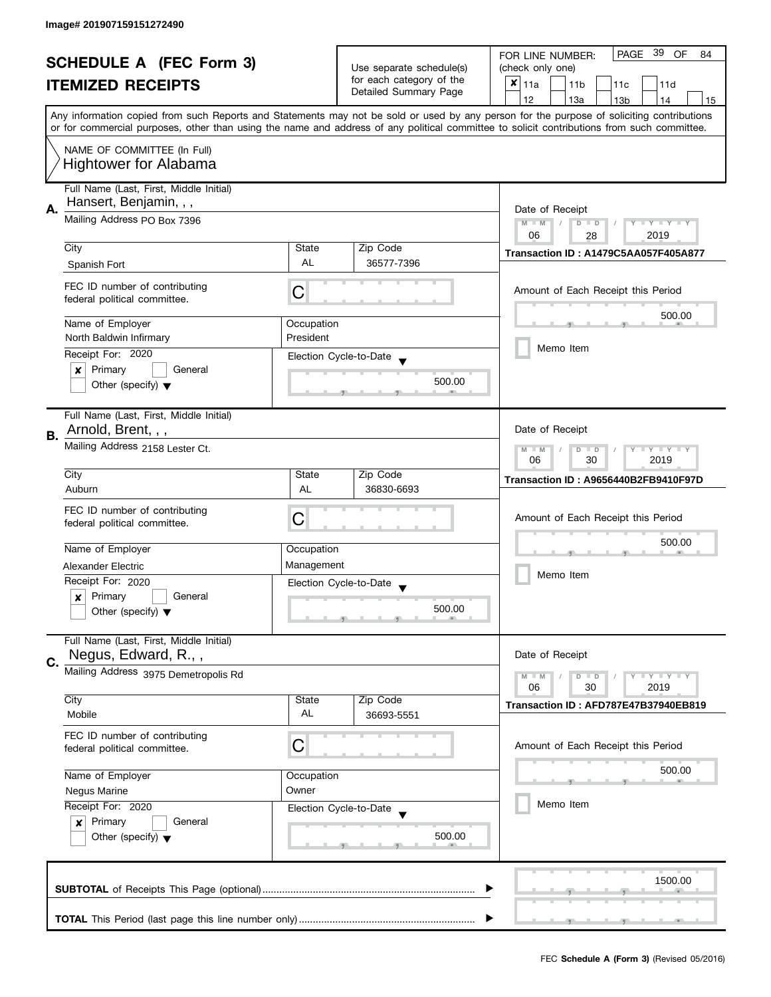| <b>SCHEDULE A (FEC Form 3)</b> |                                                                   |                          | PAGE 39<br>OF<br>FOR LINE NUMBER:<br>84           |                                                                                                                                            |
|--------------------------------|-------------------------------------------------------------------|--------------------------|---------------------------------------------------|--------------------------------------------------------------------------------------------------------------------------------------------|
|                                |                                                                   |                          | Use separate schedule(s)                          | (check only one)                                                                                                                           |
|                                | <b>ITEMIZED RECEIPTS</b>                                          |                          | for each category of the<br>Detailed Summary Page | $x _{11a}$<br>11 <sub>b</sub><br>11 <sub>c</sub><br>11d                                                                                    |
|                                |                                                                   |                          |                                                   | 12<br>13a<br>13 <sub>b</sub><br>14<br>15                                                                                                   |
|                                |                                                                   |                          |                                                   | Any information copied from such Reports and Statements may not be sold or used by any person for the purpose of soliciting contributions  |
|                                |                                                                   |                          |                                                   | or for commercial purposes, other than using the name and address of any political committee to solicit contributions from such committee. |
|                                | NAME OF COMMITTEE (In Full)                                       |                          |                                                   |                                                                                                                                            |
|                                | <b>Hightower for Alabama</b>                                      |                          |                                                   |                                                                                                                                            |
|                                |                                                                   |                          |                                                   |                                                                                                                                            |
|                                | Full Name (Last, First, Middle Initial)<br>Hansert, Benjamin, , , |                          |                                                   |                                                                                                                                            |
| Α.                             |                                                                   | Date of Receipt          |                                                   |                                                                                                                                            |
|                                | Mailing Address PO Box 7396                                       |                          |                                                   | $M - M$<br>$\overline{D}$<br>Y I Y I Y I Y<br>$\Box$                                                                                       |
|                                | City                                                              | State                    | Zip Code                                          | 06<br>2019<br>28                                                                                                                           |
|                                |                                                                   | <b>AL</b>                | 36577-7396                                        | Transaction ID: A1479C5AA057F405A877                                                                                                       |
|                                | Spanish Fort                                                      |                          |                                                   |                                                                                                                                            |
|                                | FEC ID number of contributing                                     | C                        |                                                   | Amount of Each Receipt this Period                                                                                                         |
|                                | federal political committee.                                      |                          |                                                   |                                                                                                                                            |
|                                | Name of Employer                                                  | Occupation               |                                                   | 500.00                                                                                                                                     |
|                                | North Baldwin Infirmary                                           | President                |                                                   |                                                                                                                                            |
|                                | Receipt For: 2020                                                 |                          | Election Cycle-to-Date                            | Memo Item                                                                                                                                  |
|                                | Primary<br>General<br>×                                           |                          |                                                   |                                                                                                                                            |
|                                | Other (specify) $\blacktriangledown$                              |                          | 500.00                                            |                                                                                                                                            |
|                                |                                                                   |                          |                                                   |                                                                                                                                            |
|                                | Full Name (Last, First, Middle Initial)                           |                          |                                                   |                                                                                                                                            |
| В.                             | Arnold, Brent, , ,                                                |                          |                                                   | Date of Receipt                                                                                                                            |
|                                | Mailing Address 2158 Lester Ct.                                   |                          |                                                   | $Y = Y = Y$<br>$M - M$<br>D<br>$\Box$                                                                                                      |
|                                |                                                                   |                          |                                                   | 30<br>2019<br>06                                                                                                                           |
|                                | City                                                              | State                    | Zip Code                                          | Transaction ID: A9656440B2FB9410F97D                                                                                                       |
|                                | Auburn                                                            | AL                       | 36830-6693                                        |                                                                                                                                            |
|                                | FEC ID number of contributing                                     |                          |                                                   |                                                                                                                                            |
|                                | federal political committee.                                      | С                        |                                                   | Amount of Each Receipt this Period                                                                                                         |
|                                |                                                                   |                          |                                                   | 500.00                                                                                                                                     |
|                                | Name of Employer                                                  | Occupation<br>Management |                                                   |                                                                                                                                            |
|                                | Alexander Electric<br>Receipt For: 2020                           |                          |                                                   | Memo Item                                                                                                                                  |
|                                | Primary<br>General                                                |                          | Election Cycle-to-Date                            |                                                                                                                                            |
|                                | x<br>Other (specify) $\blacktriangledown$                         |                          | 500.00                                            |                                                                                                                                            |
|                                |                                                                   |                          |                                                   |                                                                                                                                            |
|                                | Full Name (Last, First, Middle Initial)                           |                          |                                                   |                                                                                                                                            |
| C.                             | Negus, Edward, R.,,                                               |                          |                                                   | Date of Receipt                                                                                                                            |
|                                | Mailing Address 3975 Demetropolis Rd                              |                          |                                                   | $Y = Y = Y$<br>$M - M$<br>D<br>$\Box$                                                                                                      |
|                                |                                                                   |                          |                                                   | 06<br>30<br>2019                                                                                                                           |
|                                | City                                                              | State                    | Zip Code                                          | Transaction ID: AFD787E47B37940EB819                                                                                                       |
|                                | Mobile                                                            | AL                       | 36693-5551                                        |                                                                                                                                            |
|                                | FEC ID number of contributing                                     |                          |                                                   |                                                                                                                                            |
|                                | federal political committee.                                      | C                        |                                                   | Amount of Each Receipt this Period                                                                                                         |
|                                |                                                                   |                          |                                                   | 500.00                                                                                                                                     |
|                                | Name of Employer<br>Occupation<br>Owner<br><b>Negus Marine</b>    |                          |                                                   |                                                                                                                                            |
|                                | Receipt For: 2020                                                 |                          | Election Cycle-to-Date                            | Memo Item                                                                                                                                  |
|                                | Primary<br>General<br>$\boldsymbol{x}$                            |                          |                                                   |                                                                                                                                            |
|                                | Other (specify) $\blacktriangledown$                              |                          | 500.00                                            |                                                                                                                                            |
|                                |                                                                   |                          |                                                   |                                                                                                                                            |
|                                |                                                                   |                          |                                                   |                                                                                                                                            |
|                                |                                                                   |                          |                                                   | 1500.00                                                                                                                                    |
|                                |                                                                   |                          |                                                   |                                                                                                                                            |
|                                |                                                                   |                          |                                                   |                                                                                                                                            |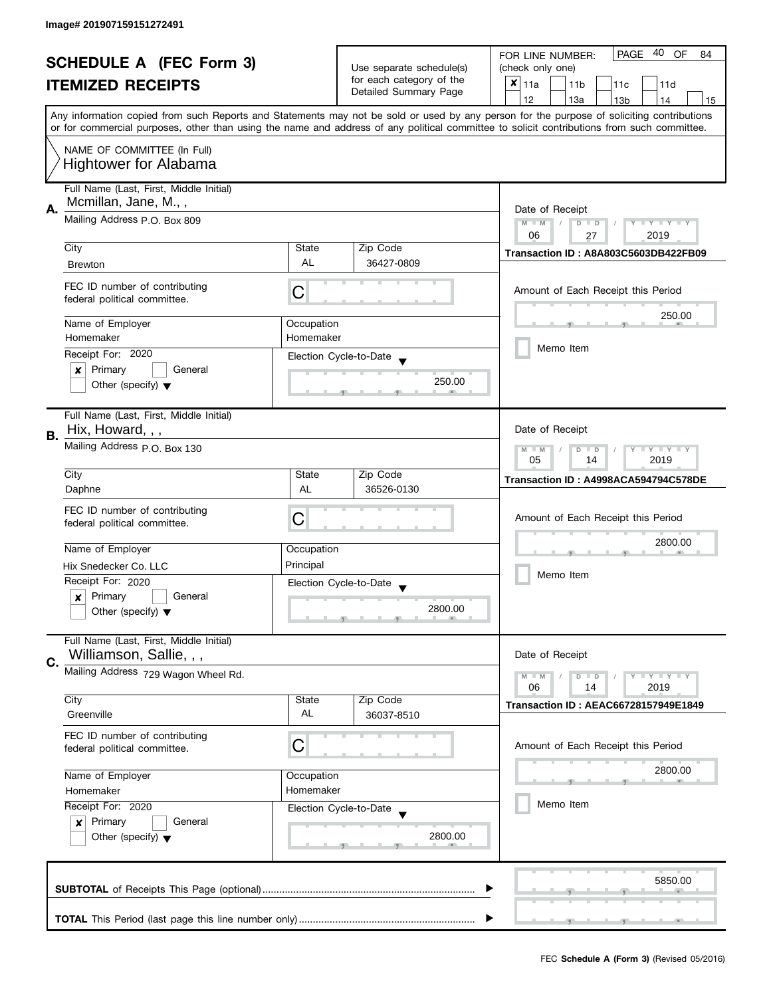| <b>SCHEDULE A (FEC Form 3)</b> |                                                                        |                                                                         | 40<br><b>PAGE</b><br>OF<br>FOR LINE NUMBER:<br>84 |                                                                                                                                                                                                                                                                                         |  |
|--------------------------------|------------------------------------------------------------------------|-------------------------------------------------------------------------|---------------------------------------------------|-----------------------------------------------------------------------------------------------------------------------------------------------------------------------------------------------------------------------------------------------------------------------------------------|--|
|                                |                                                                        | Use separate schedule(s)                                                | (check only one)                                  |                                                                                                                                                                                                                                                                                         |  |
|                                | <b>ITEMIZED RECEIPTS</b>                                               |                                                                         | for each category of the<br>Detailed Summary Page | $x _{11a}$<br>11 <sub>b</sub><br>11d<br>11c                                                                                                                                                                                                                                             |  |
|                                |                                                                        |                                                                         |                                                   | 12<br>13a<br>13 <sub>b</sub><br>14<br>15                                                                                                                                                                                                                                                |  |
|                                |                                                                        |                                                                         |                                                   | Any information copied from such Reports and Statements may not be sold or used by any person for the purpose of soliciting contributions<br>or for commercial purposes, other than using the name and address of any political committee to solicit contributions from such committee. |  |
|                                | NAME OF COMMITTEE (In Full)<br><b>Hightower for Alabama</b>            |                                                                         |                                                   |                                                                                                                                                                                                                                                                                         |  |
|                                | Full Name (Last, First, Middle Initial)<br>Mcmillan, Jane, M.,,        |                                                                         |                                                   |                                                                                                                                                                                                                                                                                         |  |
| А.                             | Mailing Address P.O. Box 809                                           | Date of Receipt<br>Y TY TY TY<br>$M - M$<br>$D$ $D$<br>06<br>2019<br>27 |                                                   |                                                                                                                                                                                                                                                                                         |  |
|                                | City                                                                   | State                                                                   | Zip Code                                          | Transaction ID: A8A803C5603DB422FB09                                                                                                                                                                                                                                                    |  |
|                                | <b>Brewton</b>                                                         | AL                                                                      | 36427-0809                                        |                                                                                                                                                                                                                                                                                         |  |
|                                | FEC ID number of contributing<br>federal political committee.          | С                                                                       |                                                   | Amount of Each Receipt this Period                                                                                                                                                                                                                                                      |  |
|                                | Name of Employer                                                       | Occupation                                                              |                                                   | 250.00                                                                                                                                                                                                                                                                                  |  |
|                                | Homemaker                                                              | Homemaker                                                               |                                                   |                                                                                                                                                                                                                                                                                         |  |
|                                | Receipt For: 2020                                                      |                                                                         | Election Cycle-to-Date                            | Memo Item                                                                                                                                                                                                                                                                               |  |
|                                | Primary<br>General<br>×                                                |                                                                         |                                                   |                                                                                                                                                                                                                                                                                         |  |
|                                | Other (specify) $\blacktriangledown$                                   |                                                                         | 250.00                                            |                                                                                                                                                                                                                                                                                         |  |
|                                | Full Name (Last, First, Middle Initial)                                |                                                                         |                                                   |                                                                                                                                                                                                                                                                                         |  |
| В.                             | Hix, Howard, , ,                                                       |                                                                         |                                                   | Date of Receipt                                                                                                                                                                                                                                                                         |  |
|                                | Mailing Address p.O. Box 130                                           |                                                                         |                                                   | $Y - Y - Y - Y - Y$<br>$M - M$<br>$D$ $D$<br>05<br>14<br>2019                                                                                                                                                                                                                           |  |
|                                | City                                                                   | State                                                                   | Zip Code                                          | Transaction ID: A4998ACA594794C578DE                                                                                                                                                                                                                                                    |  |
|                                | Daphne                                                                 | AL                                                                      | 36526-0130                                        |                                                                                                                                                                                                                                                                                         |  |
|                                | FEC ID number of contributing                                          |                                                                         |                                                   | Amount of Each Receipt this Period                                                                                                                                                                                                                                                      |  |
|                                | federal political committee.                                           | С                                                                       |                                                   |                                                                                                                                                                                                                                                                                         |  |
|                                | Name of Employer                                                       | Occupation                                                              |                                                   | 2800.00                                                                                                                                                                                                                                                                                 |  |
|                                | Hix Snedecker Co. LLC                                                  | Principal                                                               |                                                   |                                                                                                                                                                                                                                                                                         |  |
|                                | Receipt For: 2020                                                      |                                                                         | Election Cycle-to-Date                            | Memo Item                                                                                                                                                                                                                                                                               |  |
|                                | Primary<br>General<br>×                                                |                                                                         | $\overline{\phantom{a}}$                          |                                                                                                                                                                                                                                                                                         |  |
|                                | Other (specify) $\blacktriangledown$                                   |                                                                         | 2800.00                                           |                                                                                                                                                                                                                                                                                         |  |
|                                | Full Name (Last, First, Middle Initial)<br>Williamson, Sallie, , ,     |                                                                         |                                                   | Date of Receipt                                                                                                                                                                                                                                                                         |  |
| C.                             | Mailing Address 729 Wagon Wheel Rd.                                    |                                                                         |                                                   | $Y = Y + Y$<br>$M - M$<br>$\overline{D}$<br>$\blacksquare$                                                                                                                                                                                                                              |  |
|                                |                                                                        |                                                                         |                                                   | 06<br>2019<br>14                                                                                                                                                                                                                                                                        |  |
|                                | City<br>Greenville                                                     | State<br>AL                                                             | Zip Code<br>36037-8510                            | <b>Transaction ID: AEAC66728157949E1849</b>                                                                                                                                                                                                                                             |  |
|                                | FEC ID number of contributing<br>federal political committee.          | С                                                                       |                                                   | Amount of Each Receipt this Period                                                                                                                                                                                                                                                      |  |
|                                | Name of Employer                                                       | Occupation                                                              |                                                   | 2800.00                                                                                                                                                                                                                                                                                 |  |
|                                | Homemaker                                                              | Homemaker                                                               |                                                   |                                                                                                                                                                                                                                                                                         |  |
|                                | Receipt For: 2020<br>Election Cycle-to-Date<br>Primary<br>General<br>x |                                                                         |                                                   | Memo Item                                                                                                                                                                                                                                                                               |  |
|                                |                                                                        |                                                                         |                                                   |                                                                                                                                                                                                                                                                                         |  |
|                                | Other (specify) $\blacktriangledown$                                   |                                                                         | 2800.00                                           |                                                                                                                                                                                                                                                                                         |  |
|                                |                                                                        |                                                                         |                                                   | 5850.00                                                                                                                                                                                                                                                                                 |  |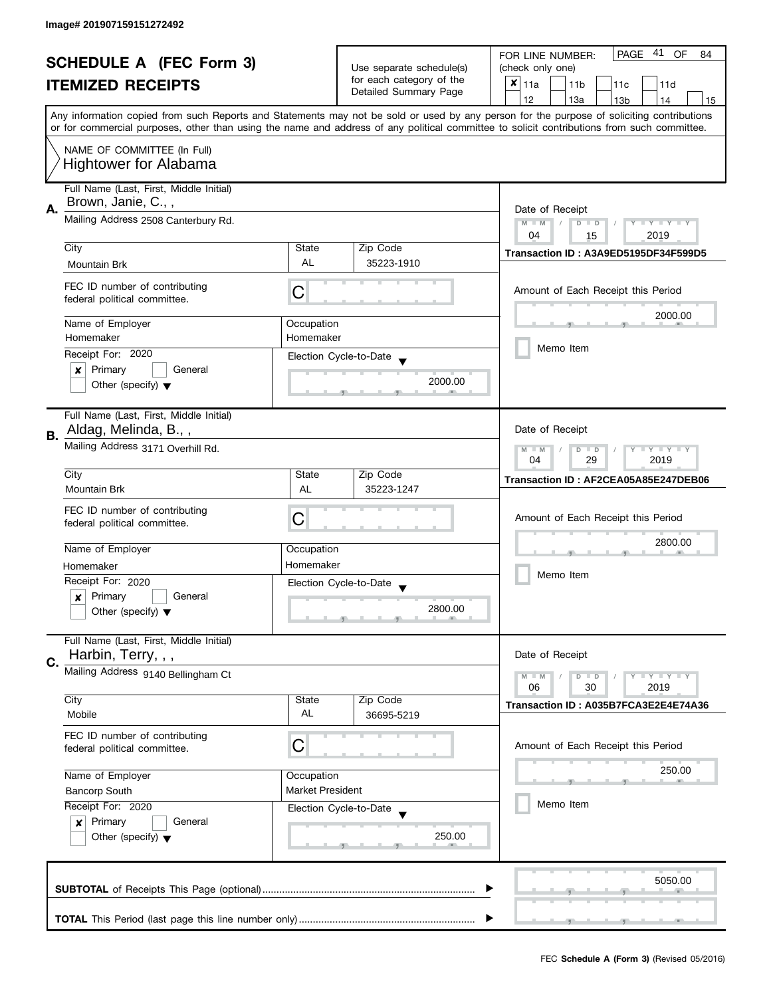| <b>SCHEDULE A (FEC Form 3)</b> |                                                               |                         | PAGE 41<br><b>OF</b><br>FOR LINE NUMBER:<br>84       |                                                                                                                                            |  |
|--------------------------------|---------------------------------------------------------------|-------------------------|------------------------------------------------------|--------------------------------------------------------------------------------------------------------------------------------------------|--|
|                                |                                                               |                         | Use separate schedule(s)<br>for each category of the | (check only one)                                                                                                                           |  |
|                                | <b>ITEMIZED RECEIPTS</b>                                      |                         |                                                      | $x _{11a}$<br>11 <sub>b</sub><br>11c<br>11d                                                                                                |  |
|                                |                                                               |                         | Detailed Summary Page                                | 12<br>13a<br>13 <sub>b</sub><br>14<br>15                                                                                                   |  |
|                                |                                                               |                         |                                                      | Any information copied from such Reports and Statements may not be sold or used by any person for the purpose of soliciting contributions  |  |
|                                |                                                               |                         |                                                      | or for commercial purposes, other than using the name and address of any political committee to solicit contributions from such committee. |  |
|                                | NAME OF COMMITTEE (In Full)                                   |                         |                                                      |                                                                                                                                            |  |
|                                | <b>Hightower for Alabama</b>                                  |                         |                                                      |                                                                                                                                            |  |
|                                |                                                               |                         |                                                      |                                                                                                                                            |  |
|                                | Full Name (Last, First, Middle Initial)<br>Brown, Janie, C.,, |                         |                                                      |                                                                                                                                            |  |
| Α.                             | Mailing Address 2508 Canterbury Rd.                           | Date of Receipt         |                                                      |                                                                                                                                            |  |
|                                |                                                               |                         |                                                      | $M - M$<br>Y I Y I Y I Y<br>$\overline{D}$<br>$\Box$<br>04<br>2019                                                                         |  |
|                                | City                                                          | State                   | Zip Code                                             | 15                                                                                                                                         |  |
|                                | Mountain Brk                                                  | <b>AL</b>               | 35223-1910                                           | Transaction ID: A3A9ED5195DF34F599D5                                                                                                       |  |
|                                |                                                               |                         |                                                      |                                                                                                                                            |  |
|                                | FEC ID number of contributing                                 | C                       |                                                      | Amount of Each Receipt this Period                                                                                                         |  |
|                                | federal political committee.                                  |                         |                                                      |                                                                                                                                            |  |
|                                | Name of Employer                                              | Occupation              |                                                      | 2000.00                                                                                                                                    |  |
|                                | Homemaker                                                     | Homemaker               |                                                      |                                                                                                                                            |  |
|                                | Receipt For: 2020                                             |                         | Election Cycle-to-Date                               | Memo Item                                                                                                                                  |  |
|                                | Primary<br>General<br>×                                       |                         |                                                      |                                                                                                                                            |  |
|                                | Other (specify) $\blacktriangledown$                          |                         | 2000.00                                              |                                                                                                                                            |  |
|                                |                                                               |                         |                                                      |                                                                                                                                            |  |
|                                | Full Name (Last, First, Middle Initial)                       |                         |                                                      |                                                                                                                                            |  |
| В.                             | Aldag, Melinda, B.,,                                          |                         |                                                      | Date of Receipt                                                                                                                            |  |
|                                | Mailing Address 3171 Overhill Rd.                             |                         |                                                      | Y LY LY<br>$M - M$<br>$\overline{D}$<br>$\Box$                                                                                             |  |
|                                |                                                               | 29<br>2019<br>04        |                                                      |                                                                                                                                            |  |
|                                | City                                                          | State                   | Zip Code                                             | Transaction ID: AF2CEA05A85E247DEB06                                                                                                       |  |
|                                | Mountain Brk                                                  | AL                      | 35223-1247                                           |                                                                                                                                            |  |
|                                | FEC ID number of contributing                                 |                         |                                                      |                                                                                                                                            |  |
|                                | federal political committee.                                  | C                       |                                                      | Amount of Each Receipt this Period                                                                                                         |  |
|                                |                                                               |                         |                                                      | 2800.00                                                                                                                                    |  |
|                                | Name of Employer                                              | Occupation              |                                                      |                                                                                                                                            |  |
|                                | Homemaker                                                     | Homemaker               |                                                      | Memo Item                                                                                                                                  |  |
|                                | Receipt For: 2020                                             |                         | Election Cycle-to-Date                               |                                                                                                                                            |  |
|                                | Primary<br>General<br>x                                       |                         | 2800.00                                              |                                                                                                                                            |  |
|                                | Other (specify) $\blacktriangledown$                          |                         |                                                      |                                                                                                                                            |  |
|                                | Full Name (Last, First, Middle Initial)                       |                         |                                                      |                                                                                                                                            |  |
|                                | Harbin, Terry, , ,                                            |                         |                                                      | Date of Receipt                                                                                                                            |  |
| C.                             | Mailing Address 9140 Bellingham Ct                            |                         |                                                      | Y LY LY<br>$M - M$<br>$D$ $D$                                                                                                              |  |
|                                |                                                               |                         |                                                      | 06<br>30<br>2019                                                                                                                           |  |
|                                | City                                                          | State                   | Zip Code                                             | Transaction ID: A035B7FCA3E2E4E74A36                                                                                                       |  |
|                                | Mobile                                                        | AL                      | 36695-5219                                           |                                                                                                                                            |  |
|                                | FEC ID number of contributing                                 |                         |                                                      |                                                                                                                                            |  |
|                                | federal political committee.                                  | С                       |                                                      | Amount of Each Receipt this Period                                                                                                         |  |
|                                |                                                               |                         |                                                      | 250.00                                                                                                                                     |  |
|                                | Name of Employer                                              | Occupation              |                                                      |                                                                                                                                            |  |
|                                | <b>Bancorp South</b>                                          | <b>Market President</b> |                                                      |                                                                                                                                            |  |
|                                | Receipt For: 2020                                             |                         | Election Cycle-to-Date                               | Memo Item                                                                                                                                  |  |
|                                | Primary<br>General<br>$\boldsymbol{x}$                        |                         |                                                      |                                                                                                                                            |  |
|                                | Other (specify) $\blacktriangledown$                          |                         | 250.00                                               |                                                                                                                                            |  |
|                                |                                                               |                         |                                                      |                                                                                                                                            |  |
|                                |                                                               |                         |                                                      | 5050.00                                                                                                                                    |  |
|                                |                                                               |                         |                                                      |                                                                                                                                            |  |
|                                |                                                               |                         |                                                      |                                                                                                                                            |  |
|                                |                                                               |                         |                                                      |                                                                                                                                            |  |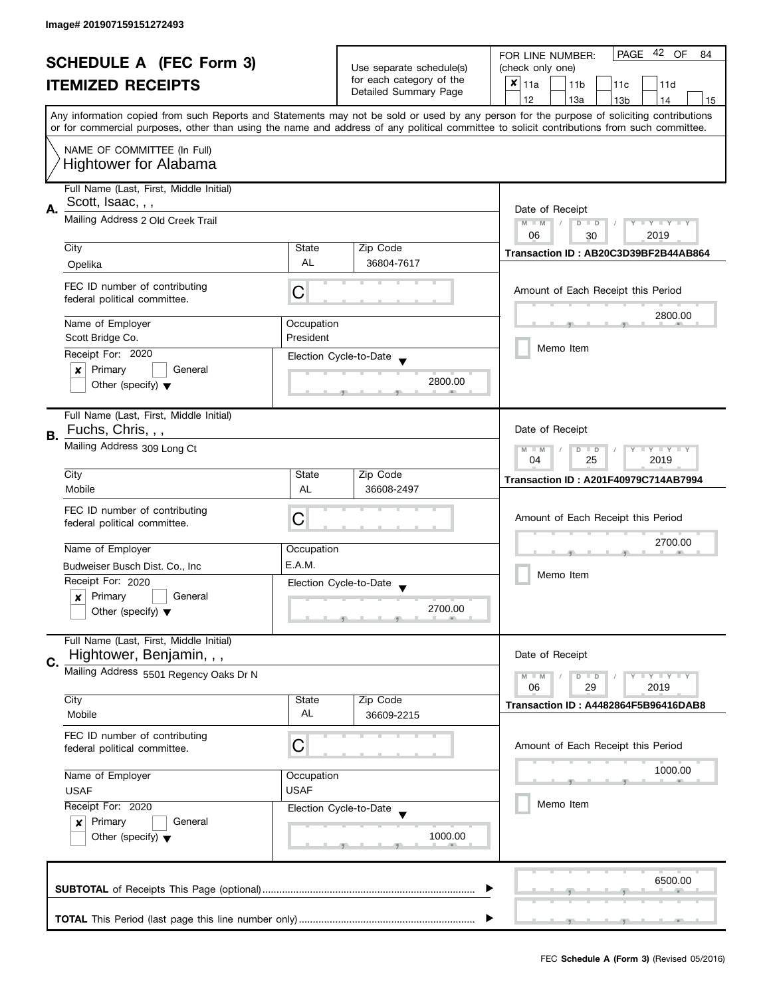| <b>SCHEDULE A (FEC Form 3)</b> |                                                                     |                                                           | 42 OF<br><b>PAGE</b><br>FOR LINE NUMBER:<br>84    |                                                                                                                                                                                                                                                                                         |
|--------------------------------|---------------------------------------------------------------------|-----------------------------------------------------------|---------------------------------------------------|-----------------------------------------------------------------------------------------------------------------------------------------------------------------------------------------------------------------------------------------------------------------------------------------|
|                                |                                                                     |                                                           | Use separate schedule(s)                          | (check only one)                                                                                                                                                                                                                                                                        |
|                                | <b>ITEMIZED RECEIPTS</b>                                            |                                                           | for each category of the<br>Detailed Summary Page | $x _{11a}$<br>11 <sub>b</sub><br>11c<br>11d                                                                                                                                                                                                                                             |
|                                |                                                                     |                                                           |                                                   | 12<br>13a<br>13 <sub>b</sub><br>14<br>15                                                                                                                                                                                                                                                |
|                                |                                                                     |                                                           |                                                   | Any information copied from such Reports and Statements may not be sold or used by any person for the purpose of soliciting contributions<br>or for commercial purposes, other than using the name and address of any political committee to solicit contributions from such committee. |
|                                |                                                                     |                                                           |                                                   |                                                                                                                                                                                                                                                                                         |
|                                | NAME OF COMMITTEE (In Full)<br><b>Hightower for Alabama</b>         |                                                           |                                                   |                                                                                                                                                                                                                                                                                         |
|                                | Full Name (Last, First, Middle Initial)                             |                                                           |                                                   |                                                                                                                                                                                                                                                                                         |
|                                | Scott, Isaac, , ,                                                   |                                                           |                                                   |                                                                                                                                                                                                                                                                                         |
| А.                             | Mailing Address 2 Old Creek Trail                                   | Date of Receipt                                           |                                                   |                                                                                                                                                                                                                                                                                         |
|                                |                                                                     |                                                           |                                                   | $M - M$<br>$D$ $D$<br>$Y - Y - Y - Y - Y$<br>$\sqrt{2}$<br>06<br>2019<br>30                                                                                                                                                                                                             |
|                                | City                                                                | State                                                     | Zip Code                                          |                                                                                                                                                                                                                                                                                         |
|                                | Opelika                                                             | <b>AL</b>                                                 | 36804-7617                                        | Transaction ID: AB20C3D39BF2B44AB864                                                                                                                                                                                                                                                    |
|                                |                                                                     |                                                           |                                                   |                                                                                                                                                                                                                                                                                         |
|                                | FEC ID number of contributing<br>federal political committee.       | С                                                         |                                                   | Amount of Each Receipt this Period                                                                                                                                                                                                                                                      |
|                                |                                                                     |                                                           |                                                   |                                                                                                                                                                                                                                                                                         |
|                                | Name of Employer                                                    | Occupation                                                |                                                   | 2800.00                                                                                                                                                                                                                                                                                 |
|                                | Scott Bridge Co.                                                    | President                                                 |                                                   | Memo Item                                                                                                                                                                                                                                                                               |
|                                | Receipt For: 2020                                                   |                                                           | Election Cycle-to-Date                            |                                                                                                                                                                                                                                                                                         |
|                                | Primary<br>General<br>x                                             |                                                           |                                                   |                                                                                                                                                                                                                                                                                         |
|                                | Other (specify) $\blacktriangledown$                                |                                                           | 2800.00                                           |                                                                                                                                                                                                                                                                                         |
|                                | Full Name (Last, First, Middle Initial)                             |                                                           |                                                   |                                                                                                                                                                                                                                                                                         |
| В.                             | Fuchs, Chris, , ,                                                   |                                                           |                                                   | Date of Receipt                                                                                                                                                                                                                                                                         |
|                                | Mailing Address 309 Long Ct                                         | $Y = Y + Y$<br>$M - M$<br>D<br>$\Box$<br>25<br>2019<br>04 |                                                   |                                                                                                                                                                                                                                                                                         |
|                                | City                                                                | State                                                     | Zip Code                                          | <b>Transaction ID: A201F40979C714AB7994</b>                                                                                                                                                                                                                                             |
|                                | Mobile                                                              | AL                                                        | 36608-2497                                        |                                                                                                                                                                                                                                                                                         |
|                                | FEC ID number of contributing                                       |                                                           |                                                   |                                                                                                                                                                                                                                                                                         |
|                                | federal political committee.                                        | С                                                         |                                                   | Amount of Each Receipt this Period                                                                                                                                                                                                                                                      |
|                                |                                                                     |                                                           |                                                   | 2700.00                                                                                                                                                                                                                                                                                 |
|                                | Name of Employer                                                    | Occupation                                                |                                                   |                                                                                                                                                                                                                                                                                         |
|                                | Budweiser Busch Dist. Co., Inc                                      | E.A.M.                                                    |                                                   | Memo Item                                                                                                                                                                                                                                                                               |
|                                | Receipt For: 2020                                                   |                                                           | Election Cycle-to-Date                            |                                                                                                                                                                                                                                                                                         |
|                                | Primary<br>General<br>×                                             |                                                           | 2700.00                                           |                                                                                                                                                                                                                                                                                         |
|                                | Other (specify) $\blacktriangledown$                                |                                                           |                                                   |                                                                                                                                                                                                                                                                                         |
|                                | Full Name (Last, First, Middle Initial)<br>Hightower, Benjamin, , , |                                                           |                                                   | Date of Receipt                                                                                                                                                                                                                                                                         |
| C.                             | Mailing Address 5501 Regency Oaks Dr N                              |                                                           |                                                   |                                                                                                                                                                                                                                                                                         |
|                                |                                                                     |                                                           |                                                   | $M - M$<br>$Y - Y - Y$<br>D<br>$\blacksquare$<br>06<br>2019<br>29                                                                                                                                                                                                                       |
|                                | City                                                                | State                                                     | Zip Code                                          | Transaction ID: A4482864F5B96416DAB8                                                                                                                                                                                                                                                    |
|                                | Mobile                                                              | AL                                                        | 36609-2215                                        |                                                                                                                                                                                                                                                                                         |
|                                | FEC ID number of contributing                                       |                                                           |                                                   |                                                                                                                                                                                                                                                                                         |
|                                | federal political committee.                                        | C                                                         |                                                   | Amount of Each Receipt this Period                                                                                                                                                                                                                                                      |
|                                | Name of Employer                                                    | Occupation                                                |                                                   | 1000.00                                                                                                                                                                                                                                                                                 |
|                                | <b>USAF</b><br><b>USAF</b>                                          |                                                           |                                                   |                                                                                                                                                                                                                                                                                         |
|                                | Receipt For: 2020                                                   |                                                           |                                                   | Memo Item                                                                                                                                                                                                                                                                               |
|                                | Primary<br>General<br>$\boldsymbol{x}$                              |                                                           | Election Cycle-to-Date                            |                                                                                                                                                                                                                                                                                         |
|                                | Other (specify) $\blacktriangledown$                                |                                                           | 1000.00                                           |                                                                                                                                                                                                                                                                                         |
|                                |                                                                     |                                                           |                                                   |                                                                                                                                                                                                                                                                                         |
|                                |                                                                     |                                                           |                                                   |                                                                                                                                                                                                                                                                                         |
|                                |                                                                     |                                                           |                                                   | 6500.00                                                                                                                                                                                                                                                                                 |
|                                |                                                                     |                                                           |                                                   |                                                                                                                                                                                                                                                                                         |
|                                |                                                                     |                                                           |                                                   |                                                                                                                                                                                                                                                                                         |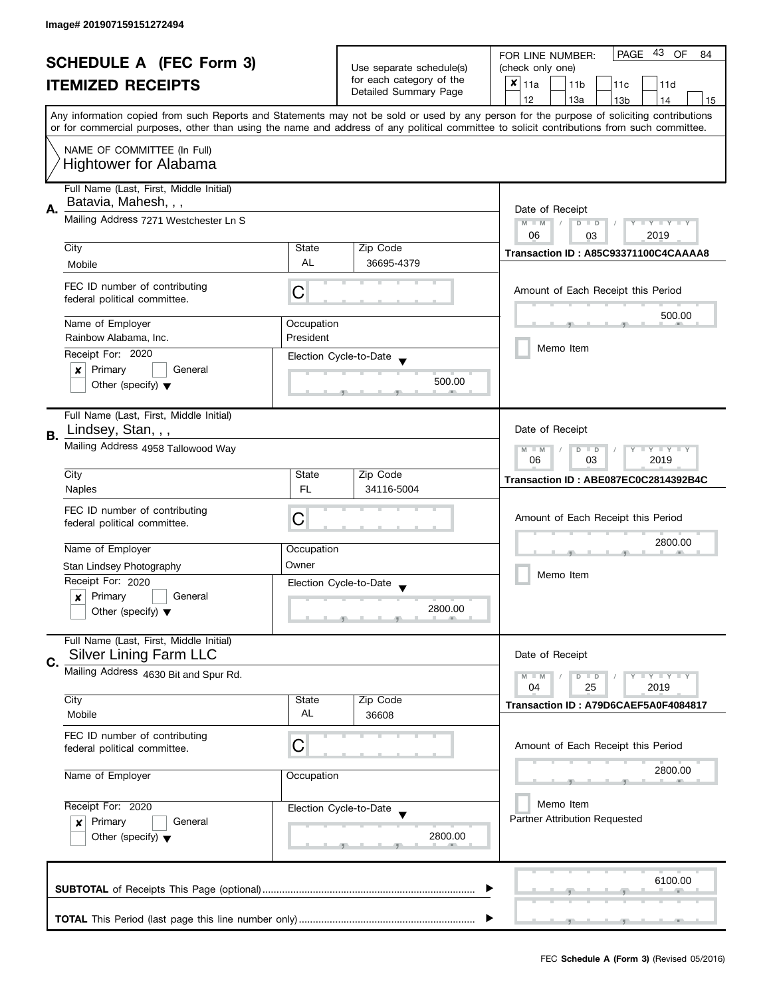| <b>SCHEDULE A (FEC Form 3)</b> |                                                                                                                               |                                    | 43<br>PAGE<br>OF<br>FOR LINE NUMBER:<br>84        |                                                                                                                                            |  |
|--------------------------------|-------------------------------------------------------------------------------------------------------------------------------|------------------------------------|---------------------------------------------------|--------------------------------------------------------------------------------------------------------------------------------------------|--|
|                                |                                                                                                                               | Use separate schedule(s)           | (check only one)                                  |                                                                                                                                            |  |
|                                | <b>ITEMIZED RECEIPTS</b>                                                                                                      |                                    | for each category of the<br>Detailed Summary Page | $x _{11a}$<br>11 <sub>b</sub><br>11 <sub>c</sub><br>11d                                                                                    |  |
|                                |                                                                                                                               |                                    |                                                   | 12<br>13a<br>13 <sub>b</sub><br>14<br>15                                                                                                   |  |
|                                |                                                                                                                               |                                    |                                                   | Any information copied from such Reports and Statements may not be sold or used by any person for the purpose of soliciting contributions  |  |
|                                |                                                                                                                               |                                    |                                                   | or for commercial purposes, other than using the name and address of any political committee to solicit contributions from such committee. |  |
|                                | NAME OF COMMITTEE (In Full)                                                                                                   |                                    |                                                   |                                                                                                                                            |  |
|                                | <b>Hightower for Alabama</b>                                                                                                  |                                    |                                                   |                                                                                                                                            |  |
|                                | Full Name (Last, First, Middle Initial)                                                                                       |                                    |                                                   |                                                                                                                                            |  |
|                                | Batavia, Mahesh, , ,                                                                                                          |                                    |                                                   |                                                                                                                                            |  |
| А.                             | Mailing Address 7271 Westchester Ln S                                                                                         | Date of Receipt                    |                                                   |                                                                                                                                            |  |
|                                |                                                                                                                               |                                    |                                                   | $M - M$<br>$\overline{D}$<br>Y I Y I Y I Y<br>$\Box$<br>06<br>2019<br>03                                                                   |  |
|                                | City                                                                                                                          | State                              | Zip Code                                          |                                                                                                                                            |  |
|                                | Mobile                                                                                                                        | <b>AL</b>                          | 36695-4379                                        | Transaction ID: A85C93371100C4CAAAA8                                                                                                       |  |
|                                |                                                                                                                               |                                    |                                                   |                                                                                                                                            |  |
|                                | FEC ID number of contributing<br>federal political committee.                                                                 | C                                  |                                                   | Amount of Each Receipt this Period                                                                                                         |  |
|                                |                                                                                                                               |                                    |                                                   | 500.00                                                                                                                                     |  |
|                                | Name of Employer                                                                                                              | Occupation                         |                                                   |                                                                                                                                            |  |
|                                | Rainbow Alabama, Inc.                                                                                                         | President                          |                                                   |                                                                                                                                            |  |
|                                | Receipt For: 2020                                                                                                             |                                    | Election Cycle-to-Date                            | Memo Item                                                                                                                                  |  |
|                                | Primary<br>General<br>×                                                                                                       |                                    |                                                   |                                                                                                                                            |  |
|                                | Other (specify) $\blacktriangledown$                                                                                          |                                    | 500.00                                            |                                                                                                                                            |  |
|                                |                                                                                                                               |                                    |                                                   |                                                                                                                                            |  |
|                                | Full Name (Last, First, Middle Initial)                                                                                       |                                    |                                                   |                                                                                                                                            |  |
| В.                             | Lindsey, Stan, , ,                                                                                                            |                                    |                                                   | Date of Receipt                                                                                                                            |  |
|                                |                                                                                                                               | Mailing Address 4958 Tallowood Way |                                                   |                                                                                                                                            |  |
|                                |                                                                                                                               |                                    |                                                   | 03<br>2019<br>06                                                                                                                           |  |
|                                | City<br><b>Naples</b>                                                                                                         | State<br><b>FL</b>                 | Zip Code<br>34116-5004                            | Transaction ID: ABE087EC0C2814392B4C                                                                                                       |  |
|                                |                                                                                                                               |                                    |                                                   |                                                                                                                                            |  |
|                                | FEC ID number of contributing                                                                                                 | С                                  |                                                   | Amount of Each Receipt this Period                                                                                                         |  |
|                                | federal political committee.                                                                                                  |                                    |                                                   |                                                                                                                                            |  |
|                                | Name of Employer                                                                                                              | Occupation                         |                                                   | 2800.00                                                                                                                                    |  |
|                                | Stan Lindsey Photography                                                                                                      | Owner                              |                                                   |                                                                                                                                            |  |
|                                | Receipt For: 2020                                                                                                             |                                    | Election Cycle-to-Date                            | Memo Item                                                                                                                                  |  |
|                                | Primary<br>General<br>x                                                                                                       |                                    |                                                   |                                                                                                                                            |  |
|                                | Other (specify) $\blacktriangledown$                                                                                          |                                    | 2800.00                                           |                                                                                                                                            |  |
|                                |                                                                                                                               |                                    |                                                   |                                                                                                                                            |  |
|                                | Full Name (Last, First, Middle Initial)                                                                                       |                                    |                                                   |                                                                                                                                            |  |
| C.                             | <b>Silver Lining Farm LLC</b>                                                                                                 |                                    |                                                   | Date of Receipt                                                                                                                            |  |
|                                | Mailing Address 4630 Bit and Spur Rd.                                                                                         |                                    |                                                   | $Y - Y - Y$<br>$M - M$<br>$D$ $D$                                                                                                          |  |
|                                | City                                                                                                                          | State                              | Zip Code                                          | 2019<br>04<br>25                                                                                                                           |  |
|                                | Mobile                                                                                                                        | AL                                 | 36608                                             | Transaction ID: A79D6CAEF5A0F4084817                                                                                                       |  |
|                                |                                                                                                                               |                                    |                                                   |                                                                                                                                            |  |
|                                | FEC ID number of contributing<br>federal political committee.                                                                 | C                                  |                                                   | Amount of Each Receipt this Period                                                                                                         |  |
|                                |                                                                                                                               |                                    |                                                   |                                                                                                                                            |  |
|                                | Name of Employer                                                                                                              | Occupation                         |                                                   | 2800.00                                                                                                                                    |  |
|                                | Receipt For: 2020<br>Election Cycle-to-Date<br>Primary<br>General<br>$\boldsymbol{x}$<br>Other (specify) $\blacktriangledown$ |                                    |                                                   |                                                                                                                                            |  |
|                                |                                                                                                                               |                                    |                                                   | Memo Item                                                                                                                                  |  |
|                                |                                                                                                                               |                                    |                                                   | Partner Attribution Requested                                                                                                              |  |
|                                |                                                                                                                               |                                    | 2800.00                                           |                                                                                                                                            |  |
|                                |                                                                                                                               |                                    |                                                   |                                                                                                                                            |  |
|                                |                                                                                                                               |                                    |                                                   |                                                                                                                                            |  |
|                                |                                                                                                                               |                                    |                                                   | 6100.00                                                                                                                                    |  |
|                                |                                                                                                                               |                                    |                                                   |                                                                                                                                            |  |
|                                |                                                                                                                               |                                    |                                                   |                                                                                                                                            |  |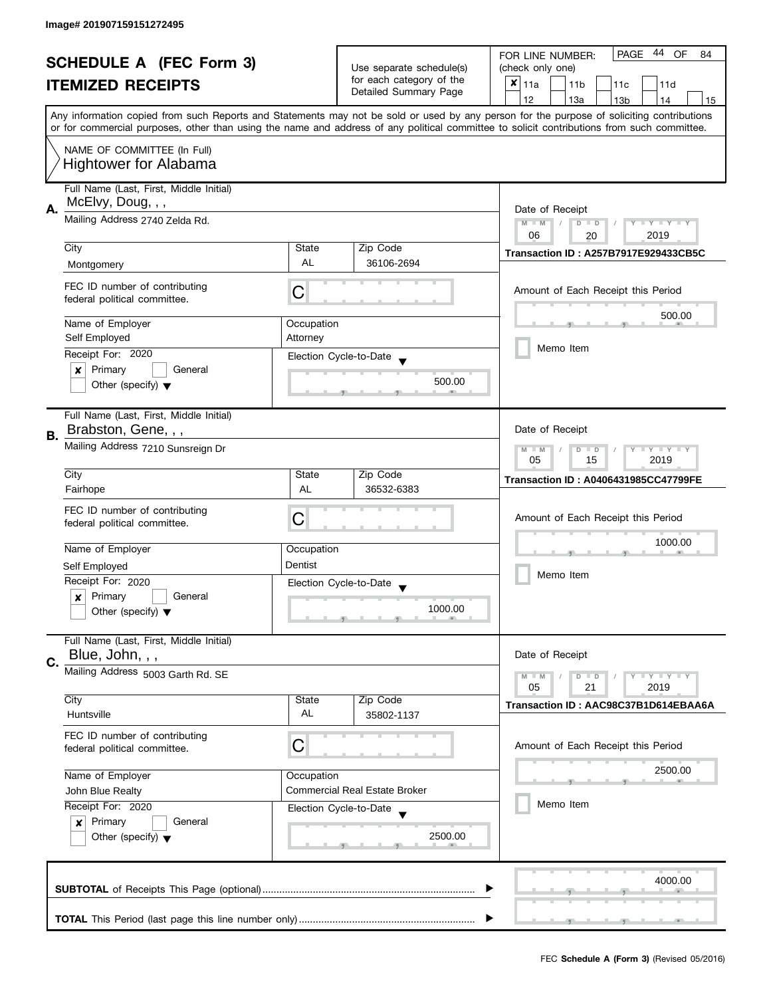| <b>SCHEDULE A (FEC Form 3)</b> |                                                               |                          | 44<br><b>PAGE</b><br>OF<br>FOR LINE NUMBER:<br>84 |                                                                                                                                            |  |
|--------------------------------|---------------------------------------------------------------|--------------------------|---------------------------------------------------|--------------------------------------------------------------------------------------------------------------------------------------------|--|
|                                |                                                               | Use separate schedule(s) | (check only one)                                  |                                                                                                                                            |  |
|                                | <b>ITEMIZED RECEIPTS</b>                                      |                          | for each category of the                          | $x _{11a}$<br>11 <sub>b</sub><br>11c<br>11d                                                                                                |  |
|                                |                                                               |                          | Detailed Summary Page                             | 12<br>13a<br>14<br>13 <sub>b</sub><br>15                                                                                                   |  |
|                                |                                                               |                          |                                                   | Any information copied from such Reports and Statements may not be sold or used by any person for the purpose of soliciting contributions  |  |
|                                |                                                               |                          |                                                   | or for commercial purposes, other than using the name and address of any political committee to solicit contributions from such committee. |  |
|                                |                                                               |                          |                                                   |                                                                                                                                            |  |
|                                | NAME OF COMMITTEE (In Full)                                   |                          |                                                   |                                                                                                                                            |  |
|                                | <b>Hightower for Alabama</b>                                  |                          |                                                   |                                                                                                                                            |  |
|                                | Full Name (Last, First, Middle Initial)                       |                          |                                                   |                                                                                                                                            |  |
|                                | McElvy, Doug, , ,                                             |                          |                                                   |                                                                                                                                            |  |
| А.                             |                                                               |                          |                                                   | Date of Receipt                                                                                                                            |  |
|                                | Mailing Address 2740 Zelda Rd.                                |                          |                                                   | $M - M$<br>$D$ $D$<br>$Y - Y - Y - Y - Y$                                                                                                  |  |
|                                |                                                               |                          |                                                   | 06<br>2019<br>20                                                                                                                           |  |
|                                | City                                                          | State                    | Zip Code                                          | <b>Transaction ID: A257B7917E929433CB5C</b>                                                                                                |  |
|                                | Montgomery                                                    | <b>AL</b>                | 36106-2694                                        |                                                                                                                                            |  |
|                                |                                                               |                          |                                                   |                                                                                                                                            |  |
|                                | FEC ID number of contributing<br>federal political committee. | С                        |                                                   | Amount of Each Receipt this Period                                                                                                         |  |
|                                |                                                               |                          |                                                   |                                                                                                                                            |  |
|                                | Name of Employer                                              | Occupation               |                                                   | 500.00                                                                                                                                     |  |
|                                | Self Employed                                                 | Attorney                 |                                                   |                                                                                                                                            |  |
|                                | Receipt For: 2020                                             |                          |                                                   | Memo Item                                                                                                                                  |  |
|                                |                                                               |                          | Election Cycle-to-Date                            |                                                                                                                                            |  |
|                                | Primary<br>General<br>×                                       |                          | 500.00                                            |                                                                                                                                            |  |
|                                | Other (specify) $\blacktriangledown$                          |                          |                                                   |                                                                                                                                            |  |
|                                |                                                               |                          |                                                   |                                                                                                                                            |  |
|                                | Full Name (Last, First, Middle Initial)                       |                          |                                                   |                                                                                                                                            |  |
| В.                             | Brabston, Gene, , ,                                           |                          |                                                   | Date of Receipt                                                                                                                            |  |
|                                | Mailing Address 7210 Sunsreign Dr                             |                          |                                                   | <b>LYLYLY</b><br>$M - M$<br>D<br>$\Box$                                                                                                    |  |
|                                |                                                               |                          |                                                   | 05<br>15<br>2019                                                                                                                           |  |
|                                | City                                                          | State                    | Zip Code                                          |                                                                                                                                            |  |
|                                | Fairhope                                                      | AL                       | 36532-6383                                        | <b>Transaction ID: A0406431985CC47799FE</b>                                                                                                |  |
|                                |                                                               |                          |                                                   |                                                                                                                                            |  |
|                                | FEC ID number of contributing                                 | C                        |                                                   | Amount of Each Receipt this Period                                                                                                         |  |
|                                | federal political committee.                                  |                          |                                                   |                                                                                                                                            |  |
|                                | Name of Employer                                              | Occupation               |                                                   | 1000.00                                                                                                                                    |  |
|                                |                                                               |                          |                                                   |                                                                                                                                            |  |
|                                | Self Employed                                                 | Dentist                  |                                                   | Memo Item                                                                                                                                  |  |
|                                | Receipt For: 2020                                             |                          | Election Cycle-to-Date                            |                                                                                                                                            |  |
|                                | Primary<br>General<br>$\boldsymbol{x}$                        |                          |                                                   |                                                                                                                                            |  |
|                                | Other (specify) $\blacktriangledown$                          |                          | 1000.00                                           |                                                                                                                                            |  |
|                                |                                                               |                          |                                                   |                                                                                                                                            |  |
|                                | Full Name (Last, First, Middle Initial)                       |                          |                                                   |                                                                                                                                            |  |
| C.                             | Blue, John, , ,                                               |                          |                                                   | Date of Receipt                                                                                                                            |  |
|                                | Mailing Address 5003 Garth Rd. SE                             |                          |                                                   | $Y = Y + Y$<br>$M - M$<br>$D$ $D$                                                                                                          |  |
|                                |                                                               |                          |                                                   | 05<br>21<br>2019                                                                                                                           |  |
|                                | City                                                          | State                    | Zip Code                                          | Transaction ID: AAC98C37B1D614EBAA6A                                                                                                       |  |
|                                | Huntsville                                                    | AL                       | 35802-1137                                        |                                                                                                                                            |  |
|                                |                                                               |                          |                                                   |                                                                                                                                            |  |
|                                | FEC ID number of contributing<br>federal political committee. | C                        |                                                   | Amount of Each Receipt this Period                                                                                                         |  |
|                                |                                                               |                          |                                                   |                                                                                                                                            |  |
|                                | Name of Employer                                              | Occupation               |                                                   | 2500.00                                                                                                                                    |  |
|                                |                                                               |                          | <b>Commercial Real Estate Broker</b>              |                                                                                                                                            |  |
|                                | John Blue Realty                                              |                          |                                                   | Memo Item                                                                                                                                  |  |
|                                | Receipt For: 2020                                             |                          | Election Cycle-to-Date                            |                                                                                                                                            |  |
|                                | Primary<br>General<br>$\mathbf{x}$                            |                          |                                                   |                                                                                                                                            |  |
|                                | Other (specify) $\blacktriangledown$                          |                          | 2500.00                                           |                                                                                                                                            |  |
|                                |                                                               |                          |                                                   |                                                                                                                                            |  |
|                                |                                                               |                          |                                                   |                                                                                                                                            |  |
|                                |                                                               |                          |                                                   | 4000.00                                                                                                                                    |  |
|                                |                                                               |                          |                                                   |                                                                                                                                            |  |
|                                |                                                               |                          |                                                   |                                                                                                                                            |  |
|                                |                                                               |                          |                                                   |                                                                                                                                            |  |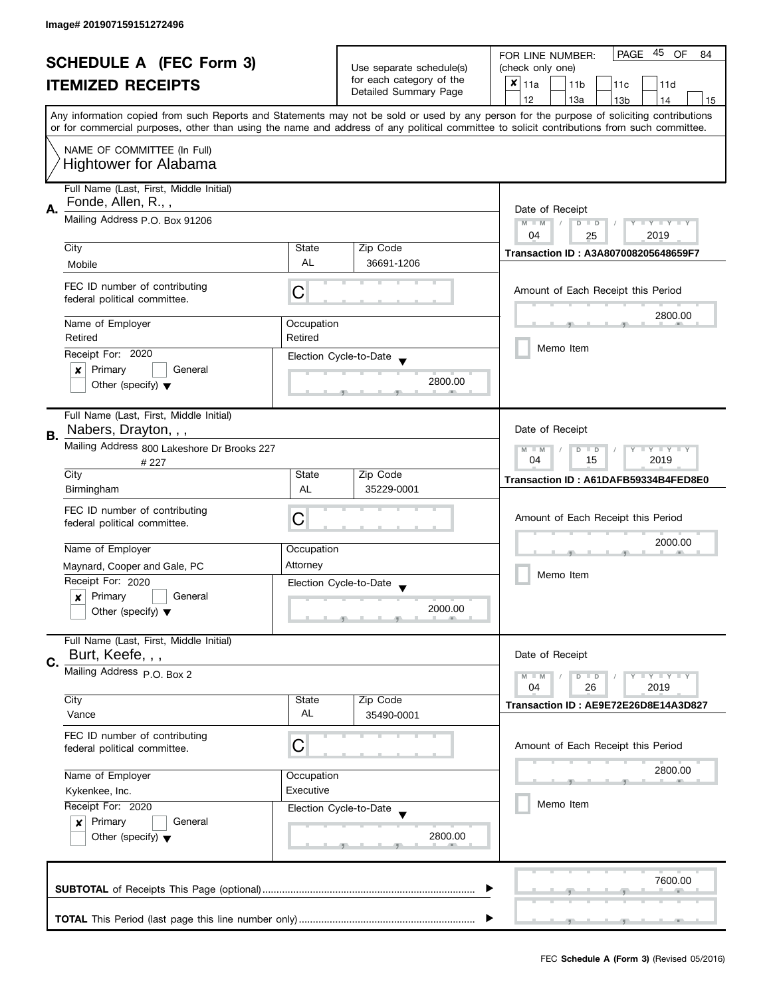| <b>SCHEDULE A (FEC Form 3)</b> |                                                               |            | 45<br>PAGE<br>OF<br>FOR LINE NUMBER:<br>84                                    |                                                                                                                                            |
|--------------------------------|---------------------------------------------------------------|------------|-------------------------------------------------------------------------------|--------------------------------------------------------------------------------------------------------------------------------------------|
|                                |                                                               |            | Use separate schedule(s)<br>for each category of the<br>Detailed Summary Page | (check only one)                                                                                                                           |
|                                | <b>ITEMIZED RECEIPTS</b>                                      |            |                                                                               | $x _{11a}$<br>11 <sub>b</sub><br>11 <sub>c</sub><br>11d                                                                                    |
|                                |                                                               |            |                                                                               | 12<br>13a<br>13 <sub>b</sub><br>14<br>15                                                                                                   |
|                                |                                                               |            |                                                                               | Any information copied from such Reports and Statements may not be sold or used by any person for the purpose of soliciting contributions  |
|                                |                                                               |            |                                                                               | or for commercial purposes, other than using the name and address of any political committee to solicit contributions from such committee. |
|                                | NAME OF COMMITTEE (In Full)                                   |            |                                                                               |                                                                                                                                            |
|                                | <b>Hightower for Alabama</b>                                  |            |                                                                               |                                                                                                                                            |
|                                |                                                               |            |                                                                               |                                                                                                                                            |
|                                | Full Name (Last, First, Middle Initial)                       |            |                                                                               |                                                                                                                                            |
| Α.                             | Fonde, Allen, R.,,                                            |            |                                                                               | Date of Receipt                                                                                                                            |
|                                | Mailing Address P.O. Box 91206                                |            |                                                                               | $M - M$<br>Y I Y I Y I Y<br>$\overline{D}$<br>$\Box$                                                                                       |
|                                |                                                               |            |                                                                               | 04<br>2019<br>25                                                                                                                           |
|                                | City                                                          | State      | Zip Code                                                                      | Transaction ID: A3A807008205648659F7                                                                                                       |
|                                | Mobile                                                        | <b>AL</b>  | 36691-1206                                                                    |                                                                                                                                            |
|                                |                                                               |            |                                                                               |                                                                                                                                            |
|                                | FEC ID number of contributing<br>federal political committee. | C          |                                                                               | Amount of Each Receipt this Period                                                                                                         |
|                                |                                                               |            |                                                                               |                                                                                                                                            |
|                                | Name of Employer                                              | Occupation |                                                                               | 2800.00                                                                                                                                    |
|                                | Retired                                                       | Retired    |                                                                               |                                                                                                                                            |
|                                | Receipt For: 2020                                             |            | Election Cycle-to-Date                                                        | Memo Item                                                                                                                                  |
|                                | Primary<br>General<br>×                                       |            |                                                                               |                                                                                                                                            |
|                                | Other (specify) $\blacktriangledown$                          |            | 2800.00                                                                       |                                                                                                                                            |
|                                |                                                               |            |                                                                               |                                                                                                                                            |
|                                | Full Name (Last, First, Middle Initial)                       |            |                                                                               |                                                                                                                                            |
|                                | Nabers, Drayton, , ,                                          |            |                                                                               | Date of Receipt                                                                                                                            |
| В.                             | Mailing Address 800 Lakeshore Dr Brooks 227                   |            |                                                                               | $Y = Y = Y$<br>$M - M$<br>D<br>$\Box$                                                                                                      |
|                                | # 227                                                         |            |                                                                               | 15<br>2019<br>04                                                                                                                           |
|                                | City                                                          | State      | Zip Code                                                                      | Transaction ID: A61DAFB59334B4FED8E0                                                                                                       |
|                                | Birmingham                                                    | AL         | 35229-0001                                                                    |                                                                                                                                            |
|                                | FEC ID number of contributing                                 |            |                                                                               |                                                                                                                                            |
|                                | federal political committee.                                  | С          |                                                                               | Amount of Each Receipt this Period                                                                                                         |
|                                |                                                               |            |                                                                               | 2000.00                                                                                                                                    |
|                                | Name of Employer                                              | Occupation |                                                                               |                                                                                                                                            |
|                                | Maynard, Cooper and Gale, PC                                  | Attorney   |                                                                               |                                                                                                                                            |
|                                | Receipt For: 2020                                             |            | Election Cycle-to-Date                                                        | Memo Item                                                                                                                                  |
|                                | Primary<br>General<br>x                                       |            |                                                                               |                                                                                                                                            |
|                                | Other (specify) $\blacktriangledown$                          |            | 2000.00                                                                       |                                                                                                                                            |
|                                |                                                               |            |                                                                               |                                                                                                                                            |
|                                | Full Name (Last, First, Middle Initial)                       |            |                                                                               |                                                                                                                                            |
| C.                             | Burt, Keefe, , ,                                              |            |                                                                               | Date of Receipt                                                                                                                            |
|                                | Mailing Address P.O. Box 2                                    |            |                                                                               | $Y = Y = Y$<br>$M - M$<br>$D$ $D$                                                                                                          |
|                                |                                                               |            |                                                                               | 2019<br>04<br>26                                                                                                                           |
|                                | City                                                          | State      | Zip Code                                                                      | Transaction ID: AE9E72E26D8E14A3D827                                                                                                       |
|                                | Vance                                                         | AL         | 35490-0001                                                                    |                                                                                                                                            |
|                                | FEC ID number of contributing                                 |            |                                                                               |                                                                                                                                            |
|                                | federal political committee.                                  | C          |                                                                               | Amount of Each Receipt this Period                                                                                                         |
|                                |                                                               |            |                                                                               | 2800.00                                                                                                                                    |
|                                | Name of Employer<br>Occupation                                |            |                                                                               |                                                                                                                                            |
|                                | Kykenkee, Inc.<br>Receipt For: 2020                           | Executive  |                                                                               | Memo Item                                                                                                                                  |
|                                |                                                               |            | Election Cycle-to-Date                                                        |                                                                                                                                            |
|                                | Primary<br>General<br>$\boldsymbol{x}$                        |            | 2800.00                                                                       |                                                                                                                                            |
|                                | Other (specify) $\blacktriangledown$                          |            |                                                                               |                                                                                                                                            |
|                                |                                                               |            |                                                                               |                                                                                                                                            |
|                                |                                                               |            |                                                                               | 7600.00                                                                                                                                    |
|                                |                                                               |            |                                                                               |                                                                                                                                            |
|                                |                                                               |            |                                                                               |                                                                                                                                            |
|                                |                                                               |            |                                                                               |                                                                                                                                            |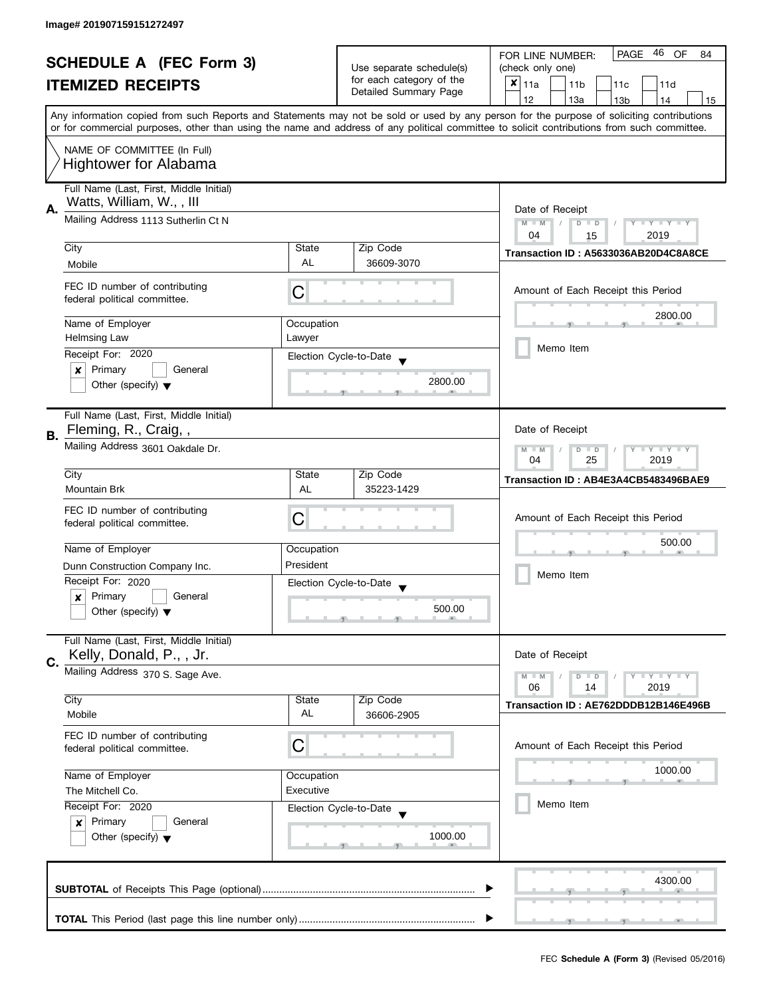| <b>SCHEDULE A (FEC Form 3)</b> |                                                                     |            | 46<br><b>PAGE</b><br>OF<br>FOR LINE NUMBER:<br>84                             |                                                                                                                                                                                                                                                                                         |  |
|--------------------------------|---------------------------------------------------------------------|------------|-------------------------------------------------------------------------------|-----------------------------------------------------------------------------------------------------------------------------------------------------------------------------------------------------------------------------------------------------------------------------------------|--|
|                                |                                                                     |            | Use separate schedule(s)<br>for each category of the<br>Detailed Summary Page | (check only one)                                                                                                                                                                                                                                                                        |  |
|                                | <b>ITEMIZED RECEIPTS</b>                                            |            |                                                                               | $x _{11a}$<br>11 <sub>b</sub><br>11c<br>11d                                                                                                                                                                                                                                             |  |
|                                |                                                                     |            |                                                                               | 12<br>13a<br>13 <sub>b</sub><br>14<br>15                                                                                                                                                                                                                                                |  |
|                                |                                                                     |            |                                                                               | Any information copied from such Reports and Statements may not be sold or used by any person for the purpose of soliciting contributions<br>or for commercial purposes, other than using the name and address of any political committee to solicit contributions from such committee. |  |
|                                | NAME OF COMMITTEE (In Full)<br><b>Hightower for Alabama</b>         |            |                                                                               |                                                                                                                                                                                                                                                                                         |  |
|                                |                                                                     |            |                                                                               |                                                                                                                                                                                                                                                                                         |  |
|                                | Full Name (Last, First, Middle Initial)<br>Watts, William, W.,, III |            |                                                                               |                                                                                                                                                                                                                                                                                         |  |
| А.                             | Mailing Address 1113 Sutherlin Ct N                                 |            |                                                                               | Date of Receipt                                                                                                                                                                                                                                                                         |  |
|                                |                                                                     |            |                                                                               | Y I Y I Y I Y<br>$M - M$<br>$D$ $D$<br>2019<br>04<br>15                                                                                                                                                                                                                                 |  |
|                                | City                                                                | State      | Zip Code                                                                      |                                                                                                                                                                                                                                                                                         |  |
|                                | Mobile                                                              | AL         | 36609-3070                                                                    | Transaction ID: A5633036AB20D4C8A8CE                                                                                                                                                                                                                                                    |  |
|                                |                                                                     |            |                                                                               |                                                                                                                                                                                                                                                                                         |  |
|                                | FEC ID number of contributing<br>federal political committee.       | С          |                                                                               | Amount of Each Receipt this Period                                                                                                                                                                                                                                                      |  |
|                                | Name of Employer                                                    | Occupation |                                                                               | 2800.00                                                                                                                                                                                                                                                                                 |  |
|                                | <b>Helmsing Law</b>                                                 | Lawyer     |                                                                               |                                                                                                                                                                                                                                                                                         |  |
|                                | Receipt For: 2020                                                   |            |                                                                               | Memo Item                                                                                                                                                                                                                                                                               |  |
|                                | Primary<br>General                                                  |            | Election Cycle-to-Date                                                        |                                                                                                                                                                                                                                                                                         |  |
|                                | ×<br>Other (specify) $\blacktriangledown$                           |            | 2800.00                                                                       |                                                                                                                                                                                                                                                                                         |  |
|                                |                                                                     |            |                                                                               |                                                                                                                                                                                                                                                                                         |  |
|                                |                                                                     |            |                                                                               |                                                                                                                                                                                                                                                                                         |  |
|                                | Full Name (Last, First, Middle Initial)<br>Fleming, R., Craig,,     |            |                                                                               | Date of Receipt                                                                                                                                                                                                                                                                         |  |
| В.                             |                                                                     |            |                                                                               |                                                                                                                                                                                                                                                                                         |  |
|                                | Mailing Address 3601 Oakdale Dr.                                    |            |                                                                               | $Y = Y + Y$<br>$M - M$<br>$\Box$<br>T<br>D                                                                                                                                                                                                                                              |  |
|                                | City                                                                |            | Zip Code                                                                      | 25<br>04<br>2019                                                                                                                                                                                                                                                                        |  |
|                                |                                                                     | State      |                                                                               | Transaction ID: AB4E3A4CB5483496BAE9                                                                                                                                                                                                                                                    |  |
|                                | <b>Mountain Brk</b>                                                 | AL         | 35223-1429                                                                    |                                                                                                                                                                                                                                                                                         |  |
|                                | FEC ID number of contributing                                       | С          |                                                                               | Amount of Each Receipt this Period                                                                                                                                                                                                                                                      |  |
|                                | federal political committee.                                        |            |                                                                               |                                                                                                                                                                                                                                                                                         |  |
|                                | Name of Employer                                                    |            |                                                                               | 500.00                                                                                                                                                                                                                                                                                  |  |
|                                |                                                                     | Occupation |                                                                               |                                                                                                                                                                                                                                                                                         |  |
|                                | Dunn Construction Company Inc.                                      | President  |                                                                               | Memo Item                                                                                                                                                                                                                                                                               |  |
|                                | Receipt For: 2020                                                   |            | Election Cycle-to-Date<br>$\blacktriangledown$                                |                                                                                                                                                                                                                                                                                         |  |
|                                | Primary<br>General<br>$\boldsymbol{x}$                              |            |                                                                               |                                                                                                                                                                                                                                                                                         |  |
|                                | Other (specify) $\blacktriangledown$                                |            | 500.00                                                                        |                                                                                                                                                                                                                                                                                         |  |
|                                |                                                                     |            |                                                                               |                                                                                                                                                                                                                                                                                         |  |
|                                | Full Name (Last, First, Middle Initial)                             |            |                                                                               |                                                                                                                                                                                                                                                                                         |  |
| C.                             | Kelly, Donald, P., , Jr.                                            |            |                                                                               | Date of Receipt                                                                                                                                                                                                                                                                         |  |
|                                | Mailing Address 370 S. Sage Ave.                                    |            |                                                                               | <b>LYLYLY</b><br>$M - M$<br>$D$ $D$                                                                                                                                                                                                                                                     |  |
|                                |                                                                     |            |                                                                               | 06<br>2019<br>14                                                                                                                                                                                                                                                                        |  |
|                                | City                                                                | State      | Zip Code                                                                      | Transaction ID: AE762DDDB12B146E496B                                                                                                                                                                                                                                                    |  |
|                                | Mobile                                                              | AL         | 36606-2905                                                                    |                                                                                                                                                                                                                                                                                         |  |
|                                | FEC ID number of contributing                                       |            |                                                                               |                                                                                                                                                                                                                                                                                         |  |
|                                | federal political committee.                                        | С          |                                                                               | Amount of Each Receipt this Period                                                                                                                                                                                                                                                      |  |
|                                |                                                                     |            |                                                                               |                                                                                                                                                                                                                                                                                         |  |
|                                | Name of Employer                                                    | Occupation |                                                                               | 1000.00                                                                                                                                                                                                                                                                                 |  |
|                                | Executive<br>The Mitchell Co.                                       |            |                                                                               |                                                                                                                                                                                                                                                                                         |  |
|                                | Receipt For: 2020                                                   |            | Election Cycle-to-Date                                                        | Memo Item                                                                                                                                                                                                                                                                               |  |
|                                | Primary<br>General<br>$\boldsymbol{x}$                              |            |                                                                               |                                                                                                                                                                                                                                                                                         |  |
|                                | Other (specify) $\blacktriangledown$                                |            | 1000.00                                                                       |                                                                                                                                                                                                                                                                                         |  |
|                                |                                                                     |            |                                                                               |                                                                                                                                                                                                                                                                                         |  |
|                                |                                                                     |            |                                                                               |                                                                                                                                                                                                                                                                                         |  |
|                                |                                                                     |            |                                                                               | 4300.00                                                                                                                                                                                                                                                                                 |  |
|                                |                                                                     |            |                                                                               |                                                                                                                                                                                                                                                                                         |  |
|                                |                                                                     |            |                                                                               |                                                                                                                                                                                                                                                                                         |  |
|                                |                                                                     |            |                                                                               |                                                                                                                                                                                                                                                                                         |  |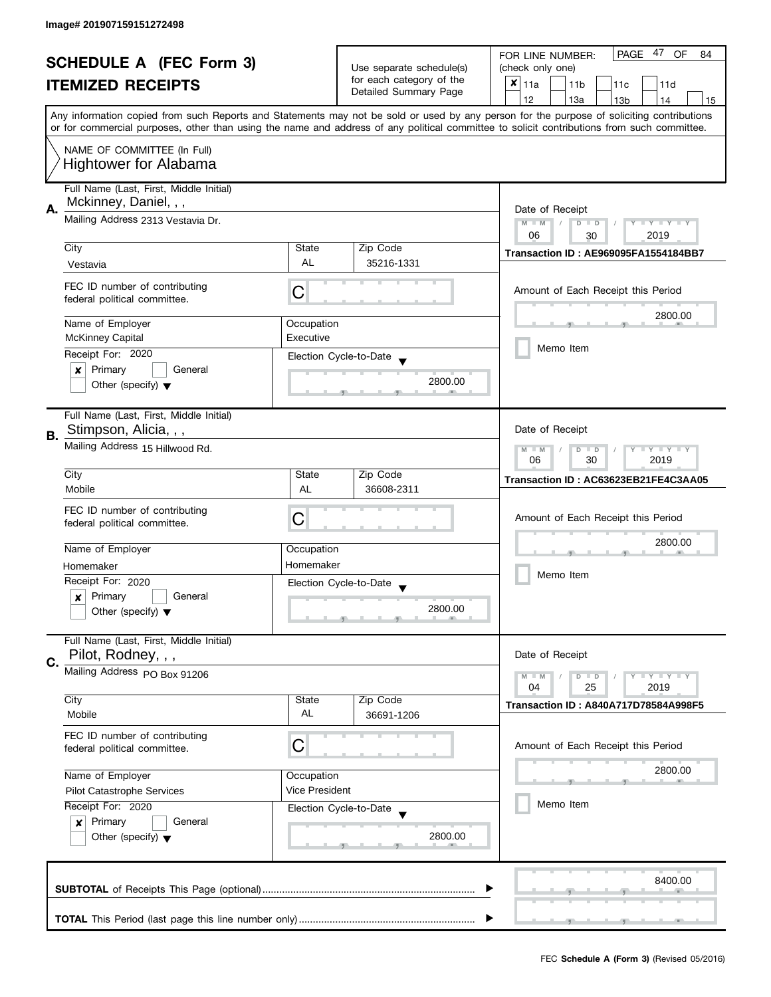| <b>SCHEDULE A (FEC Form 3)</b> |                                                                                                                                            |                                            | 47<br><b>PAGE</b><br>OF<br>FOR LINE NUMBER:<br>84    |                                                                                                                                           |  |
|--------------------------------|--------------------------------------------------------------------------------------------------------------------------------------------|--------------------------------------------|------------------------------------------------------|-------------------------------------------------------------------------------------------------------------------------------------------|--|
|                                |                                                                                                                                            |                                            | Use separate schedule(s)<br>for each category of the | (check only one)                                                                                                                          |  |
|                                | <b>ITEMIZED RECEIPTS</b>                                                                                                                   |                                            |                                                      | $x _{11a}$<br>11 <sub>b</sub><br>11c<br>11d                                                                                               |  |
|                                |                                                                                                                                            |                                            | Detailed Summary Page                                | 12<br>13a<br>14<br>13 <sub>b</sub><br>15                                                                                                  |  |
|                                |                                                                                                                                            |                                            |                                                      | Any information copied from such Reports and Statements may not be sold or used by any person for the purpose of soliciting contributions |  |
|                                | or for commercial purposes, other than using the name and address of any political committee to solicit contributions from such committee. |                                            |                                                      |                                                                                                                                           |  |
|                                | NAME OF COMMITTEE (In Full)                                                                                                                |                                            |                                                      |                                                                                                                                           |  |
|                                | <b>Hightower for Alabama</b>                                                                                                               |                                            |                                                      |                                                                                                                                           |  |
|                                |                                                                                                                                            |                                            |                                                      |                                                                                                                                           |  |
|                                | Full Name (Last, First, Middle Initial)                                                                                                    |                                            |                                                      |                                                                                                                                           |  |
| А.                             | Mckinney, Daniel, , ,                                                                                                                      |                                            |                                                      | Date of Receipt                                                                                                                           |  |
|                                | Mailing Address 2313 Vestavia Dr.                                                                                                          |                                            |                                                      | Y TY TY TY<br>$M - M$<br>$D$ $D$<br>$\sqrt{2}$                                                                                            |  |
|                                |                                                                                                                                            |                                            |                                                      | 06<br>2019<br>30                                                                                                                          |  |
|                                | City                                                                                                                                       | State                                      | Zip Code                                             | Transaction ID: AE969095FA1554184BB7                                                                                                      |  |
|                                | Vestavia                                                                                                                                   | AL                                         | 35216-1331                                           |                                                                                                                                           |  |
|                                |                                                                                                                                            |                                            |                                                      |                                                                                                                                           |  |
|                                | FEC ID number of contributing<br>federal political committee.                                                                              | С                                          |                                                      | Amount of Each Receipt this Period                                                                                                        |  |
|                                |                                                                                                                                            |                                            |                                                      |                                                                                                                                           |  |
|                                | Name of Employer                                                                                                                           | Occupation                                 |                                                      | 2800.00                                                                                                                                   |  |
|                                | <b>McKinney Capital</b>                                                                                                                    | Executive                                  |                                                      |                                                                                                                                           |  |
|                                | Receipt For: 2020                                                                                                                          |                                            | Election Cycle-to-Date                               | Memo Item                                                                                                                                 |  |
|                                | Primary<br>General<br>×                                                                                                                    |                                            |                                                      |                                                                                                                                           |  |
|                                | Other (specify) $\blacktriangledown$                                                                                                       |                                            | 2800.00                                              |                                                                                                                                           |  |
|                                |                                                                                                                                            |                                            |                                                      |                                                                                                                                           |  |
|                                | Full Name (Last, First, Middle Initial)                                                                                                    |                                            |                                                      |                                                                                                                                           |  |
|                                | Stimpson, Alicia, , ,                                                                                                                      |                                            |                                                      | Date of Receipt                                                                                                                           |  |
| В.                             | Mailing Address 15 Hillwood Rd.                                                                                                            |                                            |                                                      | <b>LYLYLY</b>                                                                                                                             |  |
|                                |                                                                                                                                            | $M - M$<br>D<br>$\Box$<br>30<br>06<br>2019 |                                                      |                                                                                                                                           |  |
|                                | City                                                                                                                                       | State                                      | Zip Code                                             |                                                                                                                                           |  |
|                                | Mobile                                                                                                                                     | AL                                         | 36608-2311                                           | Transaction ID: AC63623EB21FE4C3AA05                                                                                                      |  |
|                                |                                                                                                                                            |                                            |                                                      |                                                                                                                                           |  |
|                                | FEC ID number of contributing<br>federal political committee.                                                                              | C                                          |                                                      | Amount of Each Receipt this Period                                                                                                        |  |
|                                |                                                                                                                                            |                                            |                                                      |                                                                                                                                           |  |
|                                | Name of Employer                                                                                                                           | Occupation                                 |                                                      | 2800.00                                                                                                                                   |  |
|                                | Homemaker                                                                                                                                  | Homemaker                                  |                                                      |                                                                                                                                           |  |
|                                | Receipt For: 2020                                                                                                                          |                                            | Election Cycle-to-Date                               | Memo Item                                                                                                                                 |  |
|                                | Primary<br>General<br>$\boldsymbol{x}$                                                                                                     |                                            |                                                      |                                                                                                                                           |  |
|                                | Other (specify) $\blacktriangledown$                                                                                                       |                                            | 2800.00                                              |                                                                                                                                           |  |
|                                |                                                                                                                                            |                                            |                                                      |                                                                                                                                           |  |
|                                | Full Name (Last, First, Middle Initial)                                                                                                    |                                            |                                                      |                                                                                                                                           |  |
| C.                             | Pilot, Rodney, , ,                                                                                                                         |                                            |                                                      | Date of Receipt                                                                                                                           |  |
|                                | Mailing Address PO Box 91206                                                                                                               |                                            |                                                      | $Y = Y + Y$<br>$M - M$<br>$D$ $D$                                                                                                         |  |
|                                |                                                                                                                                            |                                            |                                                      | 04<br>25<br>2019                                                                                                                          |  |
|                                | City                                                                                                                                       | State                                      | Zip Code                                             | <b>Transaction ID: A840A717D78584A998F5</b>                                                                                               |  |
|                                | Mobile                                                                                                                                     | AL                                         | 36691-1206                                           |                                                                                                                                           |  |
|                                | FEC ID number of contributing                                                                                                              |                                            |                                                      |                                                                                                                                           |  |
|                                | federal political committee.                                                                                                               | C                                          |                                                      | Amount of Each Receipt this Period                                                                                                        |  |
|                                |                                                                                                                                            |                                            |                                                      |                                                                                                                                           |  |
|                                | Name of Employer                                                                                                                           | Occupation                                 |                                                      | 2800.00                                                                                                                                   |  |
|                                | Pilot Catastrophe Services                                                                                                                 | Vice President                             |                                                      |                                                                                                                                           |  |
|                                | Receipt For: 2020                                                                                                                          |                                            | Election Cycle-to-Date                               | Memo Item                                                                                                                                 |  |
|                                | Primary<br>General<br>$\boldsymbol{x}$                                                                                                     |                                            |                                                      |                                                                                                                                           |  |
|                                | Other (specify) $\blacktriangledown$                                                                                                       |                                            | 2800.00                                              |                                                                                                                                           |  |
|                                |                                                                                                                                            |                                            |                                                      |                                                                                                                                           |  |
|                                |                                                                                                                                            |                                            |                                                      |                                                                                                                                           |  |
|                                |                                                                                                                                            |                                            |                                                      | 8400.00                                                                                                                                   |  |
|                                |                                                                                                                                            |                                            |                                                      |                                                                                                                                           |  |
|                                |                                                                                                                                            |                                            |                                                      |                                                                                                                                           |  |
|                                |                                                                                                                                            |                                            |                                                      |                                                                                                                                           |  |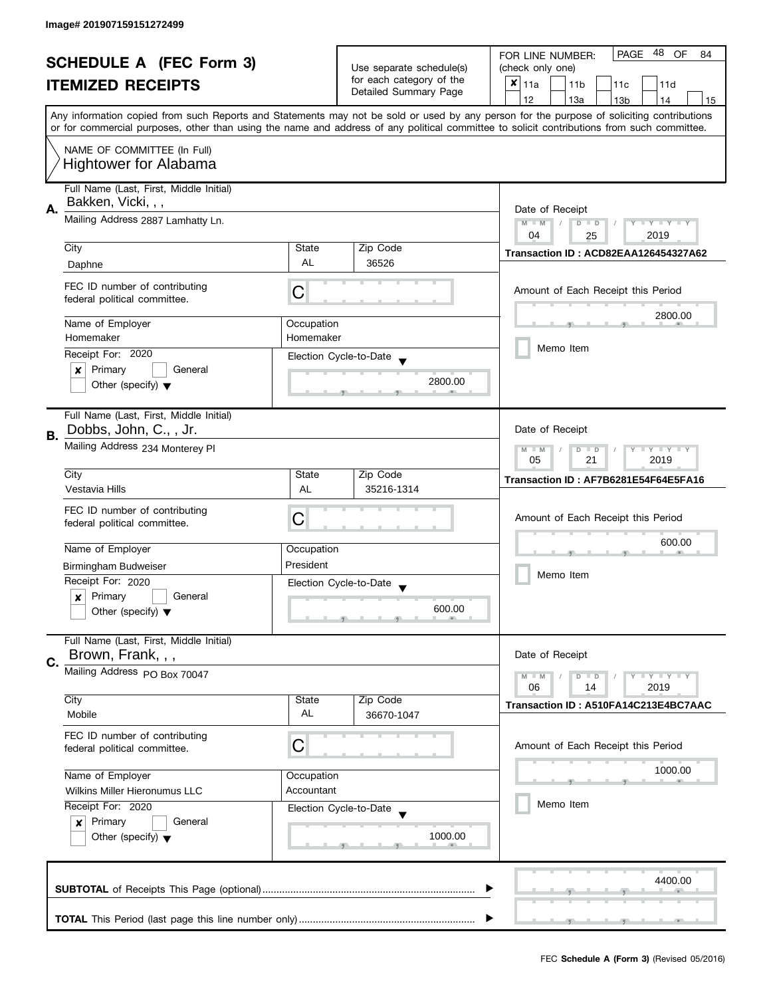| <b>SCHEDULE A (FEC Form 3)</b> |                                                                 |                                                               | 48<br>PAGE<br>OF<br>FOR LINE NUMBER:<br>84        |                                                                                                                                                                                                                                                                                         |  |  |
|--------------------------------|-----------------------------------------------------------------|---------------------------------------------------------------|---------------------------------------------------|-----------------------------------------------------------------------------------------------------------------------------------------------------------------------------------------------------------------------------------------------------------------------------------------|--|--|
|                                |                                                                 |                                                               | Use separate schedule(s)                          | (check only one)                                                                                                                                                                                                                                                                        |  |  |
|                                | <b>ITEMIZED RECEIPTS</b>                                        |                                                               | for each category of the<br>Detailed Summary Page | $x _{11a}$<br>11 <sub>b</sub><br>11c<br>11d                                                                                                                                                                                                                                             |  |  |
|                                |                                                                 |                                                               |                                                   | 12<br>13a<br>13 <sub>b</sub><br>14<br>15                                                                                                                                                                                                                                                |  |  |
|                                |                                                                 |                                                               |                                                   | Any information copied from such Reports and Statements may not be sold or used by any person for the purpose of soliciting contributions<br>or for commercial purposes, other than using the name and address of any political committee to solicit contributions from such committee. |  |  |
|                                |                                                                 |                                                               |                                                   |                                                                                                                                                                                                                                                                                         |  |  |
|                                | NAME OF COMMITTEE (In Full)<br><b>Hightower for Alabama</b>     |                                                               |                                                   |                                                                                                                                                                                                                                                                                         |  |  |
|                                | Full Name (Last, First, Middle Initial)                         |                                                               |                                                   |                                                                                                                                                                                                                                                                                         |  |  |
|                                | Bakken, Vicki, , ,                                              |                                                               |                                                   |                                                                                                                                                                                                                                                                                         |  |  |
| Α.                             | Mailing Address 2887 Lamhatty Ln.                               | Date of Receipt<br>$M - M$<br>$D$ $D$<br>$T - Y = T - Y$<br>Y |                                                   |                                                                                                                                                                                                                                                                                         |  |  |
|                                |                                                                 | 04<br>2019<br>25                                              |                                                   |                                                                                                                                                                                                                                                                                         |  |  |
|                                | City                                                            | State                                                         | Zip Code                                          | Transaction ID: ACD82EAA126454327A62                                                                                                                                                                                                                                                    |  |  |
|                                | Daphne                                                          | <b>AL</b>                                                     | 36526                                             |                                                                                                                                                                                                                                                                                         |  |  |
|                                | FEC ID number of contributing                                   |                                                               |                                                   |                                                                                                                                                                                                                                                                                         |  |  |
|                                | federal political committee.                                    | C                                                             |                                                   | Amount of Each Receipt this Period                                                                                                                                                                                                                                                      |  |  |
|                                |                                                                 |                                                               |                                                   | 2800.00                                                                                                                                                                                                                                                                                 |  |  |
|                                | Name of Employer                                                | Occupation                                                    |                                                   |                                                                                                                                                                                                                                                                                         |  |  |
|                                | Homemaker                                                       | Homemaker                                                     |                                                   | Memo Item                                                                                                                                                                                                                                                                               |  |  |
|                                | Receipt For: 2020                                               |                                                               | Election Cycle-to-Date                            |                                                                                                                                                                                                                                                                                         |  |  |
|                                | Primary<br>General<br>×                                         |                                                               | 2800.00                                           |                                                                                                                                                                                                                                                                                         |  |  |
|                                | Other (specify) $\blacktriangledown$                            |                                                               |                                                   |                                                                                                                                                                                                                                                                                         |  |  |
|                                | Full Name (Last, First, Middle Initial)                         |                                                               |                                                   |                                                                                                                                                                                                                                                                                         |  |  |
|                                | Dobbs, John, C., , Jr.                                          |                                                               |                                                   | Date of Receipt                                                                                                                                                                                                                                                                         |  |  |
| В.                             | Mailing Address 234 Monterey PI                                 |                                                               |                                                   | Y LY LY<br>$M - M$                                                                                                                                                                                                                                                                      |  |  |
|                                |                                                                 | $\overline{D}$<br>$\Box$<br>05<br>21<br>2019                  |                                                   |                                                                                                                                                                                                                                                                                         |  |  |
|                                | City                                                            | State                                                         | Zip Code                                          | Transaction ID: AF7B6281E54F64E5FA16                                                                                                                                                                                                                                                    |  |  |
|                                | Vestavia Hills                                                  | AL                                                            | 35216-1314                                        |                                                                                                                                                                                                                                                                                         |  |  |
|                                | FEC ID number of contributing                                   |                                                               |                                                   |                                                                                                                                                                                                                                                                                         |  |  |
|                                | federal political committee.                                    | C                                                             |                                                   | Amount of Each Receipt this Period                                                                                                                                                                                                                                                      |  |  |
|                                |                                                                 |                                                               |                                                   | 600.00                                                                                                                                                                                                                                                                                  |  |  |
|                                | Name of Employer                                                | Occupation                                                    |                                                   |                                                                                                                                                                                                                                                                                         |  |  |
|                                | Birmingham Budweiser                                            | President                                                     |                                                   | Memo Item                                                                                                                                                                                                                                                                               |  |  |
|                                | Receipt For: 2020                                               |                                                               | Election Cycle-to-Date                            |                                                                                                                                                                                                                                                                                         |  |  |
|                                | Primary<br>General<br>x<br>Other (specify) $\blacktriangledown$ |                                                               | 600.00                                            |                                                                                                                                                                                                                                                                                         |  |  |
|                                |                                                                 |                                                               |                                                   |                                                                                                                                                                                                                                                                                         |  |  |
|                                | Full Name (Last, First, Middle Initial)                         |                                                               |                                                   |                                                                                                                                                                                                                                                                                         |  |  |
| C.                             | Brown, Frank, , ,                                               |                                                               |                                                   | Date of Receipt                                                                                                                                                                                                                                                                         |  |  |
|                                | Mailing Address PO Box 70047                                    |                                                               |                                                   | Y LY LY<br>$M - M$<br>$D$ $D$                                                                                                                                                                                                                                                           |  |  |
|                                |                                                                 |                                                               |                                                   | 06<br>2019<br>14                                                                                                                                                                                                                                                                        |  |  |
|                                | City                                                            | State                                                         | Zip Code                                          | Transaction ID: A510FA14C213E4BC7AAC                                                                                                                                                                                                                                                    |  |  |
|                                | Mobile                                                          | AL                                                            | 36670-1047                                        |                                                                                                                                                                                                                                                                                         |  |  |
|                                | FEC ID number of contributing                                   |                                                               |                                                   |                                                                                                                                                                                                                                                                                         |  |  |
|                                | federal political committee.                                    | С                                                             |                                                   | Amount of Each Receipt this Period                                                                                                                                                                                                                                                      |  |  |
|                                | Name of Employer                                                | Occupation                                                    |                                                   | 1000.00                                                                                                                                                                                                                                                                                 |  |  |
|                                | Wilkins Miller Hieronumus LLC                                   | Accountant                                                    |                                                   |                                                                                                                                                                                                                                                                                         |  |  |
|                                | Receipt For: 2020                                               |                                                               | Election Cycle-to-Date                            | Memo Item                                                                                                                                                                                                                                                                               |  |  |
|                                | Primary<br>General<br>$\boldsymbol{x}$                          |                                                               |                                                   |                                                                                                                                                                                                                                                                                         |  |  |
|                                | Other (specify) $\blacktriangledown$                            |                                                               | 1000.00                                           |                                                                                                                                                                                                                                                                                         |  |  |
|                                |                                                                 |                                                               |                                                   |                                                                                                                                                                                                                                                                                         |  |  |
|                                |                                                                 |                                                               |                                                   |                                                                                                                                                                                                                                                                                         |  |  |
|                                |                                                                 |                                                               |                                                   | 4400.00                                                                                                                                                                                                                                                                                 |  |  |
|                                |                                                                 |                                                               |                                                   |                                                                                                                                                                                                                                                                                         |  |  |
|                                |                                                                 |                                                               |                                                   |                                                                                                                                                                                                                                                                                         |  |  |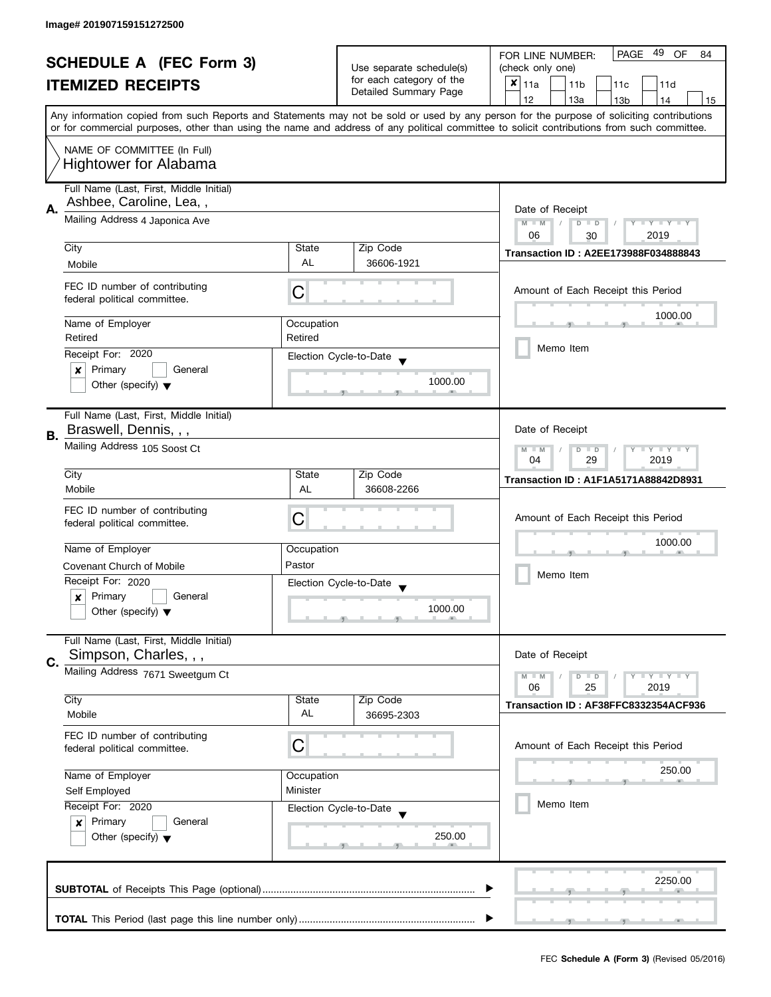|    | <b>SCHEDULE A (FEC Form 3)</b>                                |            |                                                      | 49<br>PAGE<br>OF<br>FOR LINE NUMBER:<br>84                                                                                                 |  |  |
|----|---------------------------------------------------------------|------------|------------------------------------------------------|--------------------------------------------------------------------------------------------------------------------------------------------|--|--|
|    |                                                               |            | Use separate schedule(s)<br>for each category of the | (check only one)                                                                                                                           |  |  |
|    | <b>ITEMIZED RECEIPTS</b>                                      |            | Detailed Summary Page                                | $x _{11a}$<br>11 <sub>b</sub><br>11c<br>11d                                                                                                |  |  |
|    |                                                               |            |                                                      | 12<br>13a<br>13 <sub>b</sub><br>15<br>14                                                                                                   |  |  |
|    |                                                               |            |                                                      | Any information copied from such Reports and Statements may not be sold or used by any person for the purpose of soliciting contributions  |  |  |
|    |                                                               |            |                                                      | or for commercial purposes, other than using the name and address of any political committee to solicit contributions from such committee. |  |  |
|    | NAME OF COMMITTEE (In Full)                                   |            |                                                      |                                                                                                                                            |  |  |
|    | <b>Hightower for Alabama</b>                                  |            |                                                      |                                                                                                                                            |  |  |
|    |                                                               |            |                                                      |                                                                                                                                            |  |  |
|    | Full Name (Last, First, Middle Initial)                       |            |                                                      |                                                                                                                                            |  |  |
| Α. | Ashbee, Caroline, Lea,,                                       |            |                                                      | Date of Receipt                                                                                                                            |  |  |
|    | Mailing Address 4 Japonica Ave                                |            |                                                      | $M - M$<br>$Y - Y - Y - Y - Y$<br>$\sqrt{2}$<br>$D$ $D$                                                                                    |  |  |
|    |                                                               |            |                                                      | 06<br>2019<br>30                                                                                                                           |  |  |
|    | City                                                          | State      | Zip Code                                             |                                                                                                                                            |  |  |
|    | Mobile                                                        | <b>AL</b>  | 36606-1921                                           | Transaction ID: A2EE173988F034888843                                                                                                       |  |  |
|    |                                                               |            |                                                      |                                                                                                                                            |  |  |
|    | FEC ID number of contributing                                 | C          |                                                      | Amount of Each Receipt this Period                                                                                                         |  |  |
|    | federal political committee.                                  |            |                                                      |                                                                                                                                            |  |  |
|    | Name of Employer                                              | Occupation |                                                      | 1000.00                                                                                                                                    |  |  |
|    | Retired                                                       | Retired    |                                                      |                                                                                                                                            |  |  |
|    |                                                               |            |                                                      | Memo Item                                                                                                                                  |  |  |
|    | Receipt For: 2020                                             |            | Election Cycle-to-Date                               |                                                                                                                                            |  |  |
|    | Primary<br>General<br>x                                       |            | 1000.00                                              |                                                                                                                                            |  |  |
|    | Other (specify) $\blacktriangledown$                          |            |                                                      |                                                                                                                                            |  |  |
|    |                                                               |            |                                                      |                                                                                                                                            |  |  |
|    | Full Name (Last, First, Middle Initial)                       |            |                                                      |                                                                                                                                            |  |  |
| В. | Braswell, Dennis, , ,                                         |            |                                                      | Date of Receipt                                                                                                                            |  |  |
|    | Mailing Address 105 Soost Ct                                  |            |                                                      | $Y = Y = Y$<br>$M - M$<br>D<br>$\Box$                                                                                                      |  |  |
|    |                                                               |            |                                                      | 29<br>2019<br>04                                                                                                                           |  |  |
|    | City                                                          | State      | Zip Code                                             | <b>Transaction ID: A1F1A5171A88842D8931</b>                                                                                                |  |  |
|    | Mobile                                                        | AL         | 36608-2266                                           |                                                                                                                                            |  |  |
|    | FEC ID number of contributing                                 |            |                                                      |                                                                                                                                            |  |  |
|    | federal political committee.                                  | C          |                                                      | Amount of Each Receipt this Period                                                                                                         |  |  |
|    |                                                               |            |                                                      | 1000.00                                                                                                                                    |  |  |
|    | Name of Employer                                              | Occupation |                                                      |                                                                                                                                            |  |  |
|    | <b>Covenant Church of Mobile</b>                              | Pastor     |                                                      |                                                                                                                                            |  |  |
|    | Receipt For: 2020                                             |            | Election Cycle-to-Date                               | Memo Item                                                                                                                                  |  |  |
|    | Primary<br>General<br>x                                       |            |                                                      |                                                                                                                                            |  |  |
|    | Other (specify) $\blacktriangledown$                          |            | 1000.00                                              |                                                                                                                                            |  |  |
|    |                                                               |            |                                                      |                                                                                                                                            |  |  |
|    | Full Name (Last, First, Middle Initial)                       |            |                                                      |                                                                                                                                            |  |  |
|    | Simpson, Charles, , ,                                         |            |                                                      | Date of Receipt                                                                                                                            |  |  |
| C. | Mailing Address 7671 Sweetgum Ct                              |            |                                                      |                                                                                                                                            |  |  |
|    |                                                               |            |                                                      | $Y = Y = Y$<br>$M - M$<br>$\overline{D}$<br>$\Box$<br>06<br>2019<br>25                                                                     |  |  |
|    | City                                                          | State      | Zip Code                                             |                                                                                                                                            |  |  |
|    | Mobile                                                        | AL         | 36695-2303                                           | Transaction ID: AF38FFC8332354ACF936                                                                                                       |  |  |
|    |                                                               |            |                                                      |                                                                                                                                            |  |  |
|    | FEC ID number of contributing<br>federal political committee. | C          |                                                      | Amount of Each Receipt this Period                                                                                                         |  |  |
|    |                                                               |            |                                                      |                                                                                                                                            |  |  |
|    | Name of Employer                                              | Occupation |                                                      | 250.00                                                                                                                                     |  |  |
|    | Self Employed                                                 | Minister   |                                                      |                                                                                                                                            |  |  |
|    | Receipt For: 2020<br>Election Cycle-to-Date                   |            |                                                      | Memo Item                                                                                                                                  |  |  |
|    |                                                               |            |                                                      |                                                                                                                                            |  |  |
|    | Primary<br>General<br>x                                       |            |                                                      |                                                                                                                                            |  |  |
|    | Other (specify) $\blacktriangledown$                          |            | 250.00                                               |                                                                                                                                            |  |  |
|    |                                                               |            |                                                      |                                                                                                                                            |  |  |
|    |                                                               |            |                                                      |                                                                                                                                            |  |  |
|    |                                                               |            |                                                      | 2250.00                                                                                                                                    |  |  |
|    |                                                               |            |                                                      |                                                                                                                                            |  |  |
|    |                                                               |            |                                                      |                                                                                                                                            |  |  |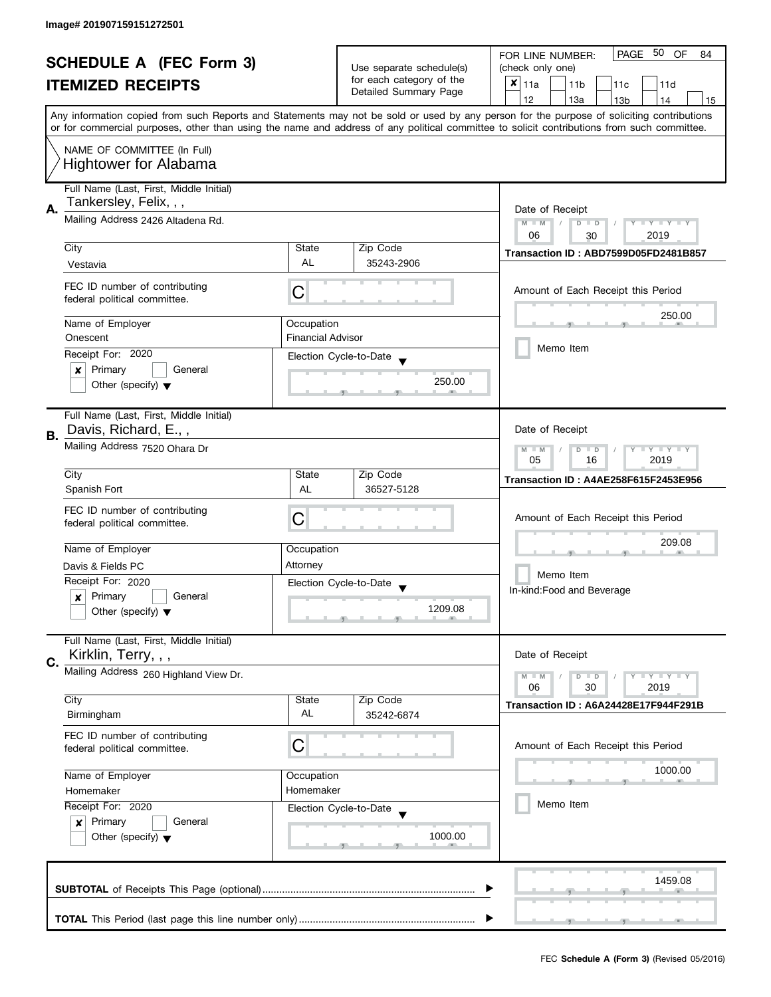|    | <b>SCHEDULE A (FEC Form 3)</b>                                                        |                          |                                                   | PAGE 50<br>OF<br>FOR LINE NUMBER:<br>84                                                                                                                                                                                                                                                 |  |
|----|---------------------------------------------------------------------------------------|--------------------------|---------------------------------------------------|-----------------------------------------------------------------------------------------------------------------------------------------------------------------------------------------------------------------------------------------------------------------------------------------|--|
|    |                                                                                       |                          | Use separate schedule(s)                          | (check only one)                                                                                                                                                                                                                                                                        |  |
|    | <b>ITEMIZED RECEIPTS</b>                                                              |                          | for each category of the<br>Detailed Summary Page | $x _{11a}$<br>11 <sub>b</sub><br>11d<br>11c                                                                                                                                                                                                                                             |  |
|    |                                                                                       |                          |                                                   | 12<br>13a<br>13 <sub>b</sub><br>14<br>15                                                                                                                                                                                                                                                |  |
|    |                                                                                       |                          |                                                   | Any information copied from such Reports and Statements may not be sold or used by any person for the purpose of soliciting contributions<br>or for commercial purposes, other than using the name and address of any political committee to solicit contributions from such committee. |  |
|    | NAME OF COMMITTEE (In Full)                                                           |                          |                                                   |                                                                                                                                                                                                                                                                                         |  |
|    | <b>Hightower for Alabama</b>                                                          |                          |                                                   |                                                                                                                                                                                                                                                                                         |  |
|    | Full Name (Last, First, Middle Initial)<br>Tankersley, Felix, , ,                     |                          |                                                   |                                                                                                                                                                                                                                                                                         |  |
| А. | Mailing Address 2426 Altadena Rd.                                                     |                          |                                                   | Date of Receipt                                                                                                                                                                                                                                                                         |  |
|    |                                                                                       |                          |                                                   | Y TY TY TY<br>$M - M$<br>$D$ $D$<br>06<br>2019<br>30                                                                                                                                                                                                                                    |  |
|    | City                                                                                  | State                    | Zip Code                                          | Transaction ID: ABD7599D05FD2481B857                                                                                                                                                                                                                                                    |  |
|    | Vestavia                                                                              | AL                       | 35243-2906                                        |                                                                                                                                                                                                                                                                                         |  |
|    |                                                                                       |                          |                                                   |                                                                                                                                                                                                                                                                                         |  |
|    | FEC ID number of contributing<br>federal political committee.                         | С                        |                                                   | Amount of Each Receipt this Period                                                                                                                                                                                                                                                      |  |
|    | Name of Employer                                                                      | Occupation               |                                                   | 250.00                                                                                                                                                                                                                                                                                  |  |
|    | Onescent                                                                              | <b>Financial Advisor</b> |                                                   |                                                                                                                                                                                                                                                                                         |  |
|    | Receipt For: 2020                                                                     |                          | Election Cycle-to-Date                            | Memo Item                                                                                                                                                                                                                                                                               |  |
|    | Primary<br>General<br>×                                                               |                          |                                                   |                                                                                                                                                                                                                                                                                         |  |
|    | Other (specify) $\blacktriangledown$                                                  |                          | 250.00                                            |                                                                                                                                                                                                                                                                                         |  |
|    | Full Name (Last, First, Middle Initial)                                               |                          |                                                   |                                                                                                                                                                                                                                                                                         |  |
|    | Davis, Richard, E.,,                                                                  |                          |                                                   | Date of Receipt                                                                                                                                                                                                                                                                         |  |
| В. | Mailing Address 7520 Ohara Dr                                                         |                          |                                                   | Y I Y I Y I Y<br>$M - M$<br>$D$ $D$                                                                                                                                                                                                                                                     |  |
|    |                                                                                       |                          |                                                   | 05<br>16<br>2019                                                                                                                                                                                                                                                                        |  |
|    | City                                                                                  | State                    | Zip Code                                          | <b>Transaction ID: A4AE258F615F2453E956</b>                                                                                                                                                                                                                                             |  |
|    | Spanish Fort                                                                          | AL                       | 36527-5128                                        |                                                                                                                                                                                                                                                                                         |  |
|    | FEC ID number of contributing                                                         |                          |                                                   |                                                                                                                                                                                                                                                                                         |  |
|    | federal political committee.                                                          | С                        |                                                   | Amount of Each Receipt this Period                                                                                                                                                                                                                                                      |  |
|    | Name of Employer                                                                      | Occupation               |                                                   | 209.08                                                                                                                                                                                                                                                                                  |  |
|    | Davis & Fields PC                                                                     | Attorney                 |                                                   |                                                                                                                                                                                                                                                                                         |  |
|    | Receipt For: 2020                                                                     |                          | Election Cycle-to-Date                            | Memo Item                                                                                                                                                                                                                                                                               |  |
|    | Primary<br>General<br>x                                                               |                          | $\blacktriangledown$                              | In-kind: Food and Beverage                                                                                                                                                                                                                                                              |  |
|    | Other (specify) $\blacktriangledown$                                                  |                          | 1209.08                                           |                                                                                                                                                                                                                                                                                         |  |
|    |                                                                                       |                          |                                                   |                                                                                                                                                                                                                                                                                         |  |
|    | Full Name (Last, First, Middle Initial)                                               |                          |                                                   |                                                                                                                                                                                                                                                                                         |  |
| C. | Kirklin, Terry, , ,                                                                   |                          |                                                   | Date of Receipt                                                                                                                                                                                                                                                                         |  |
|    | Mailing Address 260 Highland View Dr.                                                 |                          |                                                   | <b>LYLYLY</b><br>$M - M$<br>$D$ $D$                                                                                                                                                                                                                                                     |  |
|    | City                                                                                  | State                    | Zip Code                                          | 06<br>30<br>2019                                                                                                                                                                                                                                                                        |  |
|    | Birmingham                                                                            | AL                       | 35242-6874                                        | Transaction ID: A6A24428E17F944F291B                                                                                                                                                                                                                                                    |  |
|    | FEC ID number of contributing                                                         |                          |                                                   |                                                                                                                                                                                                                                                                                         |  |
|    | federal political committee.                                                          | C                        |                                                   | Amount of Each Receipt this Period                                                                                                                                                                                                                                                      |  |
|    |                                                                                       |                          |                                                   | 1000.00                                                                                                                                                                                                                                                                                 |  |
|    | Name of Employer<br>Homemaker                                                         | Occupation<br>Homemaker  |                                                   |                                                                                                                                                                                                                                                                                         |  |
|    | Receipt For: 2020<br>Election Cycle-to-Date<br>Primary<br>General<br>$\boldsymbol{x}$ |                          |                                                   | Memo Item                                                                                                                                                                                                                                                                               |  |
|    |                                                                                       |                          |                                                   |                                                                                                                                                                                                                                                                                         |  |
|    | Other (specify) $\blacktriangledown$                                                  |                          | 1000.00                                           |                                                                                                                                                                                                                                                                                         |  |
|    |                                                                                       |                          |                                                   |                                                                                                                                                                                                                                                                                         |  |
|    |                                                                                       |                          |                                                   |                                                                                                                                                                                                                                                                                         |  |
|    |                                                                                       |                          |                                                   | 1459.08                                                                                                                                                                                                                                                                                 |  |
|    |                                                                                       |                          |                                                   |                                                                                                                                                                                                                                                                                         |  |
|    |                                                                                       |                          |                                                   |                                                                                                                                                                                                                                                                                         |  |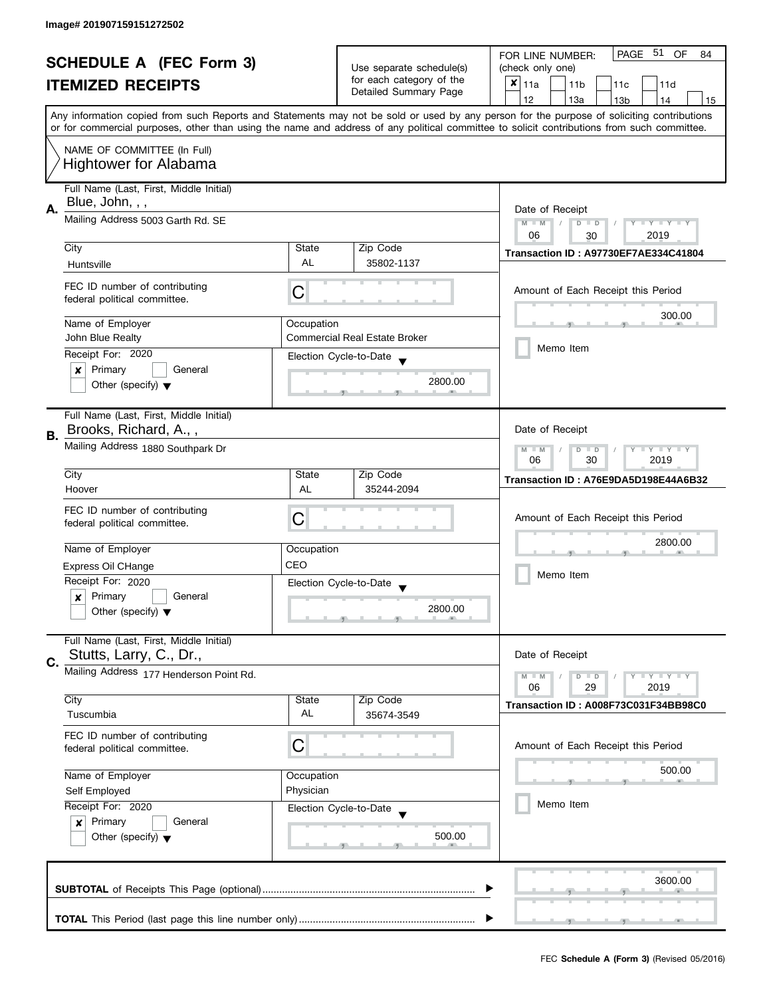|    | <b>SCHEDULE A (FEC Form 3)</b>                                                                              |            |                                                                               | PAGE 51<br><b>OF</b><br>FOR LINE NUMBER:<br>84                                                                                             |
|----|-------------------------------------------------------------------------------------------------------------|------------|-------------------------------------------------------------------------------|--------------------------------------------------------------------------------------------------------------------------------------------|
|    | <b>ITEMIZED RECEIPTS</b>                                                                                    |            | Use separate schedule(s)<br>for each category of the<br>Detailed Summary Page | (check only one)                                                                                                                           |
|    |                                                                                                             |            |                                                                               | $x _{11a}$<br>11 <sub>b</sub><br>11c<br>11d                                                                                                |
|    |                                                                                                             |            |                                                                               | 12<br>13a<br>13 <sub>b</sub><br>14<br>15                                                                                                   |
|    |                                                                                                             |            |                                                                               | Any information copied from such Reports and Statements may not be sold or used by any person for the purpose of soliciting contributions  |
|    |                                                                                                             |            |                                                                               | or for commercial purposes, other than using the name and address of any political committee to solicit contributions from such committee. |
|    | NAME OF COMMITTEE (In Full)                                                                                 |            |                                                                               |                                                                                                                                            |
|    | <b>Hightower for Alabama</b>                                                                                |            |                                                                               |                                                                                                                                            |
|    |                                                                                                             |            |                                                                               |                                                                                                                                            |
|    | Full Name (Last, First, Middle Initial)<br>Blue, John, , ,                                                  |            |                                                                               |                                                                                                                                            |
| А. | Mailing Address 5003 Garth Rd. SE                                                                           |            |                                                                               | Date of Receipt                                                                                                                            |
|    |                                                                                                             |            |                                                                               | $M - M$<br>$Y - Y - Y - Y - Y$<br>$D$ $D$                                                                                                  |
|    | City                                                                                                        | State      | Zip Code                                                                      | 06<br>2019<br>30                                                                                                                           |
|    |                                                                                                             | <b>AL</b>  | 35802-1137                                                                    | Transaction ID: A97730EF7AE334C41804                                                                                                       |
|    | Huntsville                                                                                                  |            |                                                                               |                                                                                                                                            |
|    | FEC ID number of contributing                                                                               | С          |                                                                               | Amount of Each Receipt this Period                                                                                                         |
|    | federal political committee.                                                                                |            |                                                                               |                                                                                                                                            |
|    | Name of Employer                                                                                            | Occupation |                                                                               | 300.00                                                                                                                                     |
|    | John Blue Realty                                                                                            |            | Commercial Real Estate Broker                                                 |                                                                                                                                            |
|    | Receipt For: 2020                                                                                           |            | Election Cycle-to-Date                                                        | Memo Item                                                                                                                                  |
|    | Primary<br>General<br>x                                                                                     |            |                                                                               |                                                                                                                                            |
|    | Other (specify) $\blacktriangledown$                                                                        |            | 2800.00                                                                       |                                                                                                                                            |
|    |                                                                                                             |            |                                                                               |                                                                                                                                            |
|    | Full Name (Last, First, Middle Initial)                                                                     |            |                                                                               |                                                                                                                                            |
|    | Brooks, Richard, A.,,                                                                                       |            |                                                                               | Date of Receipt                                                                                                                            |
| В. | Mailing Address 1880 Southpark Dr                                                                           |            |                                                                               | $Y - Y - Y$<br>$M - M$<br>D<br>$\Box$                                                                                                      |
|    |                                                                                                             |            |                                                                               | 30<br>2019<br>06                                                                                                                           |
|    | City                                                                                                        | State      | Zip Code                                                                      | Transaction ID: A76E9DA5D198E44A6B32                                                                                                       |
|    | Hoover                                                                                                      | AL         | 35244-2094                                                                    |                                                                                                                                            |
|    | FEC ID number of contributing                                                                               |            |                                                                               |                                                                                                                                            |
|    | federal political committee.                                                                                | С          |                                                                               | Amount of Each Receipt this Period                                                                                                         |
|    |                                                                                                             |            |                                                                               | 2800.00                                                                                                                                    |
|    | Name of Employer                                                                                            | Occupation |                                                                               |                                                                                                                                            |
|    | Express Oil CHange                                                                                          | CEO        |                                                                               | Memo Item                                                                                                                                  |
|    | Receipt For: 2020                                                                                           |            | Election Cycle-to-Date                                                        |                                                                                                                                            |
|    | Primary<br>General<br>x                                                                                     |            | 2800.00                                                                       |                                                                                                                                            |
|    | Other (specify) $\blacktriangledown$                                                                        |            |                                                                               |                                                                                                                                            |
|    | Full Name (Last, First, Middle Initial)                                                                     |            |                                                                               |                                                                                                                                            |
|    | Stutts, Larry, C., Dr.,                                                                                     |            |                                                                               | Date of Receipt                                                                                                                            |
| C. | Mailing Address 177 Henderson Point Rd.                                                                     |            |                                                                               | $M - M$<br>$Y - Y - Y$<br>$\overline{D}$<br>$\Box$                                                                                         |
|    |                                                                                                             |            |                                                                               | 06<br>2019<br>29                                                                                                                           |
|    | City                                                                                                        | State      | Zip Code                                                                      | Transaction ID: A008F73C031F34BB98C0                                                                                                       |
|    | Tuscumbia                                                                                                   | AL         | 35674-3549                                                                    |                                                                                                                                            |
|    | FEC ID number of contributing                                                                               |            |                                                                               |                                                                                                                                            |
|    | federal political committee.                                                                                | C          |                                                                               | Amount of Each Receipt this Period                                                                                                         |
|    |                                                                                                             |            |                                                                               | 500.00                                                                                                                                     |
|    | Name of Employer<br>Occupation<br>Physician<br>Self Employed<br>Receipt For: 2020<br>Election Cycle-to-Date |            |                                                                               |                                                                                                                                            |
|    |                                                                                                             |            |                                                                               | Memo Item                                                                                                                                  |
|    |                                                                                                             |            |                                                                               |                                                                                                                                            |
|    | Primary<br>General<br>x                                                                                     |            | 500.00                                                                        |                                                                                                                                            |
|    | Other (specify) $\blacktriangledown$                                                                        |            |                                                                               |                                                                                                                                            |
|    |                                                                                                             |            |                                                                               |                                                                                                                                            |
|    |                                                                                                             |            |                                                                               | 3600.00                                                                                                                                    |
|    |                                                                                                             |            |                                                                               |                                                                                                                                            |
|    |                                                                                                             |            |                                                                               |                                                                                                                                            |
|    |                                                                                                             |            |                                                                               |                                                                                                                                            |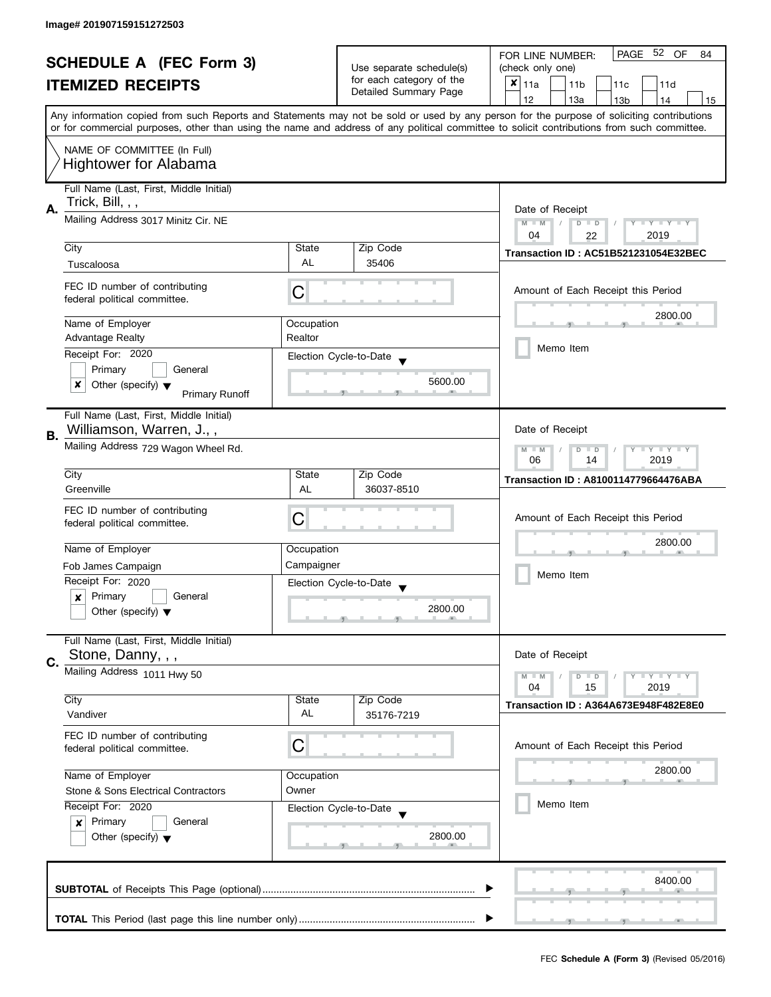|    | <b>SCHEDULE A (FEC Form 3)</b>                                                 |            | Use separate schedule(s) | PAGE 52 OF<br>FOR LINE NUMBER:<br>84<br>(check only one)                                                                                                                                                                                                                                |
|----|--------------------------------------------------------------------------------|------------|--------------------------|-----------------------------------------------------------------------------------------------------------------------------------------------------------------------------------------------------------------------------------------------------------------------------------------|
|    |                                                                                |            | for each category of the |                                                                                                                                                                                                                                                                                         |
|    | <b>ITEMIZED RECEIPTS</b>                                                       |            | Detailed Summary Page    | $x _{11a}$<br>11 <sub>b</sub><br>11c<br>11d                                                                                                                                                                                                                                             |
|    |                                                                                |            |                          | 12<br>13a<br>13 <sub>b</sub><br>14<br>15                                                                                                                                                                                                                                                |
|    |                                                                                |            |                          | Any information copied from such Reports and Statements may not be sold or used by any person for the purpose of soliciting contributions<br>or for commercial purposes, other than using the name and address of any political committee to solicit contributions from such committee. |
|    |                                                                                |            |                          |                                                                                                                                                                                                                                                                                         |
|    | NAME OF COMMITTEE (In Full)<br><b>Hightower for Alabama</b>                    |            |                          |                                                                                                                                                                                                                                                                                         |
|    | Full Name (Last, First, Middle Initial)<br>Trick, Bill, , ,                    |            |                          |                                                                                                                                                                                                                                                                                         |
| А. |                                                                                |            |                          | Date of Receipt                                                                                                                                                                                                                                                                         |
|    | Mailing Address 3017 Minitz Cir. NE                                            |            |                          | $M - M$<br>$D$ $D$<br>$Y - Y - Y - Y - Y$<br>$\sqrt{ }$                                                                                                                                                                                                                                 |
|    | City                                                                           | State      | Zip Code                 | 04<br>2019<br>22                                                                                                                                                                                                                                                                        |
|    |                                                                                | <b>AL</b>  |                          | <b>Transaction ID: AC51B521231054E32BEC</b>                                                                                                                                                                                                                                             |
|    | Tuscaloosa                                                                     |            | 35406                    |                                                                                                                                                                                                                                                                                         |
|    | FEC ID number of contributing<br>federal political committee.                  | С          |                          | Amount of Each Receipt this Period                                                                                                                                                                                                                                                      |
|    | Name of Employer                                                               | Occupation |                          | 2800.00                                                                                                                                                                                                                                                                                 |
|    | <b>Advantage Realty</b>                                                        | Realtor    |                          |                                                                                                                                                                                                                                                                                         |
|    | Receipt For: 2020                                                              |            | Election Cycle-to-Date   | Memo Item                                                                                                                                                                                                                                                                               |
|    | Primary<br>General                                                             |            |                          |                                                                                                                                                                                                                                                                                         |
|    | x<br>Other (specify) $\blacktriangledown$                                      |            | 5600.00                  |                                                                                                                                                                                                                                                                                         |
|    | <b>Primary Runoff</b>                                                          |            |                          |                                                                                                                                                                                                                                                                                         |
|    | Full Name (Last, First, Middle Initial)                                        |            |                          |                                                                                                                                                                                                                                                                                         |
| В. | Williamson, Warren, J.,,                                                       |            |                          | Date of Receipt                                                                                                                                                                                                                                                                         |
|    | Mailing Address 729 Wagon Wheel Rd.                                            |            |                          | $Y = Y + Y$<br>$M - M$<br>D<br>$\Box$<br>2019<br>06<br>14                                                                                                                                                                                                                               |
|    | City                                                                           | State      | Zip Code                 | Transaction ID: A8100114779664476ABA                                                                                                                                                                                                                                                    |
|    | Greenville                                                                     | <b>AL</b>  | 36037-8510               |                                                                                                                                                                                                                                                                                         |
|    | FEC ID number of contributing                                                  |            |                          |                                                                                                                                                                                                                                                                                         |
|    | federal political committee.                                                   | C          |                          | Amount of Each Receipt this Period                                                                                                                                                                                                                                                      |
|    |                                                                                |            |                          | 2800.00                                                                                                                                                                                                                                                                                 |
|    | Name of Employer                                                               | Occupation |                          |                                                                                                                                                                                                                                                                                         |
|    | Fob James Campaign                                                             | Campaigner |                          |                                                                                                                                                                                                                                                                                         |
|    | Receipt For: 2020                                                              |            | Election Cycle-to-Date   | Memo Item                                                                                                                                                                                                                                                                               |
|    | Primary<br>General<br>x                                                        |            |                          |                                                                                                                                                                                                                                                                                         |
|    | Other (specify) $\blacktriangledown$                                           |            | 2800.00                  |                                                                                                                                                                                                                                                                                         |
|    | Full Name (Last, First, Middle Initial)                                        |            |                          |                                                                                                                                                                                                                                                                                         |
| C. | Stone, Danny, , ,                                                              |            |                          | Date of Receipt                                                                                                                                                                                                                                                                         |
|    | Mailing Address 1011 Hwy 50                                                    |            |                          | $Y = Y + Y$<br>$M - M$<br>D<br>$\blacksquare$                                                                                                                                                                                                                                           |
|    |                                                                                |            |                          | 04<br>2019<br>15                                                                                                                                                                                                                                                                        |
|    | City                                                                           | State      | Zip Code                 | Transaction ID: A364A673E948F482E8E0                                                                                                                                                                                                                                                    |
|    | Vandiver                                                                       | AL         | 35176-7219               |                                                                                                                                                                                                                                                                                         |
|    | FEC ID number of contributing                                                  |            |                          |                                                                                                                                                                                                                                                                                         |
|    | federal political committee.                                                   | C          |                          | Amount of Each Receipt this Period                                                                                                                                                                                                                                                      |
|    |                                                                                |            |                          | 2800.00                                                                                                                                                                                                                                                                                 |
|    | Name of Employer<br>Occupation<br>Stone & Sons Electrical Contractors<br>Owner |            |                          |                                                                                                                                                                                                                                                                                         |
|    |                                                                                |            |                          |                                                                                                                                                                                                                                                                                         |
|    | Receipt For: 2020                                                              |            | Election Cycle-to-Date   | Memo Item                                                                                                                                                                                                                                                                               |
|    | Primary<br>General<br>$\boldsymbol{x}$<br>Other (specify) $\blacktriangledown$ |            |                          |                                                                                                                                                                                                                                                                                         |
|    |                                                                                |            | 2800.00                  |                                                                                                                                                                                                                                                                                         |
|    |                                                                                |            |                          |                                                                                                                                                                                                                                                                                         |
|    |                                                                                |            |                          |                                                                                                                                                                                                                                                                                         |
|    |                                                                                |            |                          | 8400.00                                                                                                                                                                                                                                                                                 |
|    |                                                                                |            |                          |                                                                                                                                                                                                                                                                                         |
|    |                                                                                |            |                          |                                                                                                                                                                                                                                                                                         |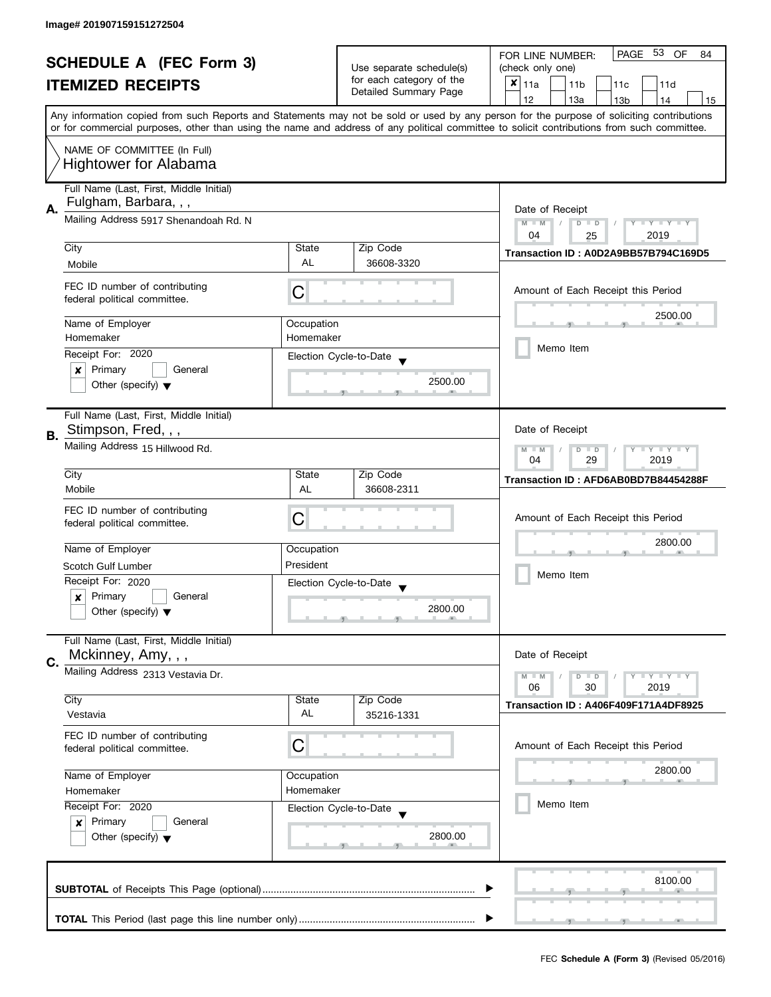|    | <b>SCHEDULE A (FEC Form 3)</b>                                |            |                                                   | PAGE 53<br>OF<br>FOR LINE NUMBER:<br>84                                                                                                    |
|----|---------------------------------------------------------------|------------|---------------------------------------------------|--------------------------------------------------------------------------------------------------------------------------------------------|
|    |                                                               |            | Use separate schedule(s)                          | (check only one)                                                                                                                           |
|    | <b>ITEMIZED RECEIPTS</b>                                      |            | for each category of the<br>Detailed Summary Page | $x _{11a}$<br>11 <sub>b</sub><br>11c<br>11d                                                                                                |
|    |                                                               |            |                                                   | 12<br>13a<br>13 <sub>b</sub><br>15<br>14                                                                                                   |
|    |                                                               |            |                                                   | Any information copied from such Reports and Statements may not be sold or used by any person for the purpose of soliciting contributions  |
|    |                                                               |            |                                                   | or for commercial purposes, other than using the name and address of any political committee to solicit contributions from such committee. |
|    | NAME OF COMMITTEE (In Full)                                   |            |                                                   |                                                                                                                                            |
|    |                                                               |            |                                                   |                                                                                                                                            |
|    | <b>Hightower for Alabama</b>                                  |            |                                                   |                                                                                                                                            |
|    | Full Name (Last, First, Middle Initial)                       |            |                                                   |                                                                                                                                            |
|    | Fulgham, Barbara, , ,                                         |            |                                                   |                                                                                                                                            |
| Α. | Mailing Address 5917 Shenandoah Rd. N                         |            |                                                   | Date of Receipt                                                                                                                            |
|    |                                                               |            |                                                   | $M - M$<br>$Y - Y - Y - Y - Y$<br>$\sqrt{2}$<br>$D$ $D$                                                                                    |
|    | City                                                          | State      | Zip Code                                          | 04<br>2019<br>25                                                                                                                           |
|    |                                                               | <b>AL</b>  | 36608-3320                                        | Transaction ID: A0D2A9BB57B794C169D5                                                                                                       |
|    | Mobile                                                        |            |                                                   |                                                                                                                                            |
|    | FEC ID number of contributing                                 |            |                                                   | Amount of Each Receipt this Period                                                                                                         |
|    | federal political committee.                                  | C          |                                                   |                                                                                                                                            |
|    |                                                               |            |                                                   | 2500.00                                                                                                                                    |
|    | Name of Employer                                              | Occupation |                                                   |                                                                                                                                            |
|    | Homemaker                                                     | Homemaker  |                                                   |                                                                                                                                            |
|    | Receipt For: 2020                                             |            | Election Cycle-to-Date                            | Memo Item                                                                                                                                  |
|    | Primary<br>General<br>x                                       |            |                                                   |                                                                                                                                            |
|    | Other (specify) $\blacktriangledown$                          |            | 2500.00                                           |                                                                                                                                            |
|    |                                                               |            |                                                   |                                                                                                                                            |
|    | Full Name (Last, First, Middle Initial)                       |            |                                                   |                                                                                                                                            |
|    | Stimpson, Fred, , ,                                           |            |                                                   | Date of Receipt                                                                                                                            |
| В. | Mailing Address 15 Hillwood Rd.                               |            |                                                   |                                                                                                                                            |
|    |                                                               |            |                                                   | $Y - Y - Y$<br>$M - M$<br>D<br>$\Box$<br>29<br>2019<br>04                                                                                  |
|    | City                                                          | State      | Zip Code                                          |                                                                                                                                            |
|    | Mobile                                                        | AL         | 36608-2311                                        | Transaction ID: AFD6AB0BD7B84454288F                                                                                                       |
|    |                                                               |            |                                                   |                                                                                                                                            |
|    | FEC ID number of contributing                                 | C          |                                                   | Amount of Each Receipt this Period                                                                                                         |
|    | federal political committee.                                  |            |                                                   |                                                                                                                                            |
|    |                                                               |            |                                                   | 2800.00                                                                                                                                    |
|    | Name of Employer                                              | Occupation |                                                   |                                                                                                                                            |
|    | Scotch Gulf Lumber                                            | President  |                                                   | Memo Item                                                                                                                                  |
|    | Receipt For: 2020                                             |            | Election Cycle-to-Date                            |                                                                                                                                            |
|    | Primary<br>General<br>x                                       |            |                                                   |                                                                                                                                            |
|    | Other (specify) $\blacktriangledown$                          |            | 2800.00                                           |                                                                                                                                            |
|    |                                                               |            |                                                   |                                                                                                                                            |
|    | Full Name (Last, First, Middle Initial)                       |            |                                                   |                                                                                                                                            |
| C. | Mckinney, Amy, , ,                                            |            |                                                   | Date of Receipt                                                                                                                            |
|    | Mailing Address 2313 Vestavia Dr.                             |            |                                                   | $Y = Y = Y$<br>$M - M$<br>$\overline{D}$<br>$\Box$                                                                                         |
|    |                                                               |            |                                                   | 06<br>2019<br>30                                                                                                                           |
|    | City                                                          | State      | Zip Code                                          | Transaction ID: A406F409F171A4DF8925                                                                                                       |
|    | Vestavia                                                      | AL         | 35216-1331                                        |                                                                                                                                            |
|    |                                                               |            |                                                   |                                                                                                                                            |
|    | FEC ID number of contributing<br>federal political committee. | C          |                                                   | Amount of Each Receipt this Period                                                                                                         |
|    |                                                               |            |                                                   |                                                                                                                                            |
|    | Name of Employer                                              | Occupation |                                                   | 2800.00                                                                                                                                    |
|    | Homemaker<br>Homemaker                                        |            |                                                   |                                                                                                                                            |
|    |                                                               |            |                                                   | Memo Item                                                                                                                                  |
|    | Receipt For: 2020<br>Election Cycle-to-Date                   |            |                                                   |                                                                                                                                            |
|    | Primary<br>General<br>$\boldsymbol{x}$                        |            |                                                   |                                                                                                                                            |
|    | Other (specify) $\blacktriangledown$                          |            | 2800.00                                           |                                                                                                                                            |
|    |                                                               |            |                                                   |                                                                                                                                            |
|    |                                                               |            |                                                   |                                                                                                                                            |
|    |                                                               |            |                                                   | 8100.00                                                                                                                                    |
|    |                                                               |            |                                                   |                                                                                                                                            |
|    |                                                               |            |                                                   |                                                                                                                                            |
|    |                                                               |            |                                                   |                                                                                                                                            |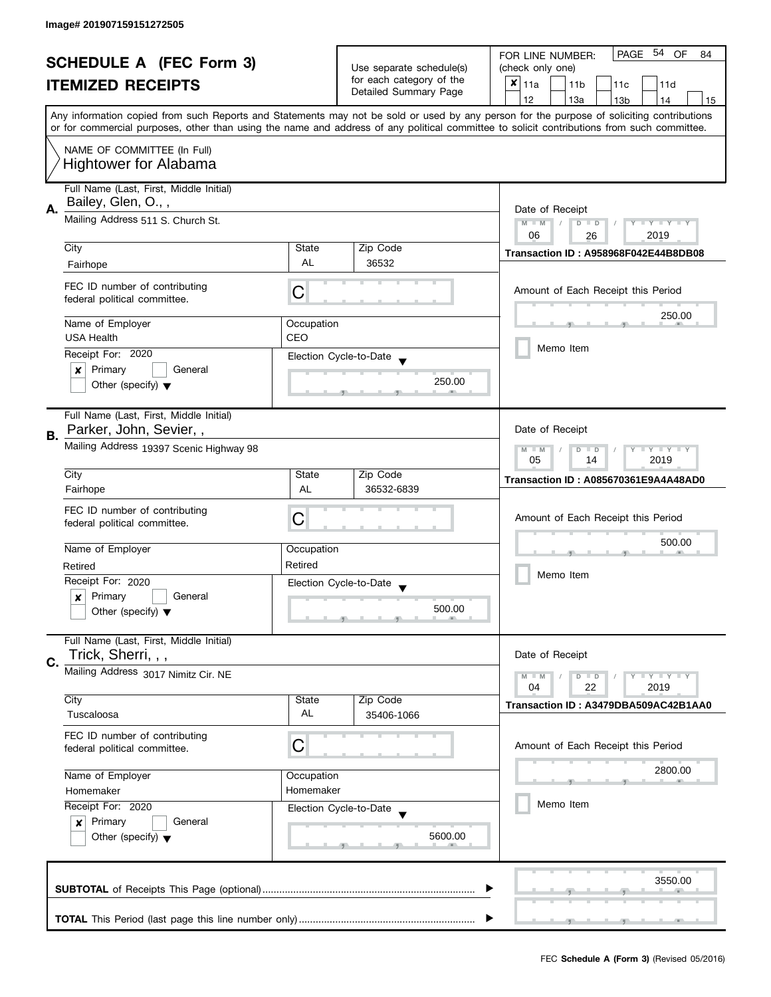|    | <b>SCHEDULE A (FEC Form 3)</b>                                                                                                                |                                         |                          | PAGE 54 OF<br>FOR LINE NUMBER:<br>84                                                                                                       |  |
|----|-----------------------------------------------------------------------------------------------------------------------------------------------|-----------------------------------------|--------------------------|--------------------------------------------------------------------------------------------------------------------------------------------|--|
|    |                                                                                                                                               |                                         | Use separate schedule(s) | (check only one)                                                                                                                           |  |
|    | <b>ITEMIZED RECEIPTS</b>                                                                                                                      |                                         | for each category of the | $x _{11a}$<br>11 <sub>b</sub><br>11d<br>11 <sub>c</sub>                                                                                    |  |
|    |                                                                                                                                               |                                         | Detailed Summary Page    | 12<br>13a<br>13 <sub>b</sub><br>14<br>15                                                                                                   |  |
|    |                                                                                                                                               |                                         |                          | Any information copied from such Reports and Statements may not be sold or used by any person for the purpose of soliciting contributions  |  |
|    |                                                                                                                                               |                                         |                          | or for commercial purposes, other than using the name and address of any political committee to solicit contributions from such committee. |  |
|    | NAME OF COMMITTEE (In Full)                                                                                                                   |                                         |                          |                                                                                                                                            |  |
|    | <b>Hightower for Alabama</b>                                                                                                                  |                                         |                          |                                                                                                                                            |  |
|    |                                                                                                                                               |                                         |                          |                                                                                                                                            |  |
|    | Full Name (Last, First, Middle Initial)                                                                                                       |                                         |                          |                                                                                                                                            |  |
| Α. | Bailey, Glen, O.,,                                                                                                                            |                                         |                          | Date of Receipt                                                                                                                            |  |
|    | Mailing Address 511 S. Church St.                                                                                                             |                                         |                          | $M - M$<br>$T - Y = Y + Y$<br>$D$ $D$<br>Y                                                                                                 |  |
|    |                                                                                                                                               |                                         |                          | 06<br>2019<br>26                                                                                                                           |  |
|    | City                                                                                                                                          | State<br><b>AL</b>                      | Zip Code                 | Transaction ID: A958968F042E44B8DB08                                                                                                       |  |
|    | Fairhope                                                                                                                                      |                                         | 36532                    |                                                                                                                                            |  |
|    | FEC ID number of contributing                                                                                                                 |                                         |                          | Amount of Each Receipt this Period                                                                                                         |  |
|    | federal political committee.                                                                                                                  | C                                       |                          |                                                                                                                                            |  |
|    |                                                                                                                                               |                                         |                          | 250.00                                                                                                                                     |  |
|    | Name of Employer<br><b>USA Health</b>                                                                                                         | Occupation<br>CEO                       |                          |                                                                                                                                            |  |
|    |                                                                                                                                               |                                         |                          | Memo Item                                                                                                                                  |  |
|    | Receipt For: 2020                                                                                                                             |                                         | Election Cycle-to-Date   |                                                                                                                                            |  |
|    | Primary<br>General<br>×                                                                                                                       |                                         | 250.00                   |                                                                                                                                            |  |
|    | Other (specify) $\blacktriangledown$                                                                                                          |                                         |                          |                                                                                                                                            |  |
|    | Full Name (Last, First, Middle Initial)                                                                                                       |                                         |                          |                                                                                                                                            |  |
|    | Parker, John, Sevier,,                                                                                                                        |                                         |                          | Date of Receipt                                                                                                                            |  |
| В. |                                                                                                                                               |                                         |                          | $\mathbf{y}$ $\mathbf{y}$<br>$M - M$<br>Ÿ                                                                                                  |  |
|    |                                                                                                                                               | Mailing Address 19397 Scenic Highway 98 |                          |                                                                                                                                            |  |
|    | City                                                                                                                                          | State                                   | Zip Code                 | 05<br>2019<br>14                                                                                                                           |  |
|    | Fairhope                                                                                                                                      | AL                                      | 36532-6839               | Transaction ID: A085670361E9A4A48AD0                                                                                                       |  |
|    |                                                                                                                                               |                                         |                          |                                                                                                                                            |  |
|    | FEC ID number of contributing                                                                                                                 | C                                       |                          | Amount of Each Receipt this Period                                                                                                         |  |
|    | federal political committee.                                                                                                                  |                                         |                          |                                                                                                                                            |  |
|    | Name of Employer                                                                                                                              | Occupation                              |                          | 500.00                                                                                                                                     |  |
|    | Retired                                                                                                                                       | Retired                                 |                          |                                                                                                                                            |  |
|    | Receipt For: 2020                                                                                                                             |                                         | Election Cycle-to-Date   | Memo Item                                                                                                                                  |  |
|    | Primary<br>General<br>x                                                                                                                       |                                         |                          |                                                                                                                                            |  |
|    | Other (specify) $\blacktriangledown$                                                                                                          |                                         | 500.00                   |                                                                                                                                            |  |
|    |                                                                                                                                               |                                         |                          |                                                                                                                                            |  |
|    | Full Name (Last, First, Middle Initial)                                                                                                       |                                         |                          |                                                                                                                                            |  |
| C. | Trick, Sherri, , ,                                                                                                                            |                                         |                          | Date of Receipt                                                                                                                            |  |
|    | Mailing Address 3017 Nimitz Cir. NE                                                                                                           |                                         |                          | Y LY LY<br>$M - M$<br>$D$ $D$                                                                                                              |  |
|    |                                                                                                                                               |                                         |                          | 22<br>04<br>2019                                                                                                                           |  |
|    | City                                                                                                                                          | State                                   | Zip Code                 | Transaction ID: A3479DBA509AC42B1AA0                                                                                                       |  |
|    | Tuscaloosa                                                                                                                                    | AL                                      | 35406-1066               |                                                                                                                                            |  |
|    | FEC ID number of contributing                                                                                                                 |                                         |                          |                                                                                                                                            |  |
|    | federal political committee.                                                                                                                  | С                                       |                          | Amount of Each Receipt this Period                                                                                                         |  |
|    |                                                                                                                                               |                                         |                          | 2800.00                                                                                                                                    |  |
|    | Name of Employer<br>Occupation<br>Homemaker<br>Homemaker<br>Receipt For: 2020<br>Election Cycle-to-Date<br>Primary<br>General<br>$\mathbf{x}$ |                                         |                          |                                                                                                                                            |  |
|    |                                                                                                                                               |                                         |                          |                                                                                                                                            |  |
|    |                                                                                                                                               |                                         |                          | Memo Item                                                                                                                                  |  |
|    |                                                                                                                                               |                                         |                          |                                                                                                                                            |  |
|    | Other (specify) $\blacktriangledown$                                                                                                          |                                         | 5600.00                  |                                                                                                                                            |  |
|    |                                                                                                                                               |                                         |                          |                                                                                                                                            |  |
|    |                                                                                                                                               |                                         |                          |                                                                                                                                            |  |
|    |                                                                                                                                               |                                         |                          | 3550.00                                                                                                                                    |  |
|    |                                                                                                                                               |                                         |                          |                                                                                                                                            |  |
|    |                                                                                                                                               |                                         |                          |                                                                                                                                            |  |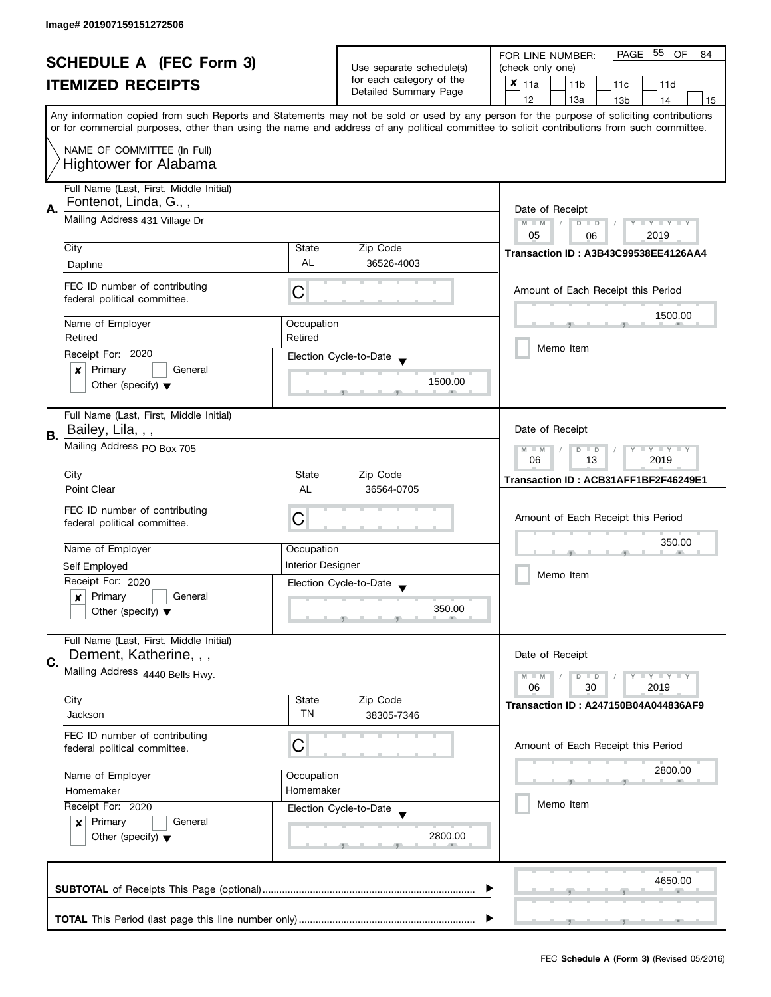|    | <b>SCHEDULE A (FEC Form 3)</b>                               |                          |                                                   | PAGE 55<br>OF<br>FOR LINE NUMBER:<br>84                                                                                                    |  |
|----|--------------------------------------------------------------|--------------------------|---------------------------------------------------|--------------------------------------------------------------------------------------------------------------------------------------------|--|
|    |                                                              |                          | Use separate schedule(s)                          | (check only one)                                                                                                                           |  |
|    | <b>ITEMIZED RECEIPTS</b>                                     |                          | for each category of the<br>Detailed Summary Page | $x _{11a}$<br>11 <sub>b</sub><br>11 <sub>c</sub><br>11d                                                                                    |  |
|    |                                                              |                          |                                                   | 12<br>13a<br>13 <sub>b</sub><br>14<br>15                                                                                                   |  |
|    |                                                              |                          |                                                   | Any information copied from such Reports and Statements may not be sold or used by any person for the purpose of soliciting contributions  |  |
|    |                                                              |                          |                                                   | or for commercial purposes, other than using the name and address of any political committee to solicit contributions from such committee. |  |
|    | NAME OF COMMITTEE (In Full)                                  |                          |                                                   |                                                                                                                                            |  |
|    | <b>Hightower for Alabama</b>                                 |                          |                                                   |                                                                                                                                            |  |
|    |                                                              |                          |                                                   |                                                                                                                                            |  |
|    | Full Name (Last, First, Middle Initial)                      |                          |                                                   |                                                                                                                                            |  |
| Α. | Fontenot, Linda, G.,,                                        |                          |                                                   | Date of Receipt                                                                                                                            |  |
|    | Mailing Address 431 Village Dr                               |                          |                                                   | $M - M$<br>$\overline{D}$<br>$Y - Y - Y - Y - Y$<br>$\Box$                                                                                 |  |
|    |                                                              |                          |                                                   | 05<br>2019<br>06                                                                                                                           |  |
|    | City                                                         | State                    | Zip Code                                          | Transaction ID: A3B43C99538EE4126AA4                                                                                                       |  |
|    | Daphne                                                       | <b>AL</b>                | 36526-4003                                        |                                                                                                                                            |  |
|    | FEC ID number of contributing                                |                          |                                                   | Amount of Each Receipt this Period                                                                                                         |  |
|    | federal political committee.                                 | С                        |                                                   |                                                                                                                                            |  |
|    |                                                              |                          |                                                   | 1500.00                                                                                                                                    |  |
|    | Name of Employer                                             | Occupation               |                                                   |                                                                                                                                            |  |
|    | Retired                                                      | Retired                  |                                                   | Memo Item                                                                                                                                  |  |
|    | Receipt For: 2020                                            |                          | Election Cycle-to-Date                            |                                                                                                                                            |  |
|    | Primary<br>General<br>×                                      |                          | 1500.00                                           |                                                                                                                                            |  |
|    | Other (specify) $\blacktriangledown$                         |                          |                                                   |                                                                                                                                            |  |
|    |                                                              |                          |                                                   |                                                                                                                                            |  |
|    | Full Name (Last, First, Middle Initial)<br>Bailey, Lila, , , |                          |                                                   | Date of Receipt                                                                                                                            |  |
| В. |                                                              |                          |                                                   |                                                                                                                                            |  |
|    | Mailing Address PO Box 705                                   |                          |                                                   | $Y = Y = Y$<br>$M - M$<br>D<br>$\Box$<br>2019                                                                                              |  |
|    | City                                                         | State                    | Zip Code                                          | 06<br>13                                                                                                                                   |  |
|    | Point Clear                                                  | AL                       | 36564-0705                                        | Transaction ID: ACB31AFF1BF2F46249E1                                                                                                       |  |
|    |                                                              |                          |                                                   |                                                                                                                                            |  |
|    | FEC ID number of contributing                                | С                        |                                                   | Amount of Each Receipt this Period                                                                                                         |  |
|    | federal political committee.                                 |                          |                                                   |                                                                                                                                            |  |
|    | Name of Employer                                             | Occupation               |                                                   | 350.00                                                                                                                                     |  |
|    | Self Employed                                                | <b>Interior Designer</b> |                                                   |                                                                                                                                            |  |
|    | Receipt For: 2020                                            |                          |                                                   | Memo Item                                                                                                                                  |  |
|    | Primary<br>General                                           |                          | Election Cycle-to-Date                            |                                                                                                                                            |  |
|    | x<br>Other (specify) $\blacktriangledown$                    |                          | 350.00                                            |                                                                                                                                            |  |
|    |                                                              |                          |                                                   |                                                                                                                                            |  |
|    | Full Name (Last, First, Middle Initial)                      |                          |                                                   |                                                                                                                                            |  |
| C. | Dement, Katherine, , ,                                       |                          |                                                   | Date of Receipt                                                                                                                            |  |
|    | Mailing Address 4440 Bells Hwy.                              |                          |                                                   | $Y = Y = Y$<br>$M - M$<br>$D$ $D$                                                                                                          |  |
|    |                                                              |                          |                                                   | 06<br>30<br>2019                                                                                                                           |  |
|    | City                                                         | State                    | Zip Code                                          | <b>Transaction ID: A247150B04A044836AF9</b>                                                                                                |  |
|    | Jackson                                                      | TN                       | 38305-7346                                        |                                                                                                                                            |  |
|    | FEC ID number of contributing                                |                          |                                                   |                                                                                                                                            |  |
|    | federal political committee.                                 | C                        |                                                   | Amount of Each Receipt this Period                                                                                                         |  |
|    | Name of Employer<br>Occupation<br>Homemaker<br>Homemaker     |                          |                                                   | 2800.00                                                                                                                                    |  |
|    |                                                              |                          |                                                   |                                                                                                                                            |  |
|    |                                                              |                          |                                                   |                                                                                                                                            |  |
|    | Receipt For: 2020                                            |                          | Election Cycle-to-Date                            | Memo Item                                                                                                                                  |  |
|    | Primary<br>General<br>$\mathbf{x}$                           |                          |                                                   |                                                                                                                                            |  |
|    | Other (specify) $\blacktriangledown$                         |                          | 2800.00                                           |                                                                                                                                            |  |
|    |                                                              |                          |                                                   |                                                                                                                                            |  |
|    |                                                              |                          |                                                   |                                                                                                                                            |  |
|    |                                                              |                          |                                                   | 4650.00                                                                                                                                    |  |
|    |                                                              |                          |                                                   |                                                                                                                                            |  |
|    |                                                              |                          |                                                   |                                                                                                                                            |  |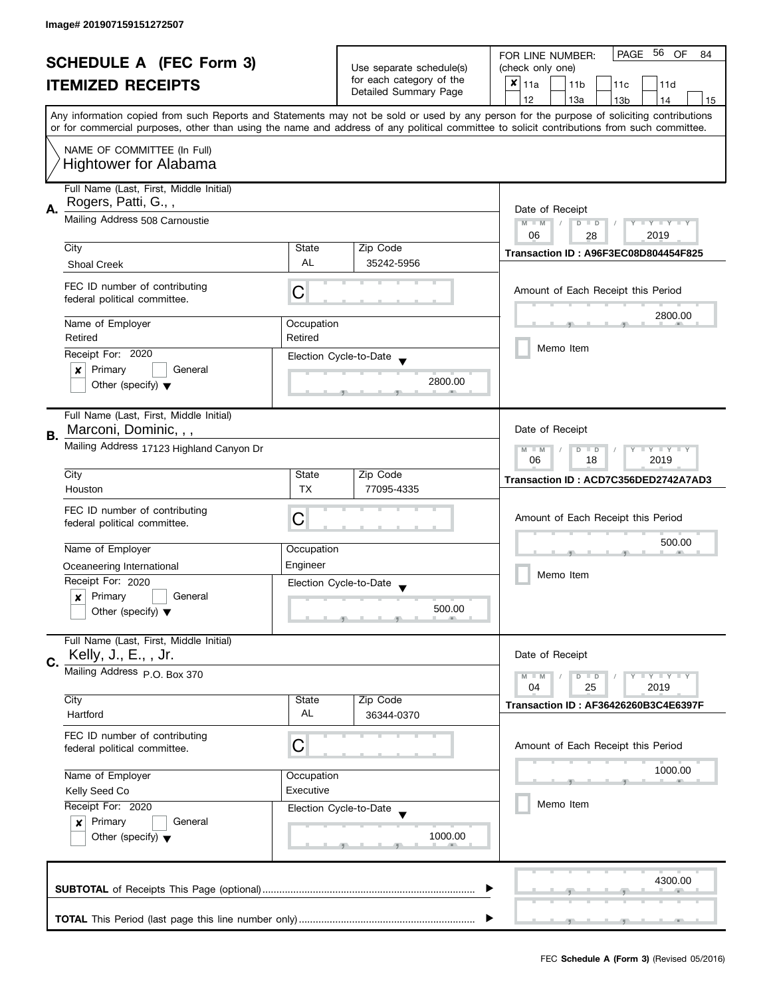|    | <b>SCHEDULE A (FEC Form 3)</b>                                                                                                                                  |                       |                                                      | 56<br>PAGE<br><b>OF</b><br>FOR LINE NUMBER:<br>84                                                                                         |
|----|-----------------------------------------------------------------------------------------------------------------------------------------------------------------|-----------------------|------------------------------------------------------|-------------------------------------------------------------------------------------------------------------------------------------------|
|    |                                                                                                                                                                 |                       | Use separate schedule(s)<br>for each category of the | (check only one)                                                                                                                          |
|    | <b>ITEMIZED RECEIPTS</b>                                                                                                                                        |                       | Detailed Summary Page                                | $x _{11a}$<br>11 <sub>b</sub><br>11c<br>11d                                                                                               |
|    |                                                                                                                                                                 |                       |                                                      | 12<br>13a<br>13 <sub>b</sub><br>14<br>15                                                                                                  |
|    |                                                                                                                                                                 |                       |                                                      | Any information copied from such Reports and Statements may not be sold or used by any person for the purpose of soliciting contributions |
|    | or for commercial purposes, other than using the name and address of any political committee to solicit contributions from such committee.                      |                       |                                                      |                                                                                                                                           |
|    | NAME OF COMMITTEE (In Full)                                                                                                                                     |                       |                                                      |                                                                                                                                           |
|    | <b>Hightower for Alabama</b>                                                                                                                                    |                       |                                                      |                                                                                                                                           |
|    |                                                                                                                                                                 |                       |                                                      |                                                                                                                                           |
|    | Full Name (Last, First, Middle Initial)                                                                                                                         |                       |                                                      |                                                                                                                                           |
| А. | Rogers, Patti, G.,,                                                                                                                                             |                       |                                                      | Date of Receipt                                                                                                                           |
|    | Mailing Address 508 Carnoustie                                                                                                                                  |                       |                                                      | $M - M$<br>$Y - Y - Y - Y - Y$<br>$\sqrt{2}$<br>$D$ $D$                                                                                   |
|    |                                                                                                                                                                 |                       |                                                      | 06<br>2019<br>28                                                                                                                          |
|    | City                                                                                                                                                            | State<br><b>AL</b>    | Zip Code                                             | Transaction ID: A96F3EC08D804454F825                                                                                                      |
|    | <b>Shoal Creek</b>                                                                                                                                              |                       | 35242-5956                                           |                                                                                                                                           |
|    | FEC ID number of contributing                                                                                                                                   |                       |                                                      | Amount of Each Receipt this Period                                                                                                        |
|    | federal political committee.                                                                                                                                    | C                     |                                                      |                                                                                                                                           |
|    |                                                                                                                                                                 |                       |                                                      | 2800.00                                                                                                                                   |
|    | Name of Employer<br>Retired                                                                                                                                     | Occupation<br>Retired |                                                      |                                                                                                                                           |
|    |                                                                                                                                                                 |                       |                                                      | Memo Item                                                                                                                                 |
|    | Receipt For: 2020                                                                                                                                               |                       | Election Cycle-to-Date                               |                                                                                                                                           |
|    | Primary<br>General<br>×                                                                                                                                         |                       | 2800.00                                              |                                                                                                                                           |
|    | Other (specify) $\blacktriangledown$                                                                                                                            |                       |                                                      |                                                                                                                                           |
|    |                                                                                                                                                                 |                       |                                                      |                                                                                                                                           |
|    | Full Name (Last, First, Middle Initial)<br>Marconi, Dominic, , ,                                                                                                |                       |                                                      | Date of Receipt                                                                                                                           |
| В. |                                                                                                                                                                 |                       |                                                      |                                                                                                                                           |
|    | Mailing Address 17123 Highland Canyon Dr                                                                                                                        |                       |                                                      | $Y = Y + Y$<br>$M - M$<br>$D$ $D$                                                                                                         |
|    | City                                                                                                                                                            | State                 | Zip Code                                             | 06<br>18<br>2019                                                                                                                          |
|    | Houston                                                                                                                                                         | <b>TX</b>             | 77095-4335                                           | Transaction ID: ACD7C356DED2742A7AD3                                                                                                      |
|    |                                                                                                                                                                 |                       |                                                      |                                                                                                                                           |
|    | FEC ID number of contributing                                                                                                                                   | С                     |                                                      | Amount of Each Receipt this Period                                                                                                        |
|    | federal political committee.                                                                                                                                    |                       |                                                      |                                                                                                                                           |
|    | Name of Employer                                                                                                                                                | Occupation            |                                                      | 500.00                                                                                                                                    |
|    | Oceaneering International                                                                                                                                       | Engineer              |                                                      |                                                                                                                                           |
|    | Receipt For: 2020                                                                                                                                               |                       |                                                      | Memo Item                                                                                                                                 |
|    | Primary<br>General<br>x                                                                                                                                         |                       | Election Cycle-to-Date<br>$\overline{\phantom{a}}$   |                                                                                                                                           |
|    | Other (specify) $\blacktriangledown$                                                                                                                            |                       | 500.00                                               |                                                                                                                                           |
|    |                                                                                                                                                                 |                       |                                                      |                                                                                                                                           |
|    | Full Name (Last, First, Middle Initial)                                                                                                                         |                       |                                                      |                                                                                                                                           |
|    | Kelly, J., E., , Jr.                                                                                                                                            |                       |                                                      | Date of Receipt                                                                                                                           |
| C. | Mailing Address P.O. Box 370                                                                                                                                    |                       |                                                      | $Y = Y = Y$<br>$M - M$                                                                                                                    |
|    |                                                                                                                                                                 |                       |                                                      | $D$ $D$<br>04<br>25<br>2019                                                                                                               |
|    | City                                                                                                                                                            | State                 | Zip Code                                             | Transaction ID: AF36426260B3C4E6397F                                                                                                      |
|    | Hartford                                                                                                                                                        | AL                    | 36344-0370                                           |                                                                                                                                           |
|    | FEC ID number of contributing                                                                                                                                   |                       |                                                      |                                                                                                                                           |
|    | federal political committee.                                                                                                                                    | С                     |                                                      | Amount of Each Receipt this Period                                                                                                        |
|    |                                                                                                                                                                 |                       |                                                      |                                                                                                                                           |
|    | Name of Employer<br>Occupation<br>Executive<br>Kelly Seed Co<br>Receipt For: 2020<br>Primary<br>General<br>$\mathbf{x}$<br>Other (specify) $\blacktriangledown$ |                       |                                                      | 1000.00                                                                                                                                   |
|    |                                                                                                                                                                 |                       |                                                      |                                                                                                                                           |
|    |                                                                                                                                                                 |                       | Election Cycle-to-Date                               | Memo Item                                                                                                                                 |
|    |                                                                                                                                                                 |                       |                                                      |                                                                                                                                           |
|    |                                                                                                                                                                 |                       | 1000.00                                              |                                                                                                                                           |
|    |                                                                                                                                                                 |                       |                                                      |                                                                                                                                           |
|    |                                                                                                                                                                 |                       |                                                      |                                                                                                                                           |
|    |                                                                                                                                                                 |                       |                                                      | 4300.00                                                                                                                                   |
|    |                                                                                                                                                                 |                       |                                                      |                                                                                                                                           |
|    |                                                                                                                                                                 |                       |                                                      |                                                                                                                                           |
|    |                                                                                                                                                                 |                       |                                                      |                                                                                                                                           |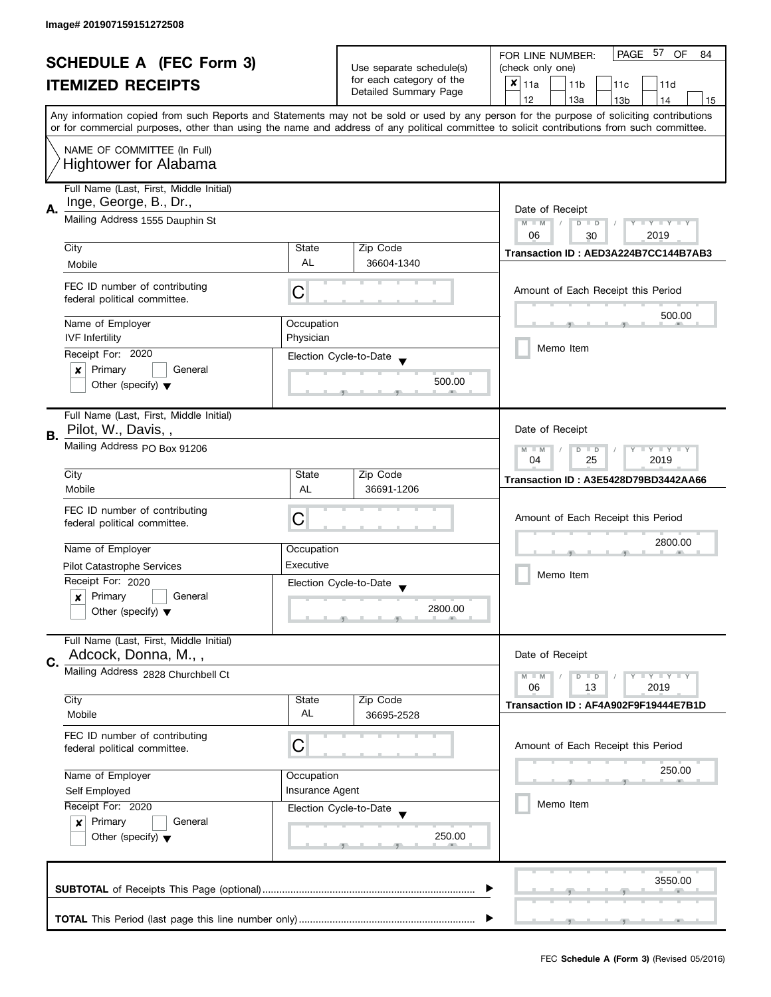| PAGE 57<br>OF<br>FOR LINE NUMBER:<br>84<br><b>SCHEDULE A (FEC Form 3)</b><br>Use separate schedule(s)<br>(check only one)<br>for each category of the<br>$x _{11a}$<br><b>ITEMIZED RECEIPTS</b><br>11 <sub>b</sub><br>11 <sub>c</sub><br>11d<br>Detailed Summary Page<br>12<br>13a<br>13 <sub>b</sub><br>14<br>15<br>Any information copied from such Reports and Statements may not be sold or used by any person for the purpose of soliciting contributions<br>or for commercial purposes, other than using the name and address of any political committee to solicit contributions from such committee.<br>NAME OF COMMITTEE (In Full)<br><b>Hightower for Alabama</b><br>Full Name (Last, First, Middle Initial)<br>Inge, George, B., Dr.,<br>А.<br>Date of Receipt<br>Mailing Address 1555 Dauphin St<br>$M - M$<br>Y I Y I Y I Y<br>D<br>$\Box$<br>06<br>2019<br>30<br>City<br>Zip Code<br>State<br>Transaction ID: AED3A224B7CC144B7AB3<br><b>AL</b><br>36604-1340<br>Mobile<br>FEC ID number of contributing<br>Amount of Each Receipt this Period<br>C<br>federal political committee.<br>500.00<br>Name of Employer<br>Occupation<br><b>IVF</b> Infertility<br>Physician<br>Memo Item<br>Receipt For: 2020<br>Election Cycle-to-Date<br>Primary<br>General<br>×<br>500.00<br>Other (specify) $\blacktriangledown$<br>Full Name (Last, First, Middle Initial)<br>Pilot, W., Davis,,<br>Date of Receipt<br>Mailing Address PO Box 91206<br>$Y - Y - Y$<br>$M - M$<br>D<br>$\Box$<br>25<br>2019<br>04<br>City<br>Zip Code<br>State<br>Transaction ID: A3E5428D79BD3442AA66<br>Mobile<br>AL<br>36691-1206<br>FEC ID number of contributing<br>С<br>Amount of Each Receipt this Period<br>federal political committee.<br>2800.00<br>Name of Employer<br>Occupation<br>Executive<br><b>Pilot Catastrophe Services</b><br>Memo Item<br>Receipt For: 2020<br>Election Cycle-to-Date<br>Primary<br>General<br>x<br>2800.00<br>Other (specify) $\blacktriangledown$<br>Full Name (Last, First, Middle Initial)<br>Adcock, Donna, M.,,<br>Date of Receipt<br>C.<br>Mailing Address 2828 Churchbell Ct<br>$Y = Y = Y$<br>$M - M$<br>D<br>$\Box$<br>06<br>13<br>2019<br>City<br>Zip Code<br>State<br>Transaction ID: AF4A902F9F19444E7B1D<br>AL<br>Mobile<br>36695-2528<br>FEC ID number of contributing<br>C<br>Amount of Each Receipt this Period<br>federal political committee.<br>250.00<br>Name of Employer<br>Occupation<br><b>Insurance Agent</b><br>Self Employed<br>Memo Item<br>Receipt For: 2020<br>Election Cycle-to-Date<br>Primary<br>General<br>$\boldsymbol{x}$<br>250.00<br>Other (specify) $\blacktriangledown$<br>3550.00 |    |  |  |  |  |
|-----------------------------------------------------------------------------------------------------------------------------------------------------------------------------------------------------------------------------------------------------------------------------------------------------------------------------------------------------------------------------------------------------------------------------------------------------------------------------------------------------------------------------------------------------------------------------------------------------------------------------------------------------------------------------------------------------------------------------------------------------------------------------------------------------------------------------------------------------------------------------------------------------------------------------------------------------------------------------------------------------------------------------------------------------------------------------------------------------------------------------------------------------------------------------------------------------------------------------------------------------------------------------------------------------------------------------------------------------------------------------------------------------------------------------------------------------------------------------------------------------------------------------------------------------------------------------------------------------------------------------------------------------------------------------------------------------------------------------------------------------------------------------------------------------------------------------------------------------------------------------------------------------------------------------------------------------------------------------------------------------------------------------------------------------------------------------------------------------------------------------------------------------------------------------------------------------------------------------------------------------------------------------------------------------------------------------------------------------------------------------------------------------------------------------------------------------------------------------------------------------------------------------------------------------------------------------------------------------------------------------------------------|----|--|--|--|--|
|                                                                                                                                                                                                                                                                                                                                                                                                                                                                                                                                                                                                                                                                                                                                                                                                                                                                                                                                                                                                                                                                                                                                                                                                                                                                                                                                                                                                                                                                                                                                                                                                                                                                                                                                                                                                                                                                                                                                                                                                                                                                                                                                                                                                                                                                                                                                                                                                                                                                                                                                                                                                                                               |    |  |  |  |  |
|                                                                                                                                                                                                                                                                                                                                                                                                                                                                                                                                                                                                                                                                                                                                                                                                                                                                                                                                                                                                                                                                                                                                                                                                                                                                                                                                                                                                                                                                                                                                                                                                                                                                                                                                                                                                                                                                                                                                                                                                                                                                                                                                                                                                                                                                                                                                                                                                                                                                                                                                                                                                                                               |    |  |  |  |  |
|                                                                                                                                                                                                                                                                                                                                                                                                                                                                                                                                                                                                                                                                                                                                                                                                                                                                                                                                                                                                                                                                                                                                                                                                                                                                                                                                                                                                                                                                                                                                                                                                                                                                                                                                                                                                                                                                                                                                                                                                                                                                                                                                                                                                                                                                                                                                                                                                                                                                                                                                                                                                                                               |    |  |  |  |  |
|                                                                                                                                                                                                                                                                                                                                                                                                                                                                                                                                                                                                                                                                                                                                                                                                                                                                                                                                                                                                                                                                                                                                                                                                                                                                                                                                                                                                                                                                                                                                                                                                                                                                                                                                                                                                                                                                                                                                                                                                                                                                                                                                                                                                                                                                                                                                                                                                                                                                                                                                                                                                                                               |    |  |  |  |  |
|                                                                                                                                                                                                                                                                                                                                                                                                                                                                                                                                                                                                                                                                                                                                                                                                                                                                                                                                                                                                                                                                                                                                                                                                                                                                                                                                                                                                                                                                                                                                                                                                                                                                                                                                                                                                                                                                                                                                                                                                                                                                                                                                                                                                                                                                                                                                                                                                                                                                                                                                                                                                                                               |    |  |  |  |  |
|                                                                                                                                                                                                                                                                                                                                                                                                                                                                                                                                                                                                                                                                                                                                                                                                                                                                                                                                                                                                                                                                                                                                                                                                                                                                                                                                                                                                                                                                                                                                                                                                                                                                                                                                                                                                                                                                                                                                                                                                                                                                                                                                                                                                                                                                                                                                                                                                                                                                                                                                                                                                                                               |    |  |  |  |  |
|                                                                                                                                                                                                                                                                                                                                                                                                                                                                                                                                                                                                                                                                                                                                                                                                                                                                                                                                                                                                                                                                                                                                                                                                                                                                                                                                                                                                                                                                                                                                                                                                                                                                                                                                                                                                                                                                                                                                                                                                                                                                                                                                                                                                                                                                                                                                                                                                                                                                                                                                                                                                                                               |    |  |  |  |  |
|                                                                                                                                                                                                                                                                                                                                                                                                                                                                                                                                                                                                                                                                                                                                                                                                                                                                                                                                                                                                                                                                                                                                                                                                                                                                                                                                                                                                                                                                                                                                                                                                                                                                                                                                                                                                                                                                                                                                                                                                                                                                                                                                                                                                                                                                                                                                                                                                                                                                                                                                                                                                                                               |    |  |  |  |  |
|                                                                                                                                                                                                                                                                                                                                                                                                                                                                                                                                                                                                                                                                                                                                                                                                                                                                                                                                                                                                                                                                                                                                                                                                                                                                                                                                                                                                                                                                                                                                                                                                                                                                                                                                                                                                                                                                                                                                                                                                                                                                                                                                                                                                                                                                                                                                                                                                                                                                                                                                                                                                                                               |    |  |  |  |  |
|                                                                                                                                                                                                                                                                                                                                                                                                                                                                                                                                                                                                                                                                                                                                                                                                                                                                                                                                                                                                                                                                                                                                                                                                                                                                                                                                                                                                                                                                                                                                                                                                                                                                                                                                                                                                                                                                                                                                                                                                                                                                                                                                                                                                                                                                                                                                                                                                                                                                                                                                                                                                                                               |    |  |  |  |  |
|                                                                                                                                                                                                                                                                                                                                                                                                                                                                                                                                                                                                                                                                                                                                                                                                                                                                                                                                                                                                                                                                                                                                                                                                                                                                                                                                                                                                                                                                                                                                                                                                                                                                                                                                                                                                                                                                                                                                                                                                                                                                                                                                                                                                                                                                                                                                                                                                                                                                                                                                                                                                                                               |    |  |  |  |  |
|                                                                                                                                                                                                                                                                                                                                                                                                                                                                                                                                                                                                                                                                                                                                                                                                                                                                                                                                                                                                                                                                                                                                                                                                                                                                                                                                                                                                                                                                                                                                                                                                                                                                                                                                                                                                                                                                                                                                                                                                                                                                                                                                                                                                                                                                                                                                                                                                                                                                                                                                                                                                                                               |    |  |  |  |  |
|                                                                                                                                                                                                                                                                                                                                                                                                                                                                                                                                                                                                                                                                                                                                                                                                                                                                                                                                                                                                                                                                                                                                                                                                                                                                                                                                                                                                                                                                                                                                                                                                                                                                                                                                                                                                                                                                                                                                                                                                                                                                                                                                                                                                                                                                                                                                                                                                                                                                                                                                                                                                                                               |    |  |  |  |  |
|                                                                                                                                                                                                                                                                                                                                                                                                                                                                                                                                                                                                                                                                                                                                                                                                                                                                                                                                                                                                                                                                                                                                                                                                                                                                                                                                                                                                                                                                                                                                                                                                                                                                                                                                                                                                                                                                                                                                                                                                                                                                                                                                                                                                                                                                                                                                                                                                                                                                                                                                                                                                                                               |    |  |  |  |  |
|                                                                                                                                                                                                                                                                                                                                                                                                                                                                                                                                                                                                                                                                                                                                                                                                                                                                                                                                                                                                                                                                                                                                                                                                                                                                                                                                                                                                                                                                                                                                                                                                                                                                                                                                                                                                                                                                                                                                                                                                                                                                                                                                                                                                                                                                                                                                                                                                                                                                                                                                                                                                                                               |    |  |  |  |  |
|                                                                                                                                                                                                                                                                                                                                                                                                                                                                                                                                                                                                                                                                                                                                                                                                                                                                                                                                                                                                                                                                                                                                                                                                                                                                                                                                                                                                                                                                                                                                                                                                                                                                                                                                                                                                                                                                                                                                                                                                                                                                                                                                                                                                                                                                                                                                                                                                                                                                                                                                                                                                                                               |    |  |  |  |  |
|                                                                                                                                                                                                                                                                                                                                                                                                                                                                                                                                                                                                                                                                                                                                                                                                                                                                                                                                                                                                                                                                                                                                                                                                                                                                                                                                                                                                                                                                                                                                                                                                                                                                                                                                                                                                                                                                                                                                                                                                                                                                                                                                                                                                                                                                                                                                                                                                                                                                                                                                                                                                                                               |    |  |  |  |  |
|                                                                                                                                                                                                                                                                                                                                                                                                                                                                                                                                                                                                                                                                                                                                                                                                                                                                                                                                                                                                                                                                                                                                                                                                                                                                                                                                                                                                                                                                                                                                                                                                                                                                                                                                                                                                                                                                                                                                                                                                                                                                                                                                                                                                                                                                                                                                                                                                                                                                                                                                                                                                                                               |    |  |  |  |  |
|                                                                                                                                                                                                                                                                                                                                                                                                                                                                                                                                                                                                                                                                                                                                                                                                                                                                                                                                                                                                                                                                                                                                                                                                                                                                                                                                                                                                                                                                                                                                                                                                                                                                                                                                                                                                                                                                                                                                                                                                                                                                                                                                                                                                                                                                                                                                                                                                                                                                                                                                                                                                                                               |    |  |  |  |  |
|                                                                                                                                                                                                                                                                                                                                                                                                                                                                                                                                                                                                                                                                                                                                                                                                                                                                                                                                                                                                                                                                                                                                                                                                                                                                                                                                                                                                                                                                                                                                                                                                                                                                                                                                                                                                                                                                                                                                                                                                                                                                                                                                                                                                                                                                                                                                                                                                                                                                                                                                                                                                                                               |    |  |  |  |  |
|                                                                                                                                                                                                                                                                                                                                                                                                                                                                                                                                                                                                                                                                                                                                                                                                                                                                                                                                                                                                                                                                                                                                                                                                                                                                                                                                                                                                                                                                                                                                                                                                                                                                                                                                                                                                                                                                                                                                                                                                                                                                                                                                                                                                                                                                                                                                                                                                                                                                                                                                                                                                                                               |    |  |  |  |  |
|                                                                                                                                                                                                                                                                                                                                                                                                                                                                                                                                                                                                                                                                                                                                                                                                                                                                                                                                                                                                                                                                                                                                                                                                                                                                                                                                                                                                                                                                                                                                                                                                                                                                                                                                                                                                                                                                                                                                                                                                                                                                                                                                                                                                                                                                                                                                                                                                                                                                                                                                                                                                                                               |    |  |  |  |  |
|                                                                                                                                                                                                                                                                                                                                                                                                                                                                                                                                                                                                                                                                                                                                                                                                                                                                                                                                                                                                                                                                                                                                                                                                                                                                                                                                                                                                                                                                                                                                                                                                                                                                                                                                                                                                                                                                                                                                                                                                                                                                                                                                                                                                                                                                                                                                                                                                                                                                                                                                                                                                                                               |    |  |  |  |  |
|                                                                                                                                                                                                                                                                                                                                                                                                                                                                                                                                                                                                                                                                                                                                                                                                                                                                                                                                                                                                                                                                                                                                                                                                                                                                                                                                                                                                                                                                                                                                                                                                                                                                                                                                                                                                                                                                                                                                                                                                                                                                                                                                                                                                                                                                                                                                                                                                                                                                                                                                                                                                                                               |    |  |  |  |  |
|                                                                                                                                                                                                                                                                                                                                                                                                                                                                                                                                                                                                                                                                                                                                                                                                                                                                                                                                                                                                                                                                                                                                                                                                                                                                                                                                                                                                                                                                                                                                                                                                                                                                                                                                                                                                                                                                                                                                                                                                                                                                                                                                                                                                                                                                                                                                                                                                                                                                                                                                                                                                                                               | В. |  |  |  |  |
|                                                                                                                                                                                                                                                                                                                                                                                                                                                                                                                                                                                                                                                                                                                                                                                                                                                                                                                                                                                                                                                                                                                                                                                                                                                                                                                                                                                                                                                                                                                                                                                                                                                                                                                                                                                                                                                                                                                                                                                                                                                                                                                                                                                                                                                                                                                                                                                                                                                                                                                                                                                                                                               |    |  |  |  |  |
|                                                                                                                                                                                                                                                                                                                                                                                                                                                                                                                                                                                                                                                                                                                                                                                                                                                                                                                                                                                                                                                                                                                                                                                                                                                                                                                                                                                                                                                                                                                                                                                                                                                                                                                                                                                                                                                                                                                                                                                                                                                                                                                                                                                                                                                                                                                                                                                                                                                                                                                                                                                                                                               |    |  |  |  |  |
|                                                                                                                                                                                                                                                                                                                                                                                                                                                                                                                                                                                                                                                                                                                                                                                                                                                                                                                                                                                                                                                                                                                                                                                                                                                                                                                                                                                                                                                                                                                                                                                                                                                                                                                                                                                                                                                                                                                                                                                                                                                                                                                                                                                                                                                                                                                                                                                                                                                                                                                                                                                                                                               |    |  |  |  |  |
|                                                                                                                                                                                                                                                                                                                                                                                                                                                                                                                                                                                                                                                                                                                                                                                                                                                                                                                                                                                                                                                                                                                                                                                                                                                                                                                                                                                                                                                                                                                                                                                                                                                                                                                                                                                                                                                                                                                                                                                                                                                                                                                                                                                                                                                                                                                                                                                                                                                                                                                                                                                                                                               |    |  |  |  |  |
|                                                                                                                                                                                                                                                                                                                                                                                                                                                                                                                                                                                                                                                                                                                                                                                                                                                                                                                                                                                                                                                                                                                                                                                                                                                                                                                                                                                                                                                                                                                                                                                                                                                                                                                                                                                                                                                                                                                                                                                                                                                                                                                                                                                                                                                                                                                                                                                                                                                                                                                                                                                                                                               |    |  |  |  |  |
|                                                                                                                                                                                                                                                                                                                                                                                                                                                                                                                                                                                                                                                                                                                                                                                                                                                                                                                                                                                                                                                                                                                                                                                                                                                                                                                                                                                                                                                                                                                                                                                                                                                                                                                                                                                                                                                                                                                                                                                                                                                                                                                                                                                                                                                                                                                                                                                                                                                                                                                                                                                                                                               |    |  |  |  |  |
|                                                                                                                                                                                                                                                                                                                                                                                                                                                                                                                                                                                                                                                                                                                                                                                                                                                                                                                                                                                                                                                                                                                                                                                                                                                                                                                                                                                                                                                                                                                                                                                                                                                                                                                                                                                                                                                                                                                                                                                                                                                                                                                                                                                                                                                                                                                                                                                                                                                                                                                                                                                                                                               |    |  |  |  |  |
|                                                                                                                                                                                                                                                                                                                                                                                                                                                                                                                                                                                                                                                                                                                                                                                                                                                                                                                                                                                                                                                                                                                                                                                                                                                                                                                                                                                                                                                                                                                                                                                                                                                                                                                                                                                                                                                                                                                                                                                                                                                                                                                                                                                                                                                                                                                                                                                                                                                                                                                                                                                                                                               |    |  |  |  |  |
|                                                                                                                                                                                                                                                                                                                                                                                                                                                                                                                                                                                                                                                                                                                                                                                                                                                                                                                                                                                                                                                                                                                                                                                                                                                                                                                                                                                                                                                                                                                                                                                                                                                                                                                                                                                                                                                                                                                                                                                                                                                                                                                                                                                                                                                                                                                                                                                                                                                                                                                                                                                                                                               |    |  |  |  |  |
|                                                                                                                                                                                                                                                                                                                                                                                                                                                                                                                                                                                                                                                                                                                                                                                                                                                                                                                                                                                                                                                                                                                                                                                                                                                                                                                                                                                                                                                                                                                                                                                                                                                                                                                                                                                                                                                                                                                                                                                                                                                                                                                                                                                                                                                                                                                                                                                                                                                                                                                                                                                                                                               |    |  |  |  |  |
|                                                                                                                                                                                                                                                                                                                                                                                                                                                                                                                                                                                                                                                                                                                                                                                                                                                                                                                                                                                                                                                                                                                                                                                                                                                                                                                                                                                                                                                                                                                                                                                                                                                                                                                                                                                                                                                                                                                                                                                                                                                                                                                                                                                                                                                                                                                                                                                                                                                                                                                                                                                                                                               |    |  |  |  |  |
|                                                                                                                                                                                                                                                                                                                                                                                                                                                                                                                                                                                                                                                                                                                                                                                                                                                                                                                                                                                                                                                                                                                                                                                                                                                                                                                                                                                                                                                                                                                                                                                                                                                                                                                                                                                                                                                                                                                                                                                                                                                                                                                                                                                                                                                                                                                                                                                                                                                                                                                                                                                                                                               |    |  |  |  |  |
|                                                                                                                                                                                                                                                                                                                                                                                                                                                                                                                                                                                                                                                                                                                                                                                                                                                                                                                                                                                                                                                                                                                                                                                                                                                                                                                                                                                                                                                                                                                                                                                                                                                                                                                                                                                                                                                                                                                                                                                                                                                                                                                                                                                                                                                                                                                                                                                                                                                                                                                                                                                                                                               |    |  |  |  |  |
|                                                                                                                                                                                                                                                                                                                                                                                                                                                                                                                                                                                                                                                                                                                                                                                                                                                                                                                                                                                                                                                                                                                                                                                                                                                                                                                                                                                                                                                                                                                                                                                                                                                                                                                                                                                                                                                                                                                                                                                                                                                                                                                                                                                                                                                                                                                                                                                                                                                                                                                                                                                                                                               |    |  |  |  |  |
|                                                                                                                                                                                                                                                                                                                                                                                                                                                                                                                                                                                                                                                                                                                                                                                                                                                                                                                                                                                                                                                                                                                                                                                                                                                                                                                                                                                                                                                                                                                                                                                                                                                                                                                                                                                                                                                                                                                                                                                                                                                                                                                                                                                                                                                                                                                                                                                                                                                                                                                                                                                                                                               |    |  |  |  |  |
|                                                                                                                                                                                                                                                                                                                                                                                                                                                                                                                                                                                                                                                                                                                                                                                                                                                                                                                                                                                                                                                                                                                                                                                                                                                                                                                                                                                                                                                                                                                                                                                                                                                                                                                                                                                                                                                                                                                                                                                                                                                                                                                                                                                                                                                                                                                                                                                                                                                                                                                                                                                                                                               |    |  |  |  |  |
|                                                                                                                                                                                                                                                                                                                                                                                                                                                                                                                                                                                                                                                                                                                                                                                                                                                                                                                                                                                                                                                                                                                                                                                                                                                                                                                                                                                                                                                                                                                                                                                                                                                                                                                                                                                                                                                                                                                                                                                                                                                                                                                                                                                                                                                                                                                                                                                                                                                                                                                                                                                                                                               |    |  |  |  |  |
|                                                                                                                                                                                                                                                                                                                                                                                                                                                                                                                                                                                                                                                                                                                                                                                                                                                                                                                                                                                                                                                                                                                                                                                                                                                                                                                                                                                                                                                                                                                                                                                                                                                                                                                                                                                                                                                                                                                                                                                                                                                                                                                                                                                                                                                                                                                                                                                                                                                                                                                                                                                                                                               |    |  |  |  |  |
|                                                                                                                                                                                                                                                                                                                                                                                                                                                                                                                                                                                                                                                                                                                                                                                                                                                                                                                                                                                                                                                                                                                                                                                                                                                                                                                                                                                                                                                                                                                                                                                                                                                                                                                                                                                                                                                                                                                                                                                                                                                                                                                                                                                                                                                                                                                                                                                                                                                                                                                                                                                                                                               |    |  |  |  |  |
|                                                                                                                                                                                                                                                                                                                                                                                                                                                                                                                                                                                                                                                                                                                                                                                                                                                                                                                                                                                                                                                                                                                                                                                                                                                                                                                                                                                                                                                                                                                                                                                                                                                                                                                                                                                                                                                                                                                                                                                                                                                                                                                                                                                                                                                                                                                                                                                                                                                                                                                                                                                                                                               |    |  |  |  |  |
|                                                                                                                                                                                                                                                                                                                                                                                                                                                                                                                                                                                                                                                                                                                                                                                                                                                                                                                                                                                                                                                                                                                                                                                                                                                                                                                                                                                                                                                                                                                                                                                                                                                                                                                                                                                                                                                                                                                                                                                                                                                                                                                                                                                                                                                                                                                                                                                                                                                                                                                                                                                                                                               |    |  |  |  |  |
|                                                                                                                                                                                                                                                                                                                                                                                                                                                                                                                                                                                                                                                                                                                                                                                                                                                                                                                                                                                                                                                                                                                                                                                                                                                                                                                                                                                                                                                                                                                                                                                                                                                                                                                                                                                                                                                                                                                                                                                                                                                                                                                                                                                                                                                                                                                                                                                                                                                                                                                                                                                                                                               |    |  |  |  |  |
|                                                                                                                                                                                                                                                                                                                                                                                                                                                                                                                                                                                                                                                                                                                                                                                                                                                                                                                                                                                                                                                                                                                                                                                                                                                                                                                                                                                                                                                                                                                                                                                                                                                                                                                                                                                                                                                                                                                                                                                                                                                                                                                                                                                                                                                                                                                                                                                                                                                                                                                                                                                                                                               |    |  |  |  |  |
|                                                                                                                                                                                                                                                                                                                                                                                                                                                                                                                                                                                                                                                                                                                                                                                                                                                                                                                                                                                                                                                                                                                                                                                                                                                                                                                                                                                                                                                                                                                                                                                                                                                                                                                                                                                                                                                                                                                                                                                                                                                                                                                                                                                                                                                                                                                                                                                                                                                                                                                                                                                                                                               |    |  |  |  |  |
|                                                                                                                                                                                                                                                                                                                                                                                                                                                                                                                                                                                                                                                                                                                                                                                                                                                                                                                                                                                                                                                                                                                                                                                                                                                                                                                                                                                                                                                                                                                                                                                                                                                                                                                                                                                                                                                                                                                                                                                                                                                                                                                                                                                                                                                                                                                                                                                                                                                                                                                                                                                                                                               |    |  |  |  |  |
|                                                                                                                                                                                                                                                                                                                                                                                                                                                                                                                                                                                                                                                                                                                                                                                                                                                                                                                                                                                                                                                                                                                                                                                                                                                                                                                                                                                                                                                                                                                                                                                                                                                                                                                                                                                                                                                                                                                                                                                                                                                                                                                                                                                                                                                                                                                                                                                                                                                                                                                                                                                                                                               |    |  |  |  |  |
|                                                                                                                                                                                                                                                                                                                                                                                                                                                                                                                                                                                                                                                                                                                                                                                                                                                                                                                                                                                                                                                                                                                                                                                                                                                                                                                                                                                                                                                                                                                                                                                                                                                                                                                                                                                                                                                                                                                                                                                                                                                                                                                                                                                                                                                                                                                                                                                                                                                                                                                                                                                                                                               |    |  |  |  |  |
|                                                                                                                                                                                                                                                                                                                                                                                                                                                                                                                                                                                                                                                                                                                                                                                                                                                                                                                                                                                                                                                                                                                                                                                                                                                                                                                                                                                                                                                                                                                                                                                                                                                                                                                                                                                                                                                                                                                                                                                                                                                                                                                                                                                                                                                                                                                                                                                                                                                                                                                                                                                                                                               |    |  |  |  |  |
|                                                                                                                                                                                                                                                                                                                                                                                                                                                                                                                                                                                                                                                                                                                                                                                                                                                                                                                                                                                                                                                                                                                                                                                                                                                                                                                                                                                                                                                                                                                                                                                                                                                                                                                                                                                                                                                                                                                                                                                                                                                                                                                                                                                                                                                                                                                                                                                                                                                                                                                                                                                                                                               |    |  |  |  |  |
|                                                                                                                                                                                                                                                                                                                                                                                                                                                                                                                                                                                                                                                                                                                                                                                                                                                                                                                                                                                                                                                                                                                                                                                                                                                                                                                                                                                                                                                                                                                                                                                                                                                                                                                                                                                                                                                                                                                                                                                                                                                                                                                                                                                                                                                                                                                                                                                                                                                                                                                                                                                                                                               |    |  |  |  |  |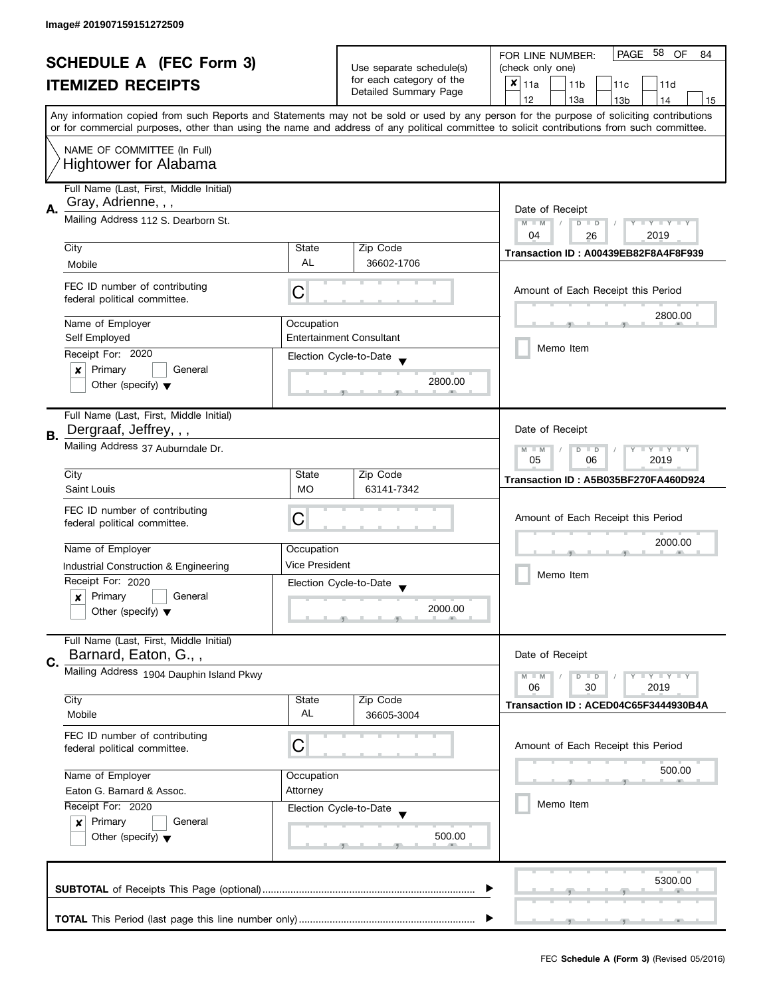|                                                            | <b>SCHEDULE A (FEC Form 3)</b>           |                        |                                                   | PAGE 58 OF<br>FOR LINE NUMBER:<br>84                                                                                                       |  |
|------------------------------------------------------------|------------------------------------------|------------------------|---------------------------------------------------|--------------------------------------------------------------------------------------------------------------------------------------------|--|
|                                                            |                                          |                        | Use separate schedule(s)                          | (check only one)                                                                                                                           |  |
|                                                            | <b>ITEMIZED RECEIPTS</b>                 |                        | for each category of the<br>Detailed Summary Page | $x _{11a}$<br>11 <sub>b</sub><br>11d<br>11 <sub>c</sub>                                                                                    |  |
|                                                            |                                          |                        |                                                   | 12<br>13a<br>13 <sub>b</sub><br>14<br>15                                                                                                   |  |
|                                                            |                                          |                        |                                                   | Any information copied from such Reports and Statements may not be sold or used by any person for the purpose of soliciting contributions  |  |
|                                                            |                                          |                        |                                                   | or for commercial purposes, other than using the name and address of any political committee to solicit contributions from such committee. |  |
|                                                            | NAME OF COMMITTEE (In Full)              |                        |                                                   |                                                                                                                                            |  |
|                                                            | <b>Hightower for Alabama</b>             |                        |                                                   |                                                                                                                                            |  |
|                                                            | Full Name (Last, First, Middle Initial)  |                        |                                                   |                                                                                                                                            |  |
| Α.                                                         | Gray, Adrienne, , ,                      | Date of Receipt        |                                                   |                                                                                                                                            |  |
|                                                            | Mailing Address 112 S. Dearborn St.      |                        |                                                   | $M - M$<br>$\sqrt{2}$<br>$D$ $D$<br>Y I Y I Y I Y                                                                                          |  |
|                                                            |                                          |                        |                                                   | 04<br>2019<br>26                                                                                                                           |  |
| City                                                       |                                          | State<br><b>AL</b>     | Zip Code<br>36602-1706                            | Transaction ID: A00439EB82F8A4F8F939                                                                                                       |  |
| Mobile                                                     |                                          |                        |                                                   |                                                                                                                                            |  |
|                                                            | FEC ID number of contributing            | С                      |                                                   | Amount of Each Receipt this Period                                                                                                         |  |
|                                                            | federal political committee.             |                        |                                                   |                                                                                                                                            |  |
|                                                            | Name of Employer                         | Occupation             |                                                   | 2800.00                                                                                                                                    |  |
|                                                            | Self Employed                            |                        | <b>Entertainment Consultant</b>                   | Memo Item                                                                                                                                  |  |
|                                                            | Receipt For: 2020                        |                        | Election Cycle-to-Date                            |                                                                                                                                            |  |
| ×                                                          | Primary<br>General                       |                        | 2800.00                                           |                                                                                                                                            |  |
|                                                            | Other (specify) $\blacktriangledown$     |                        |                                                   |                                                                                                                                            |  |
|                                                            | Full Name (Last, First, Middle Initial)  |                        |                                                   |                                                                                                                                            |  |
| В.                                                         | Dergraaf, Jeffrey, , ,                   |                        |                                                   | Date of Receipt                                                                                                                            |  |
|                                                            | Mailing Address 37 Auburndale Dr.        |                        |                                                   | $\bot$ $\gamma$ $\bot$ $\gamma$ $\bot$ $\gamma$<br>$M - M$<br>D<br>$\Box$                                                                  |  |
|                                                            |                                          |                        |                                                   | 05<br>06<br>2019                                                                                                                           |  |
| City                                                       |                                          | State                  | Zip Code                                          | Transaction ID: A5B035BF270FA460D924                                                                                                       |  |
|                                                            | Saint Louis                              | <b>MO</b>              | 63141-7342                                        |                                                                                                                                            |  |
|                                                            | FEC ID number of contributing            | С                      |                                                   | Amount of Each Receipt this Period                                                                                                         |  |
|                                                            | federal political committee.             |                        |                                                   |                                                                                                                                            |  |
|                                                            | Name of Employer                         | Occupation             |                                                   | 2000.00                                                                                                                                    |  |
|                                                            | Industrial Construction & Engineering    | <b>Vice President</b>  |                                                   |                                                                                                                                            |  |
|                                                            | Receipt For: 2020                        |                        | Election Cycle-to-Date                            | Memo Item                                                                                                                                  |  |
| x                                                          | Primary<br>General                       |                        |                                                   |                                                                                                                                            |  |
|                                                            | Other (specify) $\blacktriangledown$     |                        | 2000.00                                           |                                                                                                                                            |  |
|                                                            | Full Name (Last, First, Middle Initial)  |                        |                                                   |                                                                                                                                            |  |
|                                                            | Barnard, Eaton, G.,,                     |                        |                                                   | Date of Receipt                                                                                                                            |  |
| C.                                                         | Mailing Address 1904 Dauphin Island Pkwy |                        |                                                   | $M - M$<br>$Y - Y - Y$<br>D<br>$\blacksquare$                                                                                              |  |
|                                                            |                                          |                        |                                                   | 06<br>30<br>2019                                                                                                                           |  |
| City<br>Mobile                                             |                                          | State<br>AL            | Zip Code                                          | Transaction ID: ACED04C65F3444930B4A                                                                                                       |  |
|                                                            |                                          |                        | 36605-3004                                        |                                                                                                                                            |  |
|                                                            | FEC ID number of contributing            | C                      |                                                   | Amount of Each Receipt this Period                                                                                                         |  |
|                                                            | federal political committee.             |                        |                                                   |                                                                                                                                            |  |
|                                                            | Name of Employer<br>Occupation           |                        |                                                   | 500.00                                                                                                                                     |  |
| Eaton G. Barnard & Assoc.<br>Attorney<br>Receipt For: 2020 |                                          |                        |                                                   |                                                                                                                                            |  |
|                                                            |                                          | Election Cycle-to-Date | Memo Item                                         |                                                                                                                                            |  |
|                                                            | Primary<br>General<br>$\boldsymbol{x}$   |                        |                                                   |                                                                                                                                            |  |
|                                                            | Other (specify) $\blacktriangledown$     |                        | 500.00                                            |                                                                                                                                            |  |
|                                                            |                                          |                        |                                                   |                                                                                                                                            |  |
|                                                            |                                          |                        |                                                   | 5300.00                                                                                                                                    |  |
|                                                            |                                          |                        |                                                   |                                                                                                                                            |  |
|                                                            |                                          |                        |                                                   |                                                                                                                                            |  |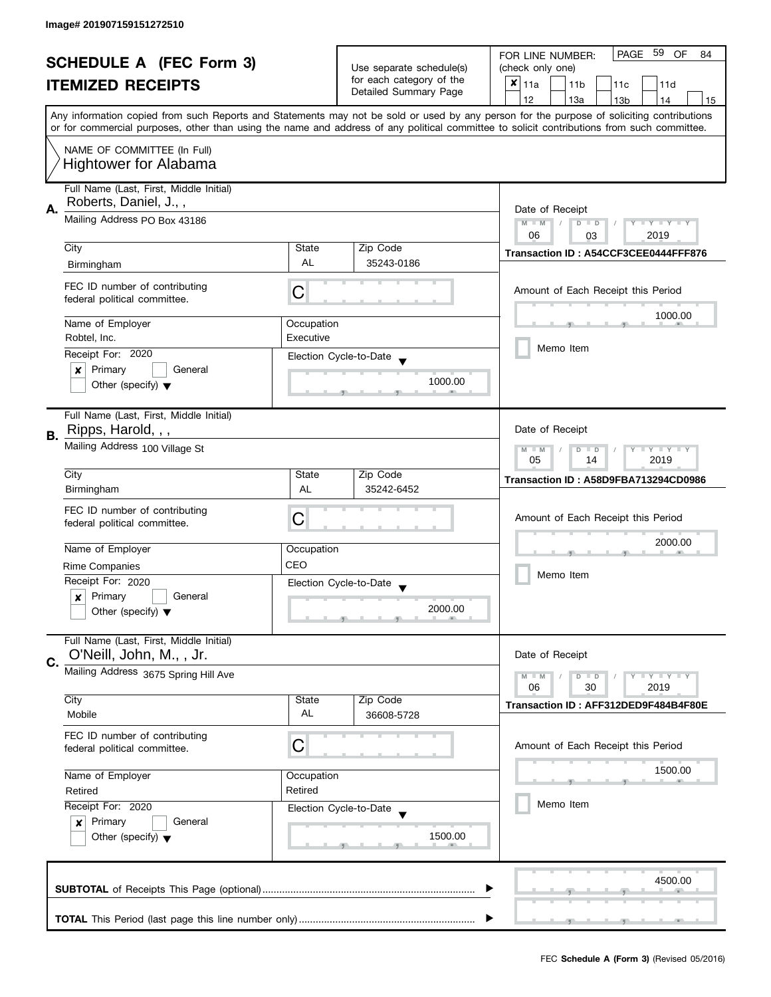|    |                                                                                                                                                                                       |            |                          | PAGE 59<br><b>OF</b><br>FOR LINE NUMBER:<br>84                                                                                             |  |  |
|----|---------------------------------------------------------------------------------------------------------------------------------------------------------------------------------------|------------|--------------------------|--------------------------------------------------------------------------------------------------------------------------------------------|--|--|
|    | <b>SCHEDULE A (FEC Form 3)</b>                                                                                                                                                        |            | Use separate schedule(s) | (check only one)                                                                                                                           |  |  |
|    | <b>ITEMIZED RECEIPTS</b>                                                                                                                                                              |            | for each category of the | $x _{11a}$<br>11 <sub>b</sub><br>11c<br>11d                                                                                                |  |  |
|    |                                                                                                                                                                                       |            | Detailed Summary Page    | 12<br>13a<br>13 <sub>b</sub><br>14<br>15                                                                                                   |  |  |
|    |                                                                                                                                                                                       |            |                          | Any information copied from such Reports and Statements may not be sold or used by any person for the purpose of soliciting contributions  |  |  |
|    |                                                                                                                                                                                       |            |                          | or for commercial purposes, other than using the name and address of any political committee to solicit contributions from such committee. |  |  |
|    | NAME OF COMMITTEE (In Full)<br><b>Hightower for Alabama</b>                                                                                                                           |            |                          |                                                                                                                                            |  |  |
|    | Full Name (Last, First, Middle Initial)<br>Roberts, Daniel, J.,,                                                                                                                      |            |                          |                                                                                                                                            |  |  |
| Α. | Mailing Address PO Box 43186                                                                                                                                                          |            |                          |                                                                                                                                            |  |  |
|    | City                                                                                                                                                                                  | State      | Zip Code                 | 06<br>2019<br>03                                                                                                                           |  |  |
|    | Birmingham                                                                                                                                                                            | <b>AL</b>  | 35243-0186               | Transaction ID: A54CCF3CEE0444FFF876                                                                                                       |  |  |
|    |                                                                                                                                                                                       |            |                          |                                                                                                                                            |  |  |
|    | FEC ID number of contributing<br>federal political committee.                                                                                                                         | C          |                          | Amount of Each Receipt this Period                                                                                                         |  |  |
|    | Name of Employer                                                                                                                                                                      | Occupation |                          | 1000.00                                                                                                                                    |  |  |
|    | Robtel, Inc.                                                                                                                                                                          | Executive  |                          |                                                                                                                                            |  |  |
|    | Receipt For: 2020                                                                                                                                                                     |            | Election Cycle-to-Date   | Memo Item                                                                                                                                  |  |  |
|    | Primary<br>General<br>$\boldsymbol{x}$                                                                                                                                                |            |                          |                                                                                                                                            |  |  |
|    | Other (specify) $\blacktriangledown$                                                                                                                                                  |            | 1000.00                  |                                                                                                                                            |  |  |
|    | Full Name (Last, First, Middle Initial)                                                                                                                                               |            |                          |                                                                                                                                            |  |  |
| В. | Ripps, Harold, , ,                                                                                                                                                                    |            |                          | Date of Receipt                                                                                                                            |  |  |
|    | Mailing Address 100 Village St                                                                                                                                                        |            |                          | $Y = Y + Y$<br>$M - M$<br>D<br>$\Box$<br>05<br>2019<br>14                                                                                  |  |  |
|    | City                                                                                                                                                                                  | State      | Zip Code                 | Transaction ID: A58D9FBA713294CD0986                                                                                                       |  |  |
|    | Birmingham                                                                                                                                                                            | AL         | 35242-6452               |                                                                                                                                            |  |  |
|    | FEC ID number of contributing                                                                                                                                                         | C          |                          | Amount of Each Receipt this Period                                                                                                         |  |  |
|    | federal political committee.                                                                                                                                                          |            |                          |                                                                                                                                            |  |  |
|    | Name of Employer                                                                                                                                                                      | Occupation |                          | 2000.00                                                                                                                                    |  |  |
|    | <b>Rime Companies</b>                                                                                                                                                                 | CEO        |                          | Memo Item                                                                                                                                  |  |  |
|    | Receipt For: 2020                                                                                                                                                                     |            | Election Cycle-to-Date   |                                                                                                                                            |  |  |
|    | Primary<br>General<br>x                                                                                                                                                               |            | 2000.00                  |                                                                                                                                            |  |  |
|    | Other (specify) $\blacktriangledown$                                                                                                                                                  |            |                          |                                                                                                                                            |  |  |
|    | Full Name (Last, First, Middle Initial)<br>O'Neill, John, M., , Jr.                                                                                                                   |            |                          | Date of Receipt                                                                                                                            |  |  |
| C. | Mailing Address 3675 Spring Hill Ave                                                                                                                                                  |            |                          |                                                                                                                                            |  |  |
|    |                                                                                                                                                                                       |            |                          | $M - M$<br>$Y - Y - Y$<br>$\overline{D}$<br>$\Box$<br>06<br>2019<br>30                                                                     |  |  |
|    | City                                                                                                                                                                                  | State      | Zip Code                 | Transaction ID: AFF312DED9F484B4F80E                                                                                                       |  |  |
|    | Mobile                                                                                                                                                                                | AL         | 36608-5728               |                                                                                                                                            |  |  |
|    | FEC ID number of contributing                                                                                                                                                         |            |                          |                                                                                                                                            |  |  |
|    | federal political committee.                                                                                                                                                          | C          |                          | Amount of Each Receipt this Period                                                                                                         |  |  |
|    | Name of Employer<br>Occupation<br>Retired<br>Retired<br>Receipt For: 2020<br>Election Cycle-to-Date<br>Primary<br>General<br>$\boldsymbol{x}$<br>Other (specify) $\blacktriangledown$ |            |                          | 1500.00                                                                                                                                    |  |  |
|    |                                                                                                                                                                                       |            |                          |                                                                                                                                            |  |  |
|    |                                                                                                                                                                                       |            |                          | Memo Item                                                                                                                                  |  |  |
|    |                                                                                                                                                                                       |            |                          |                                                                                                                                            |  |  |
|    |                                                                                                                                                                                       |            | 1500.00                  |                                                                                                                                            |  |  |
|    |                                                                                                                                                                                       |            |                          |                                                                                                                                            |  |  |
|    |                                                                                                                                                                                       |            |                          | 4500.00                                                                                                                                    |  |  |
|    |                                                                                                                                                                                       |            |                          |                                                                                                                                            |  |  |
|    |                                                                                                                                                                                       |            |                          |                                                                                                                                            |  |  |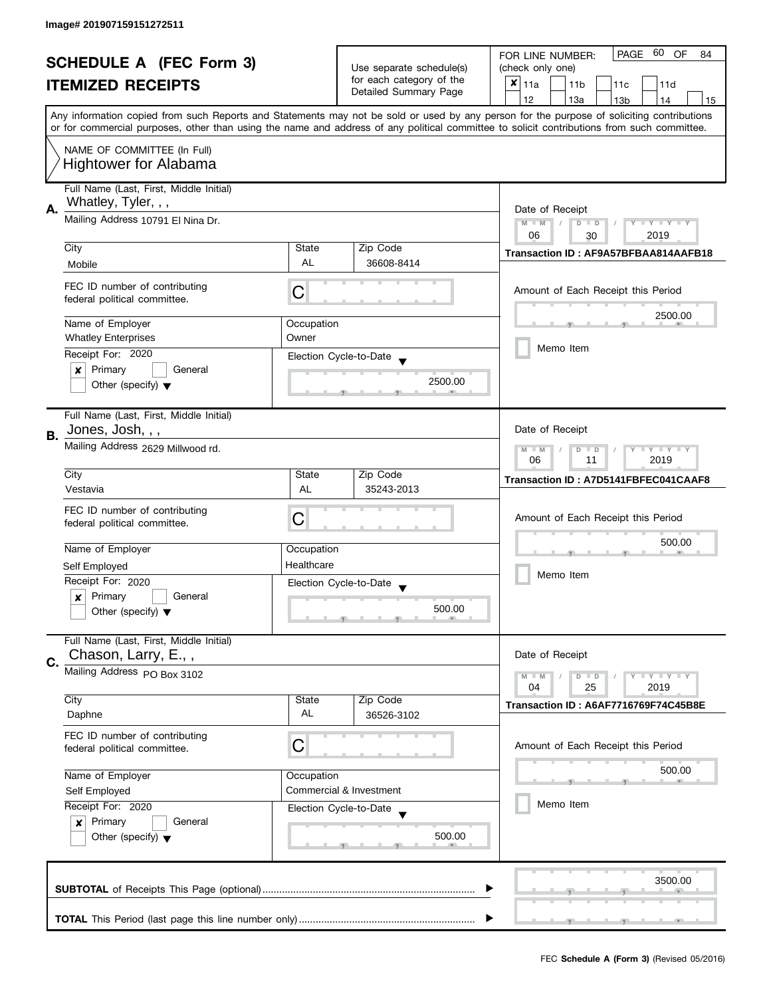|    | <b>SCHEDULE A (FEC Form 3)</b>                                                                         |             | Use separate schedule(s)                           | 60<br>PAGE<br>OF<br>FOR LINE NUMBER:<br>84<br>(check only one)                                                                             |
|----|--------------------------------------------------------------------------------------------------------|-------------|----------------------------------------------------|--------------------------------------------------------------------------------------------------------------------------------------------|
|    | <b>ITEMIZED RECEIPTS</b>                                                                               |             | for each category of the                           | $x _{11a}$<br>11 <sub>b</sub><br>11d<br>11c                                                                                                |
|    |                                                                                                        |             | Detailed Summary Page                              | 12<br>13a<br>13 <sub>b</sub><br>14<br>15                                                                                                   |
|    |                                                                                                        |             |                                                    | Any information copied from such Reports and Statements may not be sold or used by any person for the purpose of soliciting contributions  |
|    |                                                                                                        |             |                                                    | or for commercial purposes, other than using the name and address of any political committee to solicit contributions from such committee. |
|    | NAME OF COMMITTEE (In Full)                                                                            |             |                                                    |                                                                                                                                            |
|    | <b>Hightower for Alabama</b>                                                                           |             |                                                    |                                                                                                                                            |
|    |                                                                                                        |             |                                                    |                                                                                                                                            |
|    | Full Name (Last, First, Middle Initial)                                                                |             |                                                    |                                                                                                                                            |
| А. | Whatley, Tyler, , ,                                                                                    |             |                                                    | Date of Receipt                                                                                                                            |
|    | Mailing Address 10791 El Nina Dr.                                                                      |             |                                                    | Y TY TY TY<br>$M - M$<br>$D$ $D$                                                                                                           |
|    |                                                                                                        |             |                                                    | 2019<br>06<br>30                                                                                                                           |
|    | City                                                                                                   | State<br>AL | Zip Code<br>36608-8414                             | Transaction ID: AF9A57BFBAA814AAFB18                                                                                                       |
|    | Mobile                                                                                                 |             |                                                    |                                                                                                                                            |
|    | FEC ID number of contributing                                                                          | С           |                                                    | Amount of Each Receipt this Period                                                                                                         |
|    | federal political committee.                                                                           |             |                                                    |                                                                                                                                            |
|    | Name of Employer                                                                                       | Occupation  |                                                    | 2500.00                                                                                                                                    |
|    | <b>Whatley Enterprises</b>                                                                             | Owner       |                                                    |                                                                                                                                            |
|    | Receipt For: 2020                                                                                      |             | Election Cycle-to-Date                             | Memo Item                                                                                                                                  |
|    | Primary<br>General<br>×                                                                                |             |                                                    |                                                                                                                                            |
|    | Other (specify) $\blacktriangledown$                                                                   |             | 2500.00                                            |                                                                                                                                            |
|    |                                                                                                        |             |                                                    |                                                                                                                                            |
|    | Full Name (Last, First, Middle Initial)                                                                |             |                                                    |                                                                                                                                            |
| В. | Jones, Josh, , ,                                                                                       |             |                                                    | Date of Receipt                                                                                                                            |
|    | Mailing Address 2629 Millwood rd.                                                                      |             |                                                    | Y I Y I Y I Y<br>$M - M$<br>$D$ $D$<br>06<br>11<br>2019                                                                                    |
|    | City                                                                                                   | State       | Zip Code                                           |                                                                                                                                            |
|    | Vestavia                                                                                               | AL          | 35243-2013                                         | Transaction ID: A7D5141FBFEC041CAAF8                                                                                                       |
|    |                                                                                                        |             |                                                    |                                                                                                                                            |
|    | FEC ID number of contributing<br>federal political committee.                                          | С           |                                                    | Amount of Each Receipt this Period                                                                                                         |
|    |                                                                                                        |             |                                                    | 500.00                                                                                                                                     |
|    | Name of Employer                                                                                       | Occupation  |                                                    |                                                                                                                                            |
|    | Self Employed                                                                                          | Healthcare  |                                                    | Memo Item                                                                                                                                  |
|    | Receipt For: 2020                                                                                      |             | Election Cycle-to-Date<br>$\overline{\phantom{a}}$ |                                                                                                                                            |
|    | Primary<br>General<br>x                                                                                |             | 500.00                                             |                                                                                                                                            |
|    | Other (specify) $\blacktriangledown$                                                                   |             |                                                    |                                                                                                                                            |
|    | Full Name (Last, First, Middle Initial)                                                                |             |                                                    |                                                                                                                                            |
|    | Chason, Larry, E.,,                                                                                    |             |                                                    | Date of Receipt                                                                                                                            |
| C. | Mailing Address PO Box 3102                                                                            |             |                                                    | $- Y - Y - Y$<br>$M - M$<br>$D$ $D$                                                                                                        |
|    |                                                                                                        |             |                                                    | 04<br>25<br>2019                                                                                                                           |
|    | City                                                                                                   | State       | Zip Code                                           | Transaction ID: A6AF7716769F74C45B8E                                                                                                       |
|    | Daphne                                                                                                 | AL          | 36526-3102                                         |                                                                                                                                            |
|    | FEC ID number of contributing                                                                          |             |                                                    |                                                                                                                                            |
|    | federal political committee.                                                                           | C           |                                                    | Amount of Each Receipt this Period                                                                                                         |
|    | Name of Employer                                                                                       | Occupation  |                                                    | 500.00                                                                                                                                     |
|    | Self Employed<br>Receipt For: 2020<br>Election Cycle-to-Date<br>Primary<br>General<br>$\boldsymbol{x}$ |             | Commercial & Investment                            |                                                                                                                                            |
|    |                                                                                                        |             |                                                    | Memo Item                                                                                                                                  |
|    |                                                                                                        |             |                                                    |                                                                                                                                            |
|    | Other (specify) $\blacktriangledown$                                                                   |             | 500.00                                             |                                                                                                                                            |
|    |                                                                                                        |             |                                                    |                                                                                                                                            |
|    |                                                                                                        |             |                                                    |                                                                                                                                            |
|    |                                                                                                        |             |                                                    | 3500.00                                                                                                                                    |
|    |                                                                                                        |             |                                                    |                                                                                                                                            |
|    |                                                                                                        |             |                                                    |                                                                                                                                            |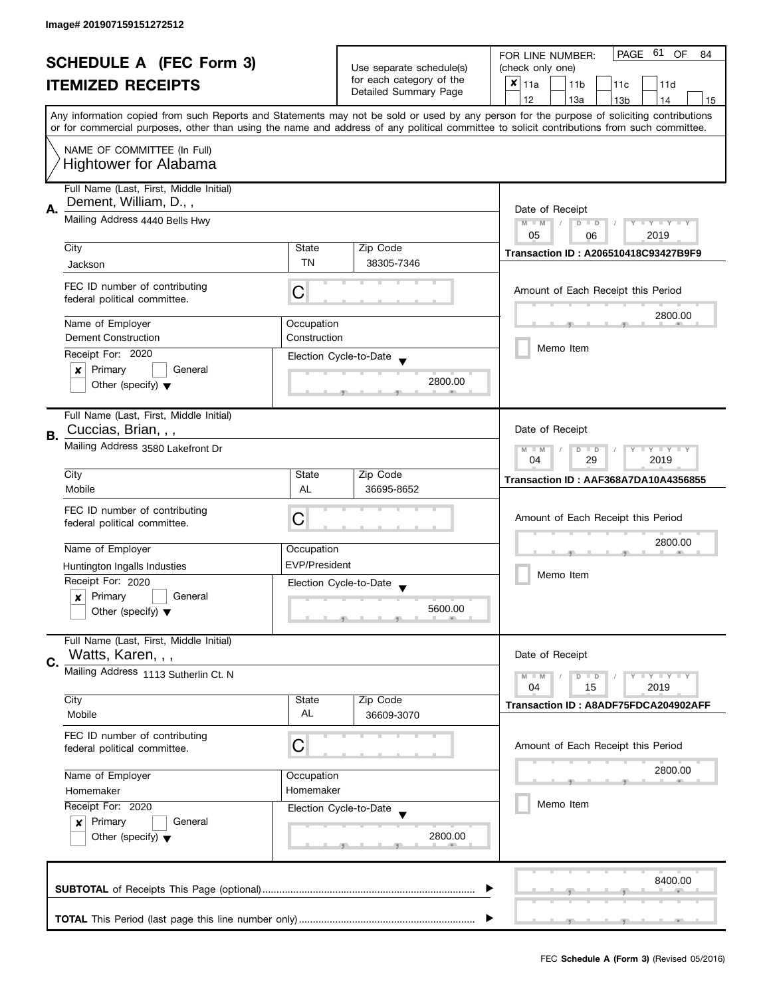| <b>SCHEDULE A (FEC Form 3)</b> |                                                               |                          |                                                   | PAGE 61<br><b>OF</b><br>FOR LINE NUMBER:<br>84                                                                                             |
|--------------------------------|---------------------------------------------------------------|--------------------------|---------------------------------------------------|--------------------------------------------------------------------------------------------------------------------------------------------|
|                                |                                                               | Use separate schedule(s) | (check only one)                                  |                                                                                                                                            |
|                                | <b>ITEMIZED RECEIPTS</b>                                      |                          | for each category of the<br>Detailed Summary Page | $x _{11a}$<br>11 <sub>b</sub><br>11c<br>11d                                                                                                |
|                                |                                                               |                          |                                                   | 12<br>13a<br>13 <sub>b</sub><br>15<br>14                                                                                                   |
|                                |                                                               |                          |                                                   | Any information copied from such Reports and Statements may not be sold or used by any person for the purpose of soliciting contributions  |
|                                |                                                               |                          |                                                   | or for commercial purposes, other than using the name and address of any political committee to solicit contributions from such committee. |
|                                | NAME OF COMMITTEE (In Full)                                   |                          |                                                   |                                                                                                                                            |
|                                | <b>Hightower for Alabama</b>                                  |                          |                                                   |                                                                                                                                            |
|                                |                                                               |                          |                                                   |                                                                                                                                            |
|                                | Full Name (Last, First, Middle Initial)                       |                          |                                                   |                                                                                                                                            |
| А.                             | Dement, William, D.,,                                         |                          |                                                   | Date of Receipt                                                                                                                            |
|                                | Mailing Address 4440 Bells Hwy                                |                          |                                                   | $M - M$<br>$Y - Y - Y - Y - Y$<br>$\sqrt{2}$<br>$D$ $D$                                                                                    |
|                                |                                                               |                          |                                                   | 05<br>2019<br>06                                                                                                                           |
|                                | City                                                          | State                    | Zip Code                                          | <b>Transaction ID: A206510418C93427B9F9</b>                                                                                                |
|                                | Jackson                                                       | <b>TN</b>                | 38305-7346                                        |                                                                                                                                            |
|                                |                                                               |                          |                                                   |                                                                                                                                            |
|                                | FEC ID number of contributing<br>federal political committee. | С                        |                                                   | Amount of Each Receipt this Period                                                                                                         |
|                                |                                                               |                          |                                                   |                                                                                                                                            |
|                                | Name of Employer                                              | Occupation               |                                                   | 2800.00                                                                                                                                    |
|                                | <b>Dement Construction</b>                                    | Construction             |                                                   |                                                                                                                                            |
|                                | Receipt For: 2020                                             |                          | Election Cycle-to-Date                            | Memo Item                                                                                                                                  |
|                                | Primary<br>General<br>$\boldsymbol{x}$                        |                          |                                                   |                                                                                                                                            |
|                                | Other (specify) $\blacktriangledown$                          |                          | 2800.00                                           |                                                                                                                                            |
|                                |                                                               |                          |                                                   |                                                                                                                                            |
|                                | Full Name (Last, First, Middle Initial)                       |                          |                                                   |                                                                                                                                            |
| В.                             | Cuccias, Brian, , ,                                           |                          |                                                   | Date of Receipt                                                                                                                            |
|                                | Mailing Address 3580 Lakefront Dr                             |                          |                                                   | $Y = Y = Y$<br>$M - M$<br>D<br>$\Box$                                                                                                      |
|                                |                                                               |                          |                                                   | 29<br>2019<br>04                                                                                                                           |
|                                | City                                                          | State                    | Zip Code                                          | Transaction ID: AAF368A7DA10A4356855                                                                                                       |
|                                | Mobile                                                        | AL                       | 36695-8652                                        |                                                                                                                                            |
|                                | FEC ID number of contributing                                 |                          |                                                   |                                                                                                                                            |
|                                | federal political committee.                                  | C                        |                                                   | Amount of Each Receipt this Period                                                                                                         |
|                                |                                                               |                          |                                                   | 2800.00                                                                                                                                    |
|                                | Name of Employer                                              | Occupation               |                                                   |                                                                                                                                            |
|                                | Huntington Ingalls Industies                                  | <b>EVP/President</b>     |                                                   |                                                                                                                                            |
|                                | Receipt For: 2020                                             |                          | Election Cycle-to-Date                            | Memo Item                                                                                                                                  |
|                                | Primary<br>General<br>x                                       |                          |                                                   |                                                                                                                                            |
|                                | Other (specify) $\blacktriangledown$                          |                          | 5600.00                                           |                                                                                                                                            |
|                                |                                                               |                          |                                                   |                                                                                                                                            |
|                                | Full Name (Last, First, Middle Initial)                       |                          |                                                   |                                                                                                                                            |
| C.                             | Watts, Karen, , ,                                             |                          |                                                   | Date of Receipt                                                                                                                            |
|                                | Mailing Address 1113 Sutherlin Ct. N                          |                          |                                                   | $Y = Y = Y$<br>$M - M$<br>$\overline{D}$<br>$\blacksquare$                                                                                 |
|                                |                                                               |                          |                                                   | 15<br>2019<br>04                                                                                                                           |
|                                | City                                                          | State                    | Zip Code                                          | Transaction ID: A8ADF75FDCA204902AFF                                                                                                       |
|                                | Mobile                                                        | AL                       | 36609-3070                                        |                                                                                                                                            |
|                                | FEC ID number of contributing                                 |                          |                                                   |                                                                                                                                            |
|                                | federal political committee.                                  | C                        |                                                   | Amount of Each Receipt this Period                                                                                                         |
|                                |                                                               |                          |                                                   | 2800.00                                                                                                                                    |
|                                | Name of Employer<br>Occupation<br>Homemaker<br>Homemaker      |                          |                                                   |                                                                                                                                            |
|                                |                                                               |                          |                                                   | Memo Item                                                                                                                                  |
|                                | Receipt For: 2020                                             |                          | Election Cycle-to-Date                            |                                                                                                                                            |
|                                | Primary<br>General<br>$\boldsymbol{x}$                        |                          |                                                   |                                                                                                                                            |
|                                | Other (specify) $\blacktriangledown$                          |                          | 2800.00                                           |                                                                                                                                            |
|                                |                                                               |                          |                                                   |                                                                                                                                            |
|                                |                                                               |                          |                                                   |                                                                                                                                            |
|                                |                                                               |                          |                                                   | 8400.00                                                                                                                                    |
|                                |                                                               |                          |                                                   |                                                                                                                                            |
|                                |                                                               |                          |                                                   |                                                                                                                                            |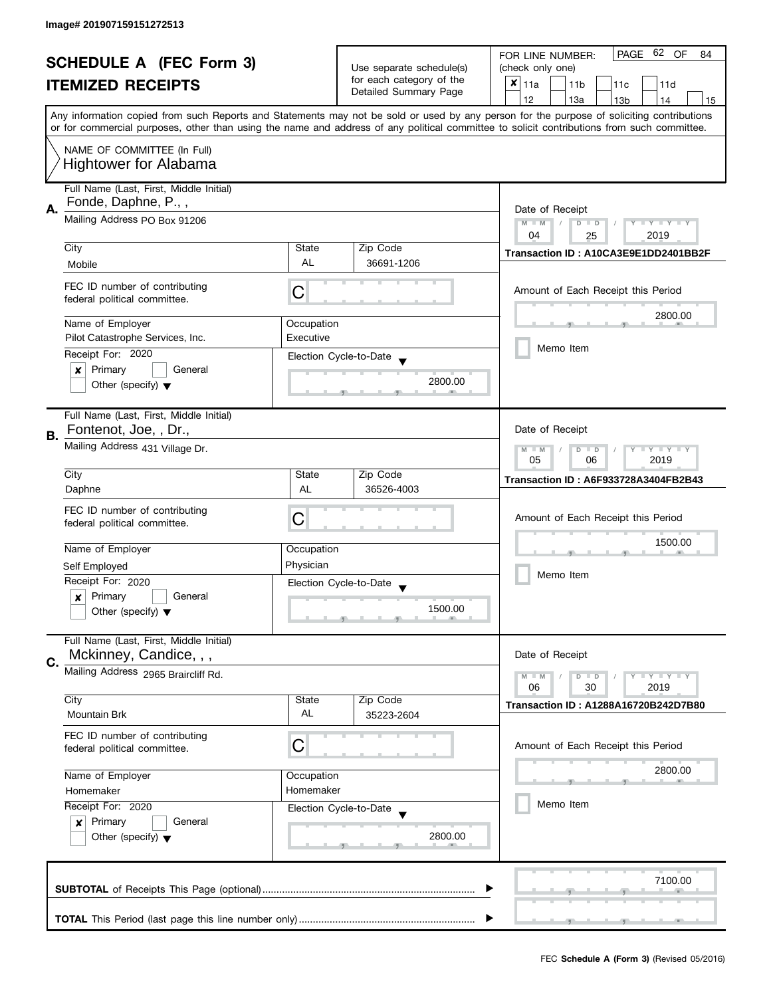| <b>SCHEDULE A (FEC Form 3)</b> |                                         |                                                      | 62 OF<br>PAGE<br>FOR LINE NUMBER:<br>84 |                                                                                                                                            |
|--------------------------------|-----------------------------------------|------------------------------------------------------|-----------------------------------------|--------------------------------------------------------------------------------------------------------------------------------------------|
|                                |                                         | Use separate schedule(s)<br>for each category of the | (check only one)                        |                                                                                                                                            |
|                                | <b>ITEMIZED RECEIPTS</b>                |                                                      | Detailed Summary Page                   | $x _{11a}$<br>11 <sub>b</sub><br>11c<br>11d                                                                                                |
|                                |                                         |                                                      |                                         | 12<br>13a<br>13 <sub>b</sub><br>15<br>14                                                                                                   |
|                                |                                         |                                                      |                                         | Any information copied from such Reports and Statements may not be sold or used by any person for the purpose of soliciting contributions  |
|                                |                                         |                                                      |                                         | or for commercial purposes, other than using the name and address of any political committee to solicit contributions from such committee. |
|                                | NAME OF COMMITTEE (In Full)             |                                                      |                                         |                                                                                                                                            |
|                                | <b>Hightower for Alabama</b>            |                                                      |                                         |                                                                                                                                            |
|                                |                                         |                                                      |                                         |                                                                                                                                            |
|                                | Full Name (Last, First, Middle Initial) |                                                      |                                         |                                                                                                                                            |
| Α.                             | Fonde, Daphne, P.,,                     |                                                      |                                         | Date of Receipt                                                                                                                            |
|                                | Mailing Address PO Box 91206            |                                                      |                                         | $M - M$<br>$Y - Y - Y - Y - Y$<br>$\sqrt{2}$<br>$D$ $D$                                                                                    |
|                                |                                         |                                                      |                                         | 04<br>2019<br>25                                                                                                                           |
|                                | City                                    | State                                                | Zip Code                                | Transaction ID: A10CA3E9E1DD2401BB2F                                                                                                       |
|                                | Mobile                                  | <b>AL</b>                                            | 36691-1206                              |                                                                                                                                            |
|                                |                                         |                                                      |                                         |                                                                                                                                            |
|                                | FEC ID number of contributing           | C                                                    |                                         | Amount of Each Receipt this Period                                                                                                         |
|                                | federal political committee.            |                                                      |                                         |                                                                                                                                            |
|                                | Name of Employer                        | Occupation                                           |                                         | 2800.00                                                                                                                                    |
|                                | Pilot Catastrophe Services, Inc.        | Executive                                            |                                         |                                                                                                                                            |
|                                | Receipt For: 2020                       |                                                      |                                         | Memo Item                                                                                                                                  |
|                                | Primary<br>General                      |                                                      | Election Cycle-to-Date                  |                                                                                                                                            |
|                                | $\boldsymbol{x}$                        |                                                      | 2800.00                                 |                                                                                                                                            |
|                                | Other (specify) $\blacktriangledown$    |                                                      |                                         |                                                                                                                                            |
|                                |                                         |                                                      |                                         |                                                                                                                                            |
|                                | Full Name (Last, First, Middle Initial) |                                                      |                                         |                                                                                                                                            |
| В.                             | Fontenot, Joe, , Dr.,                   |                                                      |                                         | Date of Receipt                                                                                                                            |
|                                | Mailing Address 431 Village Dr.         |                                                      |                                         | $Y = Y = Y$<br>$M - M$<br>D<br>$\Box$                                                                                                      |
|                                |                                         |                                                      |                                         | 05<br>2019<br>06                                                                                                                           |
|                                | City                                    | State                                                | Zip Code                                | <b>Transaction ID: A6F933728A3404FB2B43</b>                                                                                                |
|                                | Daphne                                  | AL                                                   | 36526-4003                              |                                                                                                                                            |
|                                | FEC ID number of contributing           | C                                                    |                                         | Amount of Each Receipt this Period                                                                                                         |
|                                | federal political committee.            |                                                      |                                         |                                                                                                                                            |
|                                | Name of Employer                        | Occupation                                           |                                         | 1500.00                                                                                                                                    |
|                                |                                         | Physician                                            |                                         |                                                                                                                                            |
|                                | Self Employed                           |                                                      |                                         | Memo Item                                                                                                                                  |
|                                | Receipt For: 2020                       |                                                      | Election Cycle-to-Date                  |                                                                                                                                            |
|                                | Primary<br>General<br>x                 |                                                      | 1500.00                                 |                                                                                                                                            |
|                                | Other (specify) $\blacktriangledown$    |                                                      |                                         |                                                                                                                                            |
|                                | Full Name (Last, First, Middle Initial) |                                                      |                                         |                                                                                                                                            |
|                                | Mckinney, Candice, , ,                  |                                                      |                                         | Date of Receipt                                                                                                                            |
| C.                             |                                         |                                                      |                                         |                                                                                                                                            |
|                                | Mailing Address 2965 Braircliff Rd.     |                                                      |                                         | $Y = Y = Y$<br>$M - M$<br>$\overline{D}$<br>$\Box$                                                                                         |
|                                | City                                    | State                                                | Zip Code                                | 06<br>2019<br>30                                                                                                                           |
|                                | <b>Mountain Brk</b>                     | AL                                                   | 35223-2604                              | Transaction ID: A1288A16720B242D7B80                                                                                                       |
|                                |                                         |                                                      |                                         |                                                                                                                                            |
|                                | FEC ID number of contributing           | C                                                    |                                         | Amount of Each Receipt this Period                                                                                                         |
|                                | federal political committee.            |                                                      |                                         |                                                                                                                                            |
|                                | Name of Employer                        | Occupation                                           |                                         | 2800.00                                                                                                                                    |
|                                | Homemaker<br>Homemaker                  |                                                      |                                         |                                                                                                                                            |
|                                |                                         |                                                      |                                         | Memo Item                                                                                                                                  |
|                                | Receipt For: 2020                       |                                                      | Election Cycle-to-Date                  |                                                                                                                                            |
|                                | Primary<br>General<br>$\boldsymbol{x}$  |                                                      |                                         |                                                                                                                                            |
|                                | Other (specify) $\blacktriangledown$    |                                                      | 2800.00                                 |                                                                                                                                            |
|                                |                                         |                                                      |                                         |                                                                                                                                            |
|                                |                                         |                                                      |                                         |                                                                                                                                            |
|                                |                                         |                                                      |                                         | 7100.00                                                                                                                                    |
|                                |                                         |                                                      |                                         |                                                                                                                                            |
|                                |                                         |                                                      |                                         |                                                                                                                                            |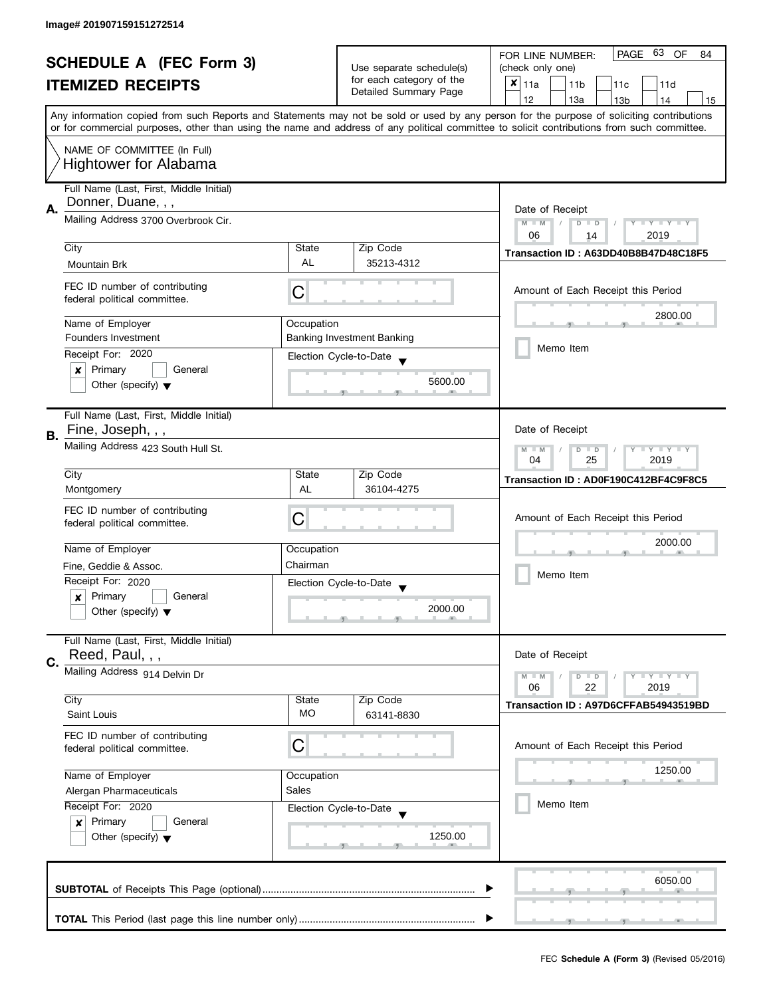| <b>SCHEDULE A (FEC Form 3)</b> |                                                                    |                                                      | 63<br>PAGE<br>OF<br>FOR LINE NUMBER:<br>84 |                                                                                                                                                                                                                                                                                         |
|--------------------------------|--------------------------------------------------------------------|------------------------------------------------------|--------------------------------------------|-----------------------------------------------------------------------------------------------------------------------------------------------------------------------------------------------------------------------------------------------------------------------------------------|
|                                |                                                                    | Use separate schedule(s)<br>for each category of the | (check only one)                           |                                                                                                                                                                                                                                                                                         |
|                                | <b>ITEMIZED RECEIPTS</b>                                           |                                                      | Detailed Summary Page                      | $x _{11a}$<br>11 <sub>b</sub><br>11c<br>11d                                                                                                                                                                                                                                             |
|                                |                                                                    |                                                      |                                            | 12<br>13a<br>13 <sub>b</sub><br>15<br>14                                                                                                                                                                                                                                                |
|                                |                                                                    |                                                      |                                            | Any information copied from such Reports and Statements may not be sold or used by any person for the purpose of soliciting contributions<br>or for commercial purposes, other than using the name and address of any political committee to solicit contributions from such committee. |
|                                |                                                                    |                                                      |                                            |                                                                                                                                                                                                                                                                                         |
|                                | NAME OF COMMITTEE (In Full)                                        |                                                      |                                            |                                                                                                                                                                                                                                                                                         |
|                                | <b>Hightower for Alabama</b>                                       |                                                      |                                            |                                                                                                                                                                                                                                                                                         |
|                                | Full Name (Last, First, Middle Initial)                            |                                                      |                                            |                                                                                                                                                                                                                                                                                         |
| А.                             | Donner, Duane, , ,                                                 |                                                      |                                            | Date of Receipt                                                                                                                                                                                                                                                                         |
|                                | Mailing Address 3700 Overbrook Cir.                                |                                                      |                                            | $M - M$<br>$Y - Y - Y - Y - Y$<br>$\sqrt{2}$<br>$D$ $D$                                                                                                                                                                                                                                 |
|                                |                                                                    |                                                      |                                            | 06<br>2019<br>14                                                                                                                                                                                                                                                                        |
|                                | City                                                               | State                                                | Zip Code                                   | Transaction ID: A63DD40B8B47D48C18F5                                                                                                                                                                                                                                                    |
|                                | Mountain Brk                                                       | <b>AL</b>                                            | 35213-4312                                 |                                                                                                                                                                                                                                                                                         |
|                                | FEC ID number of contributing                                      |                                                      |                                            |                                                                                                                                                                                                                                                                                         |
|                                | federal political committee.                                       | C                                                    |                                            | Amount of Each Receipt this Period                                                                                                                                                                                                                                                      |
|                                |                                                                    |                                                      |                                            | 2800.00                                                                                                                                                                                                                                                                                 |
|                                | Name of Employer                                                   | Occupation                                           |                                            |                                                                                                                                                                                                                                                                                         |
|                                | Founders Investment                                                |                                                      | <b>Banking Investment Banking</b>          | Memo Item                                                                                                                                                                                                                                                                               |
|                                | Receipt For: 2020                                                  |                                                      | Election Cycle-to-Date                     |                                                                                                                                                                                                                                                                                         |
|                                | Primary<br>General<br>$\boldsymbol{x}$                             |                                                      | 5600.00                                    |                                                                                                                                                                                                                                                                                         |
|                                | Other (specify) $\blacktriangledown$                               |                                                      |                                            |                                                                                                                                                                                                                                                                                         |
|                                | Full Name (Last, First, Middle Initial)                            |                                                      |                                            |                                                                                                                                                                                                                                                                                         |
|                                | Fine, Joseph, , ,                                                  |                                                      |                                            | Date of Receipt                                                                                                                                                                                                                                                                         |
| В.                             | Mailing Address 423 South Hull St.                                 |                                                      |                                            | $Y = Y = Y$<br>$M - M$<br>D<br>$\Box$                                                                                                                                                                                                                                                   |
|                                |                                                                    |                                                      |                                            |                                                                                                                                                                                                                                                                                         |
|                                | City                                                               | State                                                | Zip Code                                   | 2019<br>04<br>25<br>Transaction ID: AD0F190C412BF4C9F8C5                                                                                                                                                                                                                                |
|                                | Montgomery                                                         | AL                                                   | 36104-4275                                 |                                                                                                                                                                                                                                                                                         |
|                                | FEC ID number of contributing                                      |                                                      |                                            |                                                                                                                                                                                                                                                                                         |
|                                | federal political committee.                                       | C                                                    |                                            | Amount of Each Receipt this Period                                                                                                                                                                                                                                                      |
|                                |                                                                    |                                                      |                                            | 2000.00                                                                                                                                                                                                                                                                                 |
|                                | Name of Employer                                                   | Occupation                                           |                                            |                                                                                                                                                                                                                                                                                         |
|                                | Fine, Geddie & Assoc.                                              | Chairman                                             |                                            | Memo Item                                                                                                                                                                                                                                                                               |
|                                | Receipt For: 2020                                                  |                                                      | Election Cycle-to-Date                     |                                                                                                                                                                                                                                                                                         |
|                                | Primary<br>General<br>x                                            |                                                      |                                            |                                                                                                                                                                                                                                                                                         |
|                                | Other (specify) $\blacktriangledown$                               |                                                      | 2000.00                                    |                                                                                                                                                                                                                                                                                         |
|                                |                                                                    |                                                      |                                            |                                                                                                                                                                                                                                                                                         |
|                                | Full Name (Last, First, Middle Initial)<br>Reed, Paul, , ,         |                                                      |                                            | Date of Receipt                                                                                                                                                                                                                                                                         |
| C.                             |                                                                    |                                                      |                                            |                                                                                                                                                                                                                                                                                         |
|                                | Mailing Address 914 Delvin Dr                                      |                                                      |                                            | $Y = Y = Y$<br>$M - M$<br>$\overline{D}$<br>$\Box$                                                                                                                                                                                                                                      |
|                                | City                                                               | State                                                | Zip Code                                   | 06<br>2019<br>22                                                                                                                                                                                                                                                                        |
|                                | Saint Louis                                                        | MO.                                                  | 63141-8830                                 | Transaction ID: A97D6CFFAB54943519BD                                                                                                                                                                                                                                                    |
|                                |                                                                    |                                                      |                                            |                                                                                                                                                                                                                                                                                         |
|                                | FEC ID number of contributing<br>federal political committee.      | C                                                    |                                            | Amount of Each Receipt this Period                                                                                                                                                                                                                                                      |
|                                |                                                                    |                                                      |                                            |                                                                                                                                                                                                                                                                                         |
|                                | Name of Employer<br>Occupation<br>Sales<br>Alergan Pharmaceuticals |                                                      |                                            | 1250.00                                                                                                                                                                                                                                                                                 |
|                                |                                                                    |                                                      |                                            |                                                                                                                                                                                                                                                                                         |
|                                | Receipt For: 2020                                                  |                                                      | Election Cycle-to-Date                     | Memo Item                                                                                                                                                                                                                                                                               |
| Primary<br>General<br>x        |                                                                    |                                                      |                                            |                                                                                                                                                                                                                                                                                         |
|                                | Other (specify) $\blacktriangledown$                               |                                                      | 1250.00                                    |                                                                                                                                                                                                                                                                                         |
|                                |                                                                    |                                                      |                                            |                                                                                                                                                                                                                                                                                         |
|                                |                                                                    |                                                      |                                            |                                                                                                                                                                                                                                                                                         |
|                                |                                                                    |                                                      |                                            | 6050.00                                                                                                                                                                                                                                                                                 |
|                                |                                                                    |                                                      |                                            |                                                                                                                                                                                                                                                                                         |
|                                |                                                                    |                                                      |                                            |                                                                                                                                                                                                                                                                                         |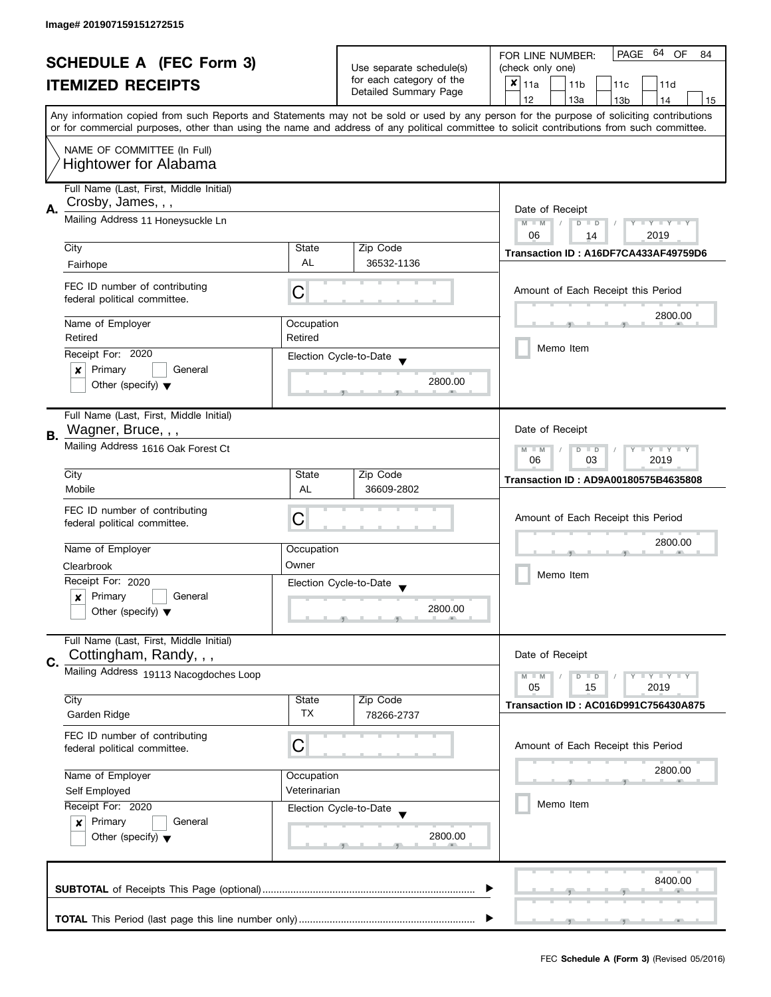| <b>SCHEDULE A (FEC Form 3)</b> |                                                          | Use separate schedule(s) | PAGE 64 OF<br>FOR LINE NUMBER:<br>84                                                                                                       |                                                                                                                                           |
|--------------------------------|----------------------------------------------------------|--------------------------|--------------------------------------------------------------------------------------------------------------------------------------------|-------------------------------------------------------------------------------------------------------------------------------------------|
|                                |                                                          |                          | (check only one)                                                                                                                           |                                                                                                                                           |
|                                | <b>ITEMIZED RECEIPTS</b>                                 |                          | for each category of the                                                                                                                   | $x _{11a}$<br>11 <sub>b</sub><br>11 <sub>c</sub><br>11d                                                                                   |
|                                |                                                          |                          | Detailed Summary Page                                                                                                                      | 12<br>13a<br>13 <sub>b</sub><br>14<br>15                                                                                                  |
|                                |                                                          |                          |                                                                                                                                            | Any information copied from such Reports and Statements may not be sold or used by any person for the purpose of soliciting contributions |
|                                |                                                          |                          | or for commercial purposes, other than using the name and address of any political committee to solicit contributions from such committee. |                                                                                                                                           |
|                                | NAME OF COMMITTEE (In Full)                              |                          |                                                                                                                                            |                                                                                                                                           |
|                                | <b>Hightower for Alabama</b>                             |                          |                                                                                                                                            |                                                                                                                                           |
|                                |                                                          |                          |                                                                                                                                            |                                                                                                                                           |
|                                | Full Name (Last, First, Middle Initial)                  |                          |                                                                                                                                            |                                                                                                                                           |
| Α.                             | Crosby, James, , ,                                       |                          |                                                                                                                                            | Date of Receipt                                                                                                                           |
|                                | Mailing Address 11 Honeysuckle Ln                        |                          |                                                                                                                                            | $M - M$<br>$Y - Y - Y - Y - Y$<br>$\sqrt{2}$<br>$D$ $D$                                                                                   |
|                                |                                                          |                          |                                                                                                                                            | 2019<br>06<br>14                                                                                                                          |
|                                | City                                                     | State                    | Zip Code                                                                                                                                   | Transaction ID: A16DF7CA433AF49759D6                                                                                                      |
|                                | Fairhope                                                 | <b>AL</b>                | 36532-1136                                                                                                                                 |                                                                                                                                           |
|                                |                                                          |                          |                                                                                                                                            |                                                                                                                                           |
|                                | FEC ID number of contributing                            | С                        |                                                                                                                                            | Amount of Each Receipt this Period                                                                                                        |
|                                | federal political committee.                             |                          |                                                                                                                                            |                                                                                                                                           |
|                                | Name of Employer                                         | Occupation               |                                                                                                                                            | 2800.00                                                                                                                                   |
|                                | Retired                                                  | Retired                  |                                                                                                                                            |                                                                                                                                           |
|                                | Receipt For: 2020                                        |                          | Election Cycle-to-Date                                                                                                                     | Memo Item                                                                                                                                 |
|                                | General<br>Primary<br>×                                  |                          |                                                                                                                                            |                                                                                                                                           |
|                                | Other (specify) $\blacktriangledown$                     |                          | 2800.00                                                                                                                                    |                                                                                                                                           |
|                                |                                                          |                          |                                                                                                                                            |                                                                                                                                           |
|                                | Full Name (Last, First, Middle Initial)                  |                          |                                                                                                                                            |                                                                                                                                           |
|                                | Wagner, Bruce, , ,                                       |                          |                                                                                                                                            | Date of Receipt                                                                                                                           |
| В.                             | Mailing Address 1616 Oak Forest Ct                       |                          |                                                                                                                                            |                                                                                                                                           |
|                                |                                                          |                          |                                                                                                                                            | $Y = Y + Y$<br>$M - M$<br>D<br>$\Box$<br>06<br>03<br>2019                                                                                 |
|                                | City                                                     | State                    | Zip Code                                                                                                                                   |                                                                                                                                           |
|                                | Mobile                                                   | <b>AL</b>                | 36609-2802                                                                                                                                 | Transaction ID: AD9A00180575B4635808                                                                                                      |
|                                | FEC ID number of contributing                            |                          |                                                                                                                                            |                                                                                                                                           |
|                                | federal political committee.                             | C                        |                                                                                                                                            | Amount of Each Receipt this Period                                                                                                        |
|                                |                                                          |                          |                                                                                                                                            |                                                                                                                                           |
|                                | Name of Employer                                         | Occupation               |                                                                                                                                            | 2800.00                                                                                                                                   |
|                                | Clearbrook                                               | Owner                    |                                                                                                                                            |                                                                                                                                           |
|                                | Receipt For: 2020                                        |                          | Election Cycle-to-Date                                                                                                                     | Memo Item                                                                                                                                 |
|                                | Primary<br>General<br>x                                  |                          |                                                                                                                                            |                                                                                                                                           |
|                                | Other (specify) $\blacktriangledown$                     |                          | 2800.00                                                                                                                                    |                                                                                                                                           |
|                                |                                                          |                          |                                                                                                                                            |                                                                                                                                           |
|                                | Full Name (Last, First, Middle Initial)                  |                          |                                                                                                                                            |                                                                                                                                           |
| C.                             | Cottingham, Randy, , ,                                   |                          |                                                                                                                                            | Date of Receipt                                                                                                                           |
|                                | Mailing Address 19113 Nacogdoches Loop                   |                          |                                                                                                                                            | $Y = Y = Y$<br>$M - M$<br>D<br>$\blacksquare$                                                                                             |
|                                |                                                          | State                    |                                                                                                                                            | 05<br>2019<br>15                                                                                                                          |
|                                | City<br>Garden Ridge                                     | <b>TX</b>                | Zip Code<br>78266-2737                                                                                                                     | <b>Transaction ID: AC016D991C756430A875</b>                                                                                               |
|                                |                                                          |                          |                                                                                                                                            |                                                                                                                                           |
|                                | FEC ID number of contributing                            | C                        |                                                                                                                                            | Amount of Each Receipt this Period                                                                                                        |
|                                | federal political committee.                             |                          |                                                                                                                                            |                                                                                                                                           |
|                                | Name of Employer                                         | Occupation               |                                                                                                                                            | 2800.00                                                                                                                                   |
|                                | Veterinarian<br>Self Employed<br>Receipt For: 2020       |                          |                                                                                                                                            |                                                                                                                                           |
|                                |                                                          |                          |                                                                                                                                            | Memo Item                                                                                                                                 |
|                                | Primary<br>General                                       |                          | Election Cycle-to-Date                                                                                                                     |                                                                                                                                           |
|                                | $\boldsymbol{x}$<br>Other (specify) $\blacktriangledown$ |                          | 2800.00                                                                                                                                    |                                                                                                                                           |
|                                |                                                          |                          |                                                                                                                                            |                                                                                                                                           |
|                                |                                                          |                          |                                                                                                                                            |                                                                                                                                           |
|                                |                                                          |                          |                                                                                                                                            | 8400.00                                                                                                                                   |
|                                |                                                          |                          |                                                                                                                                            |                                                                                                                                           |
|                                |                                                          |                          |                                                                                                                                            |                                                                                                                                           |
|                                |                                                          |                          |                                                                                                                                            |                                                                                                                                           |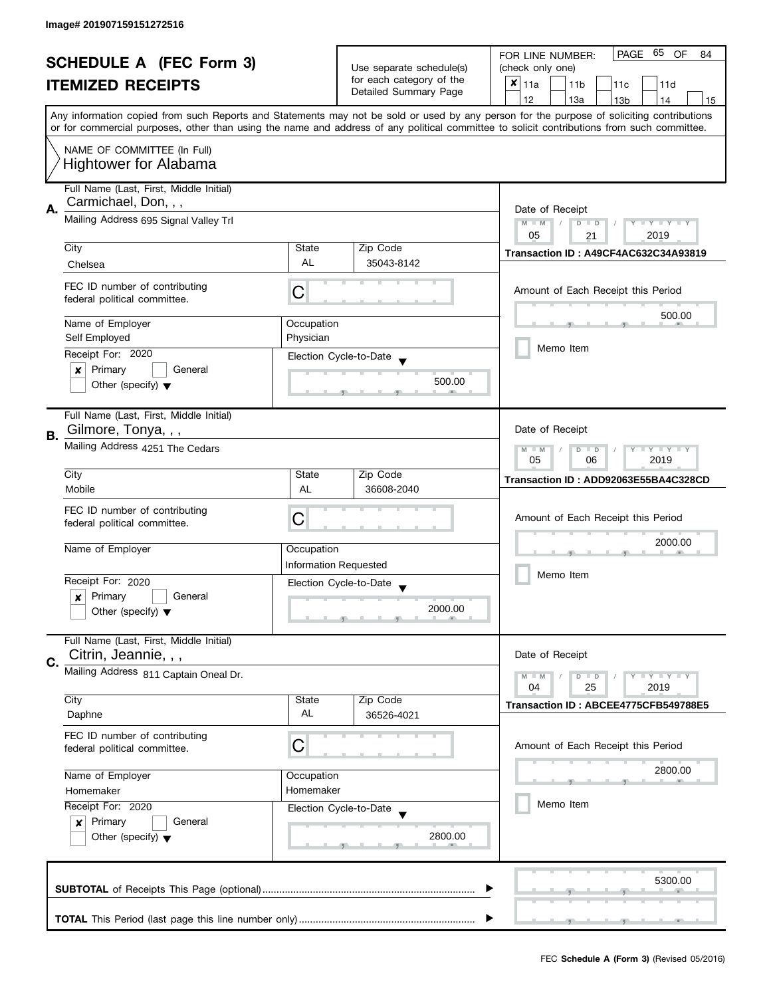| <b>SCHEDULE A (FEC Form 3)</b> |                                                               |                                                                                                                                            | PAGE 65<br>OF<br>FOR LINE NUMBER:<br>84           |                                                                                                                                           |
|--------------------------------|---------------------------------------------------------------|--------------------------------------------------------------------------------------------------------------------------------------------|---------------------------------------------------|-------------------------------------------------------------------------------------------------------------------------------------------|
|                                |                                                               | Use separate schedule(s)                                                                                                                   | (check only one)                                  |                                                                                                                                           |
|                                | <b>ITEMIZED RECEIPTS</b>                                      |                                                                                                                                            | for each category of the<br>Detailed Summary Page | $x _{11a}$<br>11 <sub>b</sub><br>11 <sub>c</sub><br>11d                                                                                   |
|                                |                                                               |                                                                                                                                            |                                                   | 12<br>13a<br>13 <sub>b</sub><br>14<br>15                                                                                                  |
|                                |                                                               |                                                                                                                                            |                                                   | Any information copied from such Reports and Statements may not be sold or used by any person for the purpose of soliciting contributions |
|                                |                                                               | or for commercial purposes, other than using the name and address of any political committee to solicit contributions from such committee. |                                                   |                                                                                                                                           |
|                                | NAME OF COMMITTEE (In Full)<br><b>Hightower for Alabama</b>   |                                                                                                                                            |                                                   |                                                                                                                                           |
|                                | Full Name (Last, First, Middle Initial)                       |                                                                                                                                            |                                                   |                                                                                                                                           |
|                                | Carmichael, Don, , ,                                          |                                                                                                                                            |                                                   |                                                                                                                                           |
| Α.                             | Mailing Address 695 Signal Valley Trl                         |                                                                                                                                            |                                                   | Date of Receipt                                                                                                                           |
|                                |                                                               |                                                                                                                                            |                                                   | $M - M$<br>$Y - Y - Y - Y - Y$<br>$\overline{D}$<br>$\Box$<br>05<br>2019                                                                  |
|                                | City                                                          | State                                                                                                                                      | Zip Code                                          | 21                                                                                                                                        |
|                                | Chelsea                                                       | <b>AL</b>                                                                                                                                  | 35043-8142                                        | Transaction ID: A49CF4AC632C34A93819                                                                                                      |
|                                |                                                               |                                                                                                                                            |                                                   |                                                                                                                                           |
|                                | FEC ID number of contributing<br>federal political committee. | C                                                                                                                                          |                                                   | Amount of Each Receipt this Period                                                                                                        |
|                                |                                                               |                                                                                                                                            |                                                   | 500.00                                                                                                                                    |
|                                | Name of Employer                                              | Occupation                                                                                                                                 |                                                   |                                                                                                                                           |
|                                | Self Employed                                                 | Physician                                                                                                                                  |                                                   | Memo Item                                                                                                                                 |
|                                | Receipt For: 2020                                             |                                                                                                                                            | Election Cycle-to-Date                            |                                                                                                                                           |
|                                | Primary<br>General<br>×                                       |                                                                                                                                            | 500.00                                            |                                                                                                                                           |
|                                | Other (specify) $\blacktriangledown$                          |                                                                                                                                            |                                                   |                                                                                                                                           |
|                                | Full Name (Last, First, Middle Initial)                       |                                                                                                                                            |                                                   |                                                                                                                                           |
| В.                             | Gilmore, Tonya, , ,                                           |                                                                                                                                            |                                                   | Date of Receipt                                                                                                                           |
|                                | Mailing Address 4251 The Cedars                               |                                                                                                                                            |                                                   | $Y = Y = Y$<br>$M - M$<br>D<br>$\Box$                                                                                                     |
|                                |                                                               |                                                                                                                                            |                                                   | 2019<br>05<br>06                                                                                                                          |
|                                | City                                                          | State                                                                                                                                      | Zip Code                                          | Transaction ID: ADD92063E55BA4C328CD                                                                                                      |
|                                | Mobile                                                        | AL                                                                                                                                         | 36608-2040                                        |                                                                                                                                           |
|                                | FEC ID number of contributing                                 | Amount of Each Receipt this Period                                                                                                         |                                                   |                                                                                                                                           |
|                                | federal political committee.                                  | С                                                                                                                                          |                                                   |                                                                                                                                           |
|                                | Name of Employer                                              | Occupation                                                                                                                                 |                                                   | 2000.00                                                                                                                                   |
|                                |                                                               | <b>Information Requested</b>                                                                                                               |                                                   |                                                                                                                                           |
|                                | Receipt For: 2020                                             |                                                                                                                                            | Election Cycle-to-Date                            | Memo Item                                                                                                                                 |
|                                | Primary<br>General<br>x                                       |                                                                                                                                            | $\overline{\mathbf{v}}$                           |                                                                                                                                           |
|                                | Other (specify) $\blacktriangledown$                          |                                                                                                                                            | 2000.00                                           |                                                                                                                                           |
|                                |                                                               |                                                                                                                                            |                                                   |                                                                                                                                           |
|                                | Full Name (Last, First, Middle Initial)                       |                                                                                                                                            |                                                   |                                                                                                                                           |
| C.                             | Citrin, Jeannie, , ,                                          |                                                                                                                                            |                                                   | Date of Receipt                                                                                                                           |
|                                | Mailing Address 811 Captain Oneal Dr.                         |                                                                                                                                            |                                                   | $Y = Y = Y$<br>$M - M$<br>$D$ $D$                                                                                                         |
|                                |                                                               |                                                                                                                                            |                                                   | 04<br>2019<br>25                                                                                                                          |
|                                | City<br>Daphne                                                | State<br>AL                                                                                                                                | Zip Code<br>36526-4021                            | Transaction ID: ABCEE4775CFB549788E5                                                                                                      |
|                                |                                                               |                                                                                                                                            |                                                   |                                                                                                                                           |
|                                | FEC ID number of contributing                                 | C                                                                                                                                          |                                                   | Amount of Each Receipt this Period                                                                                                        |
|                                | federal political committee.                                  |                                                                                                                                            |                                                   |                                                                                                                                           |
|                                | Name of Employer                                              | Occupation                                                                                                                                 |                                                   | 2800.00                                                                                                                                   |
|                                | Homemaker<br>Homemaker                                        |                                                                                                                                            |                                                   |                                                                                                                                           |
|                                | Receipt For: 2020                                             |                                                                                                                                            | Election Cycle-to-Date                            | Memo Item                                                                                                                                 |
|                                | Primary<br>General<br>$\boldsymbol{x}$                        |                                                                                                                                            |                                                   |                                                                                                                                           |
|                                | Other (specify) $\blacktriangledown$                          |                                                                                                                                            | 2800.00                                           |                                                                                                                                           |
|                                |                                                               |                                                                                                                                            |                                                   |                                                                                                                                           |
|                                |                                                               |                                                                                                                                            |                                                   |                                                                                                                                           |
|                                |                                                               |                                                                                                                                            |                                                   | 5300.00                                                                                                                                   |
|                                |                                                               |                                                                                                                                            |                                                   |                                                                                                                                           |
|                                |                                                               |                                                                                                                                            |                                                   |                                                                                                                                           |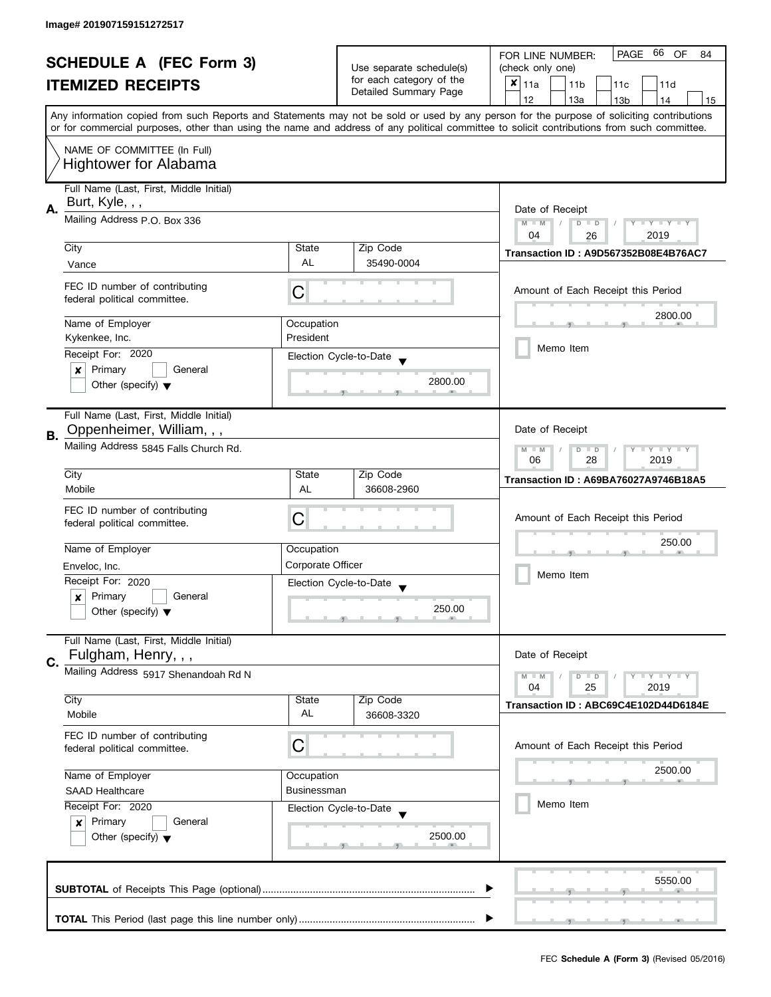| <b>SCHEDULE A (FEC Form 3)</b> |                                         |                    | 66<br>PAGE<br>OF<br>FOR LINE NUMBER:<br>84                                    |                                                                                                                                            |
|--------------------------------|-----------------------------------------|--------------------|-------------------------------------------------------------------------------|--------------------------------------------------------------------------------------------------------------------------------------------|
|                                |                                         |                    | Use separate schedule(s)<br>for each category of the<br>Detailed Summary Page | (check only one)                                                                                                                           |
|                                | <b>ITEMIZED RECEIPTS</b>                |                    |                                                                               | $x _{11a}$<br>11 <sub>b</sub><br>11c<br>11d                                                                                                |
|                                |                                         |                    |                                                                               | 12<br>13a<br>13 <sub>b</sub><br>15<br>14                                                                                                   |
|                                |                                         |                    |                                                                               | Any information copied from such Reports and Statements may not be sold or used by any person for the purpose of soliciting contributions  |
|                                |                                         |                    |                                                                               | or for commercial purposes, other than using the name and address of any political committee to solicit contributions from such committee. |
|                                | NAME OF COMMITTEE (In Full)             |                    |                                                                               |                                                                                                                                            |
|                                | <b>Hightower for Alabama</b>            |                    |                                                                               |                                                                                                                                            |
|                                |                                         |                    |                                                                               |                                                                                                                                            |
|                                | Full Name (Last, First, Middle Initial) |                    |                                                                               |                                                                                                                                            |
| Α.                             | Burt, Kyle, , ,                         |                    |                                                                               | Date of Receipt                                                                                                                            |
|                                | Mailing Address P.O. Box 336            |                    |                                                                               | $M - M$<br>$Y - Y - Y - Y - Y$<br>$\sqrt{2}$<br>$D$ $D$                                                                                    |
|                                |                                         |                    |                                                                               | 04<br>2019<br>26                                                                                                                           |
|                                | City                                    | State              | Zip Code                                                                      | Transaction ID: A9D567352B08E4B76AC7                                                                                                       |
|                                | Vance                                   | <b>AL</b>          | 35490-0004                                                                    |                                                                                                                                            |
|                                | FEC ID number of contributing           |                    |                                                                               | Amount of Each Receipt this Period                                                                                                         |
|                                | federal political committee.            | C                  |                                                                               |                                                                                                                                            |
|                                |                                         |                    |                                                                               | 2800.00                                                                                                                                    |
|                                | Name of Employer                        | Occupation         |                                                                               |                                                                                                                                            |
|                                | Kykenkee, Inc.                          | President          |                                                                               | Memo Item                                                                                                                                  |
|                                | Receipt For: 2020                       |                    | Election Cycle-to-Date                                                        |                                                                                                                                            |
|                                | Primary<br>General<br>$\boldsymbol{x}$  |                    | 2800.00                                                                       |                                                                                                                                            |
|                                | Other (specify) $\blacktriangledown$    |                    |                                                                               |                                                                                                                                            |
|                                |                                         |                    |                                                                               |                                                                                                                                            |
|                                | Full Name (Last, First, Middle Initial) |                    |                                                                               |                                                                                                                                            |
| В.                             | Oppenheimer, William, , ,               |                    |                                                                               | Date of Receipt                                                                                                                            |
|                                | Mailing Address 5845 Falls Church Rd.   |                    |                                                                               | $Y = Y = Y$<br>$M - M$<br>D<br>$\Box$                                                                                                      |
|                                | City                                    | State              | Zip Code                                                                      | 2019<br>06<br>28                                                                                                                           |
|                                | Mobile                                  | AL                 | 36608-2960                                                                    | Transaction ID: A69BA76027A9746B18A5                                                                                                       |
|                                |                                         |                    |                                                                               |                                                                                                                                            |
|                                | FEC ID number of contributing           | C                  |                                                                               | Amount of Each Receipt this Period                                                                                                         |
|                                | federal political committee.            |                    |                                                                               |                                                                                                                                            |
|                                | Name of Employer                        | Occupation         |                                                                               | 250.00                                                                                                                                     |
|                                | Enveloc, Inc.                           | Corporate Officer  |                                                                               |                                                                                                                                            |
|                                | Receipt For: 2020                       |                    |                                                                               | Memo Item                                                                                                                                  |
|                                | Primary<br>General<br>x                 |                    | Election Cycle-to-Date                                                        |                                                                                                                                            |
|                                | Other (specify) $\blacktriangledown$    |                    | 250.00                                                                        |                                                                                                                                            |
|                                |                                         |                    |                                                                               |                                                                                                                                            |
|                                | Full Name (Last, First, Middle Initial) |                    |                                                                               |                                                                                                                                            |
|                                | Fulgham, Henry, , ,                     |                    |                                                                               | Date of Receipt                                                                                                                            |
| C.                             | Mailing Address 5917 Shenandoah Rd N    |                    |                                                                               | $M - M$<br>$Y = Y = Y$<br>$\overline{D}$<br>$\Box$                                                                                         |
|                                |                                         |                    |                                                                               | 2019<br>04<br>25                                                                                                                           |
|                                | City                                    | State              | Zip Code                                                                      | Transaction ID: ABC69C4E102D44D6184E                                                                                                       |
|                                | Mobile                                  | AL                 | 36608-3320                                                                    |                                                                                                                                            |
|                                | FEC ID number of contributing           |                    |                                                                               |                                                                                                                                            |
|                                | federal political committee.            | C                  |                                                                               | Amount of Each Receipt this Period                                                                                                         |
|                                |                                         |                    |                                                                               | 2500.00                                                                                                                                    |
|                                | Name of Employer<br>Occupation          |                    |                                                                               |                                                                                                                                            |
|                                | <b>SAAD Healthcare</b>                  | <b>Businessman</b> |                                                                               |                                                                                                                                            |
|                                | Receipt For: 2020                       |                    | Election Cycle-to-Date                                                        | Memo Item                                                                                                                                  |
|                                | Primary<br>General<br>$\boldsymbol{x}$  |                    |                                                                               |                                                                                                                                            |
|                                | Other (specify) $\blacktriangledown$    |                    | 2500.00                                                                       |                                                                                                                                            |
|                                |                                         |                    |                                                                               |                                                                                                                                            |
|                                |                                         |                    |                                                                               |                                                                                                                                            |
|                                |                                         |                    |                                                                               | 5550.00                                                                                                                                    |
|                                |                                         |                    |                                                                               |                                                                                                                                            |
|                                |                                         |                    |                                                                               |                                                                                                                                            |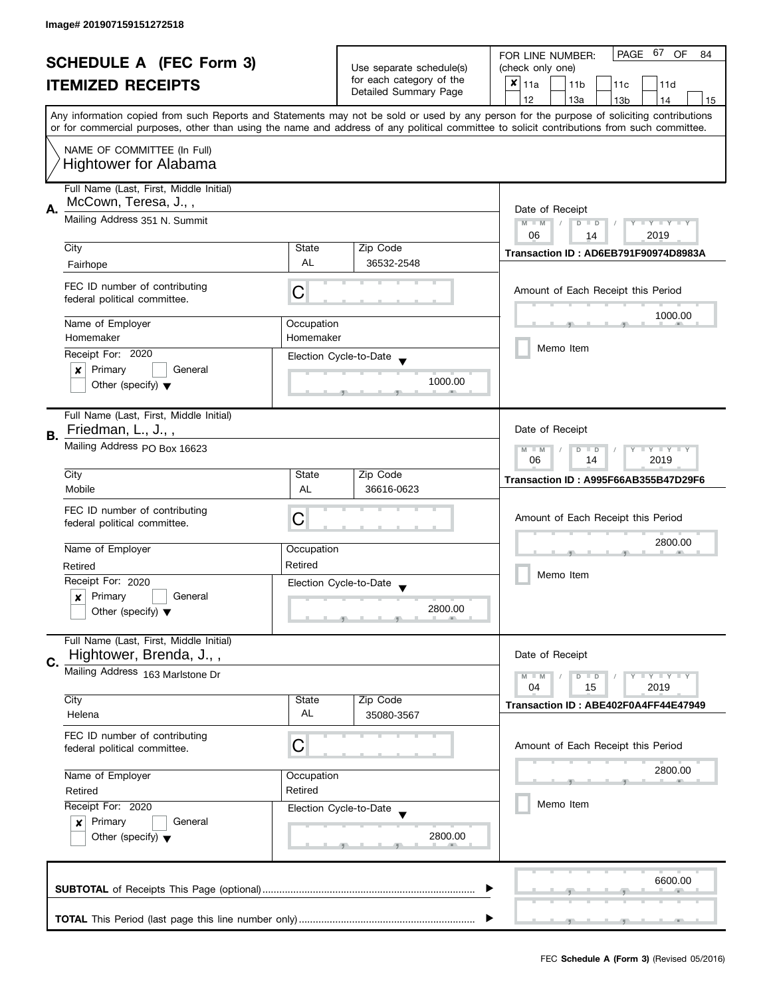|    | <b>SCHEDULE A (FEC Form 3)</b>                                     |                                                                    | Use separate schedule(s) | 67<br>PAGE<br><b>OF</b><br>FOR LINE NUMBER:<br>84<br>(check only one)                                                                                                                                                                                                                   |
|----|--------------------------------------------------------------------|--------------------------------------------------------------------|--------------------------|-----------------------------------------------------------------------------------------------------------------------------------------------------------------------------------------------------------------------------------------------------------------------------------------|
|    | <b>ITEMIZED RECEIPTS</b>                                           |                                                                    | for each category of the | $x _{11a}$<br>11 <sub>b</sub><br>11c<br>11d                                                                                                                                                                                                                                             |
|    |                                                                    |                                                                    | Detailed Summary Page    | 12<br>13a<br>13 <sub>b</sub><br>14<br>15                                                                                                                                                                                                                                                |
|    |                                                                    |                                                                    |                          | Any information copied from such Reports and Statements may not be sold or used by any person for the purpose of soliciting contributions<br>or for commercial purposes, other than using the name and address of any political committee to solicit contributions from such committee. |
|    | NAME OF COMMITTEE (In Full)<br><b>Hightower for Alabama</b>        |                                                                    |                          |                                                                                                                                                                                                                                                                                         |
| А. | Full Name (Last, First, Middle Initial)<br>McCown, Teresa, J.,,    |                                                                    |                          | Date of Receipt                                                                                                                                                                                                                                                                         |
|    | Mailing Address 351 N. Summit                                      | Y TY TY TY<br>$M - M$<br>$\sqrt{2}$<br>$D$ $D$<br>06<br>2019<br>14 |                          |                                                                                                                                                                                                                                                                                         |
|    | City                                                               | State                                                              | Zip Code                 | Transaction ID: AD6EB791F90974D8983A                                                                                                                                                                                                                                                    |
|    | Fairhope                                                           | AL                                                                 | 36532-2548               |                                                                                                                                                                                                                                                                                         |
|    | FEC ID number of contributing<br>federal political committee.      | C                                                                  |                          | Amount of Each Receipt this Period                                                                                                                                                                                                                                                      |
|    | Name of Employer                                                   | Occupation                                                         |                          | 1000.00                                                                                                                                                                                                                                                                                 |
|    | Homemaker                                                          | Homemaker                                                          |                          |                                                                                                                                                                                                                                                                                         |
|    | Receipt For: 2020                                                  |                                                                    | Election Cycle-to-Date   | Memo Item                                                                                                                                                                                                                                                                               |
|    | Primary<br>General<br>×                                            |                                                                    |                          |                                                                                                                                                                                                                                                                                         |
|    | Other (specify) $\blacktriangledown$                               |                                                                    | 1000.00                  |                                                                                                                                                                                                                                                                                         |
|    | Full Name (Last, First, Middle Initial)                            |                                                                    |                          |                                                                                                                                                                                                                                                                                         |
| В. | Friedman, L., J.,,                                                 |                                                                    |                          | Date of Receipt                                                                                                                                                                                                                                                                         |
|    | Mailing Address PO Box 16623                                       | $Y = Y + Y$<br>$M - M$<br>D<br>$\Box$<br>2019<br>06<br>14          |                          |                                                                                                                                                                                                                                                                                         |
|    | City                                                               | State                                                              | Zip Code                 | Transaction ID: A995F66AB355B47D29F6                                                                                                                                                                                                                                                    |
|    | Mobile                                                             | AL                                                                 | 36616-0623               |                                                                                                                                                                                                                                                                                         |
|    | FEC ID number of contributing                                      | С                                                                  |                          | Amount of Each Receipt this Period                                                                                                                                                                                                                                                      |
|    | federal political committee.                                       |                                                                    |                          |                                                                                                                                                                                                                                                                                         |
|    | Name of Employer                                                   | Occupation                                                         |                          | 2800.00                                                                                                                                                                                                                                                                                 |
|    | Retired                                                            | Retired                                                            |                          |                                                                                                                                                                                                                                                                                         |
|    | Receipt For: 2020                                                  |                                                                    | Election Cycle-to-Date   | Memo Item                                                                                                                                                                                                                                                                               |
|    | Primary<br>General<br>$\boldsymbol{x}$                             |                                                                    |                          |                                                                                                                                                                                                                                                                                         |
|    | Other (specify) $\blacktriangledown$                               |                                                                    | 2800.00                  |                                                                                                                                                                                                                                                                                         |
| C. | Full Name (Last, First, Middle Initial)<br>Hightower, Brenda, J.,, |                                                                    |                          | Date of Receipt                                                                                                                                                                                                                                                                         |
|    | Mailing Address 163 Marlstone Dr                                   |                                                                    |                          | $Y = Y = Y$<br>$M - M$<br>$D$ $D$<br>04<br>15<br>2019                                                                                                                                                                                                                                   |
|    | City                                                               | State<br>AL                                                        | Zip Code                 | Transaction ID: ABE402F0A4FF44E47949                                                                                                                                                                                                                                                    |
|    | Helena                                                             |                                                                    | 35080-3567               |                                                                                                                                                                                                                                                                                         |
|    | FEC ID number of contributing<br>federal political committee.      | С                                                                  |                          | Amount of Each Receipt this Period                                                                                                                                                                                                                                                      |
|    | Name of Employer                                                   | Occupation                                                         |                          | 2800.00                                                                                                                                                                                                                                                                                 |
|    | Retired<br>Retired<br>Receipt For: 2020                            |                                                                    |                          |                                                                                                                                                                                                                                                                                         |
|    |                                                                    |                                                                    | Election Cycle-to-Date   | Memo Item                                                                                                                                                                                                                                                                               |
|    | Primary<br>General<br>$\mathbf{x}$                                 |                                                                    |                          |                                                                                                                                                                                                                                                                                         |
|    | Other (specify) $\blacktriangledown$                               |                                                                    | 2800.00                  |                                                                                                                                                                                                                                                                                         |
|    |                                                                    |                                                                    |                          | 6600.00                                                                                                                                                                                                                                                                                 |
|    |                                                                    |                                                                    |                          |                                                                                                                                                                                                                                                                                         |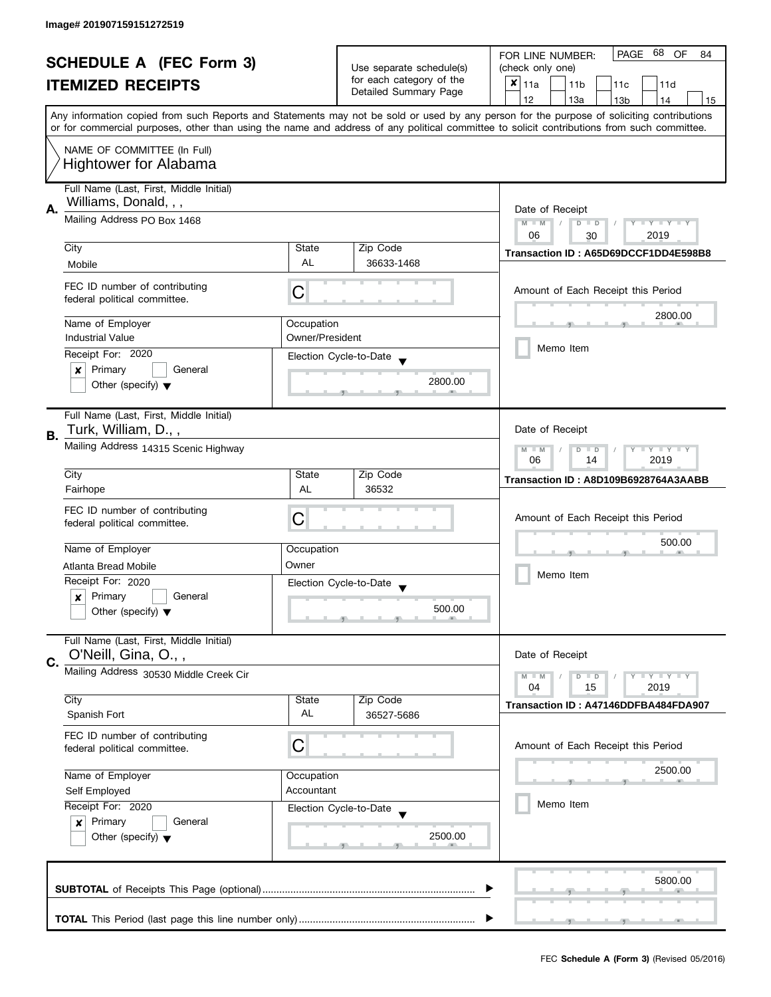| <b>SCHEDULE A (FEC Form 3)</b><br><b>ITEMIZED RECEIPTS</b> |                                         |                                                   | 68<br>PAGE<br>OF<br>FOR LINE NUMBER:<br>84              |                                                                                                                                            |
|------------------------------------------------------------|-----------------------------------------|---------------------------------------------------|---------------------------------------------------------|--------------------------------------------------------------------------------------------------------------------------------------------|
|                                                            |                                         | Use separate schedule(s)                          | (check only one)                                        |                                                                                                                                            |
|                                                            |                                         | for each category of the<br>Detailed Summary Page | $x _{11a}$<br>11 <sub>b</sub><br>11d<br>11 <sub>c</sub> |                                                                                                                                            |
|                                                            |                                         |                                                   |                                                         | 12<br>13a<br>13 <sub>b</sub><br>15<br>14                                                                                                   |
|                                                            |                                         |                                                   |                                                         | Any information copied from such Reports and Statements may not be sold or used by any person for the purpose of soliciting contributions  |
|                                                            |                                         |                                                   |                                                         | or for commercial purposes, other than using the name and address of any political committee to solicit contributions from such committee. |
|                                                            | NAME OF COMMITTEE (In Full)             |                                                   |                                                         |                                                                                                                                            |
|                                                            |                                         |                                                   |                                                         |                                                                                                                                            |
|                                                            | <b>Hightower for Alabama</b>            |                                                   |                                                         |                                                                                                                                            |
|                                                            | Full Name (Last, First, Middle Initial) |                                                   |                                                         |                                                                                                                                            |
|                                                            | Williams, Donald, , ,                   |                                                   |                                                         |                                                                                                                                            |
| А.                                                         | Mailing Address PO Box 1468             |                                                   |                                                         | Date of Receipt                                                                                                                            |
|                                                            |                                         |                                                   |                                                         | $M - M$<br>$Y - Y - Y - Y - Y$<br>$\sqrt{2}$<br>$D$ $D$<br>06<br>2019                                                                      |
|                                                            | City                                    | State                                             | Zip Code                                                | 30                                                                                                                                         |
|                                                            | Mobile                                  | <b>AL</b>                                         | 36633-1468                                              | Transaction ID: A65D69DCCF1DD4E598B8                                                                                                       |
|                                                            |                                         |                                                   |                                                         |                                                                                                                                            |
|                                                            | FEC ID number of contributing           |                                                   |                                                         | Amount of Each Receipt this Period                                                                                                         |
|                                                            | federal political committee.            | C                                                 |                                                         |                                                                                                                                            |
|                                                            |                                         |                                                   |                                                         | 2800.00                                                                                                                                    |
|                                                            | Name of Employer                        | Occupation                                        |                                                         |                                                                                                                                            |
|                                                            | <b>Industrial Value</b>                 | Owner/President                                   |                                                         | Memo Item                                                                                                                                  |
|                                                            | Receipt For: 2020                       |                                                   | Election Cycle-to-Date                                  |                                                                                                                                            |
|                                                            | Primary<br>General<br>×                 |                                                   |                                                         |                                                                                                                                            |
|                                                            | Other (specify) $\blacktriangledown$    |                                                   | 2800.00                                                 |                                                                                                                                            |
|                                                            |                                         |                                                   |                                                         |                                                                                                                                            |
|                                                            | Full Name (Last, First, Middle Initial) |                                                   |                                                         |                                                                                                                                            |
| В.                                                         | Turk, William, D.,,                     |                                                   |                                                         | Date of Receipt                                                                                                                            |
|                                                            | Mailing Address 14315 Scenic Highway    |                                                   |                                                         | $Y = Y = Y$<br>$-M$<br>D<br>$\Box$                                                                                                         |
|                                                            |                                         |                                                   |                                                         | 2019<br>06<br>14                                                                                                                           |
|                                                            | City                                    | State                                             | Zip Code                                                | Transaction ID: A8D109B6928764A3AABB                                                                                                       |
|                                                            | Fairhope                                | AL                                                | 36532                                                   |                                                                                                                                            |
|                                                            | FEC ID number of contributing           |                                                   |                                                         |                                                                                                                                            |
|                                                            | federal political committee.            | C                                                 |                                                         | Amount of Each Receipt this Period                                                                                                         |
|                                                            |                                         |                                                   |                                                         | 500.00                                                                                                                                     |
|                                                            | Name of Employer                        | Occupation                                        |                                                         |                                                                                                                                            |
|                                                            | Atlanta Bread Mobile                    | Owner                                             |                                                         |                                                                                                                                            |
|                                                            | Receipt For: 2020                       |                                                   | Election Cycle-to-Date                                  | Memo Item                                                                                                                                  |
|                                                            | Primary<br>General<br>x                 |                                                   |                                                         |                                                                                                                                            |
|                                                            | Other (specify) $\blacktriangledown$    |                                                   | 500.00                                                  |                                                                                                                                            |
|                                                            |                                         |                                                   |                                                         |                                                                                                                                            |
|                                                            | Full Name (Last, First, Middle Initial) |                                                   |                                                         |                                                                                                                                            |
| C.                                                         | O'Neill, Gina, O.,,                     |                                                   |                                                         | Date of Receipt                                                                                                                            |
|                                                            | Mailing Address 30530 Middle Creek Cir  |                                                   |                                                         | $Y = Y + Y$<br>$M - M$<br>$\overline{D}$<br>$\Box$                                                                                         |
|                                                            |                                         |                                                   |                                                         | 15<br>2019<br>04                                                                                                                           |
|                                                            | City                                    | State                                             | Zip Code                                                | Transaction ID: A47146DDFBA484FDA907                                                                                                       |
|                                                            | Spanish Fort                            | AL                                                | 36527-5686                                              |                                                                                                                                            |
|                                                            | FEC ID number of contributing           |                                                   |                                                         |                                                                                                                                            |
|                                                            | federal political committee.            | С                                                 |                                                         | Amount of Each Receipt this Period                                                                                                         |
|                                                            |                                         |                                                   |                                                         |                                                                                                                                            |
|                                                            | Name of Employer                        | Occupation                                        |                                                         | 2500.00                                                                                                                                    |
|                                                            | Accountant<br>Self Employed             |                                                   |                                                         |                                                                                                                                            |
|                                                            | Receipt For: 2020                       |                                                   | Election Cycle-to-Date                                  | Memo Item                                                                                                                                  |
|                                                            | Primary<br>General<br>$\boldsymbol{x}$  |                                                   |                                                         |                                                                                                                                            |
|                                                            | Other (specify) $\blacktriangledown$    |                                                   | 2500.00                                                 |                                                                                                                                            |
|                                                            |                                         |                                                   |                                                         |                                                                                                                                            |
|                                                            |                                         |                                                   |                                                         |                                                                                                                                            |
|                                                            |                                         |                                                   |                                                         | 5800.00                                                                                                                                    |
|                                                            |                                         |                                                   |                                                         |                                                                                                                                            |
|                                                            |                                         |                                                   |                                                         |                                                                                                                                            |
|                                                            |                                         |                                                   |                                                         |                                                                                                                                            |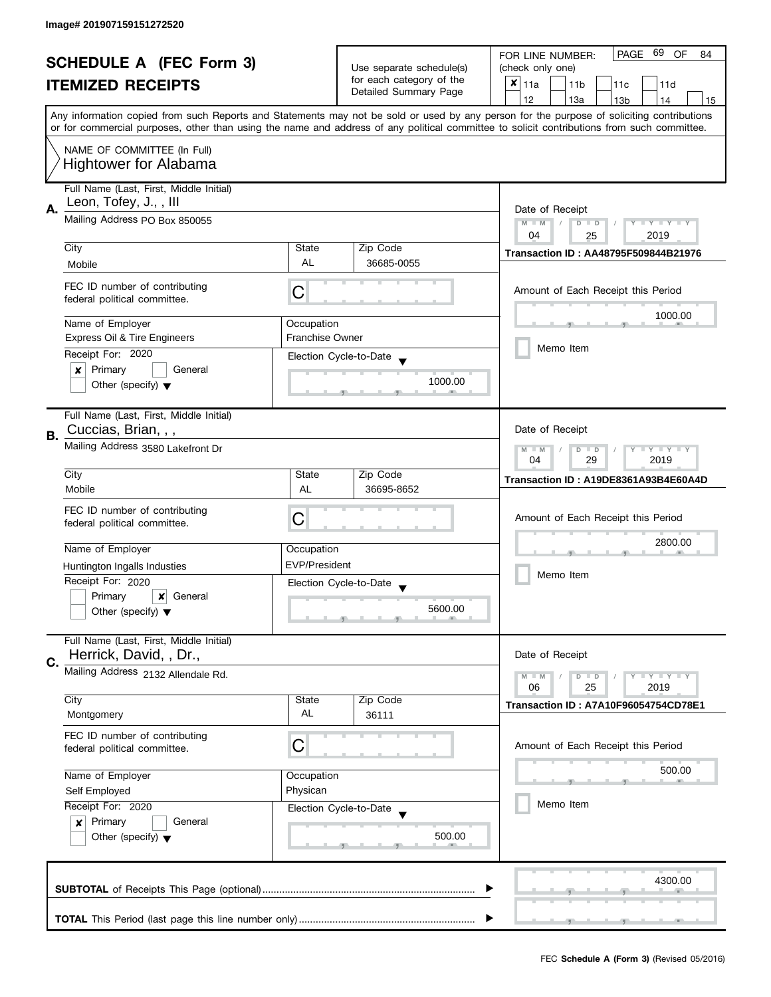|                                |                                                                                                   |                          |                          | 69<br>PAGE<br><b>OF</b><br>FOR LINE NUMBER:<br>84                                                                                          |  |
|--------------------------------|---------------------------------------------------------------------------------------------------|--------------------------|--------------------------|--------------------------------------------------------------------------------------------------------------------------------------------|--|
| <b>SCHEDULE A (FEC Form 3)</b> |                                                                                                   | Use separate schedule(s) | (check only one)         |                                                                                                                                            |  |
|                                | <b>ITEMIZED RECEIPTS</b>                                                                          |                          | for each category of the | $x _{11a}$<br>11 <sub>b</sub><br>11c<br>11d                                                                                                |  |
|                                |                                                                                                   |                          | Detailed Summary Page    | 12<br>13a<br>13 <sub>b</sub><br>14<br>15                                                                                                   |  |
|                                |                                                                                                   |                          |                          | Any information copied from such Reports and Statements may not be sold or used by any person for the purpose of soliciting contributions  |  |
|                                |                                                                                                   |                          |                          | or for commercial purposes, other than using the name and address of any political committee to solicit contributions from such committee. |  |
|                                | NAME OF COMMITTEE (In Full)                                                                       |                          |                          |                                                                                                                                            |  |
|                                | <b>Hightower for Alabama</b>                                                                      |                          |                          |                                                                                                                                            |  |
|                                |                                                                                                   |                          |                          |                                                                                                                                            |  |
|                                | Full Name (Last, First, Middle Initial)<br>Leon, Tofey, J.,, III<br>Mailing Address PO Box 850055 |                          |                          |                                                                                                                                            |  |
| А.                             |                                                                                                   |                          |                          | Date of Receipt                                                                                                                            |  |
|                                |                                                                                                   |                          |                          | $M - M$<br>$\sqrt{2}$<br>Y I Y I Y I Y<br>$D$ $D$<br>2019<br>04                                                                            |  |
|                                | City                                                                                              | State                    | Zip Code                 | 25                                                                                                                                         |  |
|                                | Mobile                                                                                            | AL                       | 36685-0055               | <b>Transaction ID: AA48795F509844B21976</b>                                                                                                |  |
|                                |                                                                                                   |                          |                          |                                                                                                                                            |  |
|                                | FEC ID number of contributing<br>federal political committee.                                     | C                        |                          | Amount of Each Receipt this Period                                                                                                         |  |
|                                |                                                                                                   |                          |                          | 1000.00                                                                                                                                    |  |
|                                | Name of Employer                                                                                  | Occupation               |                          |                                                                                                                                            |  |
|                                | <b>Express Oil &amp; Tire Engineers</b>                                                           | <b>Franchise Owner</b>   |                          | Memo Item                                                                                                                                  |  |
|                                | Receipt For: 2020                                                                                 |                          | Election Cycle-to-Date   |                                                                                                                                            |  |
|                                | Primary<br>General<br>×                                                                           |                          | 1000.00                  |                                                                                                                                            |  |
|                                | Other (specify) $\blacktriangledown$                                                              |                          |                          |                                                                                                                                            |  |
|                                | Full Name (Last, First, Middle Initial)                                                           |                          |                          |                                                                                                                                            |  |
| В.                             | Cuccias, Brian, , ,                                                                               |                          |                          | Date of Receipt                                                                                                                            |  |
|                                | Mailing Address 3580 Lakefront Dr                                                                 |                          |                          | $Y - Y - Y$<br>$M - M$<br>D<br>$\Box$                                                                                                      |  |
|                                |                                                                                                   |                          |                          | 29<br>2019<br>04                                                                                                                           |  |
|                                | City                                                                                              | State                    | Zip Code                 | Transaction ID: A19DE8361A93B4E60A4D                                                                                                       |  |
|                                | Mobile                                                                                            | AL                       | 36695-8652               |                                                                                                                                            |  |
|                                | FEC ID number of contributing                                                                     | С                        |                          | Amount of Each Receipt this Period                                                                                                         |  |
|                                | federal political committee.                                                                      |                          |                          |                                                                                                                                            |  |
|                                | Name of Employer                                                                                  | Occupation               |                          | 2800.00                                                                                                                                    |  |
|                                | Huntington Ingalls Industies                                                                      | <b>EVP/President</b>     |                          |                                                                                                                                            |  |
|                                | Receipt For: 2020                                                                                 |                          | Election Cycle-to-Date   | Memo Item                                                                                                                                  |  |
|                                | Primary<br>$\boldsymbol{x}$<br>General                                                            |                          |                          |                                                                                                                                            |  |
|                                | Other (specify) $\blacktriangledown$                                                              |                          | 5600.00                  |                                                                                                                                            |  |
|                                | Full Name (Last, First, Middle Initial)                                                           |                          |                          |                                                                                                                                            |  |
|                                | Herrick, David, , Dr.,                                                                            |                          |                          | Date of Receipt                                                                                                                            |  |
| C.                             | Mailing Address 2132 Allendale Rd.                                                                |                          |                          | $Y = Y = Y$<br>$M - M$<br>$D$ $D$                                                                                                          |  |
|                                |                                                                                                   |                          |                          | 06<br>25<br>2019                                                                                                                           |  |
|                                | City                                                                                              | State                    | Zip Code                 | Transaction ID: A7A10F96054754CD78E1                                                                                                       |  |
|                                | Montgomery                                                                                        | AL                       | 36111                    |                                                                                                                                            |  |
|                                | FEC ID number of contributing                                                                     | C                        |                          | Amount of Each Receipt this Period                                                                                                         |  |
|                                | federal political committee.                                                                      |                          |                          |                                                                                                                                            |  |
|                                | Name of Employer                                                                                  | Occupation               |                          | 500.00                                                                                                                                     |  |
|                                | Self Employed                                                                                     | Physican                 |                          |                                                                                                                                            |  |
|                                | Receipt For: 2020<br>Election Cycle-to-Date<br>Primary<br>General<br>$\boldsymbol{x}$             |                          |                          | Memo Item                                                                                                                                  |  |
|                                |                                                                                                   |                          |                          |                                                                                                                                            |  |
|                                | Other (specify) $\blacktriangledown$                                                              |                          | 500.00                   |                                                                                                                                            |  |
|                                |                                                                                                   |                          |                          |                                                                                                                                            |  |
|                                |                                                                                                   |                          |                          | 4300.00                                                                                                                                    |  |
|                                |                                                                                                   |                          |                          |                                                                                                                                            |  |
|                                |                                                                                                   |                          |                          |                                                                                                                                            |  |
|                                |                                                                                                   |                          |                          |                                                                                                                                            |  |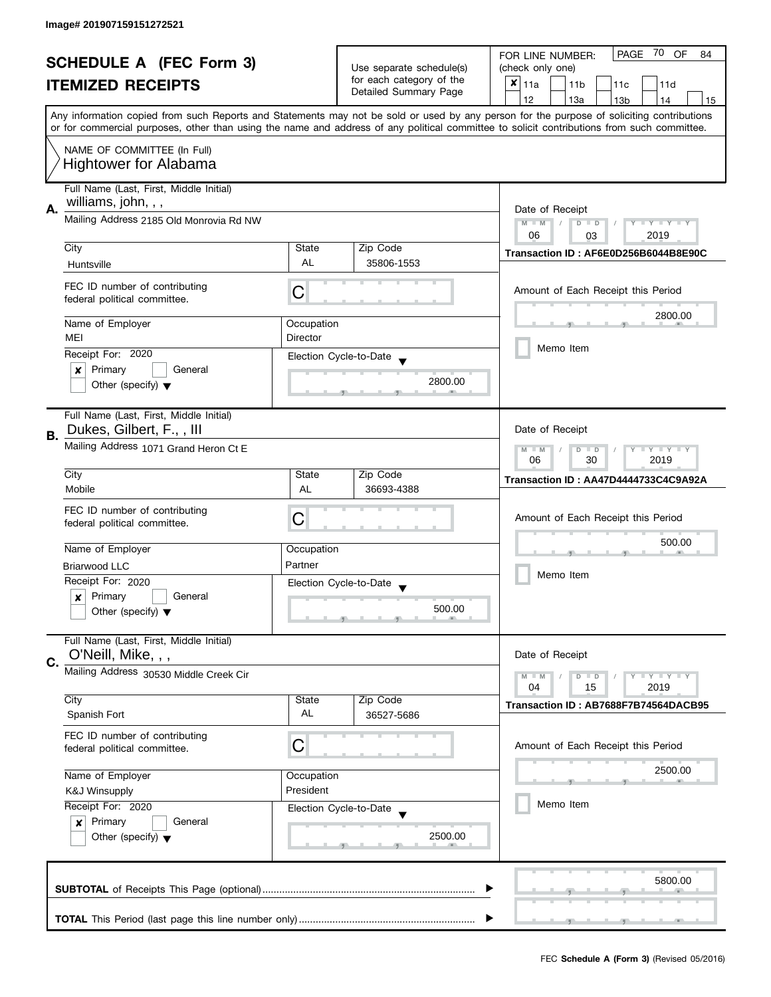|    | <b>SCHEDULE A (FEC Form 3)</b><br><b>ITEMIZED RECEIPTS</b>                                                                                                                                                                                                                                                                                                                                                                 |                                                   | Use separate schedule(s)<br>for each category of the<br>Detailed Summary Page | PAGE 70 OF<br>FOR LINE NUMBER:<br>84<br>(check only one)<br>$\pmb{\times}$<br>11a<br>11 <sub>b</sub><br>11c<br>11d<br>12<br>13a<br>13 <sub>b</sub><br>14<br>15                                                                                                                          |
|----|----------------------------------------------------------------------------------------------------------------------------------------------------------------------------------------------------------------------------------------------------------------------------------------------------------------------------------------------------------------------------------------------------------------------------|---------------------------------------------------|-------------------------------------------------------------------------------|-----------------------------------------------------------------------------------------------------------------------------------------------------------------------------------------------------------------------------------------------------------------------------------------|
|    | NAME OF COMMITTEE (In Full)<br><b>Hightower for Alabama</b>                                                                                                                                                                                                                                                                                                                                                                |                                                   |                                                                               | Any information copied from such Reports and Statements may not be sold or used by any person for the purpose of soliciting contributions<br>or for commercial purposes, other than using the name and address of any political committee to solicit contributions from such committee. |
| Α. | Full Name (Last, First, Middle Initial)<br>williams, john, , ,<br>Mailing Address 2185 Old Monrovia Rd NW<br>City<br>Huntsville<br>FEC ID number of contributing<br>federal political committee.<br>Name of Employer<br>MEI<br>Receipt For: 2020<br>Primary<br>General<br>x                                                                                                                                                | State<br>AL<br>С<br>Occupation<br><b>Director</b> | Zip Code<br>35806-1553<br>Election Cycle-to-Date                              | Date of Receipt<br>Y TY TY TY<br>$M - M$<br>$D$ $D$<br>06<br>2019<br>03<br>Transaction ID: AF6E0D256B6044B8E90C<br>Amount of Each Receipt this Period<br>2800.00<br>Memo Item                                                                                                           |
| В. | Other (specify) $\blacktriangledown$<br>Full Name (Last, First, Middle Initial)<br>Dukes, Gilbert, F.,, III<br>Mailing Address 1071 Grand Heron Ct E<br>City<br>Mobile<br>FEC ID number of contributing<br>federal political committee.<br>Name of Employer<br><b>Briarwood LLC</b><br>Receipt For: 2020                                                                                                                   | State<br>AL<br>C<br>Occupation<br>Partner         | 2800.00<br>Zip Code<br>36693-4388<br>Election Cycle-to-Date                   | Date of Receipt<br>$Y - Y - Y - Y - Y$<br>$D$ $D$<br>$M - M$<br>06<br>30<br>2019<br>Transaction ID: AA47D4444733C4C9A92A<br>Amount of Each Receipt this Period<br>500.00<br>Memo Item                                                                                                   |
| C. | Primary<br>General<br>$\boldsymbol{x}$<br>Other (specify) $\blacktriangledown$<br>Full Name (Last, First, Middle Initial)<br>O'Neill, Mike, , ,<br>Mailing Address 30530 Middle Creek Cir<br>City<br>Spanish Fort<br>FEC ID number of contributing<br>federal political committee.<br>Name of Employer<br><b>K&amp;J Winsupply</b><br>Receipt For: 2020<br>Primary<br>General<br>×<br>Other (specify) $\blacktriangledown$ | State<br>AL<br>C<br>Occupation<br>President       | 500.00<br>Zip Code<br>36527-5686<br>Election Cycle-to-Date<br>2500.00         | Date of Receipt<br>Y I Y I Y I Y<br>$M - M$<br>$D$ $D$<br>04<br>2019<br>15<br>Transaction ID: AB7688F7B74564DACB95<br>Amount of Each Receipt this Period<br>2500.00<br>Memo Item                                                                                                        |
|    |                                                                                                                                                                                                                                                                                                                                                                                                                            |                                                   |                                                                               | 5800.00                                                                                                                                                                                                                                                                                 |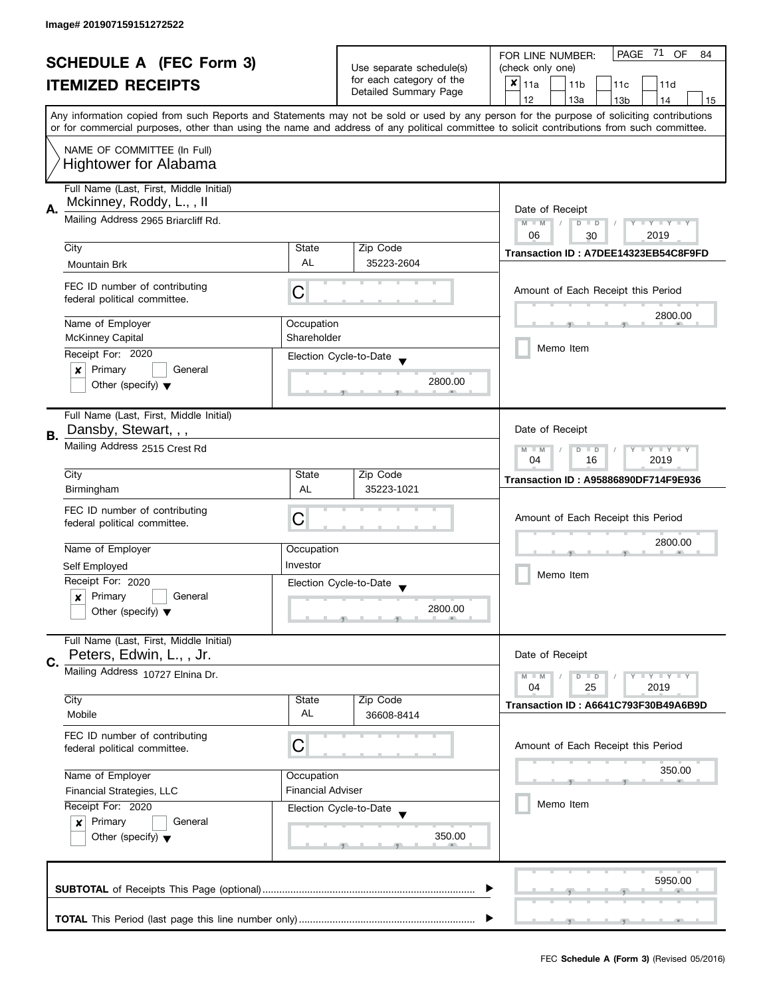| <b>SCHEDULE A (FEC Form 3)</b> |                                                                                       |             | -71<br>PAGE<br>OF<br>FOR LINE NUMBER:<br>84 |                                                                                                                                            |  |
|--------------------------------|---------------------------------------------------------------------------------------|-------------|---------------------------------------------|--------------------------------------------------------------------------------------------------------------------------------------------|--|
|                                | <b>ITEMIZED RECEIPTS</b>                                                              |             | Use separate schedule(s)                    | (check only one)                                                                                                                           |  |
|                                |                                                                                       |             | for each category of the                    | $x _{11a}$<br>11 <sub>b</sub><br>11c<br>11d                                                                                                |  |
|                                |                                                                                       |             | Detailed Summary Page                       | 12<br>13a<br>14<br>13 <sub>b</sub><br>15                                                                                                   |  |
|                                |                                                                                       |             |                                             | Any information copied from such Reports and Statements may not be sold or used by any person for the purpose of soliciting contributions  |  |
|                                |                                                                                       |             |                                             | or for commercial purposes, other than using the name and address of any political committee to solicit contributions from such committee. |  |
|                                |                                                                                       |             |                                             |                                                                                                                                            |  |
|                                | NAME OF COMMITTEE (In Full)                                                           |             |                                             |                                                                                                                                            |  |
|                                | <b>Hightower for Alabama</b>                                                          |             |                                             |                                                                                                                                            |  |
|                                | Full Name (Last, First, Middle Initial)                                               |             |                                             |                                                                                                                                            |  |
|                                |                                                                                       |             |                                             |                                                                                                                                            |  |
| А.                             | Mckinney, Roddy, L.,, II                                                              |             |                                             | Date of Receipt                                                                                                                            |  |
|                                | Mailing Address 2965 Briarcliff Rd.                                                   |             |                                             | $M - M$<br>Y TY TY TY<br>$D$ $D$                                                                                                           |  |
|                                |                                                                                       |             |                                             | 06<br>2019<br>30                                                                                                                           |  |
|                                | City                                                                                  | State       | Zip Code                                    | Transaction ID: A7DEE14323EB54C8F9FD                                                                                                       |  |
|                                | Mountain Brk                                                                          | AL          | 35223-2604                                  |                                                                                                                                            |  |
|                                |                                                                                       |             |                                             |                                                                                                                                            |  |
|                                | FEC ID number of contributing<br>federal political committee.                         | С           |                                             | Amount of Each Receipt this Period                                                                                                         |  |
|                                |                                                                                       |             |                                             |                                                                                                                                            |  |
|                                | Name of Employer                                                                      | Occupation  |                                             | 2800.00                                                                                                                                    |  |
|                                | <b>McKinney Capital</b>                                                               | Shareholder |                                             |                                                                                                                                            |  |
|                                | Receipt For: 2020                                                                     |             |                                             | Memo Item                                                                                                                                  |  |
|                                | Primary<br>General<br>×                                                               |             | Election Cycle-to-Date                      |                                                                                                                                            |  |
|                                |                                                                                       |             | 2800.00                                     |                                                                                                                                            |  |
|                                | Other (specify) $\blacktriangledown$                                                  |             |                                             |                                                                                                                                            |  |
|                                |                                                                                       |             |                                             |                                                                                                                                            |  |
|                                | Full Name (Last, First, Middle Initial)                                               |             |                                             |                                                                                                                                            |  |
| В.                             | Dansby, Stewart, , ,                                                                  |             |                                             | Date of Receipt                                                                                                                            |  |
|                                | Mailing Address 2515 Crest Rd                                                         |             |                                             | <b>LYLYLY</b><br>$M - M$<br>D<br>$\Box$                                                                                                    |  |
|                                |                                                                                       |             |                                             | 2019<br>04<br>16                                                                                                                           |  |
|                                | City                                                                                  | State       | Zip Code                                    | <b>Transaction ID: A95886890DF714F9E936</b>                                                                                                |  |
|                                | Birmingham                                                                            | AL          | 35223-1021                                  |                                                                                                                                            |  |
|                                | FEC ID number of contributing                                                         |             |                                             |                                                                                                                                            |  |
|                                | federal political committee.                                                          | C           |                                             | Amount of Each Receipt this Period                                                                                                         |  |
|                                |                                                                                       |             |                                             | 2800.00                                                                                                                                    |  |
|                                | Name of Employer                                                                      | Occupation  |                                             |                                                                                                                                            |  |
|                                | Self Employed                                                                         | Investor    |                                             |                                                                                                                                            |  |
|                                | Receipt For: 2020                                                                     |             | Election Cycle-to-Date                      | Memo Item                                                                                                                                  |  |
|                                | Primary<br>General<br>$\boldsymbol{x}$                                                |             |                                             |                                                                                                                                            |  |
|                                | Other (specify) $\blacktriangledown$                                                  |             | 2800.00                                     |                                                                                                                                            |  |
|                                |                                                                                       |             |                                             |                                                                                                                                            |  |
|                                | Full Name (Last, First, Middle Initial)                                               |             |                                             |                                                                                                                                            |  |
|                                | Peters, Edwin, L., , Jr.                                                              |             |                                             | Date of Receipt                                                                                                                            |  |
| C.                             | Mailing Address 10727 Elnina Dr.                                                      |             |                                             |                                                                                                                                            |  |
|                                |                                                                                       |             |                                             | $Y = Y = Y$<br>$M - M$<br>$D$ $D$<br>04<br>25<br>2019                                                                                      |  |
|                                | City                                                                                  | State       | Zip Code                                    |                                                                                                                                            |  |
|                                | Mobile                                                                                | AL          | 36608-8414                                  | Transaction ID: A6641C793F30B49A6B9D                                                                                                       |  |
|                                |                                                                                       |             |                                             |                                                                                                                                            |  |
|                                | FEC ID number of contributing                                                         | С           |                                             | Amount of Each Receipt this Period                                                                                                         |  |
|                                | federal political committee.                                                          |             |                                             |                                                                                                                                            |  |
|                                | Name of Employer                                                                      |             |                                             | 350.00                                                                                                                                     |  |
|                                | Occupation<br><b>Financial Adviser</b>                                                |             |                                             |                                                                                                                                            |  |
|                                | Financial Strategies, LLC                                                             |             |                                             | Memo Item                                                                                                                                  |  |
|                                | Receipt For: 2020<br>Election Cycle-to-Date<br>Primary<br>General<br>$\boldsymbol{x}$ |             |                                             |                                                                                                                                            |  |
|                                |                                                                                       |             |                                             |                                                                                                                                            |  |
|                                | Other (specify) $\blacktriangledown$                                                  |             | 350.00                                      |                                                                                                                                            |  |
|                                |                                                                                       |             |                                             |                                                                                                                                            |  |
|                                |                                                                                       |             |                                             |                                                                                                                                            |  |
|                                |                                                                                       |             |                                             | 5950.00                                                                                                                                    |  |
|                                |                                                                                       |             |                                             |                                                                                                                                            |  |
|                                |                                                                                       |             |                                             |                                                                                                                                            |  |
|                                |                                                                                       |             |                                             |                                                                                                                                            |  |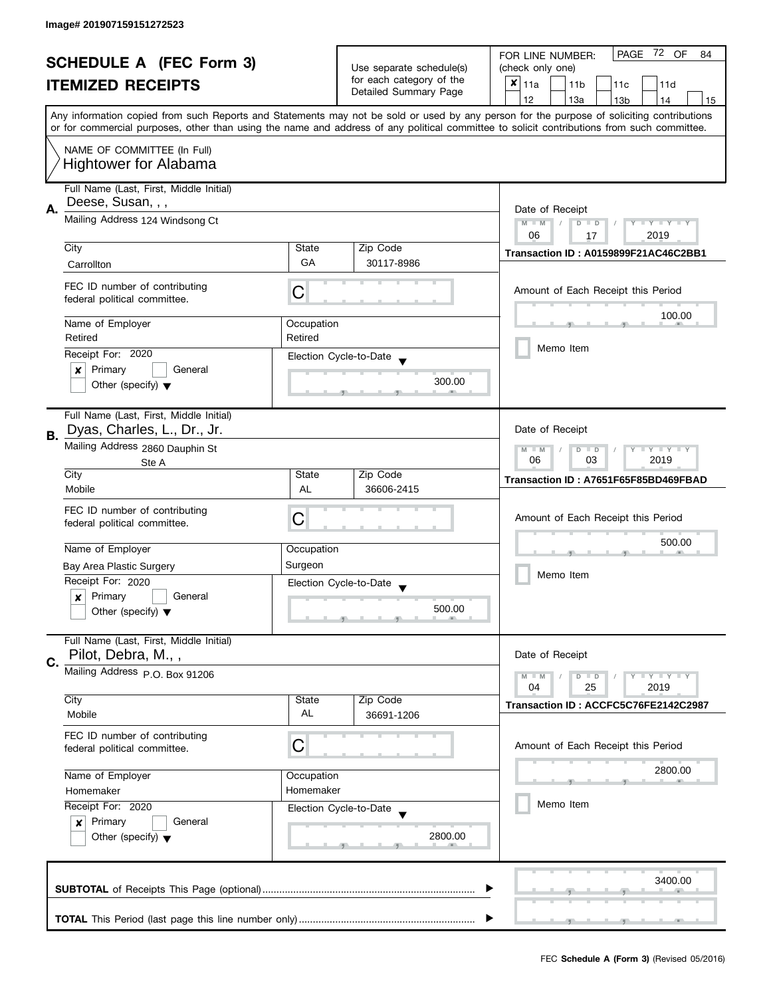| <b>SCHEDULE A (FEC Form 3)</b> |                                                                                                                                                         |                          | PAGE<br>72 OF<br>FOR LINE NUMBER:<br>84 |                                                                                                                                            |
|--------------------------------|---------------------------------------------------------------------------------------------------------------------------------------------------------|--------------------------|-----------------------------------------|--------------------------------------------------------------------------------------------------------------------------------------------|
|                                |                                                                                                                                                         | Use separate schedule(s) | (check only one)                        |                                                                                                                                            |
|                                | <b>ITEMIZED RECEIPTS</b>                                                                                                                                |                          | for each category of the                | $x _{11a}$<br>11 <sub>b</sub><br>11c<br>11d                                                                                                |
|                                |                                                                                                                                                         |                          | Detailed Summary Page                   | 12<br>13a<br>13 <sub>b</sub><br>14<br>15                                                                                                   |
|                                |                                                                                                                                                         |                          |                                         | Any information copied from such Reports and Statements may not be sold or used by any person for the purpose of soliciting contributions  |
|                                |                                                                                                                                                         |                          |                                         | or for commercial purposes, other than using the name and address of any political committee to solicit contributions from such committee. |
|                                | NAME OF COMMITTEE (In Full)                                                                                                                             |                          |                                         |                                                                                                                                            |
|                                | <b>Hightower for Alabama</b>                                                                                                                            |                          |                                         |                                                                                                                                            |
|                                |                                                                                                                                                         |                          |                                         |                                                                                                                                            |
|                                | Full Name (Last, First, Middle Initial)                                                                                                                 |                          |                                         |                                                                                                                                            |
|                                | Deese, Susan, , ,                                                                                                                                       |                          |                                         |                                                                                                                                            |
| А.                             | Mailing Address 124 Windsong Ct                                                                                                                         |                          |                                         | Date of Receipt<br>$M - M$<br>Y I Y I Y I Y<br>$\overline{D}$<br>$\Box$                                                                    |
|                                |                                                                                                                                                         |                          |                                         | 06<br>2019<br>17                                                                                                                           |
|                                | City                                                                                                                                                    | State                    | Zip Code                                |                                                                                                                                            |
|                                | Carrollton                                                                                                                                              | GA                       | 30117-8986                              | Transaction ID: A0159899F21AC46C2BB1                                                                                                       |
|                                |                                                                                                                                                         |                          |                                         |                                                                                                                                            |
|                                | FEC ID number of contributing                                                                                                                           | С                        |                                         | Amount of Each Receipt this Period                                                                                                         |
|                                | federal political committee.                                                                                                                            |                          |                                         |                                                                                                                                            |
|                                | Name of Employer                                                                                                                                        | Occupation               |                                         | 100.00                                                                                                                                     |
|                                | Retired                                                                                                                                                 | Retired                  |                                         |                                                                                                                                            |
|                                | Receipt For: 2020                                                                                                                                       |                          |                                         | Memo Item                                                                                                                                  |
|                                | Primary<br>General<br>x                                                                                                                                 |                          | Election Cycle-to-Date                  |                                                                                                                                            |
|                                | Other (specify) $\blacktriangledown$                                                                                                                    |                          | 300.00                                  |                                                                                                                                            |
|                                |                                                                                                                                                         |                          |                                         |                                                                                                                                            |
|                                | Full Name (Last, First, Middle Initial)                                                                                                                 |                          |                                         |                                                                                                                                            |
|                                | Dyas, Charles, L., Dr., Jr.                                                                                                                             |                          |                                         | Date of Receipt                                                                                                                            |
| В.                             | Mailing Address 2860 Dauphin St                                                                                                                         |                          |                                         |                                                                                                                                            |
|                                |                                                                                                                                                         |                          |                                         | $Y - Y - Y$<br>$-M$<br>D<br>$\Box$<br>03<br>2019<br>06                                                                                     |
|                                | Ste A<br>City                                                                                                                                           | State                    | Zip Code                                |                                                                                                                                            |
|                                | Mobile                                                                                                                                                  | AL                       | 36606-2415                              | Transaction ID: A7651F65F85BD469FBAD                                                                                                       |
|                                |                                                                                                                                                         |                          |                                         |                                                                                                                                            |
|                                | FEC ID number of contributing                                                                                                                           | C                        |                                         | Amount of Each Receipt this Period                                                                                                         |
|                                | federal political committee.                                                                                                                            |                          |                                         |                                                                                                                                            |
|                                | Name of Employer                                                                                                                                        | Occupation               |                                         | 500.00                                                                                                                                     |
|                                | Bay Area Plastic Surgery                                                                                                                                | Surgeon                  |                                         |                                                                                                                                            |
|                                | Receipt For: 2020                                                                                                                                       |                          |                                         | Memo Item                                                                                                                                  |
|                                | Primary<br>General<br>x                                                                                                                                 |                          | Election Cycle-to-Date                  |                                                                                                                                            |
|                                | Other (specify) $\blacktriangledown$                                                                                                                    |                          | 500.00                                  |                                                                                                                                            |
|                                |                                                                                                                                                         |                          |                                         |                                                                                                                                            |
|                                | Full Name (Last, First, Middle Initial)                                                                                                                 |                          |                                         |                                                                                                                                            |
|                                | Pilot, Debra, M.,,                                                                                                                                      |                          |                                         | Date of Receipt                                                                                                                            |
| C.                             | Mailing Address P.O. Box 91206                                                                                                                          |                          |                                         | $Y = Y = Y$<br>$D$ $D$                                                                                                                     |
|                                |                                                                                                                                                         |                          |                                         | $M - M$<br>04<br>2019<br>25                                                                                                                |
|                                | City                                                                                                                                                    | State                    | Zip Code                                | Transaction ID: ACCFC5C76FE2142C2987                                                                                                       |
|                                | Mobile                                                                                                                                                  | AL                       | 36691-1206                              |                                                                                                                                            |
|                                | FEC ID number of contributing                                                                                                                           |                          |                                         |                                                                                                                                            |
|                                | federal political committee.                                                                                                                            | C                        |                                         | Amount of Each Receipt this Period                                                                                                         |
|                                |                                                                                                                                                         |                          |                                         |                                                                                                                                            |
|                                | Name of Employer                                                                                                                                        | Occupation               |                                         | 2800.00                                                                                                                                    |
|                                | Homemaker<br>Homemaker<br>Receipt For: 2020<br>Election Cycle-to-Date<br>Primary<br>General<br>$\boldsymbol{x}$<br>Other (specify) $\blacktriangledown$ |                          |                                         |                                                                                                                                            |
|                                |                                                                                                                                                         |                          |                                         | Memo Item                                                                                                                                  |
|                                |                                                                                                                                                         |                          |                                         |                                                                                                                                            |
|                                |                                                                                                                                                         |                          | 2800.00                                 |                                                                                                                                            |
|                                |                                                                                                                                                         |                          |                                         |                                                                                                                                            |
|                                |                                                                                                                                                         |                          |                                         |                                                                                                                                            |
|                                |                                                                                                                                                         |                          |                                         | 3400.00                                                                                                                                    |
|                                |                                                                                                                                                         |                          |                                         |                                                                                                                                            |
|                                |                                                                                                                                                         |                          |                                         |                                                                                                                                            |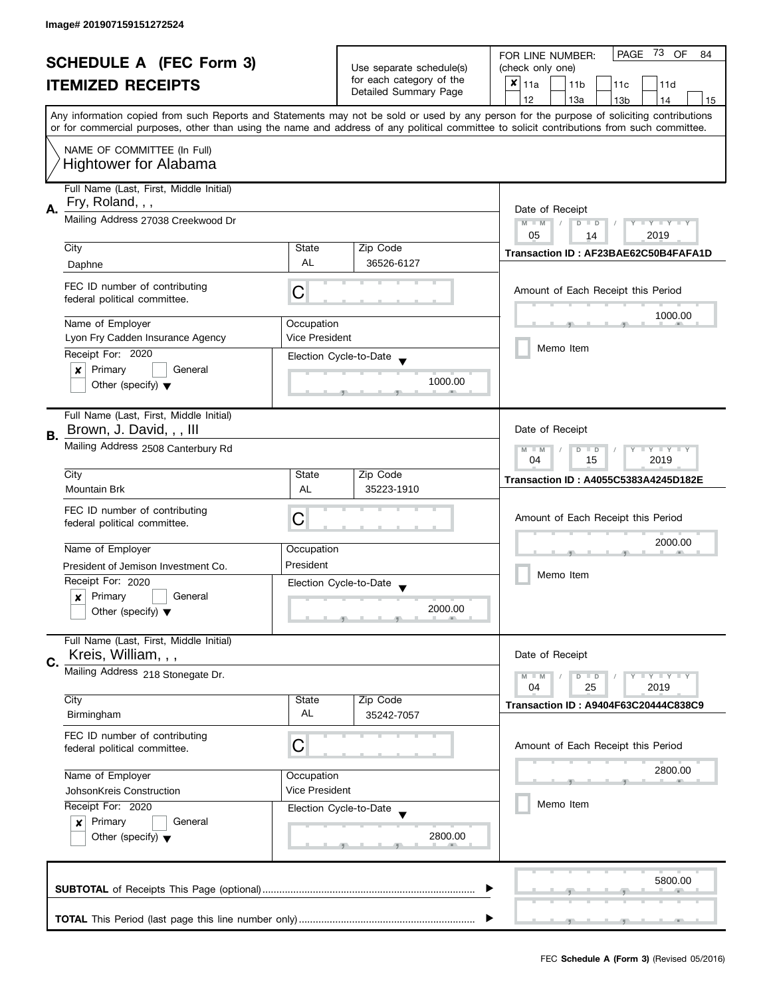| <b>SCHEDULE A (FEC Form 3)</b> |                                                                     |                                                           |                                                   | -73<br>OF<br>PAGE<br>FOR LINE NUMBER:<br>84                                                                                                                                                                                                                                             |  |  |  |  |  |  |
|--------------------------------|---------------------------------------------------------------------|-----------------------------------------------------------|---------------------------------------------------|-----------------------------------------------------------------------------------------------------------------------------------------------------------------------------------------------------------------------------------------------------------------------------------------|--|--|--|--|--|--|
|                                |                                                                     | Use separate schedule(s)                                  | (check only one)                                  |                                                                                                                                                                                                                                                                                         |  |  |  |  |  |  |
|                                | <b>ITEMIZED RECEIPTS</b>                                            |                                                           | for each category of the<br>Detailed Summary Page | $x _{11a}$<br>11 <sub>b</sub><br>11 <sub>c</sub><br>11d                                                                                                                                                                                                                                 |  |  |  |  |  |  |
|                                |                                                                     |                                                           |                                                   | 12<br>13a<br>13 <sub>b</sub><br>14<br>15                                                                                                                                                                                                                                                |  |  |  |  |  |  |
|                                |                                                                     |                                                           |                                                   | Any information copied from such Reports and Statements may not be sold or used by any person for the purpose of soliciting contributions<br>or for commercial purposes, other than using the name and address of any political committee to solicit contributions from such committee. |  |  |  |  |  |  |
|                                |                                                                     |                                                           |                                                   |                                                                                                                                                                                                                                                                                         |  |  |  |  |  |  |
|                                | NAME OF COMMITTEE (In Full)                                         |                                                           |                                                   |                                                                                                                                                                                                                                                                                         |  |  |  |  |  |  |
|                                | <b>Hightower for Alabama</b>                                        |                                                           |                                                   |                                                                                                                                                                                                                                                                                         |  |  |  |  |  |  |
|                                | Full Name (Last, First, Middle Initial)                             |                                                           |                                                   |                                                                                                                                                                                                                                                                                         |  |  |  |  |  |  |
|                                | Fry, Roland, , ,                                                    |                                                           |                                                   |                                                                                                                                                                                                                                                                                         |  |  |  |  |  |  |
| Α.                             | Mailing Address 27038 Creekwood Dr                                  |                                                           |                                                   | Date of Receipt<br>$M - M$<br>$Y = Y = Y + Y$<br>$\overline{D}$<br>$\Box$                                                                                                                                                                                                               |  |  |  |  |  |  |
|                                |                                                                     |                                                           |                                                   | 05<br>2019<br>14                                                                                                                                                                                                                                                                        |  |  |  |  |  |  |
|                                | City                                                                | State                                                     | Zip Code                                          | Transaction ID: AF23BAE62C50B4FAFA1D                                                                                                                                                                                                                                                    |  |  |  |  |  |  |
|                                | Daphne                                                              | <b>AL</b>                                                 | 36526-6127                                        |                                                                                                                                                                                                                                                                                         |  |  |  |  |  |  |
|                                | FEC ID number of contributing                                       |                                                           |                                                   |                                                                                                                                                                                                                                                                                         |  |  |  |  |  |  |
|                                | federal political committee.                                        | C                                                         |                                                   | Amount of Each Receipt this Period                                                                                                                                                                                                                                                      |  |  |  |  |  |  |
|                                |                                                                     |                                                           |                                                   | 1000.00                                                                                                                                                                                                                                                                                 |  |  |  |  |  |  |
|                                | Name of Employer                                                    | Occupation                                                |                                                   |                                                                                                                                                                                                                                                                                         |  |  |  |  |  |  |
|                                | Lyon Fry Cadden Insurance Agency                                    | Vice President                                            |                                                   | Memo Item                                                                                                                                                                                                                                                                               |  |  |  |  |  |  |
|                                | Receipt For: 2020                                                   |                                                           | Election Cycle-to-Date                            |                                                                                                                                                                                                                                                                                         |  |  |  |  |  |  |
|                                | Primary<br>General<br>$\boldsymbol{x}$                              |                                                           | 1000.00                                           |                                                                                                                                                                                                                                                                                         |  |  |  |  |  |  |
|                                | Other (specify) $\blacktriangledown$                                |                                                           |                                                   |                                                                                                                                                                                                                                                                                         |  |  |  |  |  |  |
|                                |                                                                     |                                                           |                                                   |                                                                                                                                                                                                                                                                                         |  |  |  |  |  |  |
|                                | Full Name (Last, First, Middle Initial)<br>Brown, J. David, , , III |                                                           |                                                   | Date of Receipt                                                                                                                                                                                                                                                                         |  |  |  |  |  |  |
| В.                             |                                                                     |                                                           |                                                   |                                                                                                                                                                                                                                                                                         |  |  |  |  |  |  |
|                                | Mailing Address 2508 Canterbury Rd                                  | $Y - Y - Y$<br>$M - M$<br>D<br>$\Box$<br>15<br>2019<br>04 |                                                   |                                                                                                                                                                                                                                                                                         |  |  |  |  |  |  |
|                                | City                                                                | State                                                     | Zip Code                                          |                                                                                                                                                                                                                                                                                         |  |  |  |  |  |  |
|                                | Mountain Brk                                                        | AL                                                        | 35223-1910                                        | <b>Transaction ID: A4055C5383A4245D182E</b>                                                                                                                                                                                                                                             |  |  |  |  |  |  |
|                                | FEC ID number of contributing                                       |                                                           |                                                   |                                                                                                                                                                                                                                                                                         |  |  |  |  |  |  |
|                                | federal political committee.                                        | С                                                         |                                                   |                                                                                                                                                                                                                                                                                         |  |  |  |  |  |  |
|                                |                                                                     |                                                           |                                                   | 2000.00                                                                                                                                                                                                                                                                                 |  |  |  |  |  |  |
|                                | Name of Employer                                                    | Occupation                                                |                                                   |                                                                                                                                                                                                                                                                                         |  |  |  |  |  |  |
|                                | President of Jemison Investment Co.                                 | President                                                 |                                                   |                                                                                                                                                                                                                                                                                         |  |  |  |  |  |  |
|                                | Receipt For: 2020                                                   |                                                           | Election Cycle-to-Date                            | Memo Item                                                                                                                                                                                                                                                                               |  |  |  |  |  |  |
|                                | Primary<br>General<br>x                                             |                                                           |                                                   |                                                                                                                                                                                                                                                                                         |  |  |  |  |  |  |
|                                | Other (specify) $\blacktriangledown$                                |                                                           | 2000.00                                           |                                                                                                                                                                                                                                                                                         |  |  |  |  |  |  |
|                                |                                                                     |                                                           |                                                   |                                                                                                                                                                                                                                                                                         |  |  |  |  |  |  |
|                                | Full Name (Last, First, Middle Initial)<br>Kreis, William, , ,      |                                                           |                                                   | Date of Receipt                                                                                                                                                                                                                                                                         |  |  |  |  |  |  |
| C.                             |                                                                     |                                                           |                                                   |                                                                                                                                                                                                                                                                                         |  |  |  |  |  |  |
|                                | Mailing Address 218 Stonegate Dr.                                   |                                                           |                                                   | $Y = Y = Y$<br>$M - M$<br>$D$ $D$<br>04<br>2019<br>25                                                                                                                                                                                                                                   |  |  |  |  |  |  |
|                                | City                                                                | State                                                     | Zip Code                                          |                                                                                                                                                                                                                                                                                         |  |  |  |  |  |  |
|                                | Birmingham                                                          | AL                                                        | 35242-7057                                        | <b>Transaction ID: A9404F63C20444C838C9</b>                                                                                                                                                                                                                                             |  |  |  |  |  |  |
|                                | FEC ID number of contributing                                       |                                                           |                                                   |                                                                                                                                                                                                                                                                                         |  |  |  |  |  |  |
|                                | federal political committee.                                        | C                                                         |                                                   | Amount of Each Receipt this Period                                                                                                                                                                                                                                                      |  |  |  |  |  |  |
|                                |                                                                     |                                                           |                                                   |                                                                                                                                                                                                                                                                                         |  |  |  |  |  |  |
|                                | Name of Employer                                                    | Occupation                                                |                                                   | 2800.00                                                                                                                                                                                                                                                                                 |  |  |  |  |  |  |
|                                | JohsonKreis Construction                                            | Vice President                                            |                                                   |                                                                                                                                                                                                                                                                                         |  |  |  |  |  |  |
|                                | Receipt For: 2020                                                   |                                                           | Election Cycle-to-Date                            | Memo Item                                                                                                                                                                                                                                                                               |  |  |  |  |  |  |
|                                | Primary<br>General<br>$\boldsymbol{x}$                              |                                                           |                                                   |                                                                                                                                                                                                                                                                                         |  |  |  |  |  |  |
|                                | Other (specify) $\blacktriangledown$                                |                                                           | 2800.00                                           |                                                                                                                                                                                                                                                                                         |  |  |  |  |  |  |
|                                |                                                                     |                                                           |                                                   |                                                                                                                                                                                                                                                                                         |  |  |  |  |  |  |
|                                |                                                                     |                                                           |                                                   | 5800.00                                                                                                                                                                                                                                                                                 |  |  |  |  |  |  |
|                                |                                                                     |                                                           |                                                   |                                                                                                                                                                                                                                                                                         |  |  |  |  |  |  |
|                                |                                                                     |                                                           |                                                   |                                                                                                                                                                                                                                                                                         |  |  |  |  |  |  |
|                                |                                                                     |                                                           |                                                   |                                                                                                                                                                                                                                                                                         |  |  |  |  |  |  |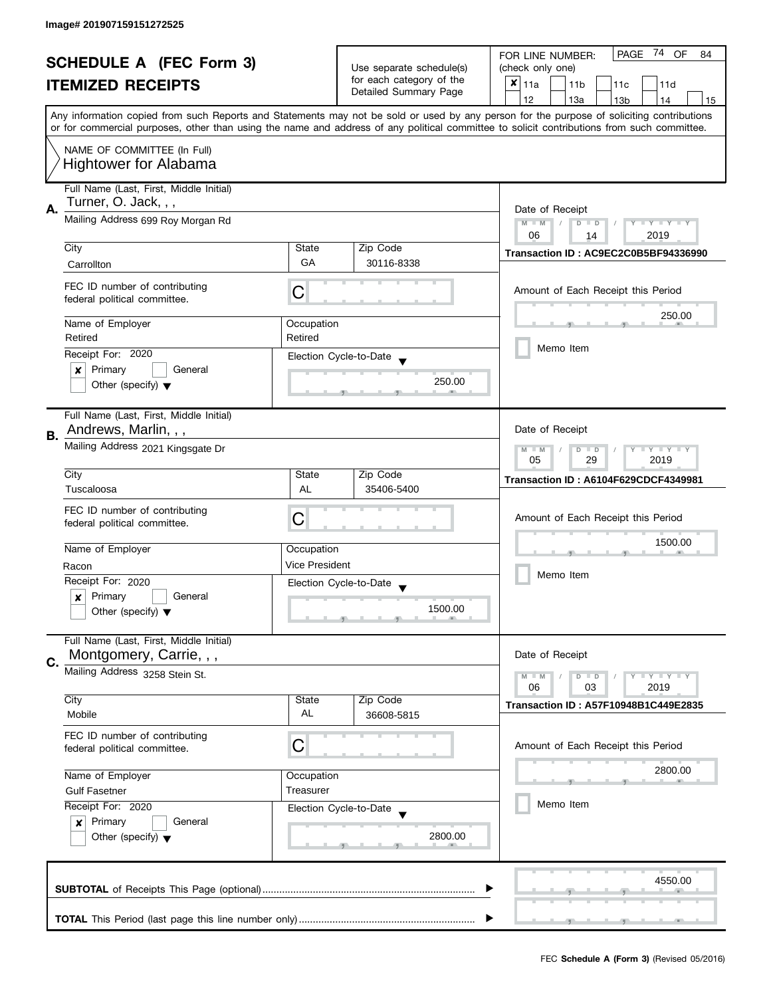| <b>SCHEDULE A (FEC Form 3)</b> |                                                               |                          | PAGE<br>74 OF<br>FOR LINE NUMBER:<br>84     |                                                                                                                                                                                                                                                                                         |  |  |  |  |  |  |  |
|--------------------------------|---------------------------------------------------------------|--------------------------|---------------------------------------------|-----------------------------------------------------------------------------------------------------------------------------------------------------------------------------------------------------------------------------------------------------------------------------------------|--|--|--|--|--|--|--|
|                                |                                                               |                          | Use separate schedule(s)                    | (check only one)                                                                                                                                                                                                                                                                        |  |  |  |  |  |  |  |
| <b>ITEMIZED RECEIPTS</b>       |                                                               | for each category of the | $x _{11a}$<br>11 <sub>b</sub><br>11c<br>11d |                                                                                                                                                                                                                                                                                         |  |  |  |  |  |  |  |
|                                |                                                               | Detailed Summary Page    | 12<br>13a<br>14<br>13 <sub>b</sub><br>15    |                                                                                                                                                                                                                                                                                         |  |  |  |  |  |  |  |
|                                |                                                               |                          |                                             | Any information copied from such Reports and Statements may not be sold or used by any person for the purpose of soliciting contributions<br>or for commercial purposes, other than using the name and address of any political committee to solicit contributions from such committee. |  |  |  |  |  |  |  |
|                                |                                                               |                          |                                             |                                                                                                                                                                                                                                                                                         |  |  |  |  |  |  |  |
|                                | NAME OF COMMITTEE (In Full)<br><b>Hightower for Alabama</b>   |                          |                                             |                                                                                                                                                                                                                                                                                         |  |  |  |  |  |  |  |
|                                | Full Name (Last, First, Middle Initial)                       |                          |                                             |                                                                                                                                                                                                                                                                                         |  |  |  |  |  |  |  |
| А.                             | Turner, O. Jack, , ,                                          |                          |                                             | Date of Receipt                                                                                                                                                                                                                                                                         |  |  |  |  |  |  |  |
|                                | Mailing Address 699 Roy Morgan Rd                             |                          |                                             | $M - M$<br>$Y - Y - Y - Y - Y$<br>$D$ $D$<br>06<br>2019<br>14                                                                                                                                                                                                                           |  |  |  |  |  |  |  |
|                                | City                                                          | State                    | Zip Code                                    | Transaction ID: AC9EC2C0B5BF94336990                                                                                                                                                                                                                                                    |  |  |  |  |  |  |  |
|                                | Carrollton                                                    | GA                       | 30116-8338                                  |                                                                                                                                                                                                                                                                                         |  |  |  |  |  |  |  |
|                                |                                                               |                          |                                             |                                                                                                                                                                                                                                                                                         |  |  |  |  |  |  |  |
|                                | FEC ID number of contributing<br>federal political committee. | C                        |                                             | Amount of Each Receipt this Period                                                                                                                                                                                                                                                      |  |  |  |  |  |  |  |
|                                | Name of Employer                                              | Occupation               |                                             | 250.00                                                                                                                                                                                                                                                                                  |  |  |  |  |  |  |  |
|                                | Retired                                                       | Retired                  |                                             |                                                                                                                                                                                                                                                                                         |  |  |  |  |  |  |  |
|                                | Receipt For: 2020                                             |                          | Election Cycle-to-Date                      | Memo Item                                                                                                                                                                                                                                                                               |  |  |  |  |  |  |  |
|                                | Primary<br>General<br>×                                       |                          |                                             |                                                                                                                                                                                                                                                                                         |  |  |  |  |  |  |  |
|                                | Other (specify) $\blacktriangledown$                          |                          | 250.00                                      |                                                                                                                                                                                                                                                                                         |  |  |  |  |  |  |  |
|                                | Full Name (Last, First, Middle Initial)                       |                          |                                             |                                                                                                                                                                                                                                                                                         |  |  |  |  |  |  |  |
|                                | Andrews, Marlin, , ,                                          |                          |                                             | Date of Receipt                                                                                                                                                                                                                                                                         |  |  |  |  |  |  |  |
| В.                             | Mailing Address 2021 Kingsgate Dr                             |                          |                                             |                                                                                                                                                                                                                                                                                         |  |  |  |  |  |  |  |
|                                |                                                               |                          |                                             | <b>LYLYLY</b><br>$M - M$<br>D<br>$\Box$<br>05<br>29<br>2019                                                                                                                                                                                                                             |  |  |  |  |  |  |  |
|                                | City                                                          | State                    | Zip Code                                    |                                                                                                                                                                                                                                                                                         |  |  |  |  |  |  |  |
|                                | Tuscaloosa                                                    | AL                       | 35406-5400                                  | Transaction ID: A6104F629CDCF4349981                                                                                                                                                                                                                                                    |  |  |  |  |  |  |  |
|                                |                                                               |                          |                                             |                                                                                                                                                                                                                                                                                         |  |  |  |  |  |  |  |
|                                | FEC ID number of contributing                                 | C                        |                                             | Amount of Each Receipt this Period                                                                                                                                                                                                                                                      |  |  |  |  |  |  |  |
|                                | federal political committee.                                  |                          |                                             |                                                                                                                                                                                                                                                                                         |  |  |  |  |  |  |  |
|                                | Name of Employer                                              | Occupation               |                                             | 1500.00<br>Memo Item                                                                                                                                                                                                                                                                    |  |  |  |  |  |  |  |
|                                |                                                               | <b>Vice President</b>    |                                             |                                                                                                                                                                                                                                                                                         |  |  |  |  |  |  |  |
|                                | Racon                                                         |                          |                                             |                                                                                                                                                                                                                                                                                         |  |  |  |  |  |  |  |
|                                | Receipt For: 2020                                             |                          | Election Cycle-to-Date                      |                                                                                                                                                                                                                                                                                         |  |  |  |  |  |  |  |
|                                | Primary<br>General<br>$\boldsymbol{x}$                        |                          | 1500.00                                     |                                                                                                                                                                                                                                                                                         |  |  |  |  |  |  |  |
|                                | Other (specify) $\blacktriangledown$                          |                          |                                             |                                                                                                                                                                                                                                                                                         |  |  |  |  |  |  |  |
|                                | Full Name (Last, First, Middle Initial)                       |                          |                                             |                                                                                                                                                                                                                                                                                         |  |  |  |  |  |  |  |
| C.                             | Montgomery, Carrie, , ,                                       |                          |                                             | Date of Receipt                                                                                                                                                                                                                                                                         |  |  |  |  |  |  |  |
|                                | Mailing Address 3258 Stein St.                                |                          |                                             | $Y = Y + Y$<br>$M - M$<br>$D$ $D$                                                                                                                                                                                                                                                       |  |  |  |  |  |  |  |
|                                |                                                               |                          |                                             | 06<br>03<br>2019                                                                                                                                                                                                                                                                        |  |  |  |  |  |  |  |
|                                | City                                                          | State                    | Zip Code                                    | <b>Transaction ID: A57F10948B1C449E2835</b>                                                                                                                                                                                                                                             |  |  |  |  |  |  |  |
|                                | Mobile                                                        | AL                       | 36608-5815                                  |                                                                                                                                                                                                                                                                                         |  |  |  |  |  |  |  |
|                                | FEC ID number of contributing                                 |                          |                                             |                                                                                                                                                                                                                                                                                         |  |  |  |  |  |  |  |
|                                | federal political committee.                                  | C                        |                                             | Amount of Each Receipt this Period                                                                                                                                                                                                                                                      |  |  |  |  |  |  |  |
|                                |                                                               |                          |                                             |                                                                                                                                                                                                                                                                                         |  |  |  |  |  |  |  |
|                                | Name of Employer                                              | Occupation               |                                             | 2800.00                                                                                                                                                                                                                                                                                 |  |  |  |  |  |  |  |
|                                | <b>Gulf Fasetner</b>                                          | Treasurer                |                                             |                                                                                                                                                                                                                                                                                         |  |  |  |  |  |  |  |
|                                | Receipt For: 2020                                             |                          | Election Cycle-to-Date                      | Memo Item                                                                                                                                                                                                                                                                               |  |  |  |  |  |  |  |
|                                | Primary<br>General<br>$\mathbf{x}$                            |                          |                                             |                                                                                                                                                                                                                                                                                         |  |  |  |  |  |  |  |
|                                | Other (specify) $\blacktriangledown$                          |                          | 2800.00                                     |                                                                                                                                                                                                                                                                                         |  |  |  |  |  |  |  |
|                                |                                                               |                          |                                             |                                                                                                                                                                                                                                                                                         |  |  |  |  |  |  |  |
|                                |                                                               |                          |                                             |                                                                                                                                                                                                                                                                                         |  |  |  |  |  |  |  |
|                                |                                                               |                          |                                             | 4550.00                                                                                                                                                                                                                                                                                 |  |  |  |  |  |  |  |
|                                |                                                               |                          |                                             |                                                                                                                                                                                                                                                                                         |  |  |  |  |  |  |  |
|                                |                                                               |                          |                                             |                                                                                                                                                                                                                                                                                         |  |  |  |  |  |  |  |
|                                |                                                               |                          |                                             |                                                                                                                                                                                                                                                                                         |  |  |  |  |  |  |  |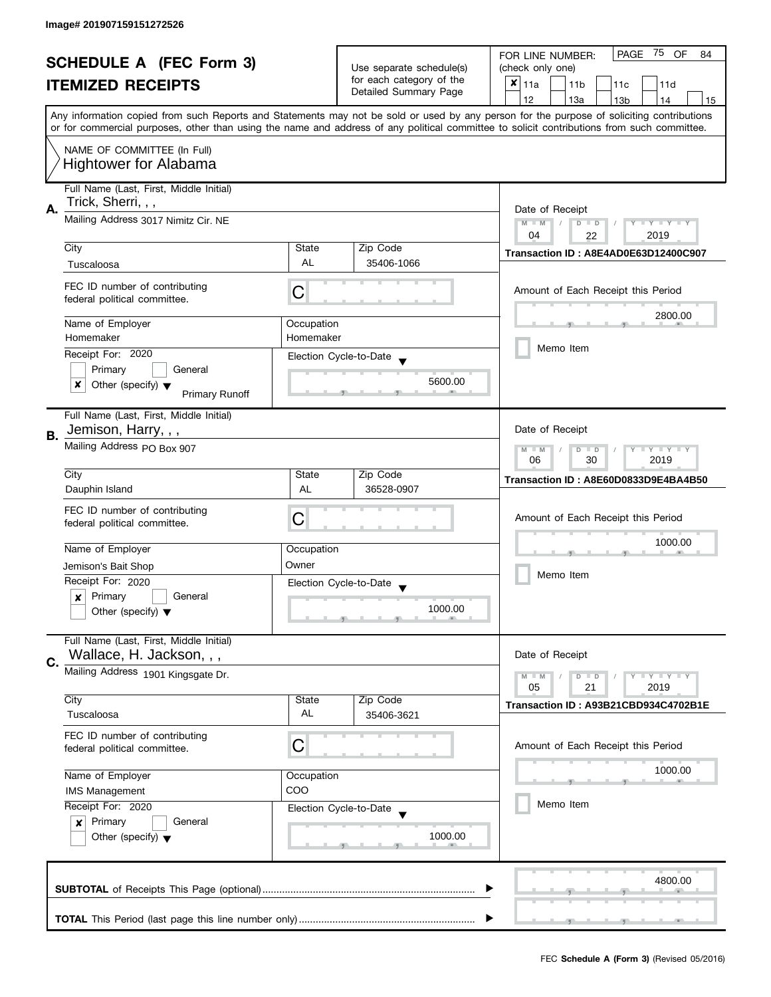|                                                            |                                                                    |                          | PAGE<br>75<br>OF<br>FOR LINE NUMBER:<br>84        |                                                                                                                                            |  |  |  |  |  |  |
|------------------------------------------------------------|--------------------------------------------------------------------|--------------------------|---------------------------------------------------|--------------------------------------------------------------------------------------------------------------------------------------------|--|--|--|--|--|--|
| <b>SCHEDULE A (FEC Form 3)</b><br><b>ITEMIZED RECEIPTS</b> |                                                                    | Use separate schedule(s) | (check only one)                                  |                                                                                                                                            |  |  |  |  |  |  |
|                                                            |                                                                    |                          | for each category of the<br>Detailed Summary Page | $x _{11a}$<br>11 <sub>b</sub><br>11c<br>11d                                                                                                |  |  |  |  |  |  |
|                                                            |                                                                    |                          |                                                   | 12<br>13a<br>13 <sub>b</sub><br>14<br>15                                                                                                   |  |  |  |  |  |  |
|                                                            |                                                                    |                          |                                                   | Any information copied from such Reports and Statements may not be sold or used by any person for the purpose of soliciting contributions  |  |  |  |  |  |  |
|                                                            |                                                                    |                          |                                                   | or for commercial purposes, other than using the name and address of any political committee to solicit contributions from such committee. |  |  |  |  |  |  |
|                                                            | NAME OF COMMITTEE (In Full)                                        |                          |                                                   |                                                                                                                                            |  |  |  |  |  |  |
|                                                            | <b>Hightower for Alabama</b>                                       |                          |                                                   |                                                                                                                                            |  |  |  |  |  |  |
|                                                            | Full Name (Last, First, Middle Initial)                            |                          |                                                   |                                                                                                                                            |  |  |  |  |  |  |
|                                                            | Trick, Sherri, , ,                                                 |                          |                                                   |                                                                                                                                            |  |  |  |  |  |  |
| А.                                                         | Mailing Address 3017 Nimitz Cir. NE                                |                          |                                                   | Date of Receipt<br>$M - M$                                                                                                                 |  |  |  |  |  |  |
|                                                            |                                                                    |                          |                                                   | $\overline{D}$<br>$Y - Y - Y - Y - Y$<br>$\Box$<br>04<br>2019<br>22                                                                        |  |  |  |  |  |  |
|                                                            | City                                                               | State                    | Zip Code                                          | Transaction ID: A8E4AD0E63D12400C907                                                                                                       |  |  |  |  |  |  |
|                                                            | Tuscaloosa                                                         | <b>AL</b>                | 35406-1066                                        |                                                                                                                                            |  |  |  |  |  |  |
|                                                            |                                                                    |                          |                                                   |                                                                                                                                            |  |  |  |  |  |  |
|                                                            | FEC ID number of contributing<br>federal political committee.      | С                        |                                                   | Amount of Each Receipt this Period                                                                                                         |  |  |  |  |  |  |
|                                                            |                                                                    |                          |                                                   | 2800.00                                                                                                                                    |  |  |  |  |  |  |
|                                                            | Name of Employer                                                   | Occupation               |                                                   |                                                                                                                                            |  |  |  |  |  |  |
|                                                            | Homemaker                                                          | Homemaker                |                                                   | Memo Item                                                                                                                                  |  |  |  |  |  |  |
|                                                            | Receipt For: 2020                                                  |                          | Election Cycle-to-Date                            |                                                                                                                                            |  |  |  |  |  |  |
|                                                            | Primary<br>General                                                 |                          | 5600.00                                           |                                                                                                                                            |  |  |  |  |  |  |
|                                                            | Other (specify) $\blacktriangledown$<br>x<br><b>Primary Runoff</b> |                          |                                                   |                                                                                                                                            |  |  |  |  |  |  |
|                                                            |                                                                    |                          |                                                   |                                                                                                                                            |  |  |  |  |  |  |
|                                                            | Full Name (Last, First, Middle Initial)<br>Jemison, Harry, , ,     |                          |                                                   | Date of Receipt                                                                                                                            |  |  |  |  |  |  |
| В.                                                         | Mailing Address PO Box 907                                         |                          |                                                   |                                                                                                                                            |  |  |  |  |  |  |
|                                                            |                                                                    |                          |                                                   | $Y - Y - Y$<br>$-M$<br>D<br>$\Box$<br>30<br>2019<br>06                                                                                     |  |  |  |  |  |  |
|                                                            | City                                                               | State                    | Zip Code                                          |                                                                                                                                            |  |  |  |  |  |  |
|                                                            | Dauphin Island                                                     | AL                       | 36528-0907                                        | Transaction ID: A8E60D0833D9E4BA4B50                                                                                                       |  |  |  |  |  |  |
|                                                            | FEC ID number of contributing                                      |                          |                                                   |                                                                                                                                            |  |  |  |  |  |  |
|                                                            | federal political committee.                                       | C                        |                                                   | Amount of Each Receipt this Period                                                                                                         |  |  |  |  |  |  |
|                                                            |                                                                    |                          |                                                   | 1000.00<br>Memo Item                                                                                                                       |  |  |  |  |  |  |
|                                                            | Name of Employer                                                   | Occupation               |                                                   |                                                                                                                                            |  |  |  |  |  |  |
|                                                            | Jemison's Bait Shop                                                | Owner                    |                                                   |                                                                                                                                            |  |  |  |  |  |  |
|                                                            | Receipt For: 2020                                                  |                          | Election Cycle-to-Date                            |                                                                                                                                            |  |  |  |  |  |  |
|                                                            | Primary<br>General<br>x                                            |                          |                                                   |                                                                                                                                            |  |  |  |  |  |  |
|                                                            | Other (specify) $\blacktriangledown$                               |                          | 1000.00                                           |                                                                                                                                            |  |  |  |  |  |  |
|                                                            | Full Name (Last, First, Middle Initial)                            |                          |                                                   |                                                                                                                                            |  |  |  |  |  |  |
|                                                            | Wallace, H. Jackson, , ,                                           |                          |                                                   | Date of Receipt                                                                                                                            |  |  |  |  |  |  |
| C.                                                         | Mailing Address 1901 Kingsgate Dr.                                 |                          |                                                   |                                                                                                                                            |  |  |  |  |  |  |
|                                                            |                                                                    |                          |                                                   | $Y = Y = Y$<br>$M - M$<br>$\overline{D}$<br>$\Box$<br>05<br>21<br>2019                                                                     |  |  |  |  |  |  |
|                                                            | City                                                               | State                    | Zip Code                                          | Transaction ID: A93B21CBD934C4702B1E                                                                                                       |  |  |  |  |  |  |
|                                                            | Tuscaloosa                                                         | AL                       | 35406-3621                                        |                                                                                                                                            |  |  |  |  |  |  |
|                                                            | FEC ID number of contributing                                      |                          |                                                   |                                                                                                                                            |  |  |  |  |  |  |
|                                                            | federal political committee.                                       | C                        |                                                   | Amount of Each Receipt this Period                                                                                                         |  |  |  |  |  |  |
|                                                            |                                                                    |                          |                                                   | 1000.00                                                                                                                                    |  |  |  |  |  |  |
|                                                            | Name of Employer<br>Occupation                                     |                          |                                                   |                                                                                                                                            |  |  |  |  |  |  |
|                                                            | <b>IMS Management</b>                                              | COO                      |                                                   | Memo Item                                                                                                                                  |  |  |  |  |  |  |
|                                                            | Receipt For: 2020                                                  |                          | Election Cycle-to-Date                            |                                                                                                                                            |  |  |  |  |  |  |
|                                                            | Primary<br>General<br>x<br>Other (specify) $\blacktriangledown$    |                          | 1000.00                                           |                                                                                                                                            |  |  |  |  |  |  |
|                                                            |                                                                    |                          |                                                   |                                                                                                                                            |  |  |  |  |  |  |
|                                                            |                                                                    |                          |                                                   |                                                                                                                                            |  |  |  |  |  |  |
|                                                            |                                                                    |                          |                                                   | 4800.00                                                                                                                                    |  |  |  |  |  |  |
|                                                            |                                                                    |                          |                                                   |                                                                                                                                            |  |  |  |  |  |  |
|                                                            |                                                                    |                          |                                                   |                                                                                                                                            |  |  |  |  |  |  |
|                                                            |                                                                    |                          |                                                   |                                                                                                                                            |  |  |  |  |  |  |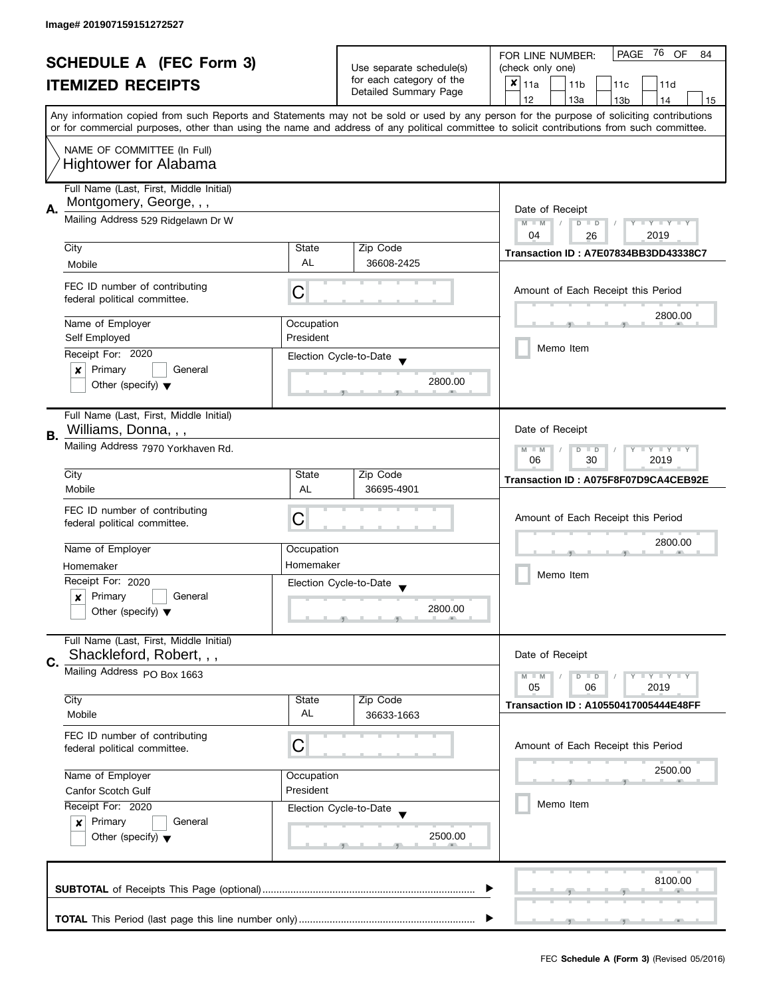| <b>SCHEDULE A (FEC Form 3)</b><br><b>ITEMIZED RECEIPTS</b> |                                                                                                          | Use separate schedule(s)<br>for each category of the<br>Detailed Summary Page | PAGE 76 OF<br>FOR LINE NUMBER:<br>84<br>(check only one)<br>$x _{11a}$<br>11 <sub>b</sub><br>11c<br>11d<br>12<br>13a<br>13 <sub>b</sub><br>14<br>15 |                                                                                                                                                                                                                                                                                         |  |  |  |  |  |  |
|------------------------------------------------------------|----------------------------------------------------------------------------------------------------------|-------------------------------------------------------------------------------|-----------------------------------------------------------------------------------------------------------------------------------------------------|-----------------------------------------------------------------------------------------------------------------------------------------------------------------------------------------------------------------------------------------------------------------------------------------|--|--|--|--|--|--|
|                                                            | NAME OF COMMITTEE (In Full)<br><b>Hightower for Alabama</b>                                              |                                                                               |                                                                                                                                                     | Any information copied from such Reports and Statements may not be sold or used by any person for the purpose of soliciting contributions<br>or for commercial purposes, other than using the name and address of any political committee to solicit contributions from such committee. |  |  |  |  |  |  |
| А.                                                         | Full Name (Last, First, Middle Initial)<br>Montgomery, George, , ,<br>Mailing Address 529 Ridgelawn Dr W |                                                                               |                                                                                                                                                     | Date of Receipt<br>Y TY TY TY<br>$M - M$<br>$D$ $D$<br>04<br>2019<br>26                                                                                                                                                                                                                 |  |  |  |  |  |  |
|                                                            | City                                                                                                     | State                                                                         | Zip Code                                                                                                                                            | Transaction ID: A7E07834BB3DD43338C7                                                                                                                                                                                                                                                    |  |  |  |  |  |  |
|                                                            | Mobile                                                                                                   | AL                                                                            | 36608-2425                                                                                                                                          |                                                                                                                                                                                                                                                                                         |  |  |  |  |  |  |
|                                                            | FEC ID number of contributing<br>federal political committee.                                            | С                                                                             |                                                                                                                                                     | Amount of Each Receipt this Period                                                                                                                                                                                                                                                      |  |  |  |  |  |  |
|                                                            | Name of Employer                                                                                         | Occupation                                                                    |                                                                                                                                                     | 2800.00                                                                                                                                                                                                                                                                                 |  |  |  |  |  |  |
|                                                            | Self Employed                                                                                            | President                                                                     |                                                                                                                                                     | Memo Item                                                                                                                                                                                                                                                                               |  |  |  |  |  |  |
|                                                            | Receipt For: 2020                                                                                        |                                                                               | Election Cycle-to-Date                                                                                                                              |                                                                                                                                                                                                                                                                                         |  |  |  |  |  |  |
|                                                            | Primary<br>General<br>×<br>Other (specify) $\blacktriangledown$                                          |                                                                               | 2800.00                                                                                                                                             |                                                                                                                                                                                                                                                                                         |  |  |  |  |  |  |
| В.                                                         | Full Name (Last, First, Middle Initial)<br>Williams, Donna, , ,                                          |                                                                               |                                                                                                                                                     | Date of Receipt                                                                                                                                                                                                                                                                         |  |  |  |  |  |  |
|                                                            | Mailing Address 7970 Yorkhaven Rd.                                                                       | $Y = Y + Y$<br>$M - M$<br>D<br>$\Box$<br>T<br>2019<br>06<br>30                |                                                                                                                                                     |                                                                                                                                                                                                                                                                                         |  |  |  |  |  |  |
|                                                            | City                                                                                                     | State                                                                         | Zip Code                                                                                                                                            | Transaction ID: A075F8F07D9CA4CEB92E                                                                                                                                                                                                                                                    |  |  |  |  |  |  |
|                                                            | Mobile                                                                                                   | AL                                                                            | 36695-4901                                                                                                                                          |                                                                                                                                                                                                                                                                                         |  |  |  |  |  |  |
|                                                            | FEC ID number of contributing<br>federal political committee.                                            | С                                                                             |                                                                                                                                                     | Amount of Each Receipt this Period                                                                                                                                                                                                                                                      |  |  |  |  |  |  |
|                                                            | Name of Employer                                                                                         | Occupation                                                                    |                                                                                                                                                     | 2800.00                                                                                                                                                                                                                                                                                 |  |  |  |  |  |  |
|                                                            | Homemaker                                                                                                | Homemaker                                                                     |                                                                                                                                                     |                                                                                                                                                                                                                                                                                         |  |  |  |  |  |  |
|                                                            | Receipt For: 2020                                                                                        |                                                                               | Election Cycle-to-Date<br>$\overline{\phantom{a}}$                                                                                                  | Memo Item                                                                                                                                                                                                                                                                               |  |  |  |  |  |  |
|                                                            | Primary<br>General<br>$\boldsymbol{x}$<br>Other (specify) $\blacktriangledown$                           |                                                                               | 2800.00                                                                                                                                             |                                                                                                                                                                                                                                                                                         |  |  |  |  |  |  |
| C.                                                         | Full Name (Last, First, Middle Initial)<br>Shackleford, Robert, , ,                                      |                                                                               |                                                                                                                                                     | Date of Receipt                                                                                                                                                                                                                                                                         |  |  |  |  |  |  |
|                                                            | Mailing Address PO Box 1663                                                                              |                                                                               |                                                                                                                                                     | $T - Y = T - Y$<br>$M - M$<br>$D$ $D$                                                                                                                                                                                                                                                   |  |  |  |  |  |  |
|                                                            | City<br>Mobile                                                                                           | State<br>AL                                                                   | Zip Code<br>36633-1663                                                                                                                              | 05<br>2019<br>06<br>Transaction ID: A10550417005444E48FF                                                                                                                                                                                                                                |  |  |  |  |  |  |
|                                                            | FEC ID number of contributing<br>federal political committee.                                            | C                                                                             |                                                                                                                                                     | Amount of Each Receipt this Period                                                                                                                                                                                                                                                      |  |  |  |  |  |  |
|                                                            | Name of Employer                                                                                         | Occupation                                                                    |                                                                                                                                                     | 2500.00                                                                                                                                                                                                                                                                                 |  |  |  |  |  |  |
|                                                            | Canfor Scotch Gulf                                                                                       | President                                                                     |                                                                                                                                                     |                                                                                                                                                                                                                                                                                         |  |  |  |  |  |  |
|                                                            | Receipt For: 2020<br>Primary<br>General<br>$\boldsymbol{x}$<br>Other (specify) $\blacktriangledown$      |                                                                               | Election Cycle-to-Date<br>2500.00                                                                                                                   | Memo Item                                                                                                                                                                                                                                                                               |  |  |  |  |  |  |
|                                                            |                                                                                                          |                                                                               |                                                                                                                                                     | 8100.00                                                                                                                                                                                                                                                                                 |  |  |  |  |  |  |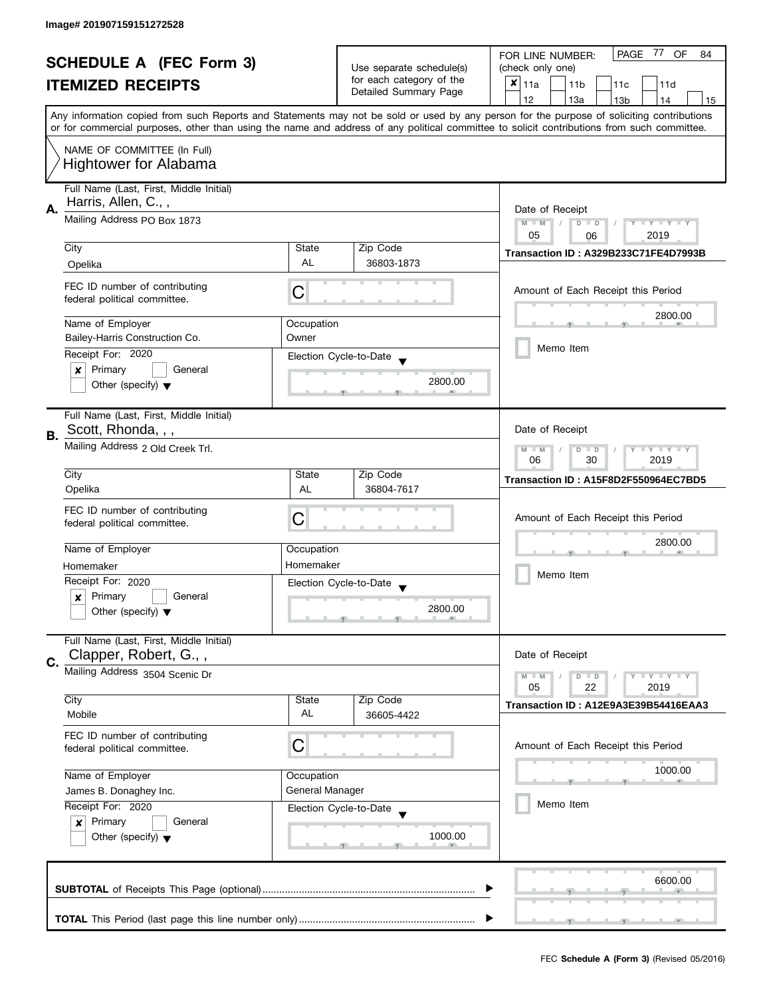| <b>SCHEDULE A (FEC Form 3)</b> |                                         |                 | PAGE<br>77<br>OF<br>FOR LINE NUMBER:<br>84 |                                                                                                                                            |  |  |  |  |  |  |  |  |  |  |
|--------------------------------|-----------------------------------------|-----------------|--------------------------------------------|--------------------------------------------------------------------------------------------------------------------------------------------|--|--|--|--|--|--|--|--|--|--|
|                                |                                         |                 | Use separate schedule(s)                   | (check only one)                                                                                                                           |  |  |  |  |  |  |  |  |  |  |
|                                | <b>ITEMIZED RECEIPTS</b>                |                 | for each category of the                   | $x _{11a}$<br>11 <sub>b</sub><br>11c<br>11d                                                                                                |  |  |  |  |  |  |  |  |  |  |
|                                |                                         |                 | Detailed Summary Page                      | 12<br>13a<br>14<br>13 <sub>b</sub><br>15                                                                                                   |  |  |  |  |  |  |  |  |  |  |
|                                |                                         |                 |                                            | Any information copied from such Reports and Statements may not be sold or used by any person for the purpose of soliciting contributions  |  |  |  |  |  |  |  |  |  |  |
|                                |                                         |                 |                                            | or for commercial purposes, other than using the name and address of any political committee to solicit contributions from such committee. |  |  |  |  |  |  |  |  |  |  |
|                                |                                         |                 |                                            |                                                                                                                                            |  |  |  |  |  |  |  |  |  |  |
|                                | NAME OF COMMITTEE (In Full)             |                 |                                            |                                                                                                                                            |  |  |  |  |  |  |  |  |  |  |
|                                | <b>Hightower for Alabama</b>            |                 |                                            |                                                                                                                                            |  |  |  |  |  |  |  |  |  |  |
|                                |                                         |                 |                                            |                                                                                                                                            |  |  |  |  |  |  |  |  |  |  |
|                                | Full Name (Last, First, Middle Initial) |                 |                                            |                                                                                                                                            |  |  |  |  |  |  |  |  |  |  |
| А.                             | Harris, Allen, C.,,                     |                 |                                            | Date of Receipt                                                                                                                            |  |  |  |  |  |  |  |  |  |  |
|                                | Mailing Address PO Box 1873             |                 |                                            | $M - M$<br>$D$ $D$<br>Y I Y I Y I Y<br>$\sqrt{2}$                                                                                          |  |  |  |  |  |  |  |  |  |  |
|                                |                                         |                 |                                            | 05<br>2019<br>06                                                                                                                           |  |  |  |  |  |  |  |  |  |  |
|                                | City                                    | State           | Zip Code                                   | Transaction ID: A329B233C71FE4D7993B                                                                                                       |  |  |  |  |  |  |  |  |  |  |
|                                | Opelika                                 | <b>AL</b>       | 36803-1873                                 |                                                                                                                                            |  |  |  |  |  |  |  |  |  |  |
|                                |                                         |                 |                                            |                                                                                                                                            |  |  |  |  |  |  |  |  |  |  |
|                                | FEC ID number of contributing           | С               |                                            | Amount of Each Receipt this Period                                                                                                         |  |  |  |  |  |  |  |  |  |  |
|                                | federal political committee.            |                 |                                            |                                                                                                                                            |  |  |  |  |  |  |  |  |  |  |
|                                |                                         |                 |                                            | 2800.00                                                                                                                                    |  |  |  |  |  |  |  |  |  |  |
|                                | Name of Employer                        | Occupation      |                                            |                                                                                                                                            |  |  |  |  |  |  |  |  |  |  |
|                                | Bailey-Harris Construction Co.          | Owner           |                                            | Memo Item                                                                                                                                  |  |  |  |  |  |  |  |  |  |  |
|                                | Receipt For: 2020                       |                 | Election Cycle-to-Date                     |                                                                                                                                            |  |  |  |  |  |  |  |  |  |  |
|                                | Primary<br>General<br>×                 |                 |                                            |                                                                                                                                            |  |  |  |  |  |  |  |  |  |  |
|                                | Other (specify) $\blacktriangledown$    |                 | 2800.00                                    |                                                                                                                                            |  |  |  |  |  |  |  |  |  |  |
|                                |                                         |                 |                                            |                                                                                                                                            |  |  |  |  |  |  |  |  |  |  |
|                                | Full Name (Last, First, Middle Initial) |                 |                                            |                                                                                                                                            |  |  |  |  |  |  |  |  |  |  |
|                                | Scott, Rhonda, , ,                      |                 |                                            | Date of Receipt                                                                                                                            |  |  |  |  |  |  |  |  |  |  |
| В.                             |                                         |                 |                                            |                                                                                                                                            |  |  |  |  |  |  |  |  |  |  |
|                                | Mailing Address 2 Old Creek Trl.        |                 |                                            | <b>LYLYLY</b><br>$M - M$<br>D<br>$\Box$                                                                                                    |  |  |  |  |  |  |  |  |  |  |
|                                |                                         |                 |                                            | 30<br>06<br>2019                                                                                                                           |  |  |  |  |  |  |  |  |  |  |
|                                | City                                    | State           | Zip Code                                   | Transaction ID: A15F8D2F550964EC7BD5                                                                                                       |  |  |  |  |  |  |  |  |  |  |
|                                | Opelika                                 | AL              | 36804-7617                                 |                                                                                                                                            |  |  |  |  |  |  |  |  |  |  |
|                                | FEC ID number of contributing           |                 |                                            |                                                                                                                                            |  |  |  |  |  |  |  |  |  |  |
|                                | federal political committee.            | С               |                                            | Amount of Each Receipt this Period                                                                                                         |  |  |  |  |  |  |  |  |  |  |
|                                |                                         |                 |                                            |                                                                                                                                            |  |  |  |  |  |  |  |  |  |  |
|                                | Name of Employer                        | Occupation      |                                            | 2800.00<br>Memo Item                                                                                                                       |  |  |  |  |  |  |  |  |  |  |
|                                | Homemaker                               | Homemaker       |                                            |                                                                                                                                            |  |  |  |  |  |  |  |  |  |  |
|                                | Receipt For: 2020                       |                 |                                            |                                                                                                                                            |  |  |  |  |  |  |  |  |  |  |
|                                |                                         |                 | Election Cycle-to-Date                     |                                                                                                                                            |  |  |  |  |  |  |  |  |  |  |
|                                | Primary<br>General<br>$\boldsymbol{x}$  |                 |                                            |                                                                                                                                            |  |  |  |  |  |  |  |  |  |  |
|                                | Other (specify) $\blacktriangledown$    |                 | 2800.00                                    |                                                                                                                                            |  |  |  |  |  |  |  |  |  |  |
|                                |                                         |                 |                                            |                                                                                                                                            |  |  |  |  |  |  |  |  |  |  |
|                                | Full Name (Last, First, Middle Initial) |                 |                                            |                                                                                                                                            |  |  |  |  |  |  |  |  |  |  |
| C.                             | Clapper, Robert, G.,,                   |                 |                                            | Date of Receipt                                                                                                                            |  |  |  |  |  |  |  |  |  |  |
|                                | Mailing Address 3504 Scenic Dr          |                 |                                            | $Y = Y = Y$<br>$M - M$<br>$D$ $D$                                                                                                          |  |  |  |  |  |  |  |  |  |  |
|                                |                                         |                 |                                            | 05<br>22<br>2019                                                                                                                           |  |  |  |  |  |  |  |  |  |  |
|                                | City                                    | State           | Zip Code                                   | Transaction ID: A12E9A3E39B54416EAA3                                                                                                       |  |  |  |  |  |  |  |  |  |  |
|                                | Mobile                                  | AL              | 36605-4422                                 |                                                                                                                                            |  |  |  |  |  |  |  |  |  |  |
|                                |                                         |                 |                                            |                                                                                                                                            |  |  |  |  |  |  |  |  |  |  |
|                                | FEC ID number of contributing           | C               |                                            | Amount of Each Receipt this Period                                                                                                         |  |  |  |  |  |  |  |  |  |  |
|                                | federal political committee.            |                 |                                            |                                                                                                                                            |  |  |  |  |  |  |  |  |  |  |
|                                | Name of Employer                        | Occupation      |                                            | 1000.00                                                                                                                                    |  |  |  |  |  |  |  |  |  |  |
|                                |                                         |                 |                                            |                                                                                                                                            |  |  |  |  |  |  |  |  |  |  |
|                                | James B. Donaghey Inc.                  | General Manager |                                            |                                                                                                                                            |  |  |  |  |  |  |  |  |  |  |
|                                | Receipt For: 2020                       |                 | Election Cycle-to-Date                     | Memo Item                                                                                                                                  |  |  |  |  |  |  |  |  |  |  |
|                                | Primary<br>General<br>$\boldsymbol{x}$  |                 |                                            |                                                                                                                                            |  |  |  |  |  |  |  |  |  |  |
|                                | Other (specify) $\blacktriangledown$    |                 | 1000.00                                    |                                                                                                                                            |  |  |  |  |  |  |  |  |  |  |
|                                |                                         |                 |                                            |                                                                                                                                            |  |  |  |  |  |  |  |  |  |  |
|                                |                                         |                 |                                            |                                                                                                                                            |  |  |  |  |  |  |  |  |  |  |
|                                |                                         |                 |                                            | 6600.00                                                                                                                                    |  |  |  |  |  |  |  |  |  |  |
|                                |                                         |                 |                                            |                                                                                                                                            |  |  |  |  |  |  |  |  |  |  |
|                                |                                         |                 |                                            |                                                                                                                                            |  |  |  |  |  |  |  |  |  |  |
|                                |                                         |                 |                                            |                                                                                                                                            |  |  |  |  |  |  |  |  |  |  |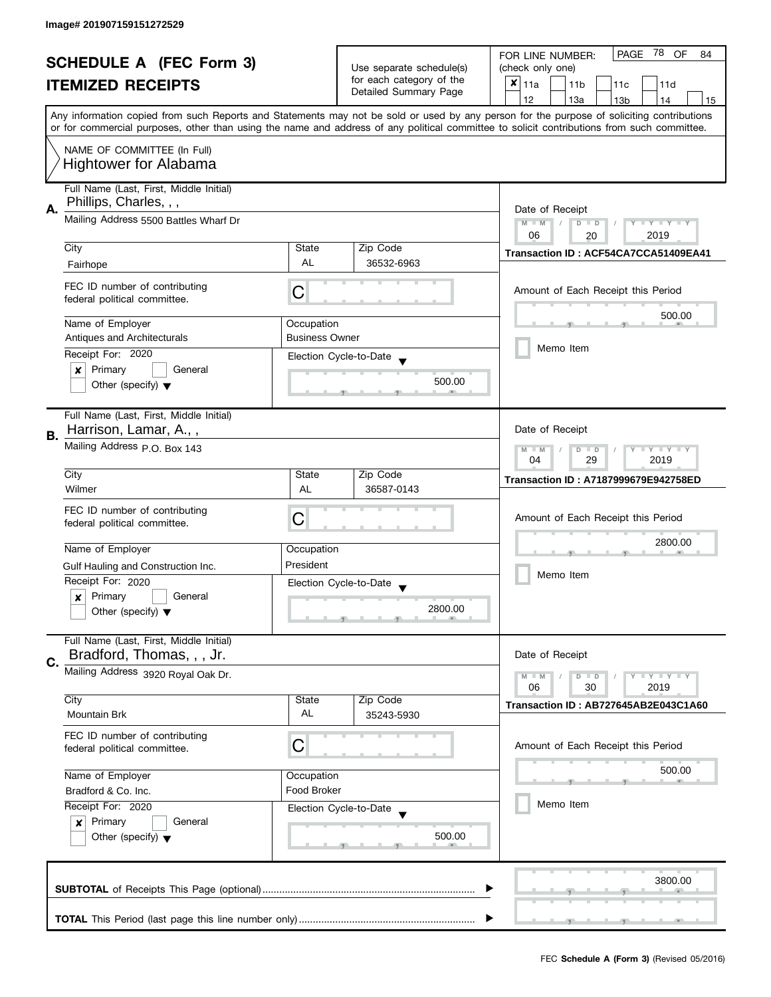| <b>SCHEDULE A (FEC Form 3)</b> |                                         |                          |                                             | PAGE<br>-78<br>OF<br>FOR LINE NUMBER:<br>84                                                                                                |  |  |  |  |  |  |  |  |  |  |
|--------------------------------|-----------------------------------------|--------------------------|---------------------------------------------|--------------------------------------------------------------------------------------------------------------------------------------------|--|--|--|--|--|--|--|--|--|--|
| <b>ITEMIZED RECEIPTS</b>       |                                         | Use separate schedule(s) | (check only one)                            |                                                                                                                                            |  |  |  |  |  |  |  |  |  |  |
|                                |                                         | for each category of the | $x _{11a}$<br>11 <sub>b</sub><br>11c<br>11d |                                                                                                                                            |  |  |  |  |  |  |  |  |  |  |
|                                |                                         | Detailed Summary Page    | 12<br>13a<br>14<br>13 <sub>b</sub><br>15    |                                                                                                                                            |  |  |  |  |  |  |  |  |  |  |
|                                |                                         |                          |                                             | Any information copied from such Reports and Statements may not be sold or used by any person for the purpose of soliciting contributions  |  |  |  |  |  |  |  |  |  |  |
|                                |                                         |                          |                                             | or for commercial purposes, other than using the name and address of any political committee to solicit contributions from such committee. |  |  |  |  |  |  |  |  |  |  |
|                                |                                         |                          |                                             |                                                                                                                                            |  |  |  |  |  |  |  |  |  |  |
|                                | NAME OF COMMITTEE (In Full)             |                          |                                             |                                                                                                                                            |  |  |  |  |  |  |  |  |  |  |
|                                | <b>Hightower for Alabama</b>            |                          |                                             |                                                                                                                                            |  |  |  |  |  |  |  |  |  |  |
|                                |                                         |                          |                                             |                                                                                                                                            |  |  |  |  |  |  |  |  |  |  |
|                                | Full Name (Last, First, Middle Initial) |                          |                                             |                                                                                                                                            |  |  |  |  |  |  |  |  |  |  |
| А.                             | Phillips, Charles, , ,                  |                          |                                             | Date of Receipt                                                                                                                            |  |  |  |  |  |  |  |  |  |  |
|                                | Mailing Address 5500 Battles Wharf Dr   |                          |                                             | $M - M$<br>$D$ $D$<br>$Y - Y - Y - Y - Y$                                                                                                  |  |  |  |  |  |  |  |  |  |  |
|                                |                                         |                          |                                             | 06<br>2019<br>20                                                                                                                           |  |  |  |  |  |  |  |  |  |  |
|                                | City                                    | State                    | Zip Code                                    | Transaction ID: ACF54CA7CCA51409EA41                                                                                                       |  |  |  |  |  |  |  |  |  |  |
|                                | Fairhope                                | <b>AL</b>                | 36532-6963                                  |                                                                                                                                            |  |  |  |  |  |  |  |  |  |  |
|                                |                                         |                          |                                             |                                                                                                                                            |  |  |  |  |  |  |  |  |  |  |
|                                | FEC ID number of contributing           | С                        |                                             | Amount of Each Receipt this Period                                                                                                         |  |  |  |  |  |  |  |  |  |  |
|                                | federal political committee.            |                          |                                             |                                                                                                                                            |  |  |  |  |  |  |  |  |  |  |
|                                |                                         |                          |                                             | 500.00                                                                                                                                     |  |  |  |  |  |  |  |  |  |  |
|                                | Name of Employer                        | Occupation               |                                             |                                                                                                                                            |  |  |  |  |  |  |  |  |  |  |
|                                | Antiques and Architecturals             | <b>Business Owner</b>    |                                             | Memo Item                                                                                                                                  |  |  |  |  |  |  |  |  |  |  |
|                                | Receipt For: 2020                       |                          | Election Cycle-to-Date                      |                                                                                                                                            |  |  |  |  |  |  |  |  |  |  |
|                                | Primary<br>General<br>×                 |                          |                                             |                                                                                                                                            |  |  |  |  |  |  |  |  |  |  |
|                                | Other (specify) $\blacktriangledown$    |                          | 500.00                                      |                                                                                                                                            |  |  |  |  |  |  |  |  |  |  |
|                                |                                         |                          |                                             |                                                                                                                                            |  |  |  |  |  |  |  |  |  |  |
|                                | Full Name (Last, First, Middle Initial) |                          |                                             |                                                                                                                                            |  |  |  |  |  |  |  |  |  |  |
|                                | Harrison, Lamar, A.,,                   |                          |                                             | Date of Receipt                                                                                                                            |  |  |  |  |  |  |  |  |  |  |
| В.                             |                                         |                          |                                             |                                                                                                                                            |  |  |  |  |  |  |  |  |  |  |
|                                | Mailing Address p.O. Box 143            |                          |                                             | <b>LYLYLY</b><br>$M - M$<br>D<br>$\Box$<br>04<br>29<br>2019                                                                                |  |  |  |  |  |  |  |  |  |  |
|                                |                                         |                          |                                             |                                                                                                                                            |  |  |  |  |  |  |  |  |  |  |
|                                | City                                    | State                    | Zip Code                                    | Transaction ID: A7187999679E942758ED                                                                                                       |  |  |  |  |  |  |  |  |  |  |
|                                | Wilmer                                  | AL                       | 36587-0143                                  |                                                                                                                                            |  |  |  |  |  |  |  |  |  |  |
|                                | FEC ID number of contributing           |                          |                                             |                                                                                                                                            |  |  |  |  |  |  |  |  |  |  |
|                                | federal political committee.            | C                        |                                             | Amount of Each Receipt this Period                                                                                                         |  |  |  |  |  |  |  |  |  |  |
|                                |                                         |                          |                                             |                                                                                                                                            |  |  |  |  |  |  |  |  |  |  |
|                                | Name of Employer                        | Occupation               |                                             | 2800.00                                                                                                                                    |  |  |  |  |  |  |  |  |  |  |
|                                | Gulf Hauling and Construction Inc.      | President                |                                             |                                                                                                                                            |  |  |  |  |  |  |  |  |  |  |
|                                | Receipt For: 2020                       |                          |                                             | Memo Item                                                                                                                                  |  |  |  |  |  |  |  |  |  |  |
|                                |                                         |                          | Election Cycle-to-Date                      |                                                                                                                                            |  |  |  |  |  |  |  |  |  |  |
|                                | Primary<br>General<br>$\boldsymbol{x}$  |                          |                                             |                                                                                                                                            |  |  |  |  |  |  |  |  |  |  |
|                                | Other (specify) $\blacktriangledown$    |                          | 2800.00                                     |                                                                                                                                            |  |  |  |  |  |  |  |  |  |  |
|                                |                                         |                          |                                             |                                                                                                                                            |  |  |  |  |  |  |  |  |  |  |
|                                | Full Name (Last, First, Middle Initial) |                          |                                             |                                                                                                                                            |  |  |  |  |  |  |  |  |  |  |
| C.                             | Bradford, Thomas, , , Jr.               |                          |                                             | Date of Receipt                                                                                                                            |  |  |  |  |  |  |  |  |  |  |
|                                | Mailing Address 3920 Royal Oak Dr.      |                          |                                             | $Y = Y = Y$<br>$M - M$<br>$D$ $D$                                                                                                          |  |  |  |  |  |  |  |  |  |  |
|                                |                                         |                          |                                             | 06<br>30<br>2019                                                                                                                           |  |  |  |  |  |  |  |  |  |  |
|                                | City                                    | State                    | Zip Code                                    | Transaction ID: AB727645AB2E043C1A60                                                                                                       |  |  |  |  |  |  |  |  |  |  |
|                                | <b>Mountain Brk</b>                     | AL                       | 35243-5930                                  |                                                                                                                                            |  |  |  |  |  |  |  |  |  |  |
|                                |                                         |                          |                                             |                                                                                                                                            |  |  |  |  |  |  |  |  |  |  |
|                                | FEC ID number of contributing           | C                        |                                             | Amount of Each Receipt this Period                                                                                                         |  |  |  |  |  |  |  |  |  |  |
|                                | federal political committee.            |                          |                                             |                                                                                                                                            |  |  |  |  |  |  |  |  |  |  |
|                                | Name of Employer                        |                          |                                             | 500.00                                                                                                                                     |  |  |  |  |  |  |  |  |  |  |
|                                |                                         | Occupation               |                                             |                                                                                                                                            |  |  |  |  |  |  |  |  |  |  |
|                                | Bradford & Co. Inc.                     | Food Broker              |                                             |                                                                                                                                            |  |  |  |  |  |  |  |  |  |  |
|                                | Receipt For: 2020                       |                          | Election Cycle-to-Date                      | Memo Item                                                                                                                                  |  |  |  |  |  |  |  |  |  |  |
|                                | Primary<br>General<br>$\mathbf{x}$      |                          |                                             |                                                                                                                                            |  |  |  |  |  |  |  |  |  |  |
|                                | Other (specify) $\blacktriangledown$    |                          | 500.00                                      |                                                                                                                                            |  |  |  |  |  |  |  |  |  |  |
|                                |                                         |                          |                                             |                                                                                                                                            |  |  |  |  |  |  |  |  |  |  |
|                                |                                         |                          |                                             |                                                                                                                                            |  |  |  |  |  |  |  |  |  |  |
|                                |                                         |                          |                                             | 3800.00                                                                                                                                    |  |  |  |  |  |  |  |  |  |  |
|                                |                                         |                          |                                             |                                                                                                                                            |  |  |  |  |  |  |  |  |  |  |
|                                |                                         |                          |                                             |                                                                                                                                            |  |  |  |  |  |  |  |  |  |  |
|                                |                                         |                          |                                             |                                                                                                                                            |  |  |  |  |  |  |  |  |  |  |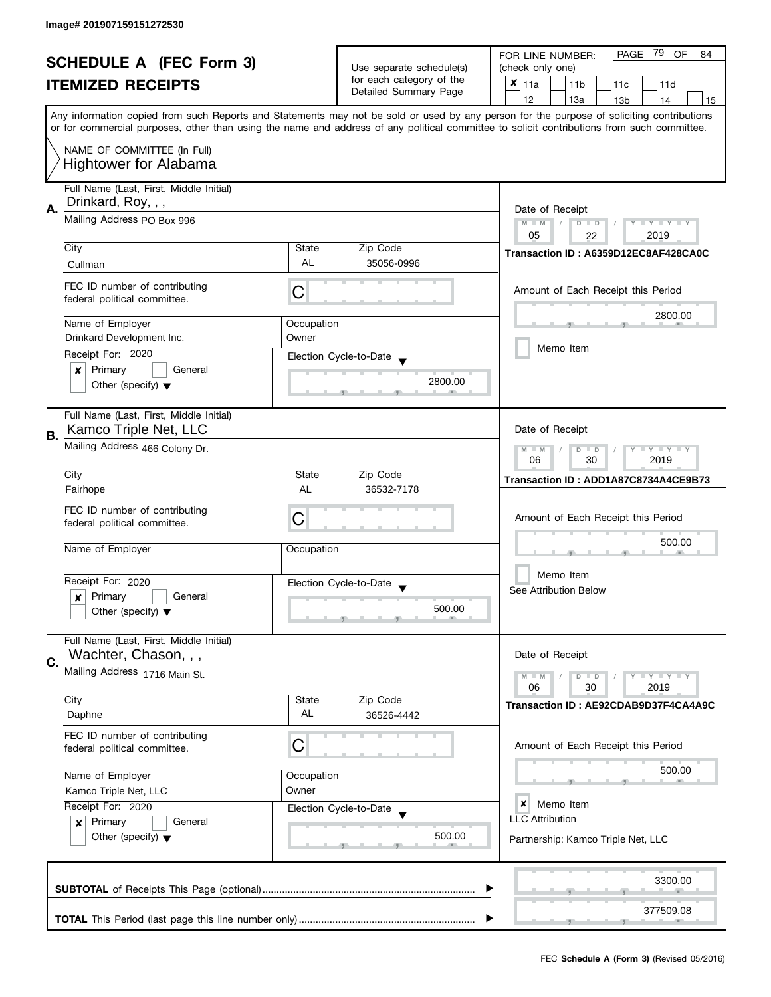| <b>SCHEDULE A (FEC Form 3)</b> |                                                                 |                                                   | PAGE<br>79<br><b>OF</b><br>FOR LINE NUMBER:<br>84 |                                                                                                                                                                                                                                                                                         |  |  |  |  |  |  |  |
|--------------------------------|-----------------------------------------------------------------|---------------------------------------------------|---------------------------------------------------|-----------------------------------------------------------------------------------------------------------------------------------------------------------------------------------------------------------------------------------------------------------------------------------------|--|--|--|--|--|--|--|
| <b>ITEMIZED RECEIPTS</b>       |                                                                 | Use separate schedule(s)                          | (check only one)                                  |                                                                                                                                                                                                                                                                                         |  |  |  |  |  |  |  |
|                                |                                                                 | for each category of the<br>Detailed Summary Page | $x _{11a}$<br>11 <sub>b</sub><br>11c<br>11d       |                                                                                                                                                                                                                                                                                         |  |  |  |  |  |  |  |
|                                |                                                                 |                                                   |                                                   | 12<br>13a<br>14<br>13 <sub>b</sub><br>15                                                                                                                                                                                                                                                |  |  |  |  |  |  |  |
|                                |                                                                 |                                                   |                                                   | Any information copied from such Reports and Statements may not be sold or used by any person for the purpose of soliciting contributions<br>or for commercial purposes, other than using the name and address of any political committee to solicit contributions from such committee. |  |  |  |  |  |  |  |
|                                | NAME OF COMMITTEE (In Full)                                     |                                                   |                                                   |                                                                                                                                                                                                                                                                                         |  |  |  |  |  |  |  |
|                                | Hightower for Alabama                                           |                                                   |                                                   |                                                                                                                                                                                                                                                                                         |  |  |  |  |  |  |  |
|                                | Full Name (Last, First, Middle Initial)<br>Drinkard, Roy, , ,   |                                                   |                                                   |                                                                                                                                                                                                                                                                                         |  |  |  |  |  |  |  |
| Α.                             | Mailing Address PO Box 996                                      |                                                   |                                                   | Date of Receipt<br>$M - M$<br>$D$ $D$<br>Y TY TY TY<br>$\sqrt{2}$<br>05<br>2019<br>22                                                                                                                                                                                                   |  |  |  |  |  |  |  |
|                                | City                                                            | State                                             | Zip Code                                          |                                                                                                                                                                                                                                                                                         |  |  |  |  |  |  |  |
|                                | Cullman                                                         | <b>AL</b>                                         | 35056-0996                                        | Transaction ID: A6359D12EC8AF428CA0C                                                                                                                                                                                                                                                    |  |  |  |  |  |  |  |
|                                | FEC ID number of contributing<br>federal political committee.   | С                                                 |                                                   | Amount of Each Receipt this Period                                                                                                                                                                                                                                                      |  |  |  |  |  |  |  |
|                                | Name of Employer                                                | Occupation                                        |                                                   | 2800.00                                                                                                                                                                                                                                                                                 |  |  |  |  |  |  |  |
|                                | Drinkard Development Inc.                                       | Owner                                             |                                                   |                                                                                                                                                                                                                                                                                         |  |  |  |  |  |  |  |
|                                | Receipt For: 2020                                               |                                                   | Election Cycle-to-Date                            | Memo Item                                                                                                                                                                                                                                                                               |  |  |  |  |  |  |  |
|                                | Primary<br>General<br>×                                         |                                                   |                                                   |                                                                                                                                                                                                                                                                                         |  |  |  |  |  |  |  |
|                                | Other (specify) $\blacktriangledown$                            |                                                   | 2800.00                                           |                                                                                                                                                                                                                                                                                         |  |  |  |  |  |  |  |
|                                | Full Name (Last, First, Middle Initial)                         |                                                   |                                                   |                                                                                                                                                                                                                                                                                         |  |  |  |  |  |  |  |
| В.                             | Kamco Triple Net, LLC                                           |                                                   |                                                   | Date of Receipt                                                                                                                                                                                                                                                                         |  |  |  |  |  |  |  |
|                                | Mailing Address 466 Colony Dr.                                  |                                                   |                                                   | $Y = Y + Y$<br>$M - M$<br>D<br>$\Box$<br>30<br>2019<br>06                                                                                                                                                                                                                               |  |  |  |  |  |  |  |
|                                | City                                                            | State                                             | Zip Code                                          | Transaction ID: ADD1A87C8734A4CE9B73                                                                                                                                                                                                                                                    |  |  |  |  |  |  |  |
|                                | Fairhope                                                        | AL                                                | 36532-7178                                        |                                                                                                                                                                                                                                                                                         |  |  |  |  |  |  |  |
|                                | FEC ID number of contributing                                   | С                                                 |                                                   | Amount of Each Receipt this Period                                                                                                                                                                                                                                                      |  |  |  |  |  |  |  |
|                                | federal political committee.                                    |                                                   |                                                   |                                                                                                                                                                                                                                                                                         |  |  |  |  |  |  |  |
|                                | Name of Employer                                                | Occupation                                        |                                                   | 500.00                                                                                                                                                                                                                                                                                  |  |  |  |  |  |  |  |
|                                |                                                                 |                                                   |                                                   |                                                                                                                                                                                                                                                                                         |  |  |  |  |  |  |  |
|                                | Receipt For: 2020                                               |                                                   | Election Cycle-to-Date                            | Memo Item                                                                                                                                                                                                                                                                               |  |  |  |  |  |  |  |
|                                | Primary<br>General<br>x                                         |                                                   | $\overline{\mathbf{v}}$                           | See Attribution Below                                                                                                                                                                                                                                                                   |  |  |  |  |  |  |  |
|                                | Other (specify) $\blacktriangledown$                            |                                                   | 500.00                                            |                                                                                                                                                                                                                                                                                         |  |  |  |  |  |  |  |
|                                | Full Name (Last, First, Middle Initial)<br>Wachter, Chason, , , |                                                   |                                                   | Date of Receipt                                                                                                                                                                                                                                                                         |  |  |  |  |  |  |  |
| C.                             | Mailing Address 1716 Main St.                                   |                                                   |                                                   |                                                                                                                                                                                                                                                                                         |  |  |  |  |  |  |  |
|                                |                                                                 |                                                   |                                                   | $Y = Y = Y$<br>$M - M$<br>$D$ $D$<br>06<br>30<br>2019                                                                                                                                                                                                                                   |  |  |  |  |  |  |  |
|                                | City                                                            | State                                             | Zip Code                                          | Transaction ID: AE92CDAB9D37F4CA4A9C                                                                                                                                                                                                                                                    |  |  |  |  |  |  |  |
|                                | Daphne                                                          | AL                                                | 36526-4442                                        |                                                                                                                                                                                                                                                                                         |  |  |  |  |  |  |  |
|                                | FEC ID number of contributing<br>federal political committee.   | С                                                 |                                                   | Amount of Each Receipt this Period                                                                                                                                                                                                                                                      |  |  |  |  |  |  |  |
|                                |                                                                 |                                                   |                                                   | 500.00                                                                                                                                                                                                                                                                                  |  |  |  |  |  |  |  |
|                                | Name of Employer<br>Occupation                                  |                                                   |                                                   |                                                                                                                                                                                                                                                                                         |  |  |  |  |  |  |  |
|                                | Kamco Triple Net, LLC<br>Receipt For: 2020                      | Owner                                             |                                                   | ×<br>Memo Item                                                                                                                                                                                                                                                                          |  |  |  |  |  |  |  |
|                                | Primary<br>General                                              |                                                   | Election Cycle-to-Date                            | <b>LLC</b> Attribution                                                                                                                                                                                                                                                                  |  |  |  |  |  |  |  |
|                                | $\boldsymbol{x}$<br>Other (specify) $\blacktriangledown$        |                                                   | 500.00                                            |                                                                                                                                                                                                                                                                                         |  |  |  |  |  |  |  |
|                                |                                                                 |                                                   |                                                   | Partnership: Kamco Triple Net, LLC                                                                                                                                                                                                                                                      |  |  |  |  |  |  |  |
|                                |                                                                 |                                                   |                                                   | 3300.00                                                                                                                                                                                                                                                                                 |  |  |  |  |  |  |  |
|                                |                                                                 |                                                   |                                                   | 377509.08                                                                                                                                                                                                                                                                               |  |  |  |  |  |  |  |
|                                |                                                                 |                                                   |                                                   |                                                                                                                                                                                                                                                                                         |  |  |  |  |  |  |  |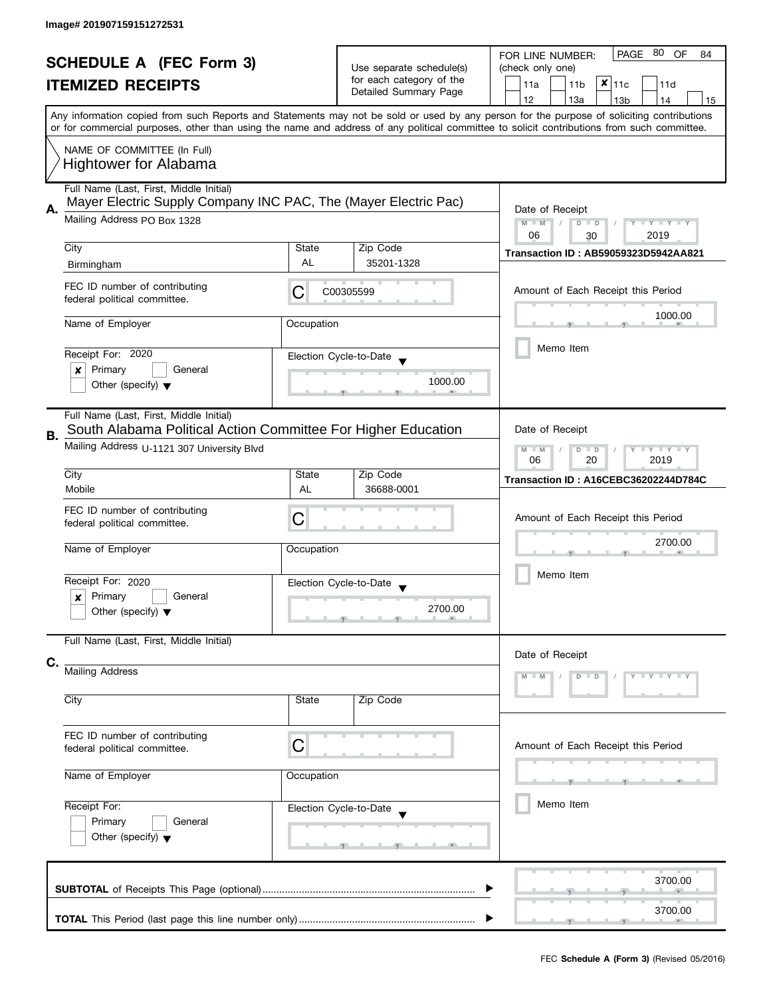|                                                            |                                                                                                            |                                                        | PAGE 80<br><b>OF</b><br>FOR LINE NUMBER:<br>84 |                                                                                                                                                                                                                                                                                         |  |  |  |  |
|------------------------------------------------------------|------------------------------------------------------------------------------------------------------------|--------------------------------------------------------|------------------------------------------------|-----------------------------------------------------------------------------------------------------------------------------------------------------------------------------------------------------------------------------------------------------------------------------------------|--|--|--|--|
| <b>SCHEDULE A (FEC Form 3)</b><br><b>ITEMIZED RECEIPTS</b> |                                                                                                            | Use separate schedule(s)                               | (check only one)                               |                                                                                                                                                                                                                                                                                         |  |  |  |  |
|                                                            |                                                                                                            | for each category of the<br>Detailed Summary Page      | $x _{11c}$<br>11a<br>11 <sub>b</sub><br>11d    |                                                                                                                                                                                                                                                                                         |  |  |  |  |
|                                                            |                                                                                                            |                                                        | 12<br>13a<br>13 <sub>b</sub><br>14<br>15       |                                                                                                                                                                                                                                                                                         |  |  |  |  |
|                                                            |                                                                                                            |                                                        |                                                | Any information copied from such Reports and Statements may not be sold or used by any person for the purpose of soliciting contributions<br>or for commercial purposes, other than using the name and address of any political committee to solicit contributions from such committee. |  |  |  |  |
|                                                            | NAME OF COMMITTEE (In Full)                                                                                |                                                        |                                                |                                                                                                                                                                                                                                                                                         |  |  |  |  |
|                                                            | <b>Hightower for Alabama</b>                                                                               |                                                        |                                                |                                                                                                                                                                                                                                                                                         |  |  |  |  |
|                                                            | Full Name (Last, First, Middle Initial)<br>Mayer Electric Supply Company INC PAC, The (Mayer Electric Pac) |                                                        |                                                |                                                                                                                                                                                                                                                                                         |  |  |  |  |
| А.                                                         | Mailing Address PO Box 1328                                                                                | Date of Receipt<br>$M - M$<br>$D$ $D$<br>Y I Y I Y I Y |                                                |                                                                                                                                                                                                                                                                                         |  |  |  |  |
|                                                            |                                                                                                            |                                                        |                                                | 06<br>2019<br>30                                                                                                                                                                                                                                                                        |  |  |  |  |
|                                                            | City                                                                                                       | State                                                  | Zip Code                                       | Transaction ID: AB59059323D5942AA821                                                                                                                                                                                                                                                    |  |  |  |  |
|                                                            | Birmingham                                                                                                 | AL                                                     | 35201-1328                                     |                                                                                                                                                                                                                                                                                         |  |  |  |  |
|                                                            | FEC ID number of contributing<br>federal political committee.                                              | C                                                      | C00305599                                      | Amount of Each Receipt this Period                                                                                                                                                                                                                                                      |  |  |  |  |
|                                                            | Name of Employer                                                                                           | Occupation                                             |                                                | 1000.00                                                                                                                                                                                                                                                                                 |  |  |  |  |
|                                                            |                                                                                                            |                                                        |                                                | Memo Item                                                                                                                                                                                                                                                                               |  |  |  |  |
|                                                            | Receipt For: 2020<br>Primary<br>General<br>×                                                               |                                                        | Election Cycle-to-Date                         |                                                                                                                                                                                                                                                                                         |  |  |  |  |
|                                                            | Other (specify) $\blacktriangledown$                                                                       |                                                        | 1000.00                                        |                                                                                                                                                                                                                                                                                         |  |  |  |  |
|                                                            |                                                                                                            |                                                        |                                                |                                                                                                                                                                                                                                                                                         |  |  |  |  |
|                                                            | Full Name (Last, First, Middle Initial)<br>South Alabama Political Action Committee For Higher Education   |                                                        |                                                | Date of Receipt                                                                                                                                                                                                                                                                         |  |  |  |  |
| В.                                                         | Mailing Address U-1121 307 University Blvd                                                                 |                                                        |                                                | $Y - Y - Y$<br>$M - M$<br>D<br>$\Box$                                                                                                                                                                                                                                                   |  |  |  |  |
|                                                            |                                                                                                            |                                                        | 20<br>06<br>2019                               |                                                                                                                                                                                                                                                                                         |  |  |  |  |
|                                                            | City<br>Mobile                                                                                             | State<br><b>AL</b>                                     | Zip Code<br>36688-0001                         | Transaction ID: A16CEBC36202244D784C                                                                                                                                                                                                                                                    |  |  |  |  |
|                                                            | FEC ID number of contributing                                                                              |                                                        |                                                |                                                                                                                                                                                                                                                                                         |  |  |  |  |
|                                                            | federal political committee.                                                                               | С                                                      |                                                | Amount of Each Receipt this Period<br>2700.00                                                                                                                                                                                                                                           |  |  |  |  |
|                                                            | Name of Employer                                                                                           | Occupation                                             |                                                |                                                                                                                                                                                                                                                                                         |  |  |  |  |
|                                                            |                                                                                                            |                                                        |                                                |                                                                                                                                                                                                                                                                                         |  |  |  |  |
|                                                            | Receipt For: 2020                                                                                          |                                                        | Election Cycle-to-Date                         | Memo Item                                                                                                                                                                                                                                                                               |  |  |  |  |
|                                                            | Primary<br>General<br>x<br>Other (specify) $\blacktriangledown$                                            |                                                        | 2700.00                                        |                                                                                                                                                                                                                                                                                         |  |  |  |  |
|                                                            |                                                                                                            |                                                        |                                                |                                                                                                                                                                                                                                                                                         |  |  |  |  |
|                                                            | Full Name (Last, First, Middle Initial)                                                                    |                                                        |                                                |                                                                                                                                                                                                                                                                                         |  |  |  |  |
| C.                                                         | <b>Mailing Address</b>                                                                                     |                                                        |                                                | Date of Receipt                                                                                                                                                                                                                                                                         |  |  |  |  |
|                                                            |                                                                                                            |                                                        |                                                | $Y + Y$                                                                                                                                                                                                                                                                                 |  |  |  |  |
|                                                            | City                                                                                                       | State                                                  | Zip Code                                       |                                                                                                                                                                                                                                                                                         |  |  |  |  |
|                                                            |                                                                                                            |                                                        |                                                |                                                                                                                                                                                                                                                                                         |  |  |  |  |
|                                                            | FEC ID number of contributing<br>federal political committee.                                              | C                                                      |                                                | Amount of Each Receipt this Period                                                                                                                                                                                                                                                      |  |  |  |  |
|                                                            |                                                                                                            |                                                        |                                                |                                                                                                                                                                                                                                                                                         |  |  |  |  |
|                                                            | Name of Employer                                                                                           | Occupation                                             |                                                |                                                                                                                                                                                                                                                                                         |  |  |  |  |
|                                                            | Receipt For:                                                                                               |                                                        | Election Cycle-to-Date                         | Memo Item                                                                                                                                                                                                                                                                               |  |  |  |  |
|                                                            | Primary<br>General                                                                                         |                                                        |                                                |                                                                                                                                                                                                                                                                                         |  |  |  |  |
|                                                            | Other (specify) $\blacktriangledown$                                                                       |                                                        | __<br>$-9$                                     |                                                                                                                                                                                                                                                                                         |  |  |  |  |
|                                                            |                                                                                                            |                                                        |                                                |                                                                                                                                                                                                                                                                                         |  |  |  |  |
|                                                            |                                                                                                            |                                                        |                                                | 3700.00                                                                                                                                                                                                                                                                                 |  |  |  |  |
|                                                            |                                                                                                            |                                                        |                                                | 3700.00                                                                                                                                                                                                                                                                                 |  |  |  |  |
|                                                            |                                                                                                            |                                                        |                                                |                                                                                                                                                                                                                                                                                         |  |  |  |  |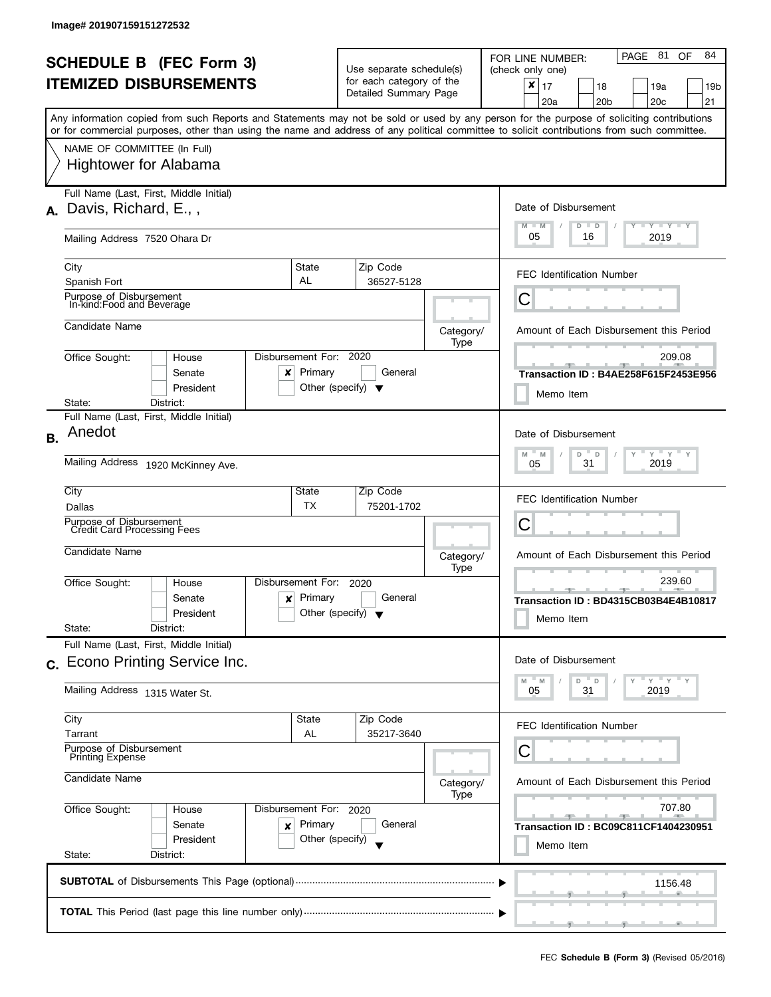| <b>SCHEDULE B</b> (FEC Form 3)<br><b>ITEMIZED DISBURSEMENTS</b>                             |                                                                                                                                                                                                                                                                                                                                                        |                                                                                                                                              | Use separate schedule(s)<br>for each category of the<br>Detailed Summary Page |                   | PAGE 81<br>84<br><b>OF</b><br>FOR LINE NUMBER:<br>(check only one)<br>$\pmb{\times}$<br>17<br>18<br>19a<br>19 <sub>b</sub><br>20 <sub>b</sub><br>20c<br>21<br>20a |
|---------------------------------------------------------------------------------------------|--------------------------------------------------------------------------------------------------------------------------------------------------------------------------------------------------------------------------------------------------------------------------------------------------------------------------------------------------------|----------------------------------------------------------------------------------------------------------------------------------------------|-------------------------------------------------------------------------------|-------------------|-------------------------------------------------------------------------------------------------------------------------------------------------------------------|
|                                                                                             | Any information copied from such Reports and Statements may not be sold or used by any person for the purpose of soliciting contributions<br>or for commercial purposes, other than using the name and address of any political committee to solicit contributions from such committee.<br>NAME OF COMMITTEE (In Full)<br><b>Hightower for Alabama</b> |                                                                                                                                              |                                                                               |                   |                                                                                                                                                                   |
| А.                                                                                          | Full Name (Last, First, Middle Initial)<br>Davis, Richard, E.,,<br>Mailing Address 7520 Ohara Dr                                                                                                                                                                                                                                                       |                                                                                                                                              |                                                                               |                   | Date of Disbursement<br>$\Box$ $\gamma$ $\Box$ $\gamma$ $\Box$ $\gamma$<br>$M - M$<br>$D$ $D$<br>05<br>2019<br>16                                                 |
|                                                                                             | City<br>Spanish Fort<br>Purpose_of Disburgement<br>In-kind: Food and Beverage                                                                                                                                                                                                                                                                          | State<br>AL                                                                                                                                  | Zip Code<br>36527-5128                                                        |                   | <b>FEC Identification Number</b><br>C                                                                                                                             |
|                                                                                             | Candidate Name<br>Office Sought:<br>House<br>Senate<br>×                                                                                                                                                                                                                                                                                               | Disbursement For: 2020<br>Primary                                                                                                            | General                                                                       | Category/<br>Type | Amount of Each Disbursement this Period<br>209.08<br><b>Transaction ID: B4AE258F615F2453E956</b>                                                                  |
|                                                                                             | President<br>District:<br>State:<br>Full Name (Last, First, Middle Initial)                                                                                                                                                                                                                                                                            |                                                                                                                                              | Other (specify) $\blacktriangledown$                                          |                   | Memo Item                                                                                                                                                         |
| <b>B.</b>                                                                                   | Anedot<br>Mailing Address 1920 McKinney Ave.                                                                                                                                                                                                                                                                                                           |                                                                                                                                              |                                                                               |                   | Date of Disbursement<br>$Y = Y$<br>M<br>M<br>D<br>D<br>2019<br>31<br>05                                                                                           |
|                                                                                             | City<br>Dallas<br>Purpose of Disbursement<br><b>Credit Card Processing Fees</b>                                                                                                                                                                                                                                                                        | State<br>TX                                                                                                                                  | Zip Code<br>75201-1702                                                        |                   | <b>FEC Identification Number</b><br>С                                                                                                                             |
|                                                                                             | Candidate Name<br>Office Sought:<br>House<br>Senate<br>$\boldsymbol{x}$<br>President<br>State:<br>District:                                                                                                                                                                                                                                            | Disbursement For:<br>Primary                                                                                                                 | 2020<br>General<br>Other (specify) $\blacktriangledown$                       | Category/<br>Type | Amount of Each Disbursement this Period<br>239.60<br><u>____________</u><br>Transaction ID: BD4315CB03B4E4B10817<br>Memo Item                                     |
|                                                                                             | Full Name (Last, First, Middle Initial)<br>c. Econo Printing Service Inc.<br>Mailing Address 1315 Water St.                                                                                                                                                                                                                                            |                                                                                                                                              |                                                                               |                   | Date of Disbursement<br>$Y = Y$<br>D<br>D<br>M<br>M<br>31<br>2019<br>05                                                                                           |
| City<br>State<br><b>AL</b><br>Tarrant<br>Purpose of Disbursement<br><b>Printing Expense</b> |                                                                                                                                                                                                                                                                                                                                                        |                                                                                                                                              | Zip Code<br>35217-3640                                                        |                   | <b>FEC Identification Number</b><br>С                                                                                                                             |
|                                                                                             | Candidate Name<br>Office Sought:<br>Disbursement For: 2020<br>House<br>Senate<br>x<br>President<br>State:<br>District:                                                                                                                                                                                                                                 | Amount of Each Disbursement this Period<br>Category/<br>707.80<br>$-1$<br><u>______</u><br>Transaction ID: BC09C811CF1404230951<br>Memo Item |                                                                               |                   |                                                                                                                                                                   |
|                                                                                             |                                                                                                                                                                                                                                                                                                                                                        |                                                                                                                                              |                                                                               |                   | 1156.48                                                                                                                                                           |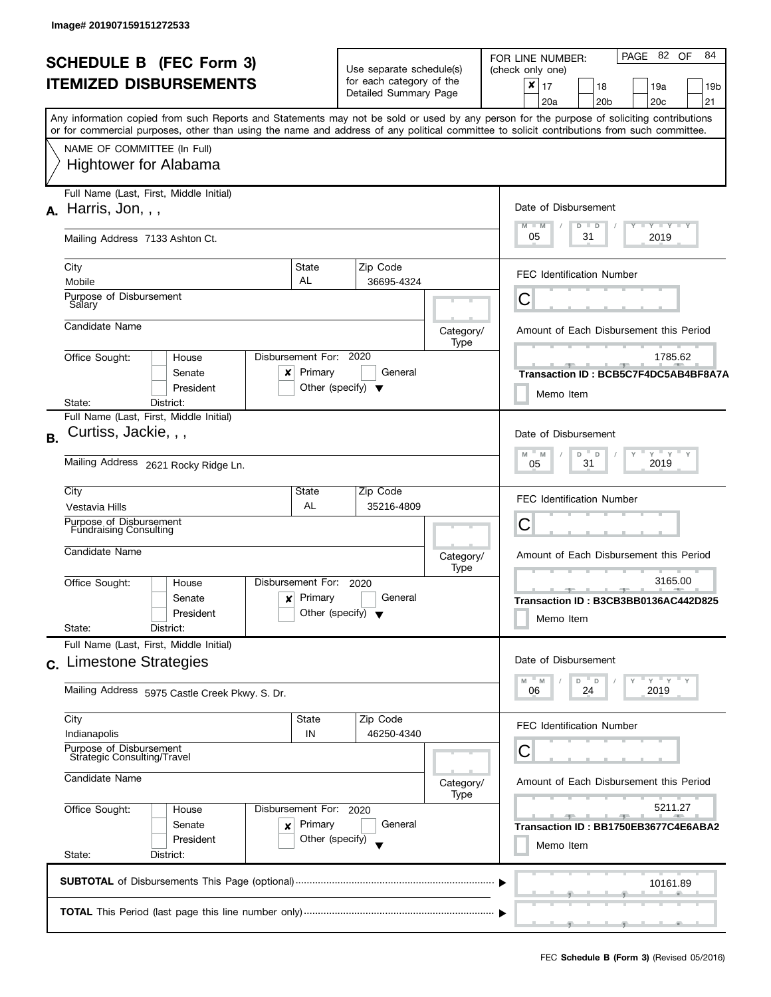| <b>SCHEDULE B (FEC Form 3)</b><br><b>ITEMIZED DISBURSEMENTS</b> |                                                                                                                                                                                                                                                                                         |                                                                                     | Use separate schedule(s)<br>for each category of the     |                   | 82 OF<br>84<br>PAGE<br>FOR LINE NUMBER:<br>(check only one)<br>×                                                        |  |  |  |  |
|-----------------------------------------------------------------|-----------------------------------------------------------------------------------------------------------------------------------------------------------------------------------------------------------------------------------------------------------------------------------------|-------------------------------------------------------------------------------------|----------------------------------------------------------|-------------------|-------------------------------------------------------------------------------------------------------------------------|--|--|--|--|
|                                                                 |                                                                                                                                                                                                                                                                                         |                                                                                     | Detailed Summary Page                                    |                   | 17<br>18<br>19a<br>19b<br>20a<br>20 <sub>b</sub><br>20c<br>21                                                           |  |  |  |  |
|                                                                 | Any information copied from such Reports and Statements may not be sold or used by any person for the purpose of soliciting contributions<br>or for commercial purposes, other than using the name and address of any political committee to solicit contributions from such committee. |                                                                                     |                                                          |                   |                                                                                                                         |  |  |  |  |
|                                                                 | NAME OF COMMITTEE (In Full)                                                                                                                                                                                                                                                             |                                                                                     |                                                          |                   |                                                                                                                         |  |  |  |  |
|                                                                 | <b>Hightower for Alabama</b>                                                                                                                                                                                                                                                            |                                                                                     |                                                          |                   |                                                                                                                         |  |  |  |  |
|                                                                 | Full Name (Last, First, Middle Initial)<br>$A.$ Harris, Jon, , ,                                                                                                                                                                                                                        |                                                                                     |                                                          |                   | Date of Disbursement                                                                                                    |  |  |  |  |
|                                                                 | Mailing Address 7133 Ashton Ct.                                                                                                                                                                                                                                                         |                                                                                     |                                                          |                   | $M - M$<br>$\mathbf{I}$ $\mathbf{Y}$ $\mathbf{I}$ $\mathbf{Y}$ $\mathbf{I}$ $\mathbf{Y}$<br>$D$ $D$<br>05<br>31<br>2019 |  |  |  |  |
|                                                                 | City<br>Mobile                                                                                                                                                                                                                                                                          | State<br>AL                                                                         | Zip Code<br>36695-4324                                   |                   | <b>FEC Identification Number</b>                                                                                        |  |  |  |  |
|                                                                 | Purpose of Disbursement<br>Salary                                                                                                                                                                                                                                                       |                                                                                     |                                                          |                   | С                                                                                                                       |  |  |  |  |
|                                                                 | Candidate Name                                                                                                                                                                                                                                                                          |                                                                                     |                                                          | Category/<br>Type | Amount of Each Disbursement this Period                                                                                 |  |  |  |  |
|                                                                 | Disbursement For: 2020<br>Office Sought:<br>House<br>Senate<br>$\boldsymbol{\mathsf{x}}$<br>President                                                                                                                                                                                   | Primary<br>Other (specify) $\blacktriangledown$                                     | General                                                  |                   | 1785.62<br>Transaction ID: BCB5C7F4DC5AB4BF8A7A<br>Memo Item                                                            |  |  |  |  |
|                                                                 | District:<br>State:<br>Full Name (Last, First, Middle Initial)                                                                                                                                                                                                                          |                                                                                     |                                                          |                   |                                                                                                                         |  |  |  |  |
| <b>B.</b>                                                       | Curtiss, Jackie, , ,                                                                                                                                                                                                                                                                    |                                                                                     |                                                          |                   | Date of Disbursement                                                                                                    |  |  |  |  |
|                                                                 | Mailing Address 2621 Rocky Ridge Ln.                                                                                                                                                                                                                                                    | $-\gamma + \gamma + \gamma$<br>$D^{-}$<br>M<br>M<br>$\mathsf D$<br>31<br>2019<br>05 |                                                          |                   |                                                                                                                         |  |  |  |  |
|                                                                 | City<br>Vestavia Hills                                                                                                                                                                                                                                                                  | State<br>AL                                                                         | Zip Code<br>35216-4809                                   |                   | <b>FEC Identification Number</b>                                                                                        |  |  |  |  |
|                                                                 | Purpose of Disbursement<br><b>Fundraising Consulting</b>                                                                                                                                                                                                                                |                                                                                     | С                                                        |                   |                                                                                                                         |  |  |  |  |
|                                                                 | Candidate Name                                                                                                                                                                                                                                                                          |                                                                                     |                                                          | Category/<br>Type | Amount of Each Disbursement this Period                                                                                 |  |  |  |  |
|                                                                 | Disbursement For:<br>Office Sought:<br>House<br>Senate<br>$\boldsymbol{\mathsf{x}}$  <br>President<br>State:<br>District:                                                                                                                                                               | Primary<br>Other (specify) $\blacktriangledown$                                     | 2020<br>General                                          |                   | 3165.00<br>Transaction ID: B3CB3BB0136AC442D825<br>Memo Item                                                            |  |  |  |  |
|                                                                 | Full Name (Last, First, Middle Initial)                                                                                                                                                                                                                                                 |                                                                                     |                                                          |                   |                                                                                                                         |  |  |  |  |
|                                                                 | c. Limestone Strategies                                                                                                                                                                                                                                                                 |                                                                                     |                                                          |                   | Date of Disbursement                                                                                                    |  |  |  |  |
|                                                                 | Mailing Address 5975 Castle Creek Pkwy. S. Dr.                                                                                                                                                                                                                                          |                                                                                     |                                                          |                   | $Y = Y = Y$<br>D<br>M<br>$- M$<br>D<br>24<br>2019<br>06                                                                 |  |  |  |  |
|                                                                 | City<br>Indianapolis                                                                                                                                                                                                                                                                    | State<br>IN                                                                         | Zip Code<br>46250-4340                                   |                   | <b>FEC Identification Number</b>                                                                                        |  |  |  |  |
|                                                                 | Purpose of Disbursement<br>Strategic Consulting/Travel<br>Candidate Name                                                                                                                                                                                                                |                                                                                     |                                                          |                   | С                                                                                                                       |  |  |  |  |
|                                                                 |                                                                                                                                                                                                                                                                                         | Category/<br>Type                                                                   | Amount of Each Disbursement this Period                  |                   |                                                                                                                         |  |  |  |  |
|                                                                 | Office Sought:<br>Disbursement For: 2020<br>House                                                                                                                                                                                                                                       |                                                                                     | 5211.27<br>$-9-$<br>Transaction ID: BB1750EB3677C4E6ABA2 |                   |                                                                                                                         |  |  |  |  |
|                                                                 | President<br>State:<br>District:                                                                                                                                                                                                                                                        | Primary<br>General<br>Senate<br>x<br>Other (specify)                                |                                                          |                   |                                                                                                                         |  |  |  |  |
|                                                                 |                                                                                                                                                                                                                                                                                         |                                                                                     |                                                          |                   | 10161.89                                                                                                                |  |  |  |  |
|                                                                 |                                                                                                                                                                                                                                                                                         |                                                                                     |                                                          |                   | ____                                                                                                                    |  |  |  |  |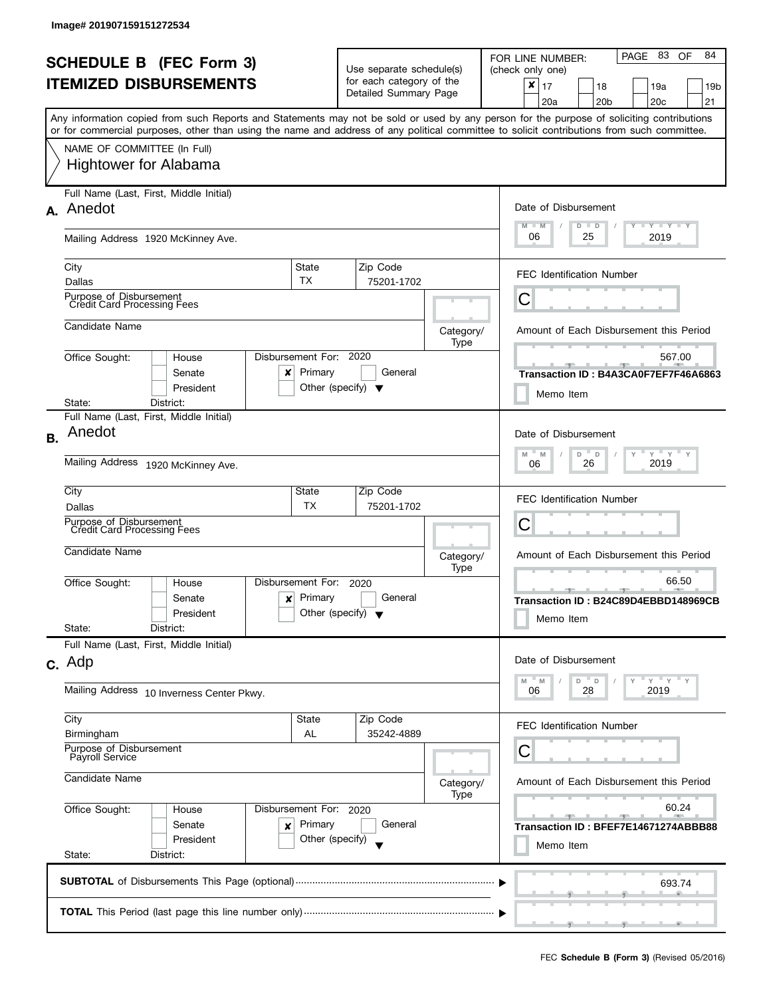| <b>SCHEDULE B</b> (FEC Form 3)                    |                                                                                                                                                                                                                                                                                         |                        |                                                      |                   |                                      | PAGE 83 OF<br>84<br>FOR LINE NUMBER:    |                                         |         |                 |   |                 |  |     |
|---------------------------------------------------|-----------------------------------------------------------------------------------------------------------------------------------------------------------------------------------------------------------------------------------------------------------------------------------------|------------------------|------------------------------------------------------|-------------------|--------------------------------------|-----------------------------------------|-----------------------------------------|---------|-----------------|---|-----------------|--|-----|
| <b>ITEMIZED DISBURSEMENTS</b>                     |                                                                                                                                                                                                                                                                                         |                        | Use separate schedule(s)<br>for each category of the |                   |                                      | (check only one)                        |                                         |         |                 |   |                 |  |     |
|                                                   |                                                                                                                                                                                                                                                                                         |                        | Detailed Summary Page                                |                   |                                      | $\pmb{\times}$                          | 17                                      |         | 18              |   | 19a             |  | 19b |
|                                                   |                                                                                                                                                                                                                                                                                         |                        |                                                      |                   |                                      |                                         | 20a                                     |         | 20 <sub>b</sub> |   | 20 <sub>c</sub> |  | 21  |
|                                                   | Any information copied from such Reports and Statements may not be sold or used by any person for the purpose of soliciting contributions<br>or for commercial purposes, other than using the name and address of any political committee to solicit contributions from such committee. |                        |                                                      |                   |                                      |                                         |                                         |         |                 |   |                 |  |     |
|                                                   |                                                                                                                                                                                                                                                                                         |                        |                                                      |                   |                                      |                                         |                                         |         |                 |   |                 |  |     |
|                                                   | NAME OF COMMITTEE (In Full)                                                                                                                                                                                                                                                             |                        |                                                      |                   |                                      |                                         |                                         |         |                 |   |                 |  |     |
|                                                   | <b>Hightower for Alabama</b>                                                                                                                                                                                                                                                            |                        |                                                      |                   |                                      |                                         |                                         |         |                 |   |                 |  |     |
|                                                   | Full Name (Last, First, Middle Initial)                                                                                                                                                                                                                                                 |                        |                                                      |                   |                                      |                                         |                                         |         |                 |   |                 |  |     |
|                                                   | A. Anedot                                                                                                                                                                                                                                                                               |                        |                                                      |                   |                                      |                                         | Date of Disbursement                    |         |                 |   |                 |  |     |
|                                                   |                                                                                                                                                                                                                                                                                         |                        |                                                      |                   |                                      | $M - M$                                 |                                         | $D$ $D$ |                 |   | Y FYLY FY       |  |     |
|                                                   | Mailing Address 1920 McKinney Ave.                                                                                                                                                                                                                                                      |                        |                                                      |                   |                                      | 06                                      |                                         | 25      |                 |   | 2019            |  |     |
|                                                   |                                                                                                                                                                                                                                                                                         |                        |                                                      |                   |                                      |                                         |                                         |         |                 |   |                 |  |     |
|                                                   | City                                                                                                                                                                                                                                                                                    | State                  | Zip Code                                             |                   |                                      |                                         | <b>FEC Identification Number</b>        |         |                 |   |                 |  |     |
|                                                   | Dallas                                                                                                                                                                                                                                                                                  | <b>TX</b>              | 75201-1702                                           |                   |                                      |                                         |                                         |         |                 |   |                 |  |     |
|                                                   | Purpose of Disbursement<br>Credit Card Processing Fees                                                                                                                                                                                                                                  |                        |                                                      |                   |                                      | С                                       |                                         |         |                 |   |                 |  |     |
|                                                   | Candidate Name                                                                                                                                                                                                                                                                          |                        |                                                      |                   |                                      |                                         |                                         |         |                 |   |                 |  |     |
|                                                   |                                                                                                                                                                                                                                                                                         |                        |                                                      | Category/<br>Type |                                      |                                         | Amount of Each Disbursement this Period |         |                 |   |                 |  |     |
|                                                   | Office Sought:<br>House                                                                                                                                                                                                                                                                 | Disbursement For: 2020 |                                                      |                   |                                      |                                         |                                         |         |                 |   | 567.00          |  |     |
|                                                   | Senate<br>x                                                                                                                                                                                                                                                                             | Primary                | General                                              |                   |                                      |                                         | Transaction ID: B4A3CA0F7EF7F46A6863    |         |                 |   |                 |  |     |
|                                                   | President                                                                                                                                                                                                                                                                               |                        | Other (specify) $\blacktriangledown$                 |                   |                                      |                                         |                                         |         |                 |   |                 |  |     |
|                                                   | State:<br>District:                                                                                                                                                                                                                                                                     |                        |                                                      |                   |                                      |                                         | Memo Item                               |         |                 |   |                 |  |     |
|                                                   | Full Name (Last, First, Middle Initial)                                                                                                                                                                                                                                                 |                        |                                                      |                   |                                      |                                         |                                         |         |                 |   |                 |  |     |
| <b>B.</b>                                         | Anedot                                                                                                                                                                                                                                                                                  |                        |                                                      |                   |                                      |                                         | Date of Disbursement                    |         |                 |   |                 |  |     |
|                                                   |                                                                                                                                                                                                                                                                                         |                        |                                                      |                   |                                      |                                         | M                                       | D       | D               | Y | $Y = Y - Y$     |  |     |
|                                                   | Mailing Address 1920 McKinney Ave.                                                                                                                                                                                                                                                      |                        |                                                      |                   |                                      |                                         | 06                                      | 26      |                 |   | 2019            |  |     |
|                                                   | City<br>State<br>Zip Code                                                                                                                                                                                                                                                               |                        |                                                      |                   |                                      |                                         |                                         |         |                 |   |                 |  |     |
|                                                   | <b>TX</b><br>75201-1702<br>Dallas                                                                                                                                                                                                                                                       |                        |                                                      |                   |                                      | <b>FEC Identification Number</b>        |                                         |         |                 |   |                 |  |     |
|                                                   | Purpose of Disbursement                                                                                                                                                                                                                                                                 |                        |                                                      |                   |                                      | С                                       |                                         |         |                 |   |                 |  |     |
|                                                   | <b>Credit Card Processing Fees</b>                                                                                                                                                                                                                                                      |                        |                                                      |                   |                                      |                                         |                                         |         |                 |   |                 |  |     |
|                                                   | Candidate Name                                                                                                                                                                                                                                                                          |                        | Category/                                            |                   |                                      |                                         | Amount of Each Disbursement this Period |         |                 |   |                 |  |     |
|                                                   |                                                                                                                                                                                                                                                                                         | Disbursement For:      | Type<br>2020<br>General                              |                   |                                      | 66.50<br>$-1$                           |                                         |         |                 |   |                 |  |     |
|                                                   | Office Sought:<br>House<br>Senate                                                                                                                                                                                                                                                       | Primary                |                                                      |                   |                                      |                                         |                                         |         |                 |   |                 |  |     |
|                                                   | $\boldsymbol{x}$<br>President                                                                                                                                                                                                                                                           |                        | Other (specify) $\sqrt{}$                            |                   | Transaction ID: B24C89D4EBBD148969CB |                                         |                                         |         |                 |   |                 |  |     |
|                                                   | State:<br>District:                                                                                                                                                                                                                                                                     |                        |                                                      |                   |                                      |                                         | Memo Item                               |         |                 |   |                 |  |     |
|                                                   | Full Name (Last, First, Middle Initial)                                                                                                                                                                                                                                                 |                        |                                                      |                   |                                      |                                         |                                         |         |                 |   |                 |  |     |
|                                                   | $c.$ Adp                                                                                                                                                                                                                                                                                |                        |                                                      |                   |                                      |                                         | Date of Disbursement                    |         |                 |   |                 |  |     |
|                                                   |                                                                                                                                                                                                                                                                                         |                        |                                                      |                   |                                      | M                                       | 'M                                      | D       | D               |   | " γ " γ " γ     |  |     |
|                                                   | Mailing Address 10 Inverness Center Pkwy.                                                                                                                                                                                                                                               |                        |                                                      |                   |                                      | 06                                      |                                         | 28      |                 |   | 2019            |  |     |
|                                                   |                                                                                                                                                                                                                                                                                         |                        |                                                      |                   |                                      |                                         |                                         |         |                 |   |                 |  |     |
|                                                   | City<br>Birmingham                                                                                                                                                                                                                                                                      | State<br>AL            | Zip Code<br>35242-4889                               |                   |                                      | <b>FEC Identification Number</b>        |                                         |         |                 |   |                 |  |     |
|                                                   | Purpose of Disbursement                                                                                                                                                                                                                                                                 |                        |                                                      |                   |                                      | С                                       |                                         |         |                 |   |                 |  |     |
|                                                   | Payroll Service                                                                                                                                                                                                                                                                         |                        |                                                      |                   |                                      |                                         |                                         |         |                 |   |                 |  |     |
|                                                   | Candidate Name                                                                                                                                                                                                                                                                          |                        |                                                      | Category/         |                                      | Amount of Each Disbursement this Period |                                         |         |                 |   |                 |  |     |
| Office Sought:<br>Disbursement For: 2020<br>House |                                                                                                                                                                                                                                                                                         |                        |                                                      | Type              |                                      | 60.24                                   |                                         |         |                 |   |                 |  |     |
|                                                   |                                                                                                                                                                                                                                                                                         |                        |                                                      |                   |                                      |                                         |                                         |         |                 |   |                 |  |     |
| Primary<br>Senate<br>x                            |                                                                                                                                                                                                                                                                                         |                        | General                                              |                   |                                      |                                         | Transaction ID: BFEF7E14671274ABBB88    |         |                 |   |                 |  |     |
|                                                   | President                                                                                                                                                                                                                                                                               | Other (specify)        |                                                      |                   |                                      |                                         | Memo Item                               |         |                 |   |                 |  |     |
|                                                   | State:<br>District:                                                                                                                                                                                                                                                                     |                        |                                                      |                   |                                      |                                         |                                         |         |                 |   |                 |  |     |
|                                                   |                                                                                                                                                                                                                                                                                         |                        |                                                      |                   |                                      |                                         |                                         |         |                 |   | 693.74          |  |     |
|                                                   |                                                                                                                                                                                                                                                                                         |                        |                                                      |                   |                                      |                                         |                                         |         |                 |   |                 |  |     |
|                                                   |                                                                                                                                                                                                                                                                                         |                        |                                                      |                   |                                      |                                         |                                         |         |                 |   |                 |  |     |
|                                                   |                                                                                                                                                                                                                                                                                         |                        |                                                      |                   |                                      |                                         |                                         |         |                 |   |                 |  |     |